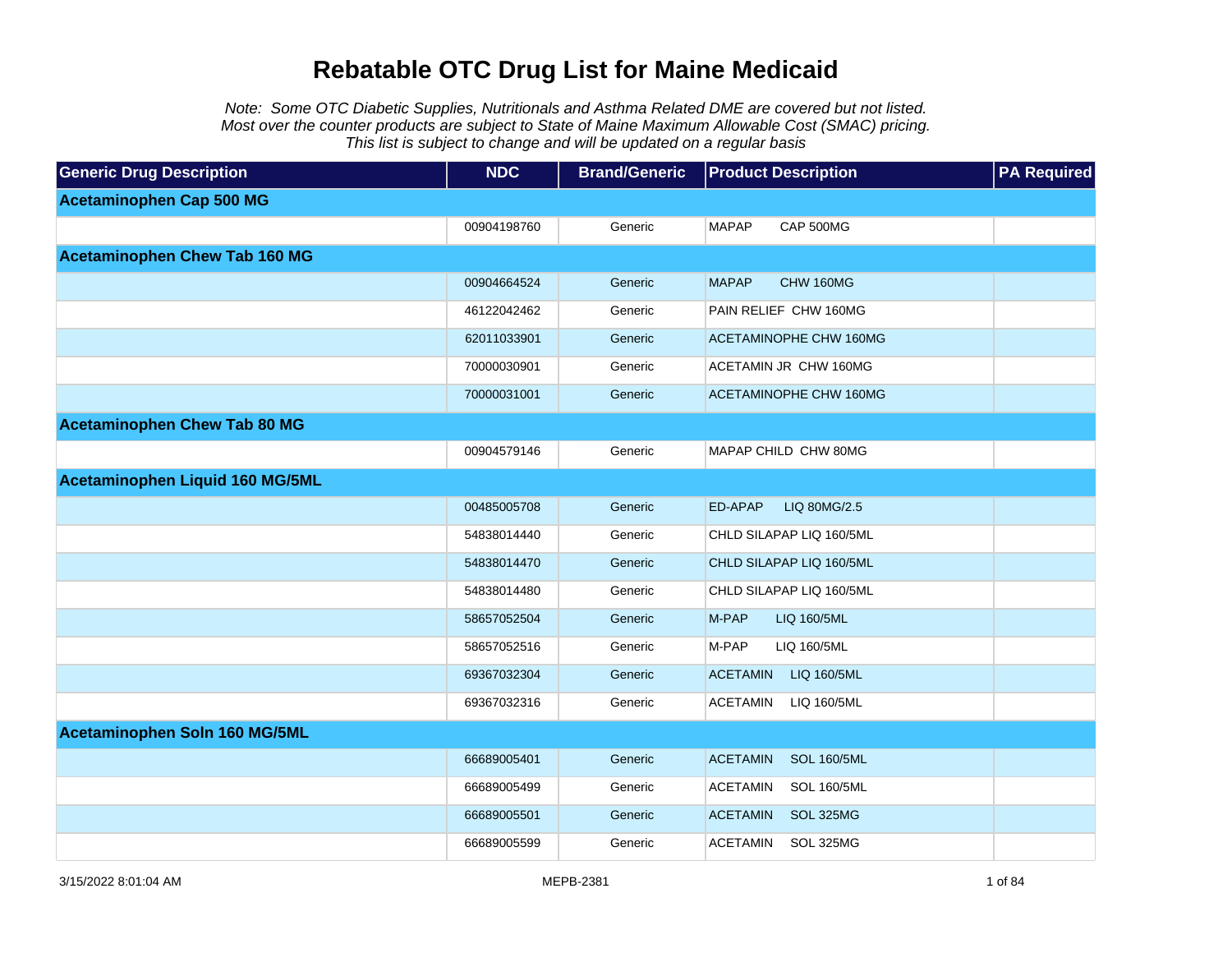Note: Some OTC Diabetic Supplies, Nutritionals and Asthma Related DME are covered but not listed. Most over the counter products are subject to State of Maine Maximum Allowable Cost (SMAC) pricing. This list is subject to change and will be updated on a regular basis

| <b>Generic Drug Description</b>      | <b>NDC</b>  | <b>Brand/Generic</b> | <b>Product Description</b>            | <b>PA Required</b> |
|--------------------------------------|-------------|----------------------|---------------------------------------|--------------------|
| <b>Acetaminophen Cap 500 MG</b>      |             |                      |                                       |                    |
|                                      | 00904198760 | Generic              | <b>MAPAP</b><br>CAP 500MG             |                    |
| <b>Acetaminophen Chew Tab 160 MG</b> |             |                      |                                       |                    |
|                                      | 00904664524 | Generic              | <b>MAPAP</b><br>CHW 160MG             |                    |
|                                      | 46122042462 | Generic              | PAIN RELIEF CHW 160MG                 |                    |
|                                      | 62011033901 | Generic              | <b>ACETAMINOPHE CHW 160MG</b>         |                    |
|                                      | 70000030901 | Generic              | ACETAMIN JR CHW 160MG                 |                    |
|                                      | 70000031001 | Generic              | ACETAMINOPHE CHW 160MG                |                    |
| <b>Acetaminophen Chew Tab 80 MG</b>  |             |                      |                                       |                    |
|                                      | 00904579146 | Generic              | MAPAP CHILD CHW 80MG                  |                    |
| Acetaminophen Liquid 160 MG/5ML      |             |                      |                                       |                    |
|                                      | 00485005708 | Generic              | ED-APAP<br>LIQ 80MG/2.5               |                    |
|                                      | 54838014440 | Generic              | CHLD SILAPAP LIQ 160/5ML              |                    |
|                                      | 54838014470 | Generic              | CHLD SILAPAP LIQ 160/5ML              |                    |
|                                      | 54838014480 | Generic              | CHLD SILAPAP LIQ 160/5ML              |                    |
|                                      | 58657052504 | Generic              | M-PAP<br>LIQ 160/5ML                  |                    |
|                                      | 58657052516 | Generic              | M-PAP<br>LIQ 160/5ML                  |                    |
|                                      | 69367032304 | Generic              | <b>ACETAMIN</b><br>LIQ 160/5ML        |                    |
|                                      | 69367032316 | Generic              | <b>ACETAMIN</b><br>LIQ 160/5ML        |                    |
| Acetaminophen Soln 160 MG/5ML        |             |                      |                                       |                    |
|                                      | 66689005401 | Generic              | <b>ACETAMIN</b><br><b>SOL 160/5ML</b> |                    |
|                                      | 66689005499 | Generic              | <b>ACETAMIN</b><br><b>SOL 160/5ML</b> |                    |
|                                      | 66689005501 | Generic              | <b>ACETAMIN</b><br>SOL 325MG          |                    |
|                                      | 66689005599 | Generic              | <b>ACETAMIN</b><br>SOL 325MG          |                    |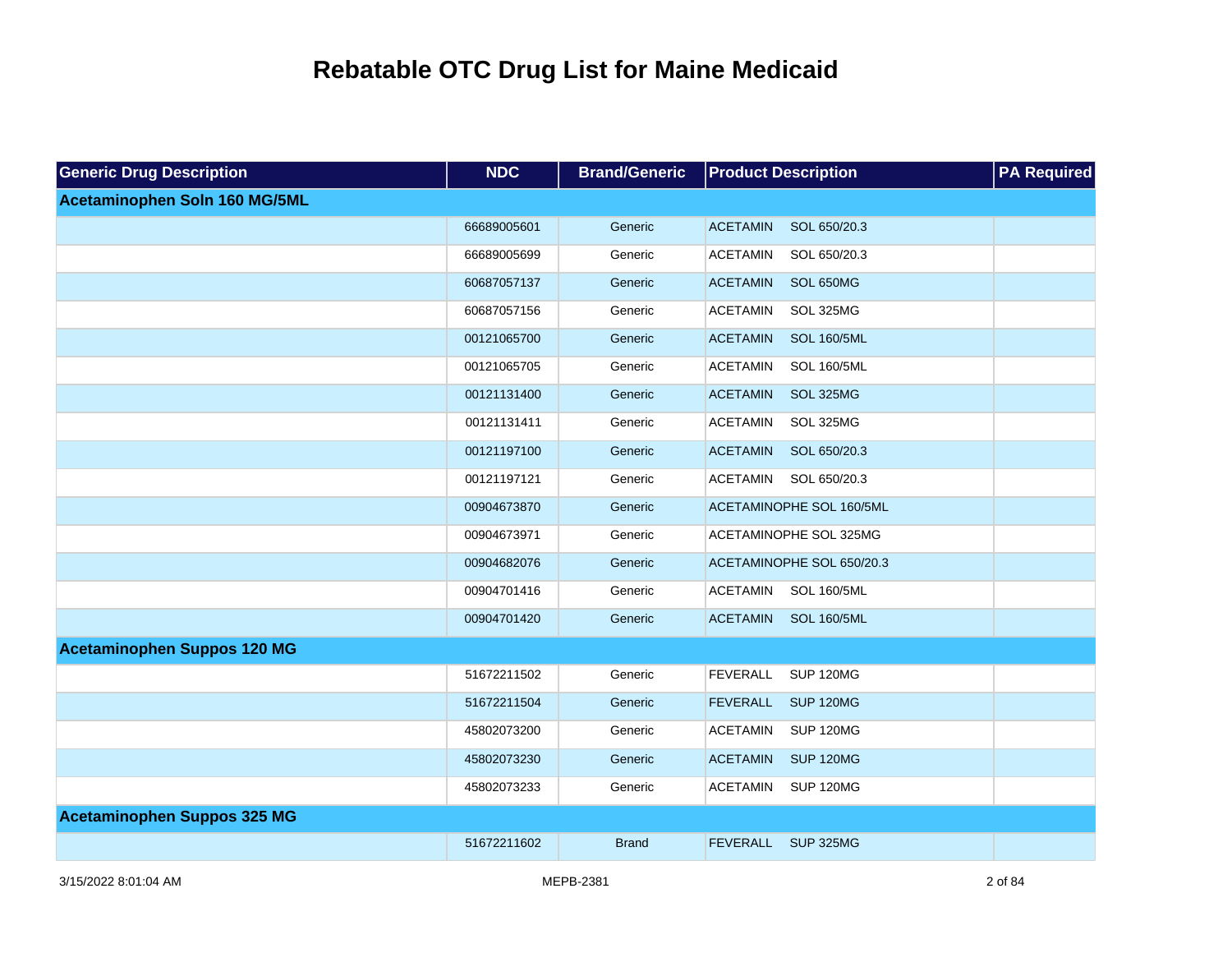| <b>Generic Drug Description</b>    | <b>NDC</b>  | <b>Brand/Generic</b> | <b>Product Description</b>            | <b>PA Required</b> |
|------------------------------------|-------------|----------------------|---------------------------------------|--------------------|
| Acetaminophen Soln 160 MG/5ML      |             |                      |                                       |                    |
|                                    | 66689005601 | Generic              | <b>ACETAMIN</b><br>SOL 650/20.3       |                    |
|                                    | 66689005699 | Generic              | <b>ACETAMIN</b><br>SOL 650/20.3       |                    |
|                                    | 60687057137 | Generic              | <b>ACETAMIN</b><br>SOL 650MG          |                    |
|                                    | 60687057156 | Generic              | <b>ACETAMIN</b><br>SOL 325MG          |                    |
|                                    | 00121065700 | Generic              | <b>ACETAMIN</b><br><b>SOL 160/5ML</b> |                    |
|                                    | 00121065705 | Generic              | <b>ACETAMIN</b><br><b>SOL 160/5ML</b> |                    |
|                                    | 00121131400 | Generic              | <b>ACETAMIN</b><br>SOL 325MG          |                    |
|                                    | 00121131411 | Generic              | <b>ACETAMIN</b><br>SOL 325MG          |                    |
|                                    | 00121197100 | Generic              | <b>ACETAMIN</b><br>SOL 650/20.3       |                    |
|                                    | 00121197121 | Generic              | <b>ACETAMIN</b><br>SOL 650/20.3       |                    |
|                                    | 00904673870 | Generic              | ACETAMINOPHE SOL 160/5ML              |                    |
|                                    | 00904673971 | Generic              | ACETAMINOPHE SOL 325MG                |                    |
|                                    | 00904682076 | Generic              | ACETAMINOPHE SOL 650/20.3             |                    |
|                                    | 00904701416 | Generic              | <b>ACETAMIN</b><br><b>SOL 160/5ML</b> |                    |
|                                    | 00904701420 | Generic              | <b>SOL 160/5ML</b><br><b>ACETAMIN</b> |                    |
| <b>Acetaminophen Suppos 120 MG</b> |             |                      |                                       |                    |
|                                    | 51672211502 | Generic              | <b>FEVERALL</b><br><b>SUP 120MG</b>   |                    |
|                                    | 51672211504 | Generic              | <b>FEVERALL</b><br><b>SUP 120MG</b>   |                    |
|                                    | 45802073200 | Generic              | <b>ACETAMIN</b><br><b>SUP 120MG</b>   |                    |
|                                    | 45802073230 | Generic              | <b>ACETAMIN</b><br><b>SUP 120MG</b>   |                    |
|                                    | 45802073233 | Generic              | <b>SUP 120MG</b><br><b>ACETAMIN</b>   |                    |
| <b>Acetaminophen Suppos 325 MG</b> |             |                      |                                       |                    |
|                                    | 51672211602 | <b>Brand</b>         | <b>FEVERALL</b><br><b>SUP 325MG</b>   |                    |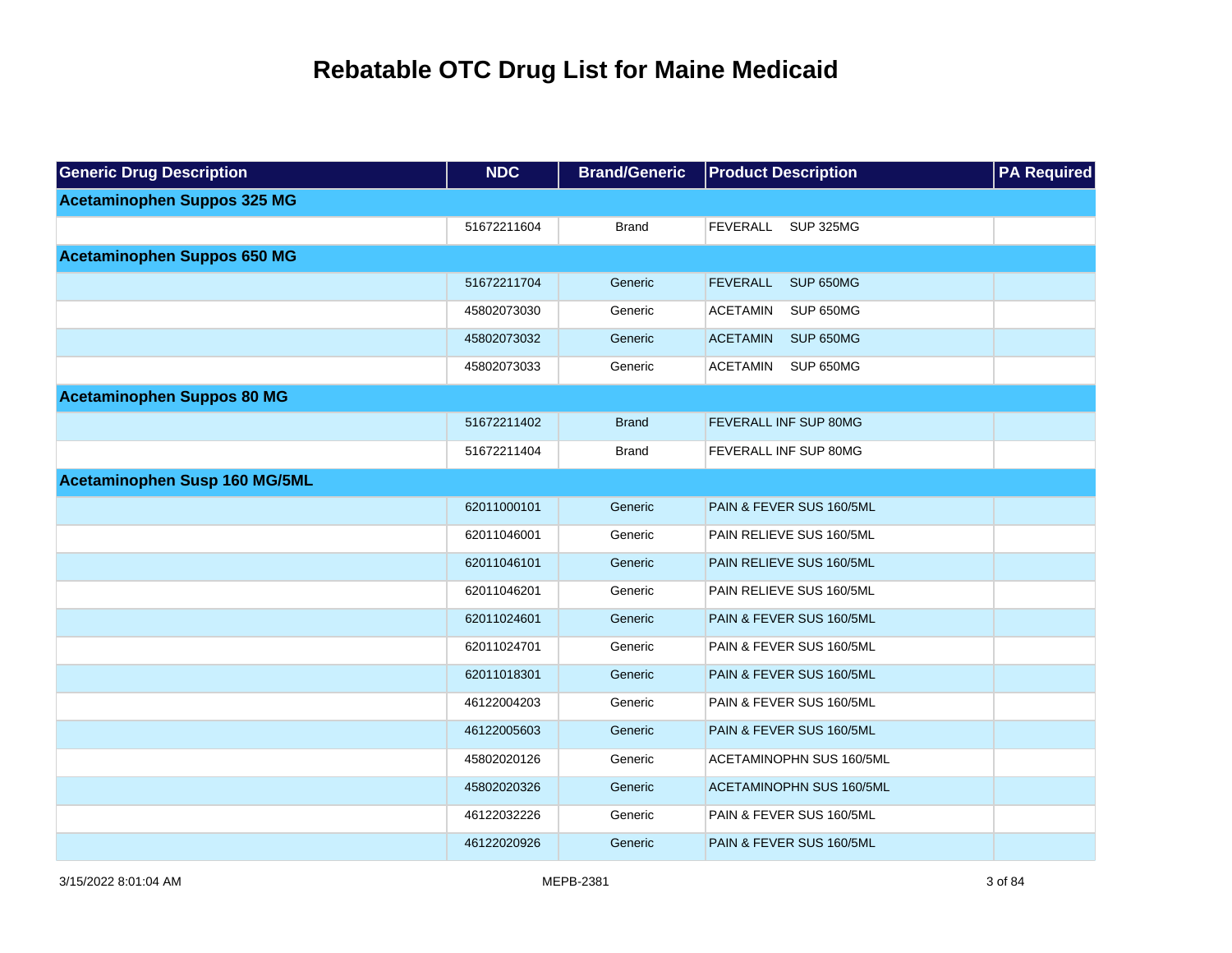| <b>Generic Drug Description</b>    | <b>NDC</b>  | <b>Brand/Generic</b> | <b>Product Description</b>   | <b>PA Required</b> |
|------------------------------------|-------------|----------------------|------------------------------|--------------------|
| <b>Acetaminophen Suppos 325 MG</b> |             |                      |                              |                    |
|                                    | 51672211604 | <b>Brand</b>         | <b>SUP 325MG</b><br>FEVERALL |                    |
| <b>Acetaminophen Suppos 650 MG</b> |             |                      |                              |                    |
|                                    | 51672211704 | Generic              | <b>FEVERALL</b><br>SUP 650MG |                    |
|                                    | 45802073030 | Generic              | <b>ACETAMIN</b><br>SUP 650MG |                    |
|                                    | 45802073032 | Generic              | <b>ACETAMIN</b><br>SUP 650MG |                    |
|                                    | 45802073033 | Generic              | <b>ACETAMIN</b><br>SUP 650MG |                    |
| <b>Acetaminophen Suppos 80 MG</b>  |             |                      |                              |                    |
|                                    | 51672211402 | <b>Brand</b>         | FEVERALL INF SUP 80MG        |                    |
|                                    | 51672211404 | <b>Brand</b>         | FEVERALL INF SUP 80MG        |                    |
| Acetaminophen Susp 160 MG/5ML      |             |                      |                              |                    |
|                                    | 62011000101 | Generic              | PAIN & FEVER SUS 160/5ML     |                    |
|                                    | 62011046001 | Generic              | PAIN RELIEVE SUS 160/5ML     |                    |
|                                    | 62011046101 | Generic              | PAIN RELIEVE SUS 160/5ML     |                    |
|                                    | 62011046201 | Generic              | PAIN RELIEVE SUS 160/5ML     |                    |
|                                    | 62011024601 | Generic              | PAIN & FEVER SUS 160/5ML     |                    |
|                                    | 62011024701 | Generic              | PAIN & FEVER SUS 160/5ML     |                    |
|                                    | 62011018301 | Generic              | PAIN & FEVER SUS 160/5ML     |                    |
|                                    | 46122004203 | Generic              | PAIN & FEVER SUS 160/5ML     |                    |
|                                    | 46122005603 | Generic              | PAIN & FEVER SUS 160/5ML     |                    |
|                                    | 45802020126 | Generic              | ACETAMINOPHN SUS 160/5ML     |                    |
|                                    | 45802020326 | Generic              | ACETAMINOPHN SUS 160/5ML     |                    |
|                                    | 46122032226 | Generic              | PAIN & FEVER SUS 160/5ML     |                    |
|                                    | 46122020926 | Generic              | PAIN & FEVER SUS 160/5ML     |                    |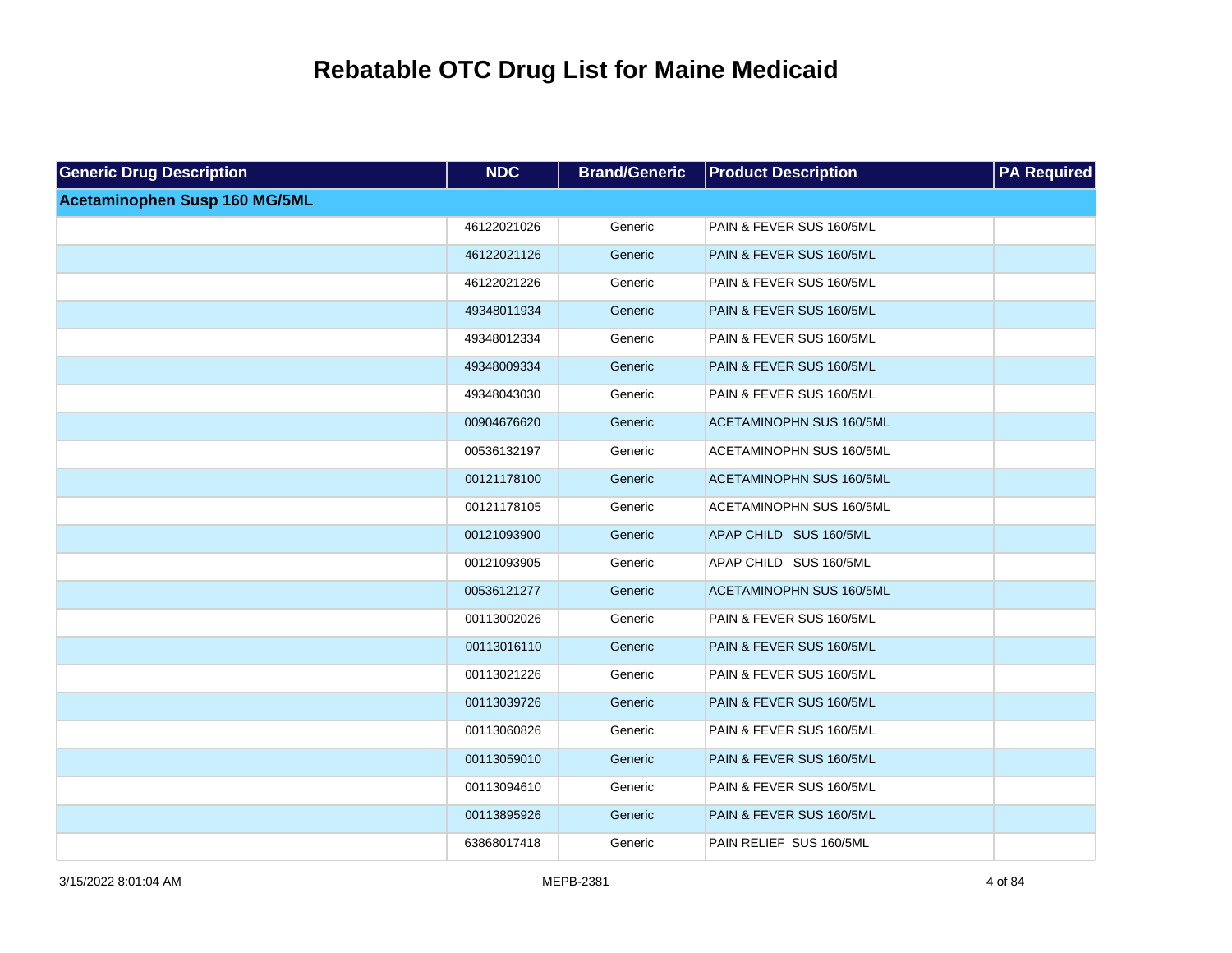| <b>Generic Drug Description</b> | <b>NDC</b>  | <b>Brand/Generic</b> | <b>Product Description</b>      | <b>PA Required</b> |
|---------------------------------|-------------|----------------------|---------------------------------|--------------------|
| Acetaminophen Susp 160 MG/5ML   |             |                      |                                 |                    |
|                                 | 46122021026 | Generic              | PAIN & FEVER SUS 160/5ML        |                    |
|                                 | 46122021126 | Generic              | PAIN & FEVER SUS 160/5ML        |                    |
|                                 | 46122021226 | Generic              | PAIN & FEVER SUS 160/5ML        |                    |
|                                 | 49348011934 | Generic              | PAIN & FEVER SUS 160/5ML        |                    |
|                                 | 49348012334 | Generic              | PAIN & FEVER SUS 160/5ML        |                    |
|                                 | 49348009334 | Generic              | PAIN & FEVER SUS 160/5ML        |                    |
|                                 | 49348043030 | Generic              | PAIN & FEVER SUS 160/5ML        |                    |
|                                 | 00904676620 | Generic              | ACETAMINOPHN SUS 160/5ML        |                    |
|                                 | 00536132197 | Generic              | ACETAMINOPHN SUS 160/5ML        |                    |
|                                 | 00121178100 | Generic              | ACETAMINOPHN SUS 160/5ML        |                    |
|                                 | 00121178105 | Generic              | ACETAMINOPHN SUS 160/5ML        |                    |
|                                 | 00121093900 | Generic              | APAP CHILD SUS 160/5ML          |                    |
|                                 | 00121093905 | Generic              | APAP CHILD SUS 160/5ML          |                    |
|                                 | 00536121277 | Generic              | <b>ACETAMINOPHN SUS 160/5ML</b> |                    |
|                                 | 00113002026 | Generic              | PAIN & FEVER SUS 160/5ML        |                    |
|                                 | 00113016110 | Generic              | PAIN & FEVER SUS 160/5ML        |                    |
|                                 | 00113021226 | Generic              | PAIN & FEVER SUS 160/5ML        |                    |
|                                 | 00113039726 | Generic              | PAIN & FEVER SUS 160/5ML        |                    |
|                                 | 00113060826 | Generic              | PAIN & FEVER SUS 160/5ML        |                    |
|                                 | 00113059010 | Generic              | PAIN & FEVER SUS 160/5ML        |                    |
|                                 | 00113094610 | Generic              | PAIN & FEVER SUS 160/5ML        |                    |
|                                 | 00113895926 | Generic              | PAIN & FEVER SUS 160/5ML        |                    |
|                                 | 63868017418 | Generic              | PAIN RELIEF SUS 160/5ML         |                    |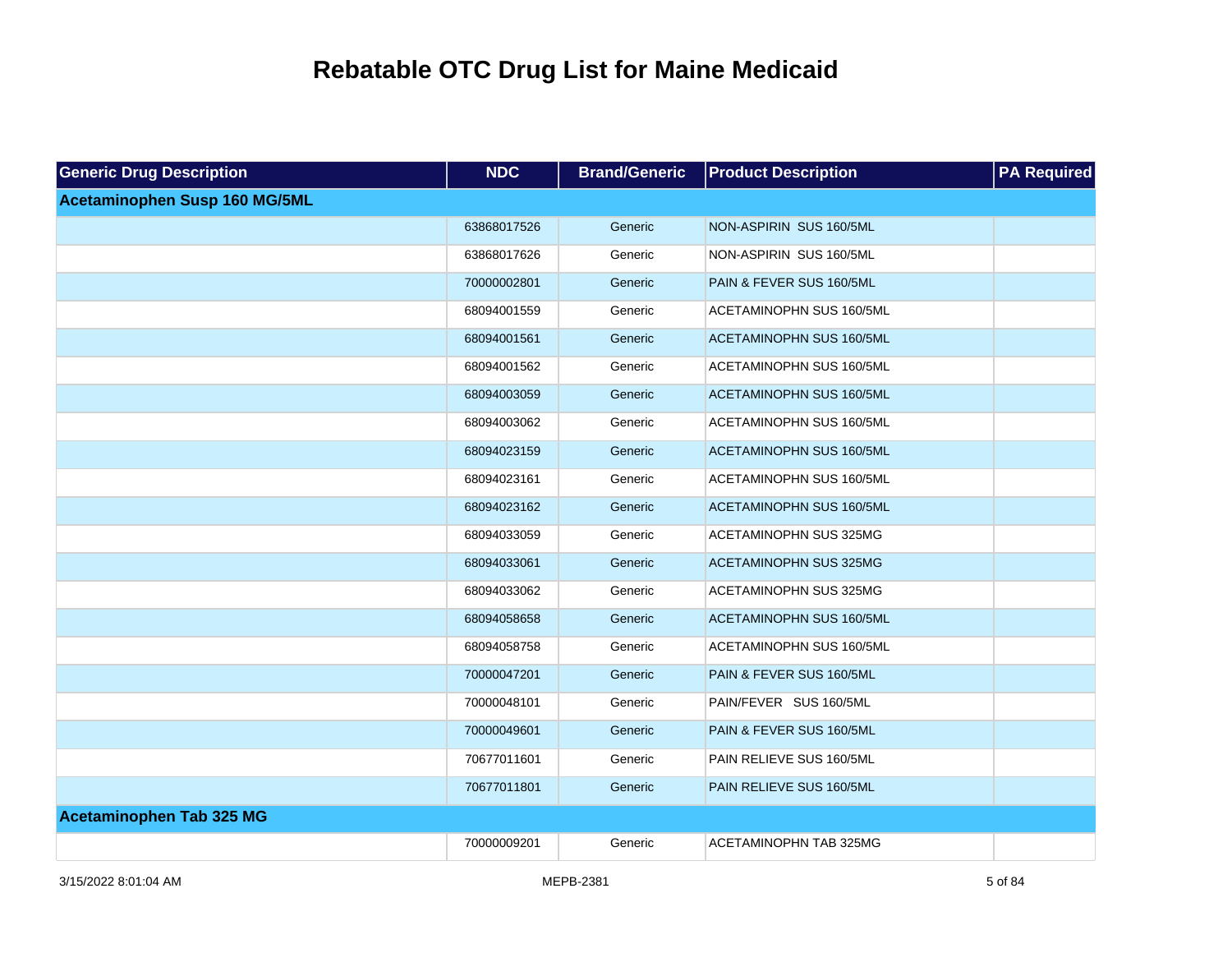| <b>Generic Drug Description</b> | <b>NDC</b>  | <b>Brand/Generic</b> | <b>Product Description</b>      | <b>PA Required</b> |
|---------------------------------|-------------|----------------------|---------------------------------|--------------------|
| Acetaminophen Susp 160 MG/5ML   |             |                      |                                 |                    |
|                                 | 63868017526 | Generic              | NON-ASPIRIN SUS 160/5ML         |                    |
|                                 | 63868017626 | Generic              | NON-ASPIRIN SUS 160/5ML         |                    |
|                                 | 70000002801 | Generic              | PAIN & FEVER SUS 160/5ML        |                    |
|                                 | 68094001559 | Generic              | ACETAMINOPHN SUS 160/5ML        |                    |
|                                 | 68094001561 | Generic              | <b>ACETAMINOPHN SUS 160/5ML</b> |                    |
|                                 | 68094001562 | Generic              | <b>ACETAMINOPHN SUS 160/5ML</b> |                    |
|                                 | 68094003059 | Generic              | ACETAMINOPHN SUS 160/5ML        |                    |
|                                 | 68094003062 | Generic              | ACETAMINOPHN SUS 160/5ML        |                    |
|                                 | 68094023159 | Generic              | <b>ACETAMINOPHN SUS 160/5ML</b> |                    |
|                                 | 68094023161 | Generic              | ACETAMINOPHN SUS 160/5ML        |                    |
|                                 | 68094023162 | Generic              | ACETAMINOPHN SUS 160/5ML        |                    |
|                                 | 68094033059 | Generic              | ACETAMINOPHN SUS 325MG          |                    |
|                                 | 68094033061 | Generic              | ACETAMINOPHN SUS 325MG          |                    |
|                                 | 68094033062 | Generic              | ACETAMINOPHN SUS 325MG          |                    |
|                                 | 68094058658 | Generic              | ACETAMINOPHN SUS 160/5ML        |                    |
|                                 | 68094058758 | Generic              | ACETAMINOPHN SUS 160/5ML        |                    |
|                                 | 70000047201 | Generic              | PAIN & FEVER SUS 160/5ML        |                    |
|                                 | 70000048101 | Generic              | PAIN/FEVER SUS 160/5ML          |                    |
|                                 | 70000049601 | Generic              | PAIN & FEVER SUS 160/5ML        |                    |
|                                 | 70677011601 | Generic              | PAIN RELIEVE SUS 160/5ML        |                    |
|                                 | 70677011801 | Generic              | PAIN RELIEVE SUS 160/5ML        |                    |
| <b>Acetaminophen Tab 325 MG</b> |             |                      |                                 |                    |
|                                 | 70000009201 | Generic              | ACETAMINOPHN TAB 325MG          |                    |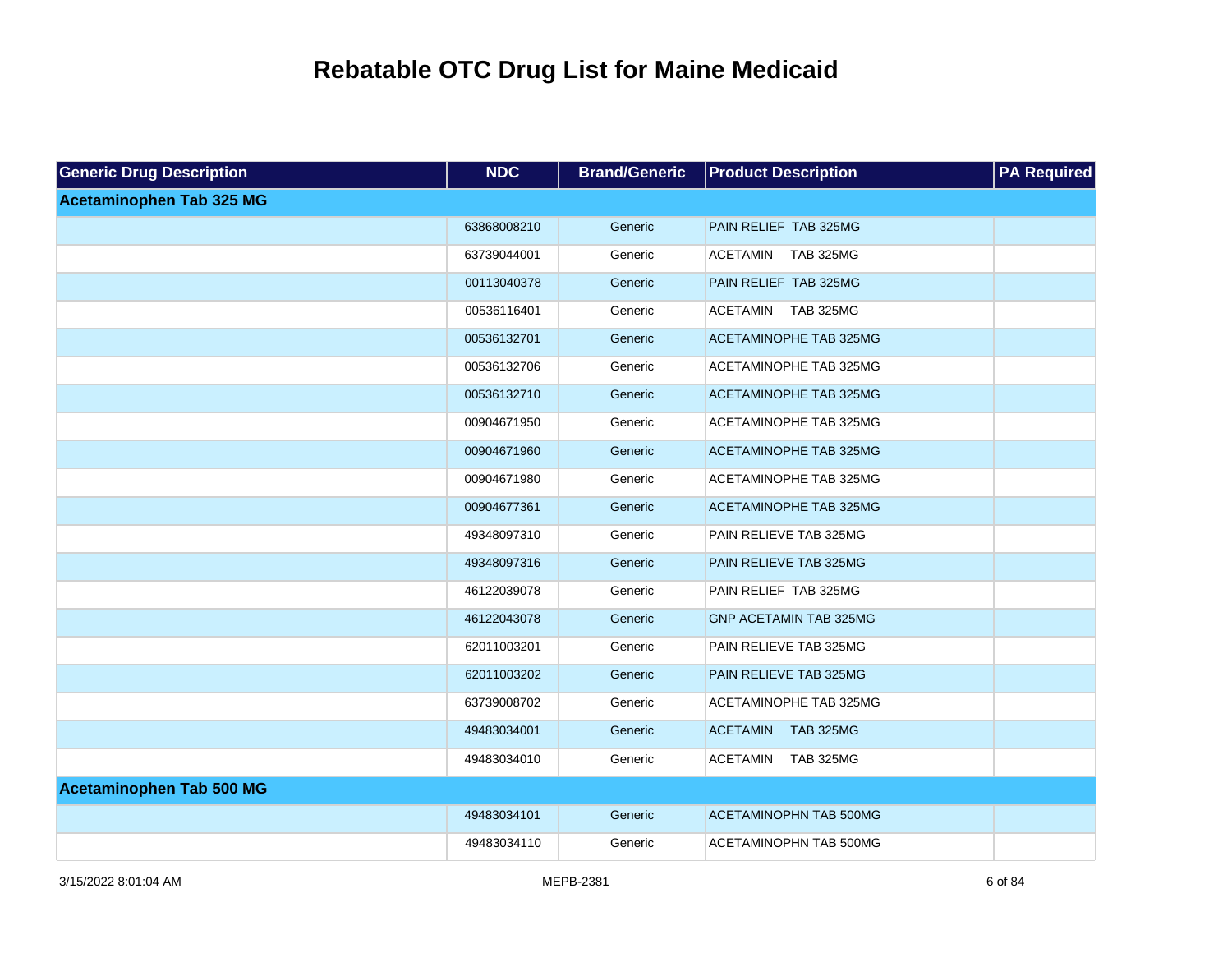| <b>Generic Drug Description</b> | <b>NDC</b>  | <b>Brand/Generic</b> | <b>Product Description</b>          | <b>PA Required</b> |
|---------------------------------|-------------|----------------------|-------------------------------------|--------------------|
| <b>Acetaminophen Tab 325 MG</b> |             |                      |                                     |                    |
|                                 | 63868008210 | Generic              | PAIN RELIEF TAB 325MG               |                    |
|                                 | 63739044001 | Generic              | <b>ACETAMIN</b><br><b>TAB 325MG</b> |                    |
|                                 | 00113040378 | Generic              | PAIN RELIEF TAB 325MG               |                    |
|                                 | 00536116401 | Generic              | ACETAMIN<br><b>TAB 325MG</b>        |                    |
|                                 | 00536132701 | Generic              | <b>ACETAMINOPHE TAB 325MG</b>       |                    |
|                                 | 00536132706 | Generic              | ACETAMINOPHE TAB 325MG              |                    |
|                                 | 00536132710 | Generic              | ACETAMINOPHE TAB 325MG              |                    |
|                                 | 00904671950 | Generic              | ACETAMINOPHE TAB 325MG              |                    |
|                                 | 00904671960 | Generic              | <b>ACETAMINOPHE TAB 325MG</b>       |                    |
|                                 | 00904671980 | Generic              | ACETAMINOPHE TAB 325MG              |                    |
|                                 | 00904677361 | Generic              | <b>ACETAMINOPHE TAB 325MG</b>       |                    |
|                                 | 49348097310 | Generic              | PAIN RELIEVE TAB 325MG              |                    |
|                                 | 49348097316 | Generic              | PAIN RELIEVE TAB 325MG              |                    |
|                                 | 46122039078 | Generic              | PAIN RELIEF TAB 325MG               |                    |
|                                 | 46122043078 | Generic              | <b>GNP ACETAMIN TAB 325MG</b>       |                    |
|                                 | 62011003201 | Generic              | PAIN RELIEVE TAB 325MG              |                    |
|                                 | 62011003202 | Generic              | PAIN RELIEVE TAB 325MG              |                    |
|                                 | 63739008702 | Generic              | ACETAMINOPHE TAB 325MG              |                    |
|                                 | 49483034001 | Generic              | <b>ACETAMIN</b><br><b>TAB 325MG</b> |                    |
|                                 | 49483034010 | Generic              | <b>ACETAMIN</b><br><b>TAB 325MG</b> |                    |
| <b>Acetaminophen Tab 500 MG</b> |             |                      |                                     |                    |
|                                 | 49483034101 | Generic              | <b>ACETAMINOPHN TAB 500MG</b>       |                    |
|                                 | 49483034110 | Generic              | ACETAMINOPHN TAB 500MG              |                    |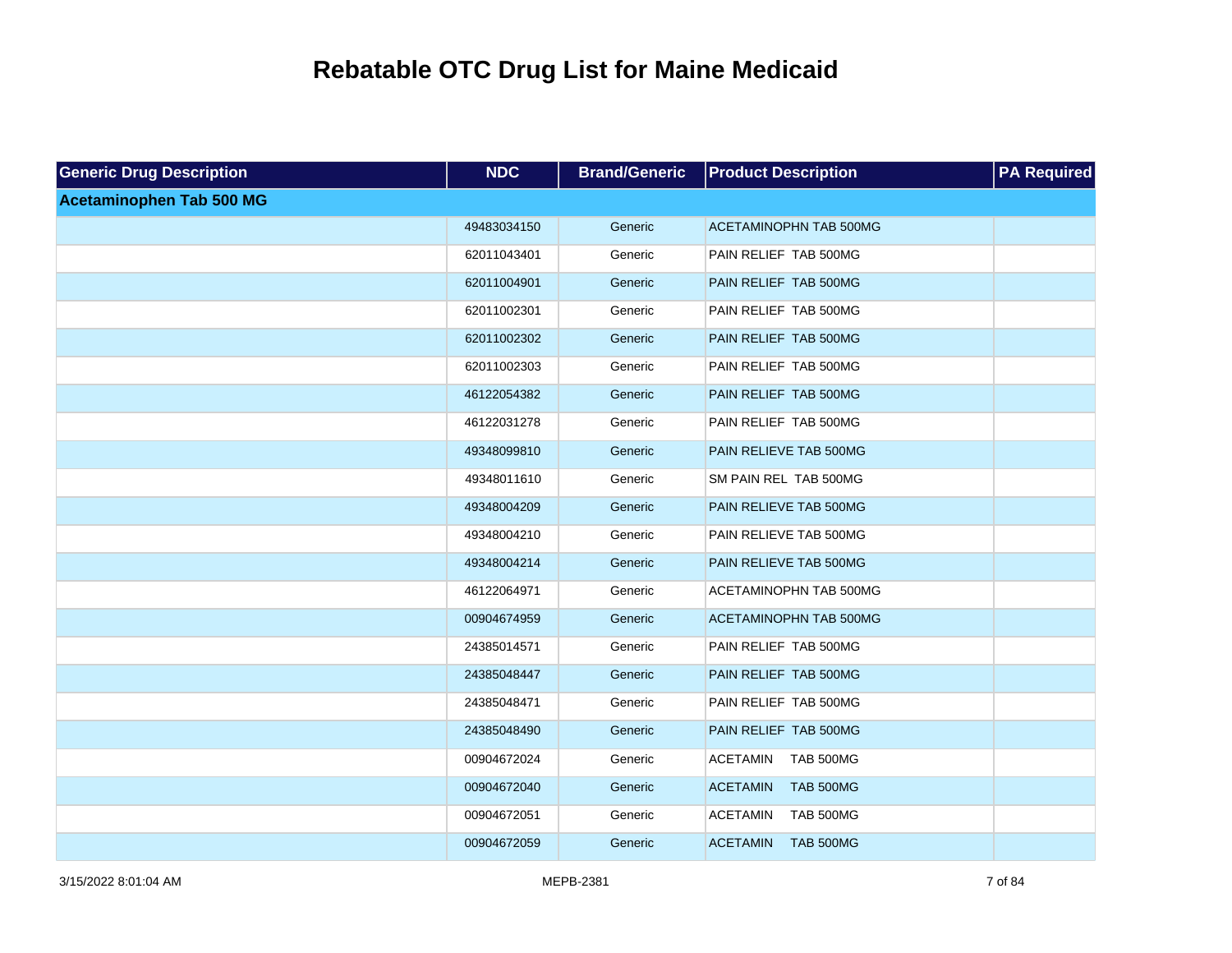| <b>Generic Drug Description</b> | <b>NDC</b>  | <b>Brand/Generic</b> | <b>Product Description</b>          | <b>PA Required</b> |
|---------------------------------|-------------|----------------------|-------------------------------------|--------------------|
| <b>Acetaminophen Tab 500 MG</b> |             |                      |                                     |                    |
|                                 | 49483034150 | Generic              | <b>ACETAMINOPHN TAB 500MG</b>       |                    |
|                                 | 62011043401 | Generic              | PAIN RELIEF TAB 500MG               |                    |
|                                 | 62011004901 | Generic              | PAIN RELIEF TAB 500MG               |                    |
|                                 | 62011002301 | Generic              | PAIN RELIEF TAB 500MG               |                    |
|                                 | 62011002302 | Generic              | PAIN RELIEF TAB 500MG               |                    |
|                                 | 62011002303 | Generic              | PAIN RELIEF TAB 500MG               |                    |
|                                 | 46122054382 | Generic              | PAIN RELIEF TAB 500MG               |                    |
|                                 | 46122031278 | Generic              | PAIN RELIEF TAB 500MG               |                    |
|                                 | 49348099810 | Generic              | PAIN RELIEVE TAB 500MG              |                    |
|                                 | 49348011610 | Generic              | SM PAIN REL TAB 500MG               |                    |
|                                 | 49348004209 | Generic              | PAIN RELIEVE TAB 500MG              |                    |
|                                 | 49348004210 | Generic              | PAIN RELIEVE TAB 500MG              |                    |
|                                 | 49348004214 | Generic              | PAIN RELIEVE TAB 500MG              |                    |
|                                 | 46122064971 | Generic              | ACETAMINOPHN TAB 500MG              |                    |
|                                 | 00904674959 | Generic              | <b>ACETAMINOPHN TAB 500MG</b>       |                    |
|                                 | 24385014571 | Generic              | PAIN RELIEF TAB 500MG               |                    |
|                                 | 24385048447 | Generic              | PAIN RELIEF TAB 500MG               |                    |
|                                 | 24385048471 | Generic              | PAIN RELIEF TAB 500MG               |                    |
|                                 | 24385048490 | Generic              | PAIN RELIEF TAB 500MG               |                    |
|                                 | 00904672024 | Generic              | <b>ACETAMIN</b><br><b>TAB 500MG</b> |                    |
|                                 | 00904672040 | Generic              | <b>ACETAMIN</b><br><b>TAB 500MG</b> |                    |
|                                 | 00904672051 | Generic              | <b>TAB 500MG</b><br><b>ACETAMIN</b> |                    |
|                                 | 00904672059 | Generic              | <b>ACETAMIN</b><br><b>TAB 500MG</b> |                    |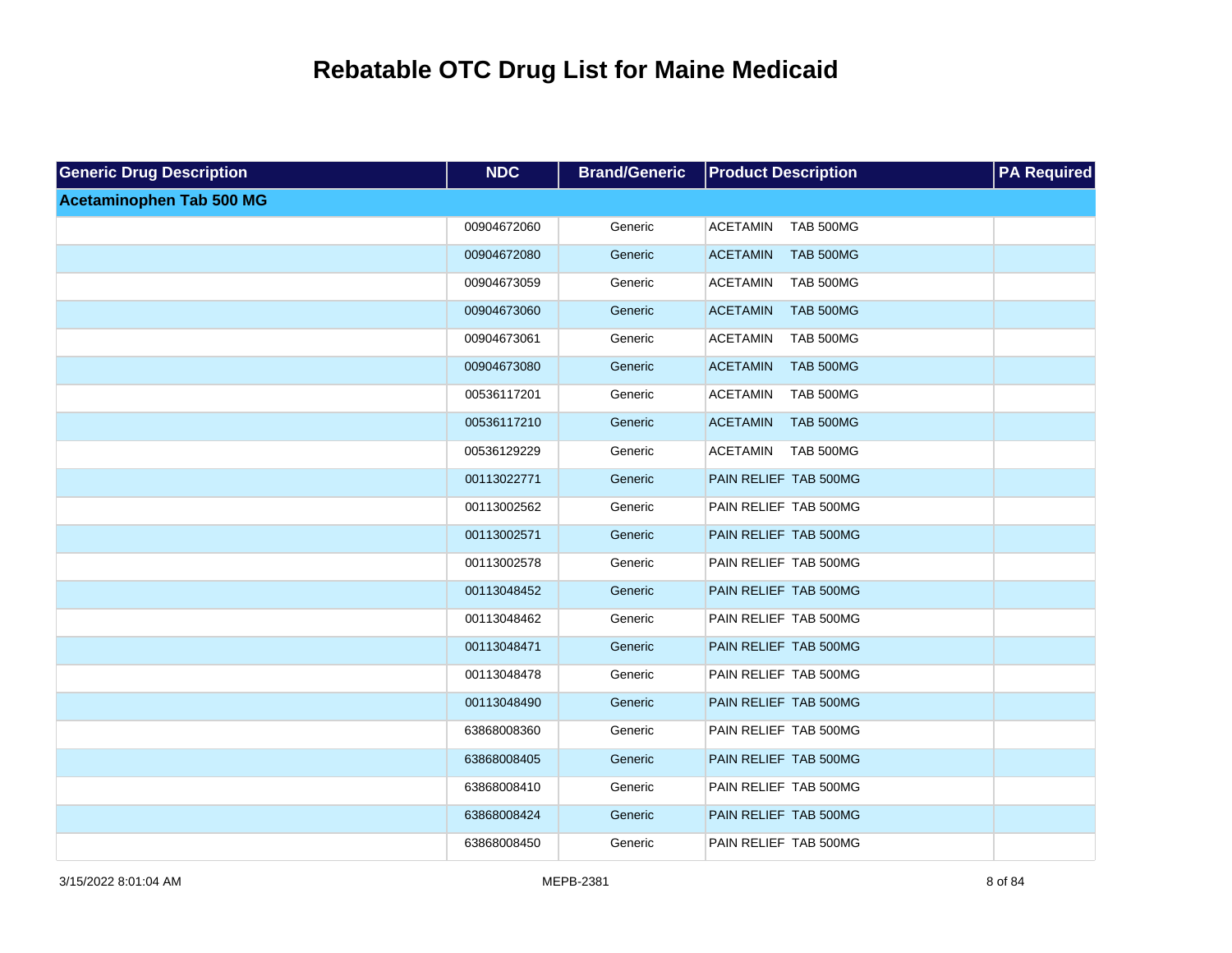| <b>Generic Drug Description</b> | <b>NDC</b>  | <b>Brand/Generic</b> | <b>Product Description</b>          | <b>PA Required</b> |
|---------------------------------|-------------|----------------------|-------------------------------------|--------------------|
| <b>Acetaminophen Tab 500 MG</b> |             |                      |                                     |                    |
|                                 | 00904672060 | Generic              | <b>ACETAMIN</b><br><b>TAB 500MG</b> |                    |
|                                 | 00904672080 | Generic              | <b>ACETAMIN</b><br><b>TAB 500MG</b> |                    |
|                                 | 00904673059 | Generic              | <b>ACETAMIN</b><br><b>TAB 500MG</b> |                    |
|                                 | 00904673060 | Generic              | <b>TAB 500MG</b><br><b>ACETAMIN</b> |                    |
|                                 | 00904673061 | Generic              | <b>ACETAMIN</b><br>TAB 500MG        |                    |
|                                 | 00904673080 | Generic              | <b>ACETAMIN</b><br><b>TAB 500MG</b> |                    |
|                                 | 00536117201 | Generic              | <b>ACETAMIN</b><br><b>TAB 500MG</b> |                    |
|                                 | 00536117210 | Generic              | <b>ACETAMIN</b><br><b>TAB 500MG</b> |                    |
|                                 | 00536129229 | Generic              | <b>ACETAMIN</b><br><b>TAB 500MG</b> |                    |
|                                 | 00113022771 | Generic              | PAIN RELIEF TAB 500MG               |                    |
|                                 | 00113002562 | Generic              | PAIN RELIEF TAB 500MG               |                    |
|                                 | 00113002571 | Generic              | PAIN RELIEF TAB 500MG               |                    |
|                                 | 00113002578 | Generic              | PAIN RELIEF TAB 500MG               |                    |
|                                 | 00113048452 | Generic              | PAIN RELIEF TAB 500MG               |                    |
|                                 | 00113048462 | Generic              | PAIN RELIEF TAB 500MG               |                    |
|                                 | 00113048471 | Generic              | PAIN RELIEF TAB 500MG               |                    |
|                                 | 00113048478 | Generic              | PAIN RELIEF TAB 500MG               |                    |
|                                 | 00113048490 | Generic              | PAIN RELIEF TAB 500MG               |                    |
|                                 | 63868008360 | Generic              | PAIN RELIEF TAB 500MG               |                    |
|                                 | 63868008405 | Generic              | PAIN RELIEF TAB 500MG               |                    |
|                                 | 63868008410 | Generic              | PAIN RELIEF TAB 500MG               |                    |
|                                 | 63868008424 | Generic              | PAIN RELIEF TAB 500MG               |                    |
|                                 | 63868008450 | Generic              | PAIN RELIEF TAB 500MG               |                    |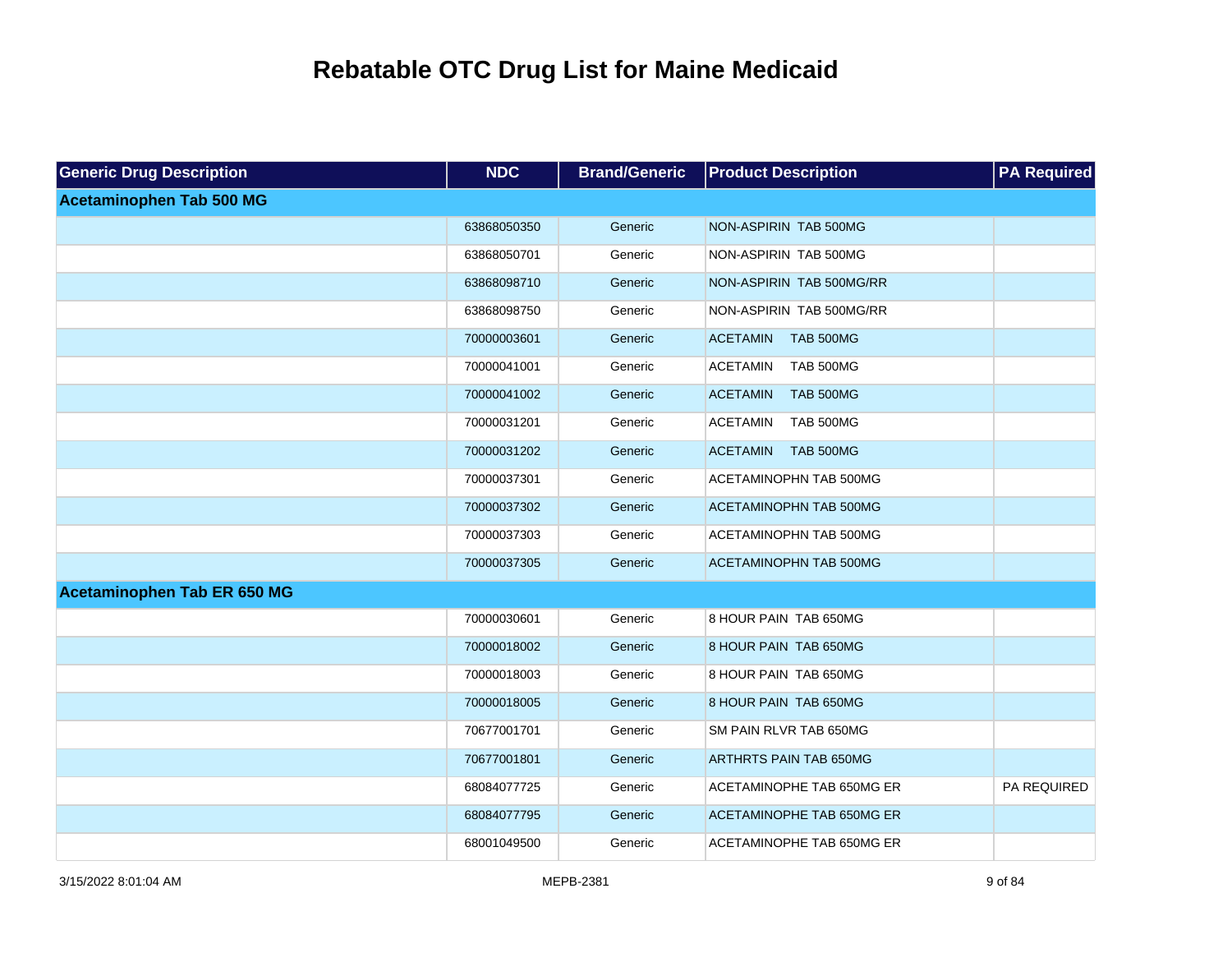| <b>Generic Drug Description</b> | <b>NDC</b>  | <b>Brand/Generic</b> | <b>Product Description</b>          | <b>PA Required</b> |
|---------------------------------|-------------|----------------------|-------------------------------------|--------------------|
| <b>Acetaminophen Tab 500 MG</b> |             |                      |                                     |                    |
|                                 | 63868050350 | Generic              | NON-ASPIRIN TAB 500MG               |                    |
|                                 | 63868050701 | Generic              | NON-ASPIRIN TAB 500MG               |                    |
|                                 | 63868098710 | Generic              | NON-ASPIRIN TAB 500MG/RR            |                    |
|                                 | 63868098750 | Generic              | NON-ASPIRIN TAB 500MG/RR            |                    |
|                                 | 70000003601 | Generic              | <b>ACETAMIN</b><br><b>TAB 500MG</b> |                    |
|                                 | 70000041001 | Generic              | <b>TAB 500MG</b><br><b>ACETAMIN</b> |                    |
|                                 | 70000041002 | Generic              | <b>ACETAMIN</b><br><b>TAB 500MG</b> |                    |
|                                 | 70000031201 | Generic              | <b>ACETAMIN</b><br><b>TAB 500MG</b> |                    |
|                                 | 70000031202 | Generic              | <b>ACETAMIN</b><br><b>TAB 500MG</b> |                    |
|                                 | 70000037301 | Generic              | ACETAMINOPHN TAB 500MG              |                    |
|                                 | 70000037302 | Generic              | <b>ACETAMINOPHN TAB 500MG</b>       |                    |
|                                 | 70000037303 | Generic              | ACETAMINOPHN TAB 500MG              |                    |
|                                 | 70000037305 | Generic              | ACETAMINOPHN TAB 500MG              |                    |
| Acetaminophen Tab ER 650 MG     |             |                      |                                     |                    |
|                                 | 70000030601 | Generic              | 8 HOUR PAIN TAB 650MG               |                    |
|                                 | 70000018002 | Generic              | 8 HOUR PAIN TAB 650MG               |                    |
|                                 | 70000018003 | Generic              | 8 HOUR PAIN TAB 650MG               |                    |
|                                 | 70000018005 | Generic              | 8 HOUR PAIN TAB 650MG               |                    |
|                                 | 70677001701 | Generic              | SM PAIN RLVR TAB 650MG              |                    |
|                                 | 70677001801 | Generic              | <b>ARTHRTS PAIN TAB 650MG</b>       |                    |
|                                 | 68084077725 | Generic              | ACETAMINOPHE TAB 650MG ER           | PA REQUIRED        |
|                                 | 68084077795 | Generic              | <b>ACETAMINOPHE TAB 650MG ER</b>    |                    |
|                                 | 68001049500 | Generic              | ACETAMINOPHE TAB 650MG ER           |                    |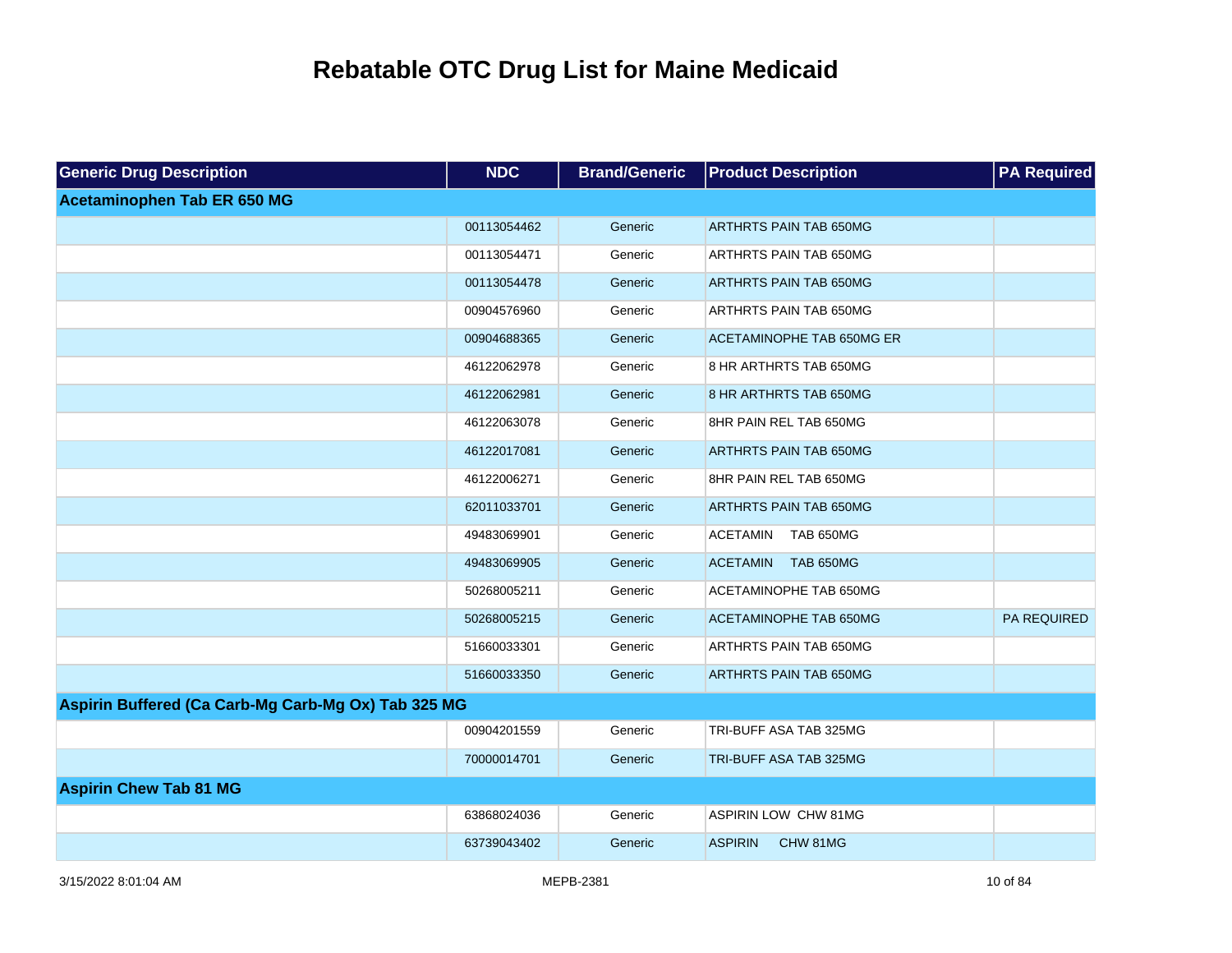| <b>Generic Drug Description</b>                     | <b>NDC</b>  | <b>Brand/Generic</b> | <b>Product Description</b>          | <b>PA Required</b> |
|-----------------------------------------------------|-------------|----------------------|-------------------------------------|--------------------|
| Acetaminophen Tab ER 650 MG                         |             |                      |                                     |                    |
|                                                     | 00113054462 | Generic              | <b>ARTHRTS PAIN TAB 650MG</b>       |                    |
|                                                     | 00113054471 | Generic              | ARTHRTS PAIN TAB 650MG              |                    |
|                                                     | 00113054478 | Generic              | <b>ARTHRTS PAIN TAB 650MG</b>       |                    |
|                                                     | 00904576960 | Generic              | ARTHRTS PAIN TAB 650MG              |                    |
|                                                     | 00904688365 | Generic              | ACETAMINOPHE TAB 650MG ER           |                    |
|                                                     | 46122062978 | Generic              | 8 HR ARTHRTS TAB 650MG              |                    |
|                                                     | 46122062981 | Generic              | 8 HR ARTHRTS TAB 650MG              |                    |
|                                                     | 46122063078 | Generic              | 8HR PAIN REL TAB 650MG              |                    |
|                                                     | 46122017081 | Generic              | <b>ARTHRTS PAIN TAB 650MG</b>       |                    |
|                                                     | 46122006271 | Generic              | 8HR PAIN REL TAB 650MG              |                    |
|                                                     | 62011033701 | Generic              | <b>ARTHRTS PAIN TAB 650MG</b>       |                    |
|                                                     | 49483069901 | Generic              | <b>ACETAMIN</b><br><b>TAB 650MG</b> |                    |
|                                                     | 49483069905 | Generic              | <b>ACETAMIN</b><br><b>TAB 650MG</b> |                    |
|                                                     | 50268005211 | Generic              | ACETAMINOPHE TAB 650MG              |                    |
|                                                     | 50268005215 | Generic              | <b>ACETAMINOPHE TAB 650MG</b>       | <b>PA REQUIRED</b> |
|                                                     | 51660033301 | Generic              | ARTHRTS PAIN TAB 650MG              |                    |
|                                                     | 51660033350 | Generic              | ARTHRTS PAIN TAB 650MG              |                    |
| Aspirin Buffered (Ca Carb-Mg Carb-Mg Ox) Tab 325 MG |             |                      |                                     |                    |
|                                                     | 00904201559 | Generic              | TRI-BUFF ASA TAB 325MG              |                    |
|                                                     | 70000014701 | Generic              | TRI-BUFF ASA TAB 325MG              |                    |
| <b>Aspirin Chew Tab 81 MG</b>                       |             |                      |                                     |                    |
|                                                     | 63868024036 | Generic              | ASPIRIN LOW CHW 81MG                |                    |
|                                                     | 63739043402 | Generic              | <b>ASPIRIN</b><br>CHW 81MG          |                    |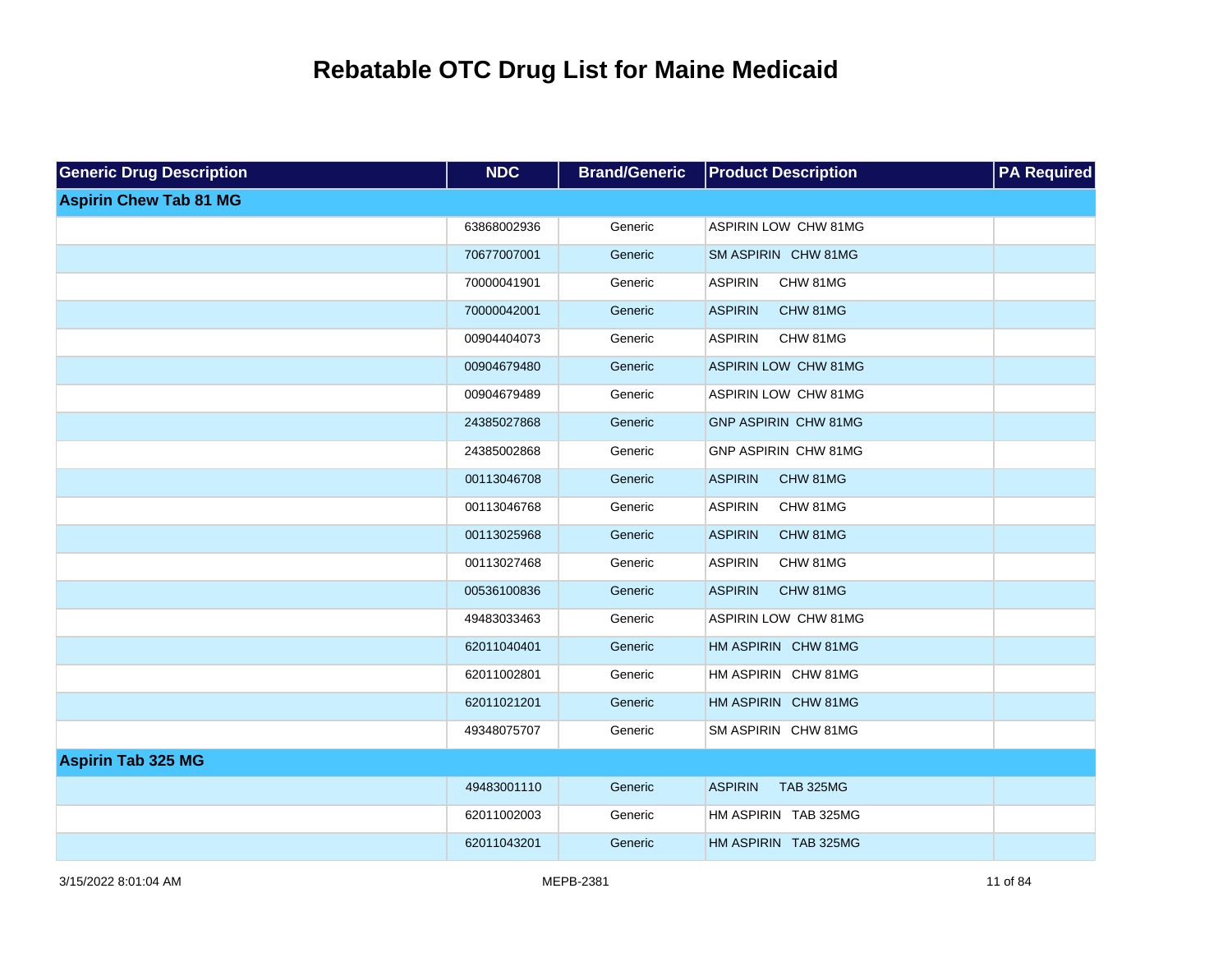| <b>Generic Drug Description</b> | <b>NDC</b>  | <b>Brand/Generic</b> | <b>Product Description</b>         | <b>PA</b> Required |
|---------------------------------|-------------|----------------------|------------------------------------|--------------------|
| <b>Aspirin Chew Tab 81 MG</b>   |             |                      |                                    |                    |
|                                 | 63868002936 | Generic              | ASPIRIN LOW CHW 81MG               |                    |
|                                 | 70677007001 | Generic              | SM ASPIRIN CHW 81MG                |                    |
|                                 | 70000041901 | Generic              | <b>ASPIRIN</b><br>CHW 81MG         |                    |
|                                 | 70000042001 | Generic              | <b>ASPIRIN</b><br>CHW 81MG         |                    |
|                                 | 00904404073 | Generic              | <b>ASPIRIN</b><br>CHW 81MG         |                    |
|                                 | 00904679480 | Generic              | <b>ASPIRIN LOW CHW 81MG</b>        |                    |
|                                 | 00904679489 | Generic              | ASPIRIN LOW CHW 81MG               |                    |
|                                 | 24385027868 | Generic              | <b>GNP ASPIRIN CHW 81MG</b>        |                    |
|                                 | 24385002868 | Generic              | <b>GNP ASPIRIN CHW 81MG</b>        |                    |
|                                 | 00113046708 | Generic              | <b>ASPIRIN</b><br>CHW 81MG         |                    |
|                                 | 00113046768 | Generic              | <b>ASPIRIN</b><br>CHW 81MG         |                    |
|                                 | 00113025968 | Generic              | <b>ASPIRIN</b><br>CHW 81MG         |                    |
|                                 | 00113027468 | Generic              | <b>ASPIRIN</b><br>CHW 81MG         |                    |
|                                 | 00536100836 | Generic              | <b>ASPIRIN</b><br>CHW 81MG         |                    |
|                                 | 49483033463 | Generic              | ASPIRIN LOW CHW 81MG               |                    |
|                                 | 62011040401 | Generic              | HM ASPIRIN CHW 81MG                |                    |
|                                 | 62011002801 | Generic              | HM ASPIRIN CHW 81MG                |                    |
|                                 | 62011021201 | Generic              | HM ASPIRIN CHW 81MG                |                    |
|                                 | 49348075707 | Generic              | SM ASPIRIN CHW 81MG                |                    |
| <b>Aspirin Tab 325 MG</b>       |             |                      |                                    |                    |
|                                 | 49483001110 | Generic              | <b>ASPIRIN</b><br><b>TAB 325MG</b> |                    |
|                                 | 62011002003 | Generic              | HM ASPIRIN TAB 325MG               |                    |
|                                 | 62011043201 | Generic              | HM ASPIRIN TAB 325MG               |                    |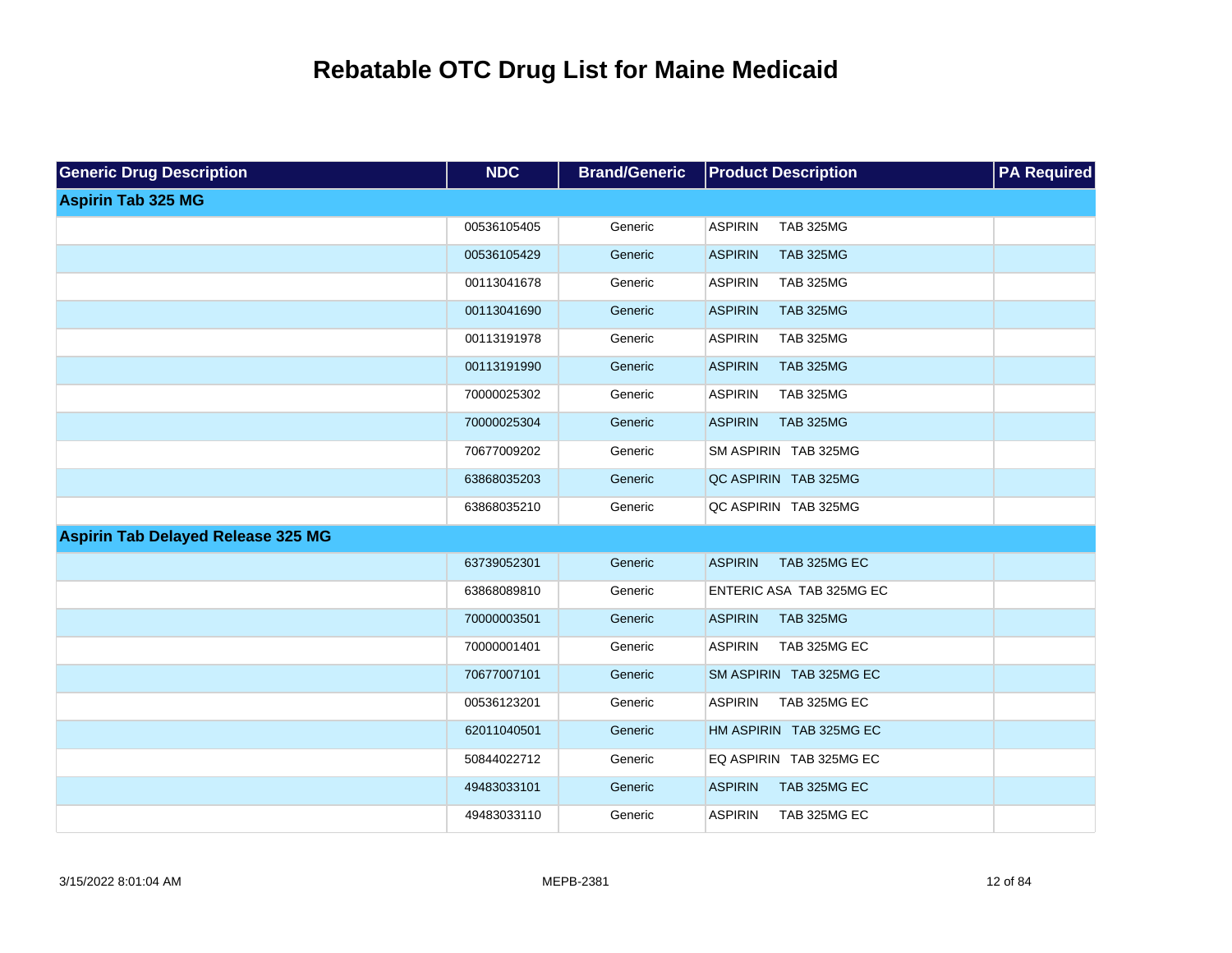| <b>Generic Drug Description</b>           | <b>NDC</b>  | <b>Brand/Generic</b> | <b>Product Description</b>         | <b>PA Required</b> |
|-------------------------------------------|-------------|----------------------|------------------------------------|--------------------|
| <b>Aspirin Tab 325 MG</b>                 |             |                      |                                    |                    |
|                                           | 00536105405 | Generic              | <b>ASPIRIN</b><br><b>TAB 325MG</b> |                    |
|                                           | 00536105429 | Generic              | <b>ASPIRIN</b><br><b>TAB 325MG</b> |                    |
|                                           | 00113041678 | Generic              | <b>ASPIRIN</b><br><b>TAB 325MG</b> |                    |
|                                           | 00113041690 | Generic              | <b>ASPIRIN</b><br><b>TAB 325MG</b> |                    |
|                                           | 00113191978 | Generic              | <b>ASPIRIN</b><br><b>TAB 325MG</b> |                    |
|                                           | 00113191990 | Generic              | <b>ASPIRIN</b><br><b>TAB 325MG</b> |                    |
|                                           | 70000025302 | Generic              | <b>ASPIRIN</b><br><b>TAB 325MG</b> |                    |
|                                           | 70000025304 | Generic              | <b>ASPIRIN</b><br><b>TAB 325MG</b> |                    |
|                                           | 70677009202 | Generic              | SM ASPIRIN TAB 325MG               |                    |
|                                           | 63868035203 | Generic              | QC ASPIRIN TAB 325MG               |                    |
|                                           | 63868035210 | Generic              | QC ASPIRIN TAB 325MG               |                    |
| <b>Aspirin Tab Delayed Release 325 MG</b> |             |                      |                                    |                    |
|                                           | 63739052301 | Generic              | <b>ASPIRIN</b><br>TAB 325MG EC     |                    |
|                                           | 63868089810 | Generic              | ENTERIC ASA TAB 325MG EC           |                    |
|                                           | 70000003501 | Generic              | <b>ASPIRIN</b><br><b>TAB 325MG</b> |                    |
|                                           | 70000001401 | Generic              | <b>ASPIRIN</b><br>TAB 325MG EC     |                    |
|                                           | 70677007101 | Generic              | SM ASPIRIN TAB 325MG EC            |                    |
|                                           | 00536123201 | Generic              | <b>ASPIRIN</b><br>TAB 325MG EC     |                    |
|                                           | 62011040501 | Generic              | HM ASPIRIN TAB 325MG EC            |                    |
|                                           | 50844022712 | Generic              | EQ ASPIRIN TAB 325MG EC            |                    |
|                                           | 49483033101 | Generic              | TAB 325MG EC<br><b>ASPIRIN</b>     |                    |
|                                           | 49483033110 | Generic              | <b>ASPIRIN</b><br>TAB 325MG EC     |                    |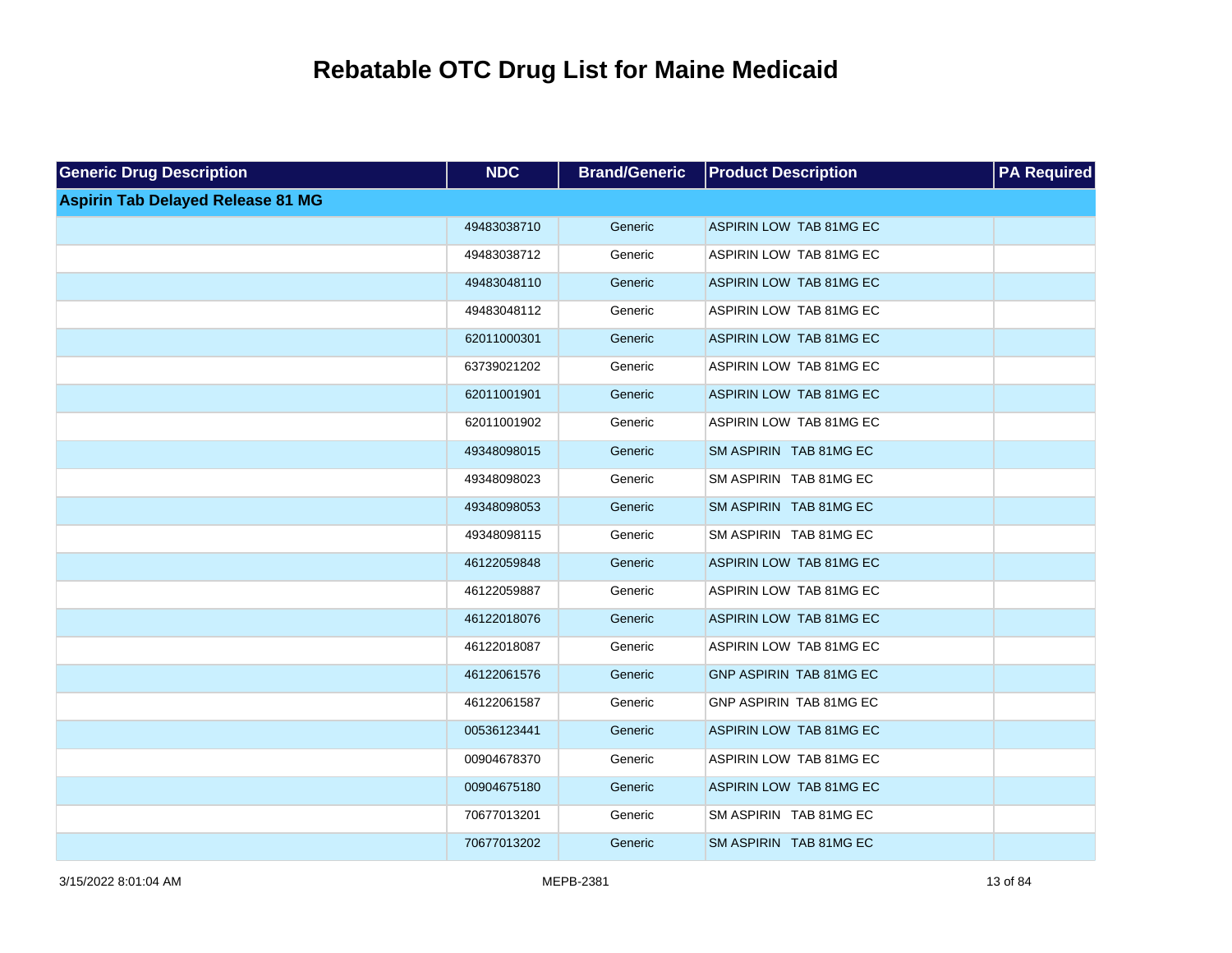| <b>Generic Drug Description</b>          | <b>NDC</b>  | <b>Brand/Generic</b> | <b>Product Description</b> | <b>PA Required</b> |
|------------------------------------------|-------------|----------------------|----------------------------|--------------------|
| <b>Aspirin Tab Delayed Release 81 MG</b> |             |                      |                            |                    |
|                                          | 49483038710 | Generic              | ASPIRIN LOW TAB 81MG EC    |                    |
|                                          | 49483038712 | Generic              | ASPIRIN LOW TAB 81MG EC    |                    |
|                                          | 49483048110 | Generic              | ASPIRIN LOW TAB 81MG EC    |                    |
|                                          | 49483048112 | Generic              | ASPIRIN LOW TAB 81MG EC    |                    |
|                                          | 62011000301 | Generic              | ASPIRIN LOW TAB 81MG EC    |                    |
|                                          | 63739021202 | Generic              | ASPIRIN LOW TAB 81MG EC    |                    |
|                                          | 62011001901 | Generic              | ASPIRIN LOW TAB 81MG EC    |                    |
|                                          | 62011001902 | Generic              | ASPIRIN LOW TAB 81MG EC    |                    |
|                                          | 49348098015 | Generic              | SM ASPIRIN TAB 81MG EC     |                    |
|                                          | 49348098023 | Generic              | SM ASPIRIN TAB 81MG EC     |                    |
|                                          | 49348098053 | Generic              | SM ASPIRIN TAB 81MG EC     |                    |
|                                          | 49348098115 | Generic              | SM ASPIRIN TAB 81MG EC     |                    |
|                                          | 46122059848 | Generic              | ASPIRIN LOW TAB 81MG EC    |                    |
|                                          | 46122059887 | Generic              | ASPIRIN LOW TAB 81MG EC    |                    |
|                                          | 46122018076 | Generic              | ASPIRIN LOW TAB 81MG EC    |                    |
|                                          | 46122018087 | Generic              | ASPIRIN LOW TAB 81MG EC    |                    |
|                                          | 46122061576 | Generic              | GNP ASPIRIN TAB 81MG EC    |                    |
|                                          | 46122061587 | Generic              | GNP ASPIRIN TAB 81MG EC    |                    |
|                                          | 00536123441 | Generic              | ASPIRIN LOW TAB 81MG EC    |                    |
|                                          | 00904678370 | Generic              | ASPIRIN LOW TAB 81MG EC    |                    |
|                                          | 00904675180 | Generic              | ASPIRIN LOW TAB 81MG EC    |                    |
|                                          | 70677013201 | Generic              | SM ASPIRIN TAB 81MG EC     |                    |
|                                          | 70677013202 | Generic              | SM ASPIRIN TAB 81MG EC     |                    |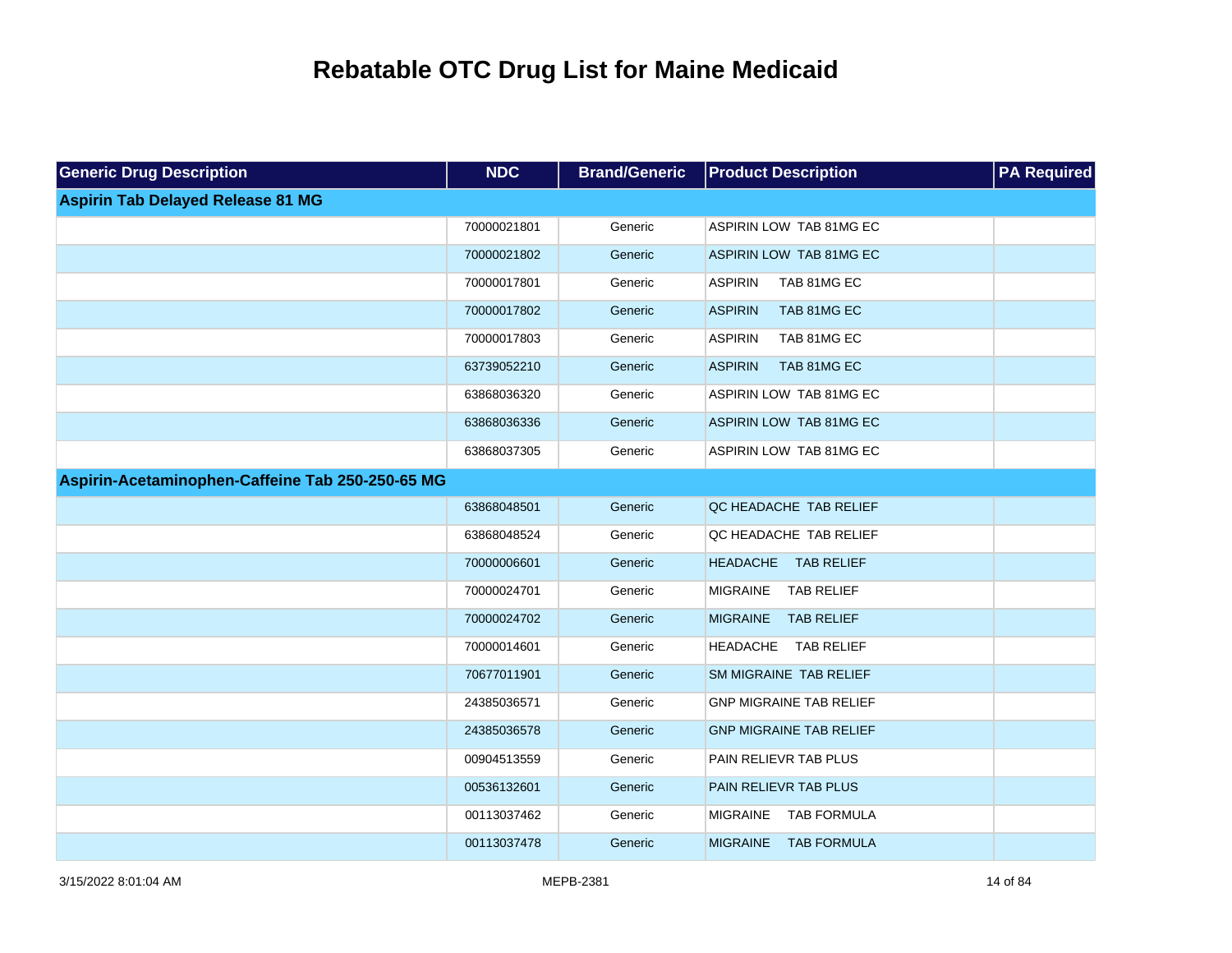| <b>Generic Drug Description</b>                  | <b>NDC</b>  | <b>Brand/Generic</b> | <b>Product Description</b>            | <b>PA Required</b> |
|--------------------------------------------------|-------------|----------------------|---------------------------------------|--------------------|
| <b>Aspirin Tab Delayed Release 81 MG</b>         |             |                      |                                       |                    |
|                                                  | 70000021801 | Generic              | ASPIRIN LOW TAB 81MG EC               |                    |
|                                                  | 70000021802 | Generic              | ASPIRIN LOW TAB 81MG EC               |                    |
|                                                  | 70000017801 | Generic              | <b>ASPIRIN</b><br>TAB 81MG EC         |                    |
|                                                  | 70000017802 | Generic              | <b>ASPIRIN</b><br>TAB 81MG EC         |                    |
|                                                  | 70000017803 | Generic              | <b>ASPIRIN</b><br>TAB 81MG EC         |                    |
|                                                  | 63739052210 | Generic              | <b>ASPIRIN</b><br>TAB 81MG EC         |                    |
|                                                  | 63868036320 | Generic              | ASPIRIN LOW TAB 81MG EC               |                    |
|                                                  | 63868036336 | Generic              | ASPIRIN LOW TAB 81MG EC               |                    |
|                                                  | 63868037305 | Generic              | ASPIRIN LOW TAB 81MG EC               |                    |
| Aspirin-Acetaminophen-Caffeine Tab 250-250-65 MG |             |                      |                                       |                    |
|                                                  | 63868048501 | Generic              | QC HEADACHE TAB RELIEF                |                    |
|                                                  | 63868048524 | Generic              | QC HEADACHE TAB RELIEF                |                    |
|                                                  | 70000006601 | Generic              | <b>HEADACHE</b><br><b>TAB RELIEF</b>  |                    |
|                                                  | 70000024701 | Generic              | <b>MIGRAINE</b><br><b>TAB RELIEF</b>  |                    |
|                                                  | 70000024702 | Generic              | MIGRAINE TAB RELIEF                   |                    |
|                                                  | 70000014601 | Generic              | <b>HEADACHE</b><br><b>TAB RELIEF</b>  |                    |
|                                                  | 70677011901 | Generic              | SM MIGRAINE TAB RELIEF                |                    |
|                                                  | 24385036571 | Generic              | <b>GNP MIGRAINE TAB RELIEF</b>        |                    |
|                                                  | 24385036578 | Generic              | <b>GNP MIGRAINE TAB RELIEF</b>        |                    |
|                                                  | 00904513559 | Generic              | PAIN RELIEVR TAB PLUS                 |                    |
|                                                  | 00536132601 | Generic              | PAIN RELIEVR TAB PLUS                 |                    |
|                                                  | 00113037462 | Generic              | <b>TAB FORMULA</b><br><b>MIGRAINE</b> |                    |
|                                                  | 00113037478 | Generic              | <b>MIGRAINE</b><br><b>TAB FORMULA</b> |                    |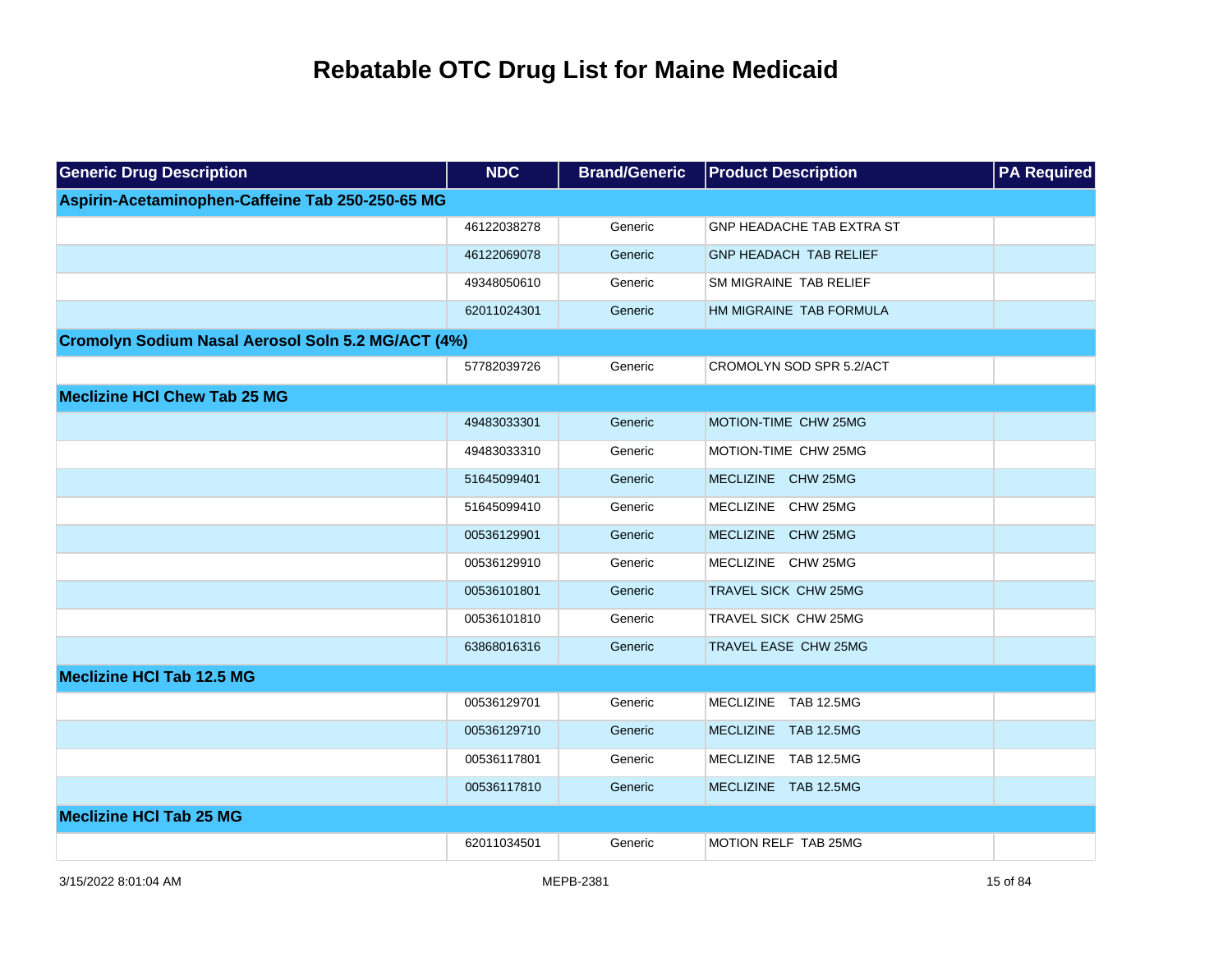| <b>Generic Drug Description</b>                    | <b>NDC</b>  | <b>Brand/Generic</b> | <b>Product Description</b>       | <b>PA Required</b> |
|----------------------------------------------------|-------------|----------------------|----------------------------------|--------------------|
| Aspirin-Acetaminophen-Caffeine Tab 250-250-65 MG   |             |                      |                                  |                    |
|                                                    | 46122038278 | Generic              | <b>GNP HEADACHE TAB EXTRA ST</b> |                    |
|                                                    | 46122069078 | Generic              | <b>GNP HEADACH TAB RELIEF</b>    |                    |
|                                                    | 49348050610 | Generic              | SM MIGRAINE TAB RELIEF           |                    |
|                                                    | 62011024301 | Generic              | HM MIGRAINE TAB FORMULA          |                    |
| Cromolyn Sodium Nasal Aerosol Soln 5.2 MG/ACT (4%) |             |                      |                                  |                    |
|                                                    | 57782039726 | Generic              | CROMOLYN SOD SPR 5.2/ACT         |                    |
| <b>Meclizine HCI Chew Tab 25 MG</b>                |             |                      |                                  |                    |
|                                                    | 49483033301 | Generic              | MOTION-TIME CHW 25MG             |                    |
|                                                    | 49483033310 | Generic              | MOTION-TIME CHW 25MG             |                    |
|                                                    | 51645099401 | Generic              | MECLIZINE CHW 25MG               |                    |
|                                                    | 51645099410 | Generic              | MECLIZINE CHW 25MG               |                    |
|                                                    | 00536129901 | Generic              | MECLIZINE CHW 25MG               |                    |
|                                                    | 00536129910 | Generic              | MECLIZINE CHW 25MG               |                    |
|                                                    | 00536101801 | Generic              | TRAVEL SICK CHW 25MG             |                    |
|                                                    | 00536101810 | Generic              | TRAVEL SICK CHW 25MG             |                    |
|                                                    | 63868016316 | Generic              | TRAVEL EASE CHW 25MG             |                    |
| <b>Meclizine HCI Tab 12.5 MG</b>                   |             |                      |                                  |                    |
|                                                    | 00536129701 | Generic              | MECLIZINE TAB 12.5MG             |                    |
|                                                    | 00536129710 | Generic              | MECLIZINE TAB 12.5MG             |                    |
|                                                    | 00536117801 | Generic              | MECLIZINE TAB 12.5MG             |                    |
|                                                    | 00536117810 | Generic              | MECLIZINE TAB 12.5MG             |                    |
| <b>Meclizine HCI Tab 25 MG</b>                     |             |                      |                                  |                    |
|                                                    | 62011034501 | Generic              | MOTION RELF TAB 25MG             |                    |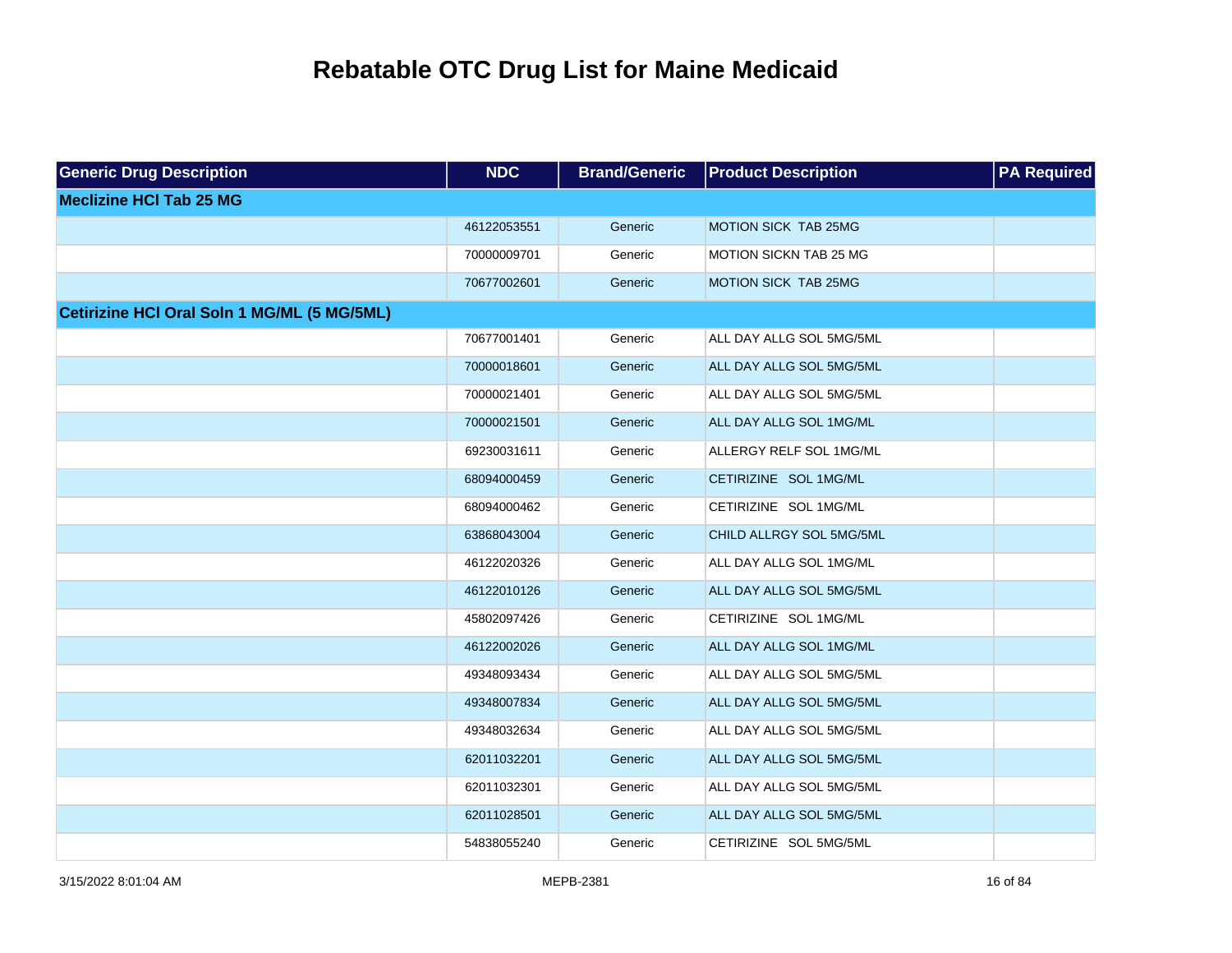| <b>Generic Drug Description</b>                    | <b>NDC</b>  | <b>Brand/Generic</b> | <b>Product Description</b> | <b>PA Required</b> |
|----------------------------------------------------|-------------|----------------------|----------------------------|--------------------|
| <b>Meclizine HCI Tab 25 MG</b>                     |             |                      |                            |                    |
|                                                    | 46122053551 | Generic              | MOTION SICK TAB 25MG       |                    |
|                                                    | 70000009701 | Generic              | MOTION SICKN TAB 25 MG     |                    |
|                                                    | 70677002601 | Generic              | MOTION SICK TAB 25MG       |                    |
| <b>Cetirizine HCI Oral Soln 1 MG/ML (5 MG/5ML)</b> |             |                      |                            |                    |
|                                                    | 70677001401 | Generic              | ALL DAY ALLG SOL 5MG/5ML   |                    |
|                                                    | 70000018601 | Generic              | ALL DAY ALLG SOL 5MG/5ML   |                    |
|                                                    | 70000021401 | Generic              | ALL DAY ALLG SOL 5MG/5ML   |                    |
|                                                    | 70000021501 | Generic              | ALL DAY ALLG SOL 1MG/ML    |                    |
|                                                    | 69230031611 | Generic              | ALLERGY RELF SOL 1MG/ML    |                    |
|                                                    | 68094000459 | Generic              | CETIRIZINE SOL 1MG/ML      |                    |
|                                                    | 68094000462 | Generic              | CETIRIZINE SOL 1MG/ML      |                    |
|                                                    | 63868043004 | Generic              | CHILD ALLRGY SOL 5MG/5ML   |                    |
|                                                    | 46122020326 | Generic              | ALL DAY ALLG SOL 1MG/ML    |                    |
|                                                    | 46122010126 | Generic              | ALL DAY ALLG SOL 5MG/5ML   |                    |
|                                                    | 45802097426 | Generic              | CETIRIZINE SOL 1MG/ML      |                    |
|                                                    | 46122002026 | Generic              | ALL DAY ALLG SOL 1MG/ML    |                    |
|                                                    | 49348093434 | Generic              | ALL DAY ALLG SOL 5MG/5ML   |                    |
|                                                    | 49348007834 | Generic              | ALL DAY ALLG SOL 5MG/5ML   |                    |
|                                                    | 49348032634 | Generic              | ALL DAY ALLG SOL 5MG/5ML   |                    |
|                                                    | 62011032201 | Generic              | ALL DAY ALLG SOL 5MG/5ML   |                    |
|                                                    | 62011032301 | Generic              | ALL DAY ALLG SOL 5MG/5ML   |                    |
|                                                    | 62011028501 | Generic              | ALL DAY ALLG SOL 5MG/5ML   |                    |
|                                                    | 54838055240 | Generic              | CETIRIZINE SOL 5MG/5ML     |                    |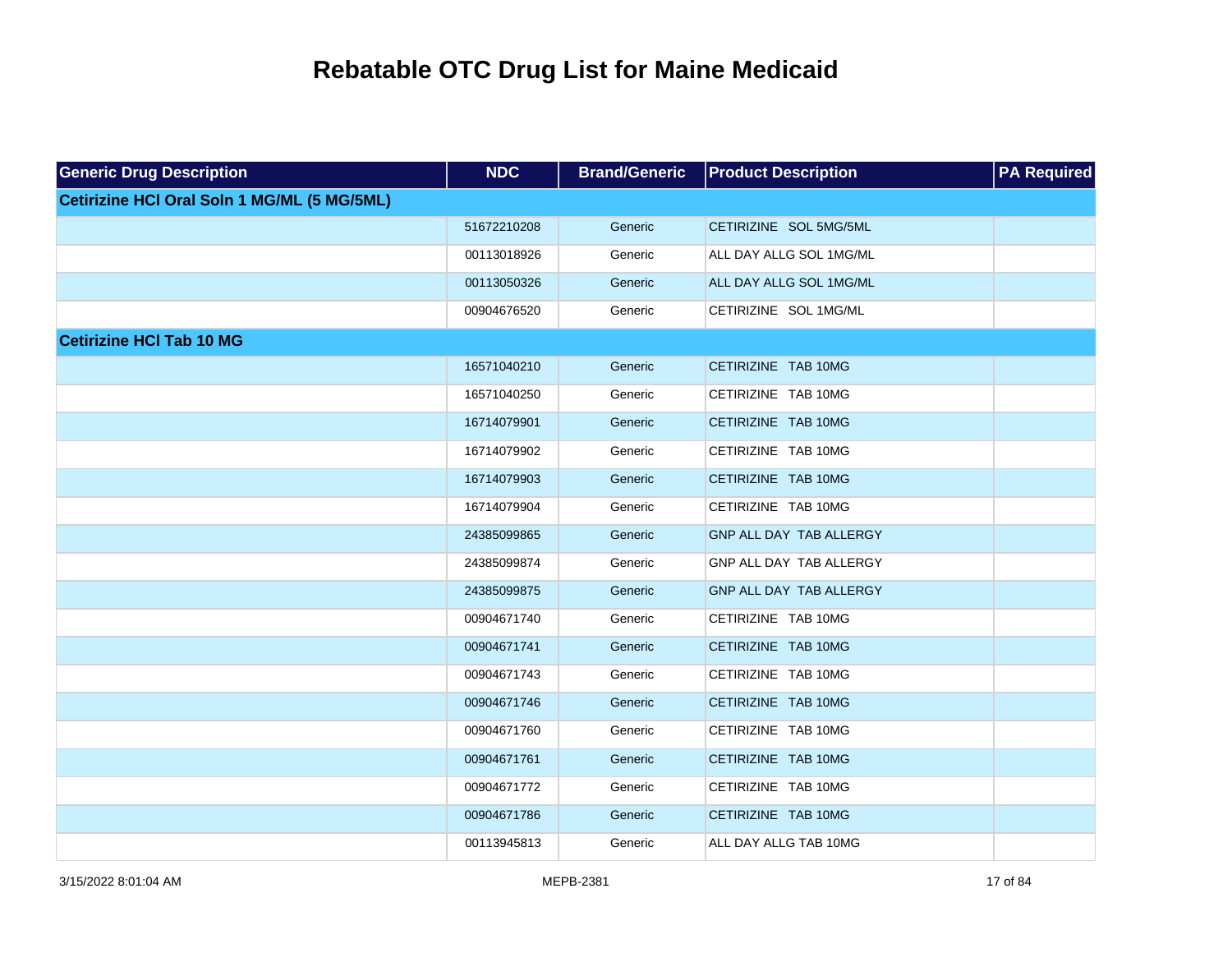| <b>Generic Drug Description</b>             | <b>NDC</b>  | <b>Brand/Generic</b> | <b>Product Description</b> | <b>PA Required</b> |
|---------------------------------------------|-------------|----------------------|----------------------------|--------------------|
| Cetirizine HCI Oral Soln 1 MG/ML (5 MG/5ML) |             |                      |                            |                    |
|                                             | 51672210208 | Generic              | CETIRIZINE SOL 5MG/5ML     |                    |
|                                             | 00113018926 | Generic              | ALL DAY ALLG SOL 1MG/ML    |                    |
|                                             | 00113050326 | Generic              | ALL DAY ALLG SOL 1MG/ML    |                    |
|                                             | 00904676520 | Generic              | CETIRIZINE SOL 1MG/ML      |                    |
| <b>Cetirizine HCI Tab 10 MG</b>             |             |                      |                            |                    |
|                                             | 16571040210 | Generic              | CETIRIZINE TAB 10MG        |                    |
|                                             | 16571040250 | Generic              | CETIRIZINE TAB 10MG        |                    |
|                                             | 16714079901 | Generic              | CETIRIZINE TAB 10MG        |                    |
|                                             | 16714079902 | Generic              | CETIRIZINE TAB 10MG        |                    |
|                                             | 16714079903 | Generic              | CETIRIZINE TAB 10MG        |                    |
|                                             | 16714079904 | Generic              | CETIRIZINE TAB 10MG        |                    |
|                                             | 24385099865 | Generic              | GNP ALL DAY TAB ALLERGY    |                    |
|                                             | 24385099874 | Generic              | GNP ALL DAY TAB ALLERGY    |                    |
|                                             | 24385099875 | Generic              | GNP ALL DAY TAB ALLERGY    |                    |
|                                             | 00904671740 | Generic              | CETIRIZINE TAB 10MG        |                    |
|                                             | 00904671741 | Generic              | CETIRIZINE TAB 10MG        |                    |
|                                             | 00904671743 | Generic              | CETIRIZINE TAB 10MG        |                    |
|                                             | 00904671746 | Generic              | CETIRIZINE TAB 10MG        |                    |
|                                             | 00904671760 | Generic              | CETIRIZINE TAB 10MG        |                    |
|                                             | 00904671761 | Generic              | CETIRIZINE TAB 10MG        |                    |
|                                             | 00904671772 | Generic              | CETIRIZINE TAB 10MG        |                    |
|                                             | 00904671786 | Generic              | CETIRIZINE TAB 10MG        |                    |
|                                             | 00113945813 | Generic              | ALL DAY ALLG TAB 10MG      |                    |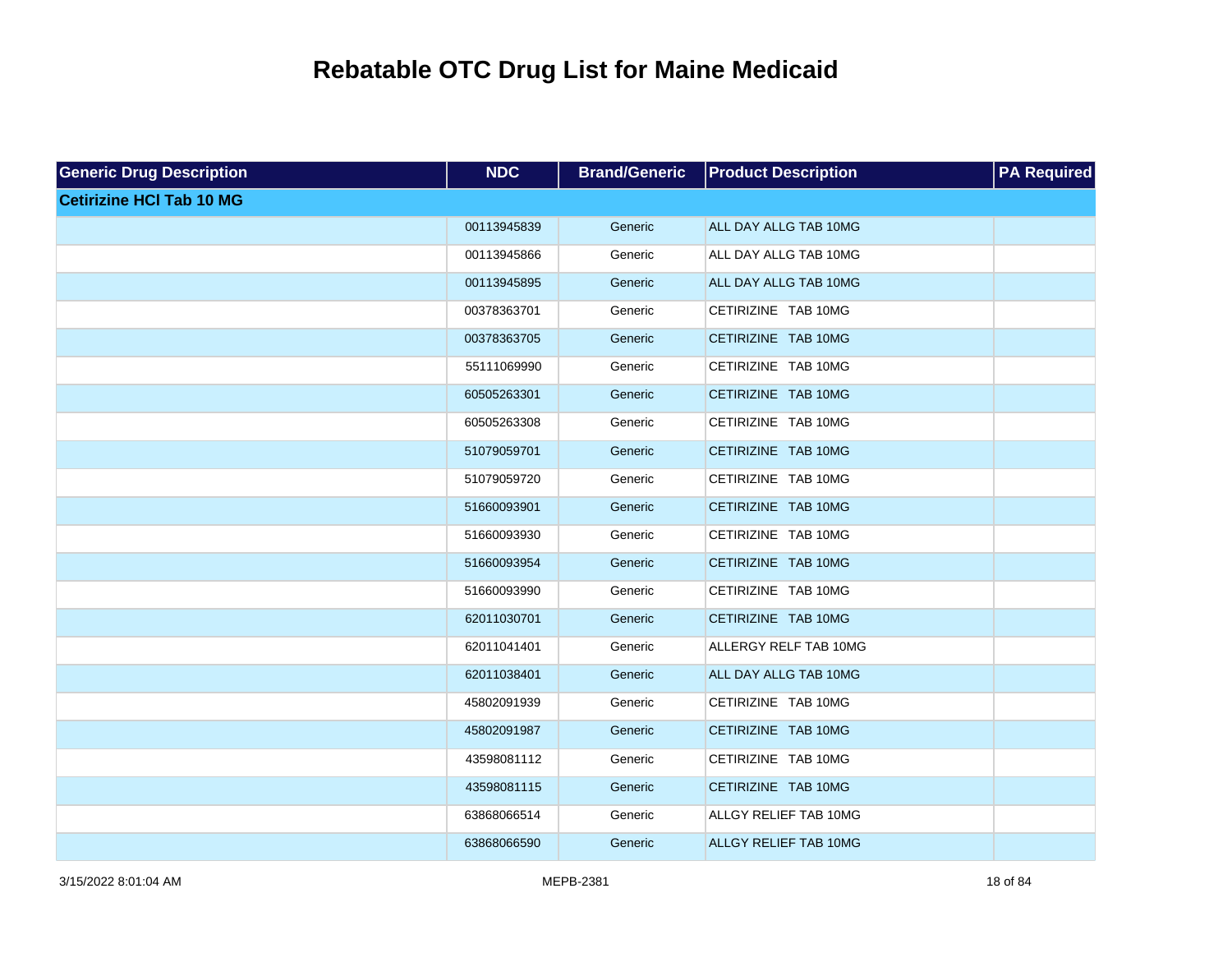| <b>Generic Drug Description</b> | <b>NDC</b>  | <b>Brand/Generic</b> | <b>Product Description</b>   | <b>PA Required</b> |
|---------------------------------|-------------|----------------------|------------------------------|--------------------|
| <b>Cetirizine HCI Tab 10 MG</b> |             |                      |                              |                    |
|                                 | 00113945839 | Generic              | ALL DAY ALLG TAB 10MG        |                    |
|                                 | 00113945866 | Generic              | ALL DAY ALLG TAB 10MG        |                    |
|                                 | 00113945895 | Generic              | ALL DAY ALLG TAB 10MG        |                    |
|                                 | 00378363701 | Generic              | CETIRIZINE TAB 10MG          |                    |
|                                 | 00378363705 | Generic              | CETIRIZINE TAB 10MG          |                    |
|                                 | 55111069990 | Generic              | CETIRIZINE TAB 10MG          |                    |
|                                 | 60505263301 | Generic              | CETIRIZINE TAB 10MG          |                    |
|                                 | 60505263308 | Generic              | CETIRIZINE TAB 10MG          |                    |
|                                 | 51079059701 | Generic              | CETIRIZINE TAB 10MG          |                    |
|                                 | 51079059720 | Generic              | CETIRIZINE TAB 10MG          |                    |
|                                 | 51660093901 | Generic              | CETIRIZINE TAB 10MG          |                    |
|                                 | 51660093930 | Generic              | CETIRIZINE TAB 10MG          |                    |
|                                 | 51660093954 | Generic              | CETIRIZINE TAB 10MG          |                    |
|                                 | 51660093990 | Generic              | CETIRIZINE TAB 10MG          |                    |
|                                 | 62011030701 | Generic              | CETIRIZINE TAB 10MG          |                    |
|                                 | 62011041401 | Generic              | ALLERGY RELF TAB 10MG        |                    |
|                                 | 62011038401 | Generic              | ALL DAY ALLG TAB 10MG        |                    |
|                                 | 45802091939 | Generic              | CETIRIZINE TAB 10MG          |                    |
|                                 | 45802091987 | Generic              | CETIRIZINE TAB 10MG          |                    |
|                                 | 43598081112 | Generic              | CETIRIZINE TAB 10MG          |                    |
|                                 | 43598081115 | Generic              | CETIRIZINE TAB 10MG          |                    |
|                                 | 63868066514 | Generic              | ALLGY RELIEF TAB 10MG        |                    |
|                                 | 63868066590 | Generic              | <b>ALLGY RELIEF TAB 10MG</b> |                    |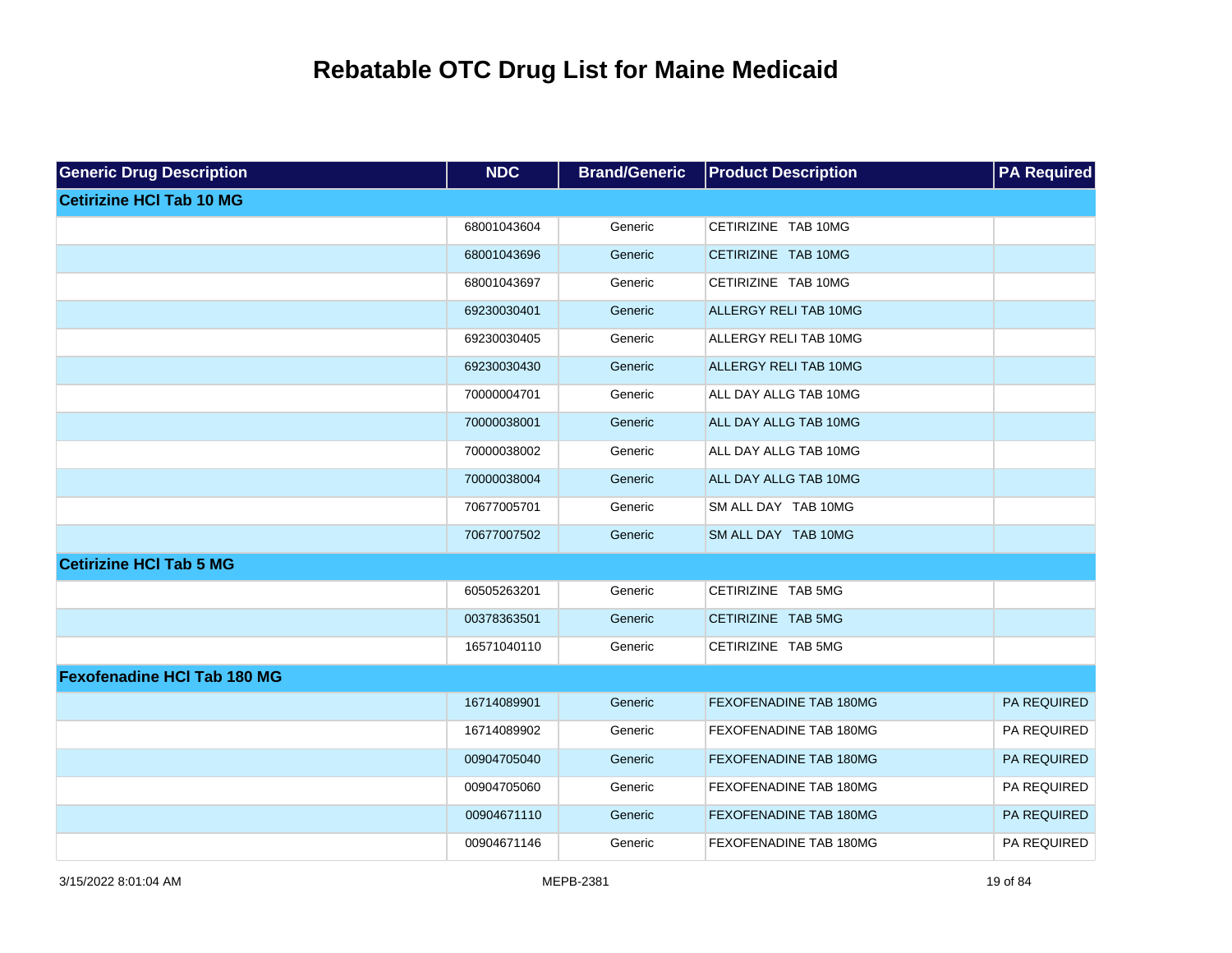| <b>Generic Drug Description</b>    | <b>NDC</b>  | <b>Brand/Generic</b> | <b>Product Description</b>    | <b>PA Required</b> |
|------------------------------------|-------------|----------------------|-------------------------------|--------------------|
| <b>Cetirizine HCI Tab 10 MG</b>    |             |                      |                               |                    |
|                                    | 68001043604 | Generic              | CETIRIZINE TAB 10MG           |                    |
|                                    | 68001043696 | Generic              | CETIRIZINE TAB 10MG           |                    |
|                                    | 68001043697 | Generic              | CETIRIZINE TAB 10MG           |                    |
|                                    | 69230030401 | Generic              | <b>ALLERGY RELI TAB 10MG</b>  |                    |
|                                    | 69230030405 | Generic              | ALLERGY RELI TAB 10MG         |                    |
|                                    | 69230030430 | Generic              | ALLERGY RELI TAB 10MG         |                    |
|                                    | 70000004701 | Generic              | ALL DAY ALLG TAB 10MG         |                    |
|                                    | 70000038001 | Generic              | ALL DAY ALLG TAB 10MG         |                    |
|                                    | 70000038002 | Generic              | ALL DAY ALLG TAB 10MG         |                    |
|                                    | 70000038004 | Generic              | ALL DAY ALLG TAB 10MG         |                    |
|                                    | 70677005701 | Generic              | SM ALL DAY TAB 10MG           |                    |
|                                    | 70677007502 | Generic              | SM ALL DAY TAB 10MG           |                    |
| <b>Cetirizine HCI Tab 5 MG</b>     |             |                      |                               |                    |
|                                    | 60505263201 | Generic              | CETIRIZINE TAB 5MG            |                    |
|                                    | 00378363501 | Generic              | CETIRIZINE TAB 5MG            |                    |
|                                    | 16571040110 | Generic              | CETIRIZINE TAB 5MG            |                    |
| <b>Fexofenadine HCI Tab 180 MG</b> |             |                      |                               |                    |
|                                    | 16714089901 | Generic              | FEXOFENADINE TAB 180MG        | PA REQUIRED        |
|                                    | 16714089902 | Generic              | FEXOFENADINE TAB 180MG        | PA REQUIRED        |
|                                    | 00904705040 | Generic              | FEXOFENADINE TAB 180MG        | PA REQUIRED        |
|                                    | 00904705060 | Generic              | FEXOFENADINE TAB 180MG        | PA REQUIRED        |
|                                    | 00904671110 | Generic              | FEXOFENADINE TAB 180MG        | PA REQUIRED        |
|                                    | 00904671146 | Generic              | <b>FEXOFENADINE TAB 180MG</b> | PA REQUIRED        |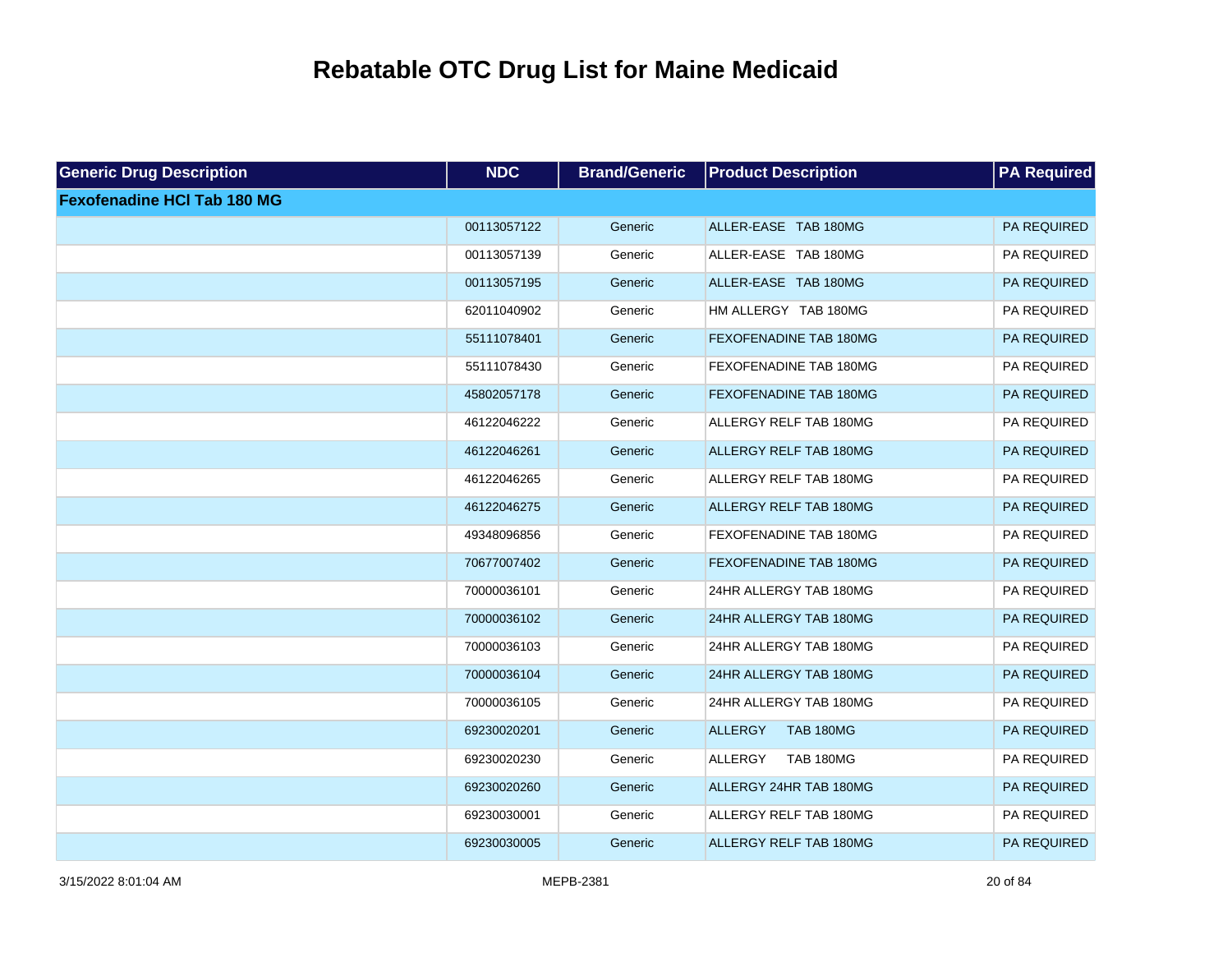| <b>Generic Drug Description</b>    | <b>NDC</b>  | <b>Brand/Generic</b> | <b>Product Description</b>         | <b>PA</b> Required |
|------------------------------------|-------------|----------------------|------------------------------------|--------------------|
| <b>Fexofenadine HCI Tab 180 MG</b> |             |                      |                                    |                    |
|                                    | 00113057122 | Generic              | ALLER-EASE TAB 180MG               | PA REQUIRED        |
|                                    | 00113057139 | Generic              | ALLER-EASE TAB 180MG               | PA REQUIRED        |
|                                    | 00113057195 | Generic              | ALLER-EASE TAB 180MG               | PA REQUIRED        |
|                                    | 62011040902 | Generic              | HM ALLERGY TAB 180MG               | PA REQUIRED        |
|                                    | 55111078401 | Generic              | <b>FEXOFENADINE TAB 180MG</b>      | PA REQUIRED        |
|                                    | 55111078430 | Generic              | FEXOFENADINE TAB 180MG             | PA REQUIRED        |
|                                    | 45802057178 | Generic              | FEXOFENADINE TAB 180MG             | PA REQUIRED        |
|                                    | 46122046222 | Generic              | ALLERGY RELF TAB 180MG             | PA REQUIRED        |
|                                    | 46122046261 | Generic              | ALLERGY RELF TAB 180MG             | PA REQUIRED        |
|                                    | 46122046265 | Generic              | ALLERGY RELF TAB 180MG             | PA REQUIRED        |
|                                    | 46122046275 | Generic              | <b>ALLERGY RELF TAB 180MG</b>      | PA REQUIRED        |
|                                    | 49348096856 | Generic              | FEXOFENADINE TAB 180MG             | PA REQUIRED        |
|                                    | 70677007402 | Generic              | <b>FEXOFENADINE TAB 180MG</b>      | PA REQUIRED        |
|                                    | 70000036101 | Generic              | 24HR ALLERGY TAB 180MG             | PA REQUIRED        |
|                                    | 70000036102 | Generic              | 24HR ALLERGY TAB 180MG             | PA REQUIRED        |
|                                    | 70000036103 | Generic              | 24HR ALLERGY TAB 180MG             | PA REQUIRED        |
|                                    | 70000036104 | Generic              | 24HR ALLERGY TAB 180MG             | PA REQUIRED        |
|                                    | 70000036105 | Generic              | 24HR ALLERGY TAB 180MG             | PA REQUIRED        |
|                                    | 69230020201 | Generic              | <b>TAB 180MG</b><br><b>ALLERGY</b> | PA REQUIRED        |
|                                    | 69230020230 | Generic              | <b>TAB 180MG</b><br>ALLERGY        | PA REQUIRED        |
|                                    | 69230020260 | Generic              | ALLERGY 24HR TAB 180MG             | PA REQUIRED        |
|                                    | 69230030001 | Generic              | ALLERGY RELF TAB 180MG             | PA REQUIRED        |
|                                    | 69230030005 | Generic              | <b>ALLERGY RELF TAB 180MG</b>      | PA REQUIRED        |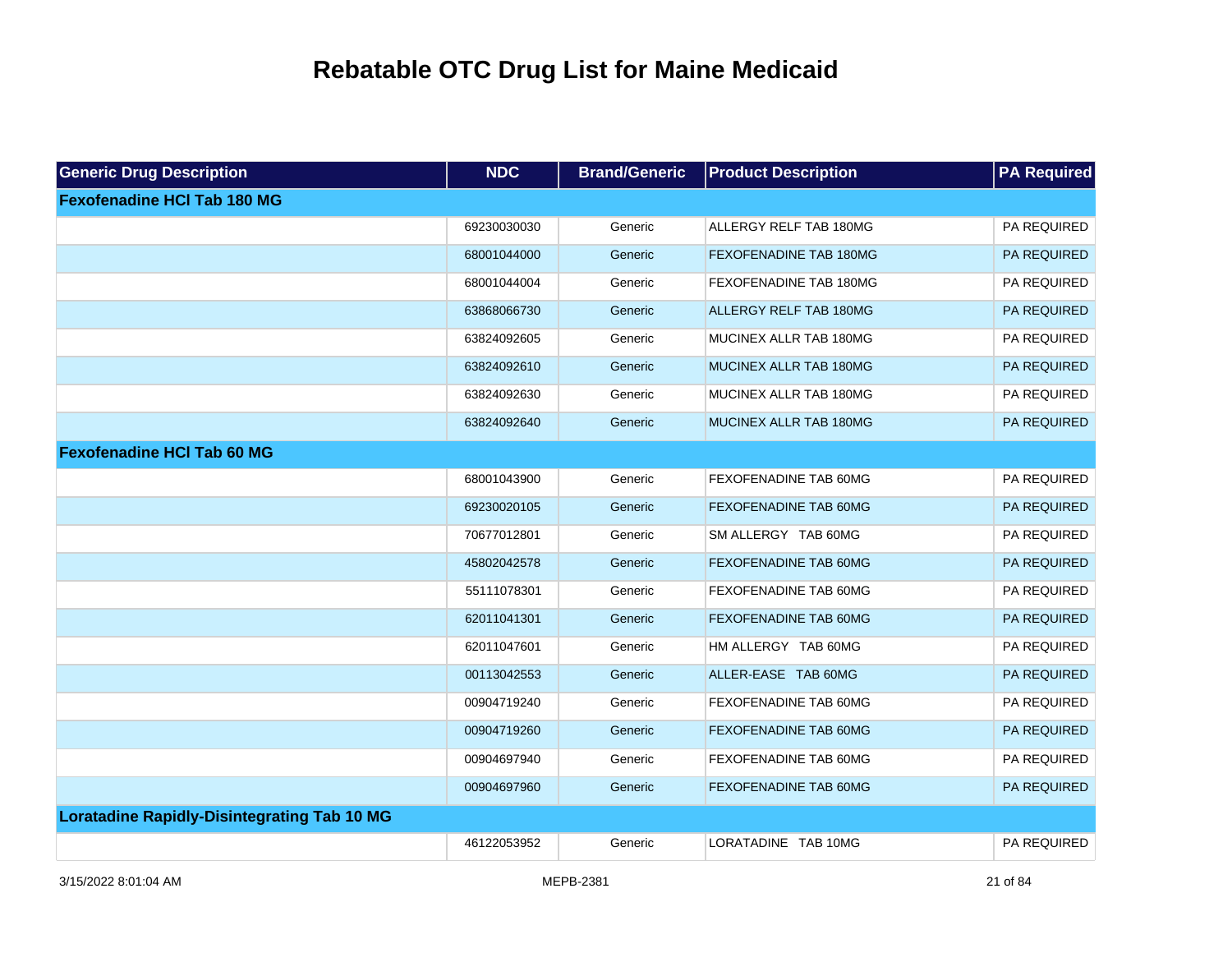| <b>Generic Drug Description</b>                    | <b>NDC</b>  | <b>Brand/Generic</b> | <b>Product Description</b>    | <b>PA Required</b> |
|----------------------------------------------------|-------------|----------------------|-------------------------------|--------------------|
| <b>Fexofenadine HCI Tab 180 MG</b>                 |             |                      |                               |                    |
|                                                    | 69230030030 | Generic              | ALLERGY RELF TAB 180MG        | PA REQUIRED        |
|                                                    | 68001044000 | Generic              | <b>FEXOFENADINE TAB 180MG</b> | PA REQUIRED        |
|                                                    | 68001044004 | Generic              | FEXOFENADINE TAB 180MG        | PA REQUIRED        |
|                                                    | 63868066730 | Generic              | <b>ALLERGY RELF TAB 180MG</b> | PA REQUIRED        |
|                                                    | 63824092605 | Generic              | MUCINEX ALLR TAB 180MG        | PA REQUIRED        |
|                                                    | 63824092610 | Generic              | MUCINEX ALLR TAB 180MG        | PA REQUIRED        |
|                                                    | 63824092630 | Generic              | MUCINEX ALLR TAB 180MG        | PA REQUIRED        |
|                                                    | 63824092640 | Generic              | MUCINEX ALLR TAB 180MG        | PA REQUIRED        |
| <b>Fexofenadine HCI Tab 60 MG</b>                  |             |                      |                               |                    |
|                                                    | 68001043900 | Generic              | FEXOFENADINE TAB 60MG         | PA REQUIRED        |
|                                                    | 69230020105 | Generic              | FEXOFENADINE TAB 60MG         | PA REQUIRED        |
|                                                    | 70677012801 | Generic              | SM ALLERGY TAB 60MG           | PA REQUIRED        |
|                                                    | 45802042578 | Generic              | FEXOFENADINE TAB 60MG         | PA REQUIRED        |
|                                                    | 55111078301 | Generic              | FEXOFENADINE TAB 60MG         | PA REQUIRED        |
|                                                    | 62011041301 | Generic              | <b>FEXOFENADINE TAB 60MG</b>  | PA REQUIRED        |
|                                                    | 62011047601 | Generic              | HM ALLERGY TAB 60MG           | PA REQUIRED        |
|                                                    | 00113042553 | Generic              | ALLER-EASE TAB 60MG           | PA REQUIRED        |
|                                                    | 00904719240 | Generic              | FEXOFENADINE TAB 60MG         | PA REQUIRED        |
|                                                    | 00904719260 | Generic              | FEXOFENADINE TAB 60MG         | PA REQUIRED        |
|                                                    | 00904697940 | Generic              | FEXOFENADINE TAB 60MG         | PA REQUIRED        |
|                                                    | 00904697960 | Generic              | FEXOFENADINE TAB 60MG         | PA REQUIRED        |
| <b>Loratadine Rapidly-Disintegrating Tab 10 MG</b> |             |                      |                               |                    |
|                                                    | 46122053952 | Generic              | LORATADINE TAB 10MG           | PA REQUIRED        |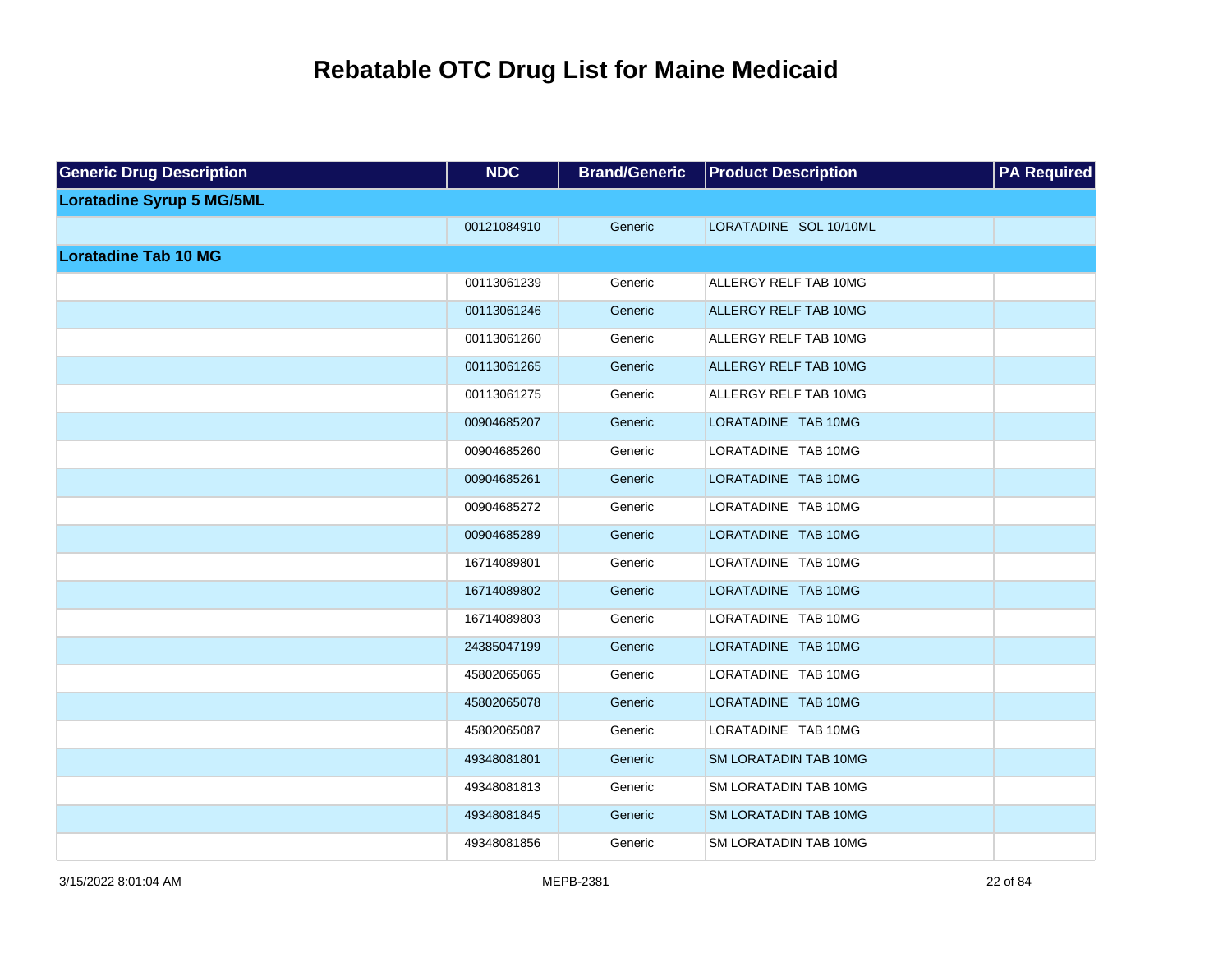| <b>Generic Drug Description</b>  | <b>NDC</b>  | <b>Brand/Generic</b> | <b>Product Description</b>   | <b>PA Required</b> |
|----------------------------------|-------------|----------------------|------------------------------|--------------------|
| <b>Loratadine Syrup 5 MG/5ML</b> |             |                      |                              |                    |
|                                  | 00121084910 | Generic              | LORATADINE SOL 10/10ML       |                    |
| <b>Loratadine Tab 10 MG</b>      |             |                      |                              |                    |
|                                  | 00113061239 | Generic              | ALLERGY RELF TAB 10MG        |                    |
|                                  | 00113061246 | Generic              | ALLERGY RELF TAB 10MG        |                    |
|                                  | 00113061260 | Generic              | ALLERGY RELF TAB 10MG        |                    |
|                                  | 00113061265 | Generic              | ALLERGY RELF TAB 10MG        |                    |
|                                  | 00113061275 | Generic              | ALLERGY RELF TAB 10MG        |                    |
|                                  | 00904685207 | Generic              | LORATADINE TAB 10MG          |                    |
|                                  | 00904685260 | Generic              | LORATADINE TAB 10MG          |                    |
|                                  | 00904685261 | Generic              | LORATADINE TAB 10MG          |                    |
|                                  | 00904685272 | Generic              | LORATADINE TAB 10MG          |                    |
|                                  | 00904685289 | Generic              | LORATADINE TAB 10MG          |                    |
|                                  | 16714089801 | Generic              | LORATADINE TAB 10MG          |                    |
|                                  | 16714089802 | Generic              | LORATADINE TAB 10MG          |                    |
|                                  | 16714089803 | Generic              | LORATADINE TAB 10MG          |                    |
|                                  | 24385047199 | Generic              | LORATADINE TAB 10MG          |                    |
|                                  | 45802065065 | Generic              | LORATADINE TAB 10MG          |                    |
|                                  | 45802065078 | Generic              | LORATADINE TAB 10MG          |                    |
|                                  | 45802065087 | Generic              | LORATADINE TAB 10MG          |                    |
|                                  | 49348081801 | Generic              | <b>SM LORATADIN TAB 10MG</b> |                    |
|                                  | 49348081813 | Generic              | SM LORATADIN TAB 10MG        |                    |
|                                  | 49348081845 | Generic              | <b>SM LORATADIN TAB 10MG</b> |                    |
|                                  | 49348081856 | Generic              | SM LORATADIN TAB 10MG        |                    |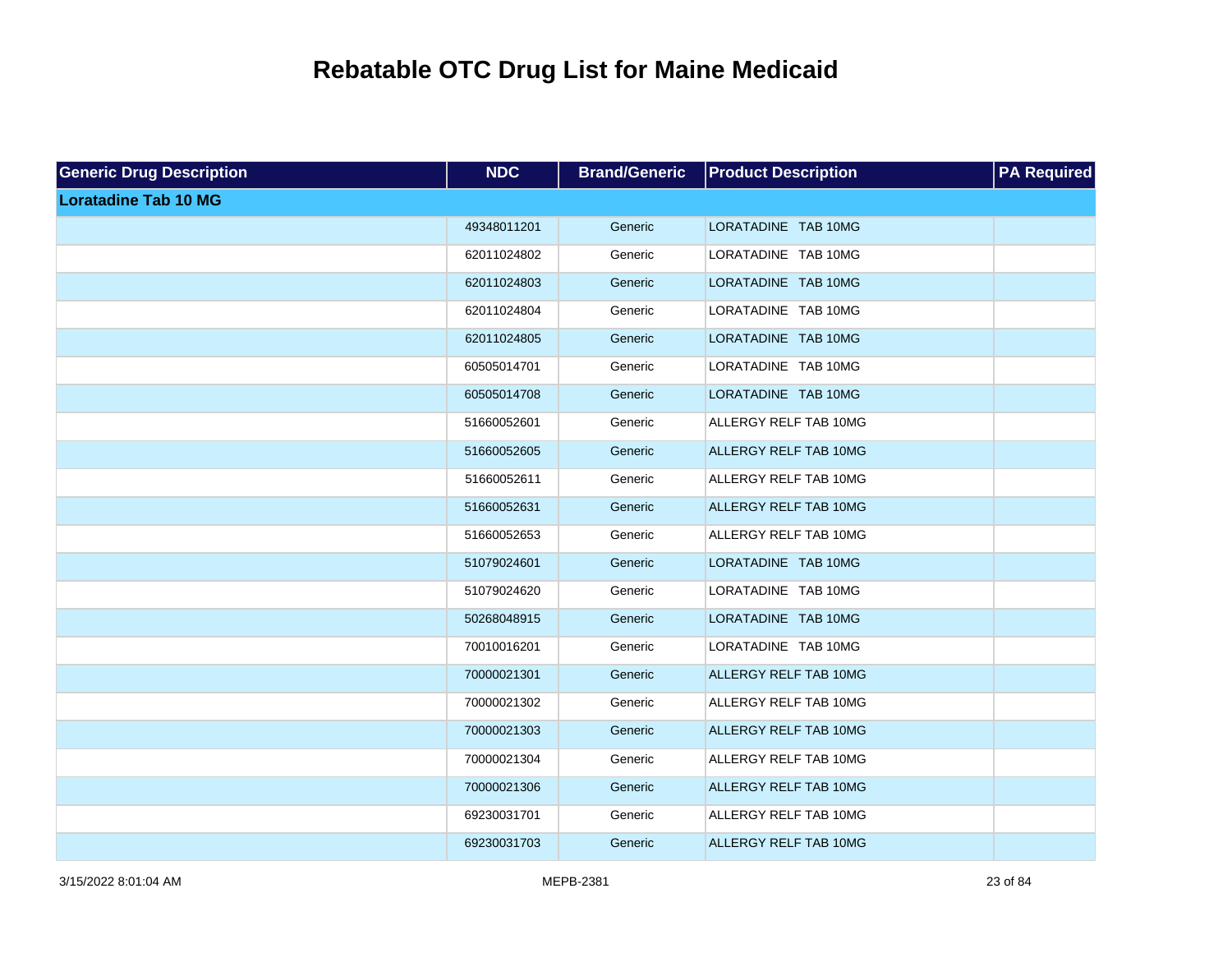| <b>Generic Drug Description</b> | <b>NDC</b>  | <b>Brand/Generic</b> | <b>Product Description</b> | <b>PA Required</b> |
|---------------------------------|-------------|----------------------|----------------------------|--------------------|
| <b>Loratadine Tab 10 MG</b>     |             |                      |                            |                    |
|                                 | 49348011201 | Generic              | LORATADINE TAB 10MG        |                    |
|                                 | 62011024802 | Generic              | LORATADINE TAB 10MG        |                    |
|                                 | 62011024803 | Generic              | LORATADINE TAB 10MG        |                    |
|                                 | 62011024804 | Generic              | LORATADINE TAB 10MG        |                    |
|                                 | 62011024805 | Generic              | LORATADINE TAB 10MG        |                    |
|                                 | 60505014701 | Generic              | LORATADINE TAB 10MG        |                    |
|                                 | 60505014708 | Generic              | LORATADINE TAB 10MG        |                    |
|                                 | 51660052601 | Generic              | ALLERGY RELF TAB 10MG      |                    |
|                                 | 51660052605 | Generic              | ALLERGY RELF TAB 10MG      |                    |
|                                 | 51660052611 | Generic              | ALLERGY RELF TAB 10MG      |                    |
|                                 | 51660052631 | Generic              | ALLERGY RELF TAB 10MG      |                    |
|                                 | 51660052653 | Generic              | ALLERGY RELF TAB 10MG      |                    |
|                                 | 51079024601 | Generic              | LORATADINE TAB 10MG        |                    |
|                                 | 51079024620 | Generic              | LORATADINE TAB 10MG        |                    |
|                                 | 50268048915 | Generic              | LORATADINE TAB 10MG        |                    |
|                                 | 70010016201 | Generic              | LORATADINE TAB 10MG        |                    |
|                                 | 70000021301 | Generic              | ALLERGY RELF TAB 10MG      |                    |
|                                 | 70000021302 | Generic              | ALLERGY RELF TAB 10MG      |                    |
|                                 | 70000021303 | Generic              | ALLERGY RELF TAB 10MG      |                    |
|                                 | 70000021304 | Generic              | ALLERGY RELF TAB 10MG      |                    |
|                                 | 70000021306 | Generic              | ALLERGY RELF TAB 10MG      |                    |
|                                 | 69230031701 | Generic              | ALLERGY RELF TAB 10MG      |                    |
|                                 | 69230031703 | Generic              | ALLERGY RELF TAB 10MG      |                    |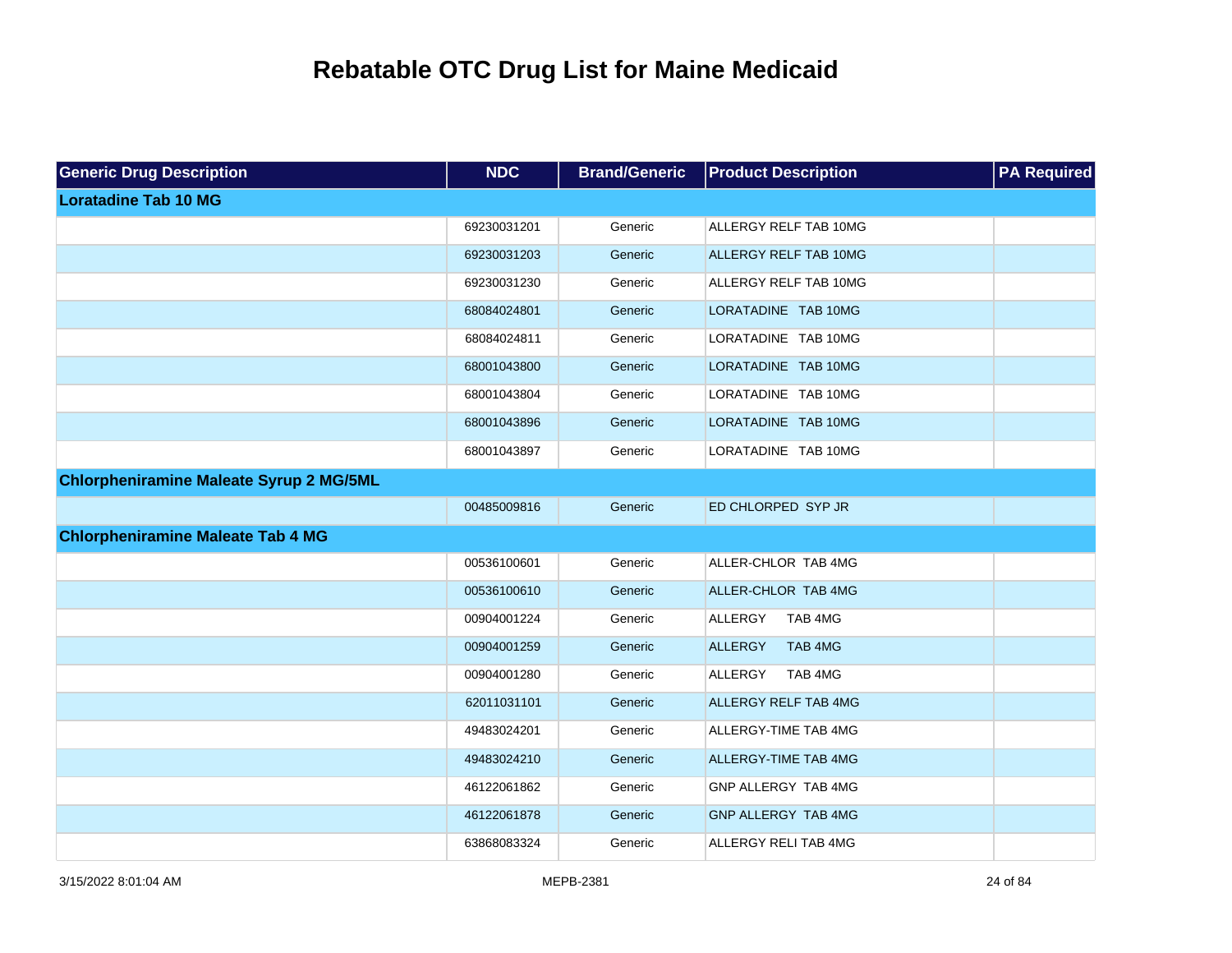| <b>Generic Drug Description</b>                | <b>NDC</b>  | <b>Brand/Generic</b> | <b>Product Description</b>   | <b>PA Required</b> |
|------------------------------------------------|-------------|----------------------|------------------------------|--------------------|
| <b>Loratadine Tab 10 MG</b>                    |             |                      |                              |                    |
|                                                | 69230031201 | Generic              | ALLERGY RELF TAB 10MG        |                    |
|                                                | 69230031203 | Generic              | <b>ALLERGY RELF TAB 10MG</b> |                    |
|                                                | 69230031230 | Generic              | ALLERGY RELF TAB 10MG        |                    |
|                                                | 68084024801 | Generic              | LORATADINE TAB 10MG          |                    |
|                                                | 68084024811 | Generic              | LORATADINE TAB 10MG          |                    |
|                                                | 68001043800 | Generic              | LORATADINE TAB 10MG          |                    |
|                                                | 68001043804 | Generic              | LORATADINE TAB 10MG          |                    |
|                                                | 68001043896 | Generic              | LORATADINE TAB 10MG          |                    |
|                                                | 68001043897 | Generic              | LORATADINE TAB 10MG          |                    |
| <b>Chlorpheniramine Maleate Syrup 2 MG/5ML</b> |             |                      |                              |                    |
|                                                | 00485009816 | Generic              | ED CHLORPED SYP JR           |                    |
| <b>Chlorpheniramine Maleate Tab 4 MG</b>       |             |                      |                              |                    |
|                                                | 00536100601 | Generic              | ALLER-CHLOR TAB 4MG          |                    |
|                                                | 00536100610 | Generic              | ALLER-CHLOR TAB 4MG          |                    |
|                                                | 00904001224 | Generic              | ALLERGY<br>TAB 4MG           |                    |
|                                                | 00904001259 | Generic              | <b>ALLERGY</b><br>TAB 4MG    |                    |
|                                                | 00904001280 | Generic              | ALLERGY<br>TAB 4MG           |                    |
|                                                | 62011031101 | Generic              | <b>ALLERGY RELF TAB 4MG</b>  |                    |
|                                                | 49483024201 | Generic              | ALLERGY-TIME TAB 4MG         |                    |
|                                                | 49483024210 | Generic              | <b>ALLERGY-TIME TAB 4MG</b>  |                    |
|                                                | 46122061862 | Generic              | GNP ALLERGY TAB 4MG          |                    |
|                                                | 46122061878 | Generic              | <b>GNP ALLERGY TAB 4MG</b>   |                    |
|                                                | 63868083324 | Generic              | ALLERGY RELI TAB 4MG         |                    |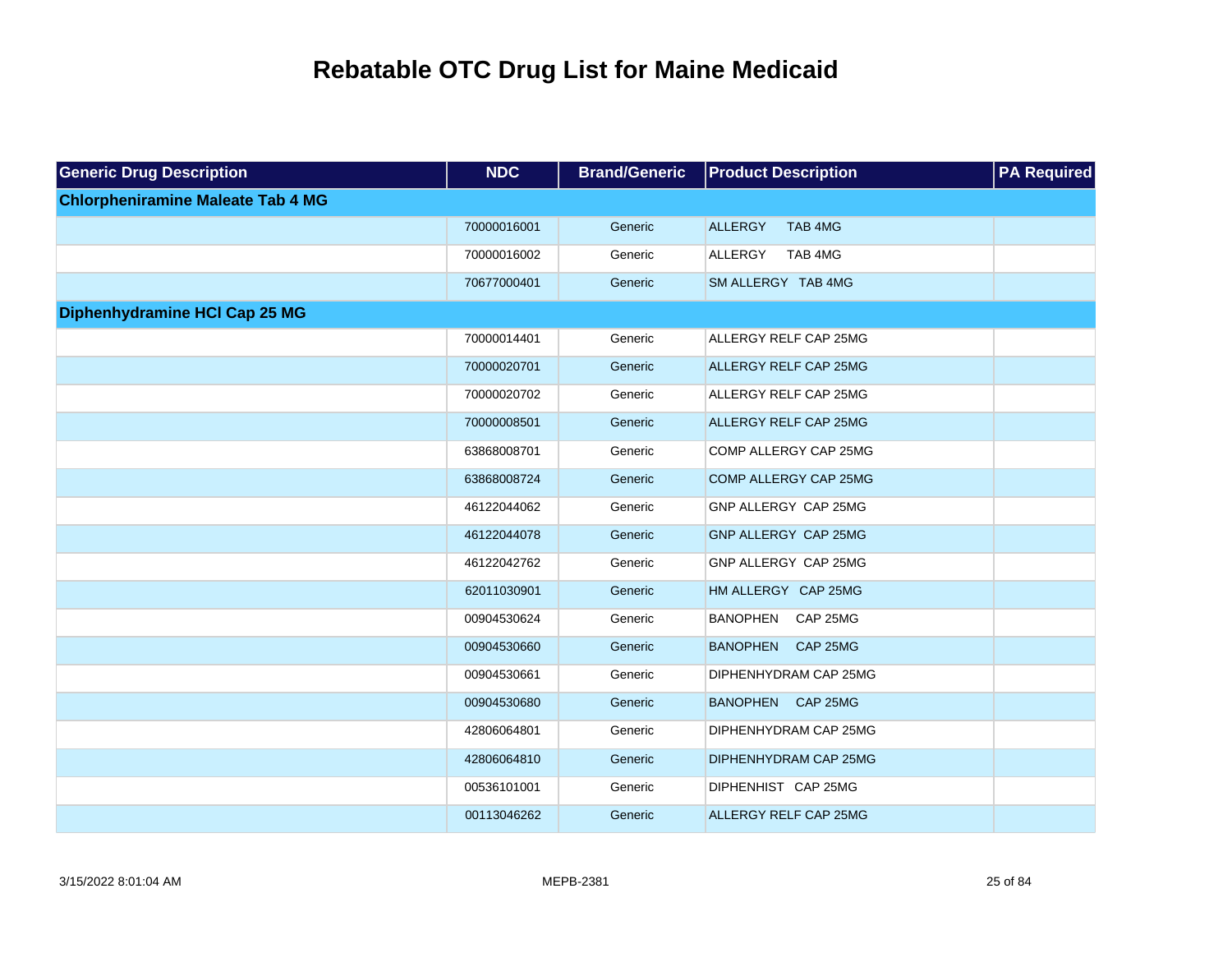| <b>Generic Drug Description</b>          | <b>NDC</b>  | <b>Brand/Generic</b> | <b>Product Description</b>   | <b>PA Required</b> |
|------------------------------------------|-------------|----------------------|------------------------------|--------------------|
| <b>Chlorpheniramine Maleate Tab 4 MG</b> |             |                      |                              |                    |
|                                          | 70000016001 | Generic              | TAB 4MG<br>ALLERGY           |                    |
|                                          | 70000016002 | Generic              | TAB 4MG<br>ALLERGY           |                    |
|                                          | 70677000401 | Generic              | SM ALLERGY TAB 4MG           |                    |
| Diphenhydramine HCI Cap 25 MG            |             |                      |                              |                    |
|                                          | 70000014401 | Generic              | ALLERGY RELF CAP 25MG        |                    |
|                                          | 70000020701 | Generic              | ALLERGY RELF CAP 25MG        |                    |
|                                          | 70000020702 | Generic              | ALLERGY RELF CAP 25MG        |                    |
|                                          | 70000008501 | Generic              | ALLERGY RELF CAP 25MG        |                    |
|                                          | 63868008701 | Generic              | COMP ALLERGY CAP 25MG        |                    |
|                                          | 63868008724 | Generic              | COMP ALLERGY CAP 25MG        |                    |
|                                          | 46122044062 | Generic              | GNP ALLERGY CAP 25MG         |                    |
|                                          | 46122044078 | Generic              | GNP ALLERGY CAP 25MG         |                    |
|                                          | 46122042762 | Generic              | GNP ALLERGY CAP 25MG         |                    |
|                                          | 62011030901 | Generic              | HM ALLERGY CAP 25MG          |                    |
|                                          | 00904530624 | Generic              | <b>BANOPHEN</b><br>CAP 25MG  |                    |
|                                          | 00904530660 | Generic              | <b>BANOPHEN</b><br>CAP 25MG  |                    |
|                                          | 00904530661 | Generic              | DIPHENHYDRAM CAP 25MG        |                    |
|                                          | 00904530680 | Generic              | <b>BANOPHEN</b><br>CAP 25MG  |                    |
|                                          | 42806064801 | Generic              | DIPHENHYDRAM CAP 25MG        |                    |
|                                          | 42806064810 | Generic              | DIPHENHYDRAM CAP 25MG        |                    |
|                                          | 00536101001 | Generic              | DIPHENHIST CAP 25MG          |                    |
|                                          | 00113046262 | Generic              | <b>ALLERGY RELF CAP 25MG</b> |                    |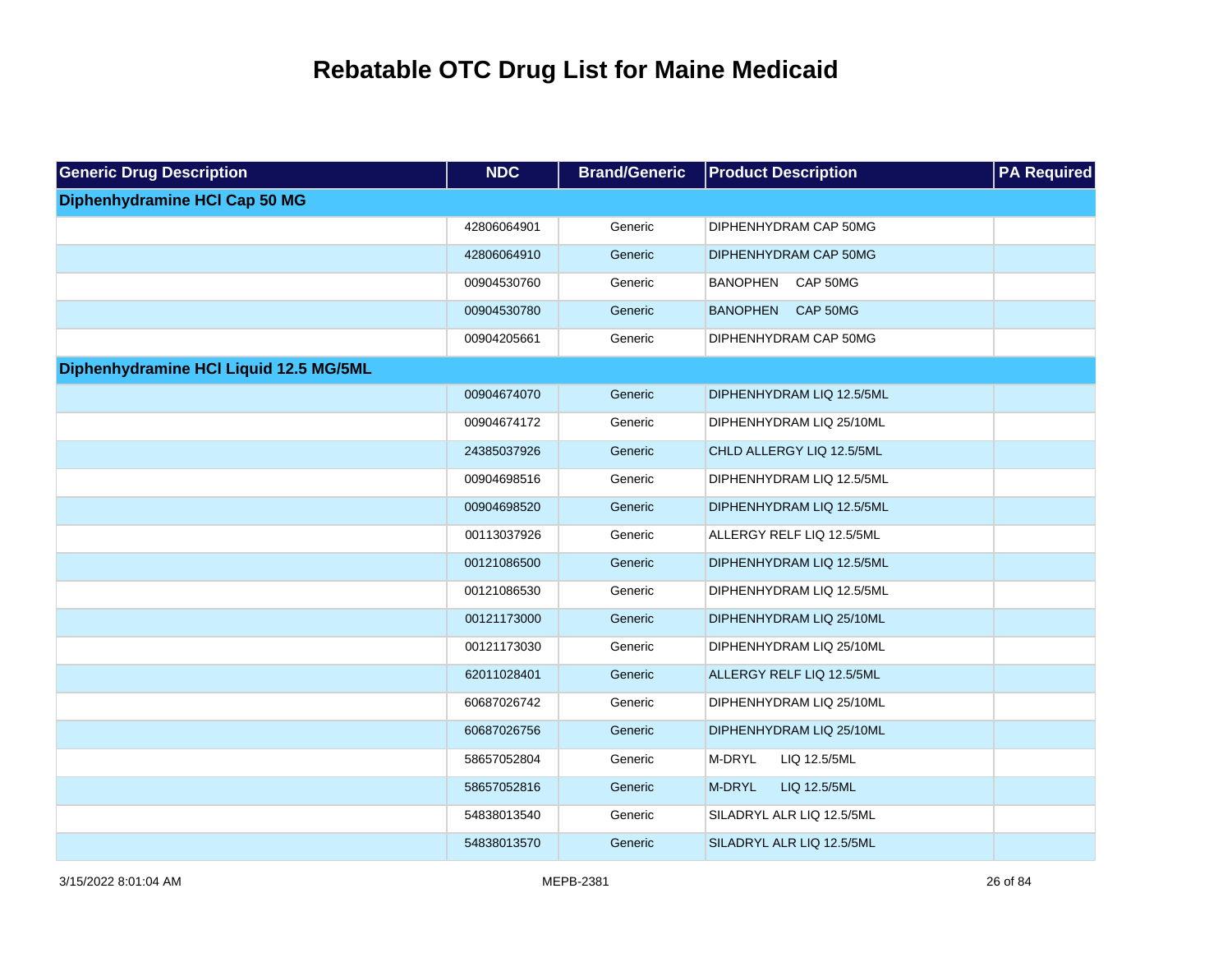| <b>Generic Drug Description</b>        | <b>NDC</b>  | <b>Brand/Generic</b> | <b>Product Description</b>  | <b>PA Required</b> |
|----------------------------------------|-------------|----------------------|-----------------------------|--------------------|
| Diphenhydramine HCI Cap 50 MG          |             |                      |                             |                    |
|                                        | 42806064901 | Generic              | DIPHENHYDRAM CAP 50MG       |                    |
|                                        | 42806064910 | Generic              | DIPHENHYDRAM CAP 50MG       |                    |
|                                        | 00904530760 | Generic              | <b>BANOPHEN</b><br>CAP 50MG |                    |
|                                        | 00904530780 | Generic              | <b>BANOPHEN</b><br>CAP 50MG |                    |
|                                        | 00904205661 | Generic              | DIPHENHYDRAM CAP 50MG       |                    |
| Diphenhydramine HCI Liquid 12.5 MG/5ML |             |                      |                             |                    |
|                                        | 00904674070 | Generic              | DIPHENHYDRAM LIQ 12.5/5ML   |                    |
|                                        | 00904674172 | Generic              | DIPHENHYDRAM LIQ 25/10ML    |                    |
|                                        | 24385037926 | Generic              | CHLD ALLERGY LIQ 12.5/5ML   |                    |
|                                        | 00904698516 | Generic              | DIPHENHYDRAM LIQ 12.5/5ML   |                    |
|                                        | 00904698520 | Generic              | DIPHENHYDRAM LIQ 12.5/5ML   |                    |
|                                        | 00113037926 | Generic              | ALLERGY RELF LIQ 12.5/5ML   |                    |
|                                        | 00121086500 | Generic              | DIPHENHYDRAM LIQ 12.5/5ML   |                    |
|                                        | 00121086530 | Generic              | DIPHENHYDRAM LIQ 12.5/5ML   |                    |
|                                        | 00121173000 | Generic              | DIPHENHYDRAM LIQ 25/10ML    |                    |
|                                        | 00121173030 | Generic              | DIPHENHYDRAM LIQ 25/10ML    |                    |
|                                        | 62011028401 | Generic              | ALLERGY RELF LIQ 12.5/5ML   |                    |
|                                        | 60687026742 | Generic              | DIPHENHYDRAM LIQ 25/10ML    |                    |
|                                        | 60687026756 | Generic              | DIPHENHYDRAM LIQ 25/10ML    |                    |
|                                        | 58657052804 | Generic              | M-DRYL<br>LIQ 12.5/5ML      |                    |
|                                        | 58657052816 | Generic              | M-DRYL<br>LIQ 12.5/5ML      |                    |
|                                        | 54838013540 | Generic              | SILADRYL ALR LIQ 12.5/5ML   |                    |
|                                        | 54838013570 | Generic              | SILADRYL ALR LIQ 12.5/5ML   |                    |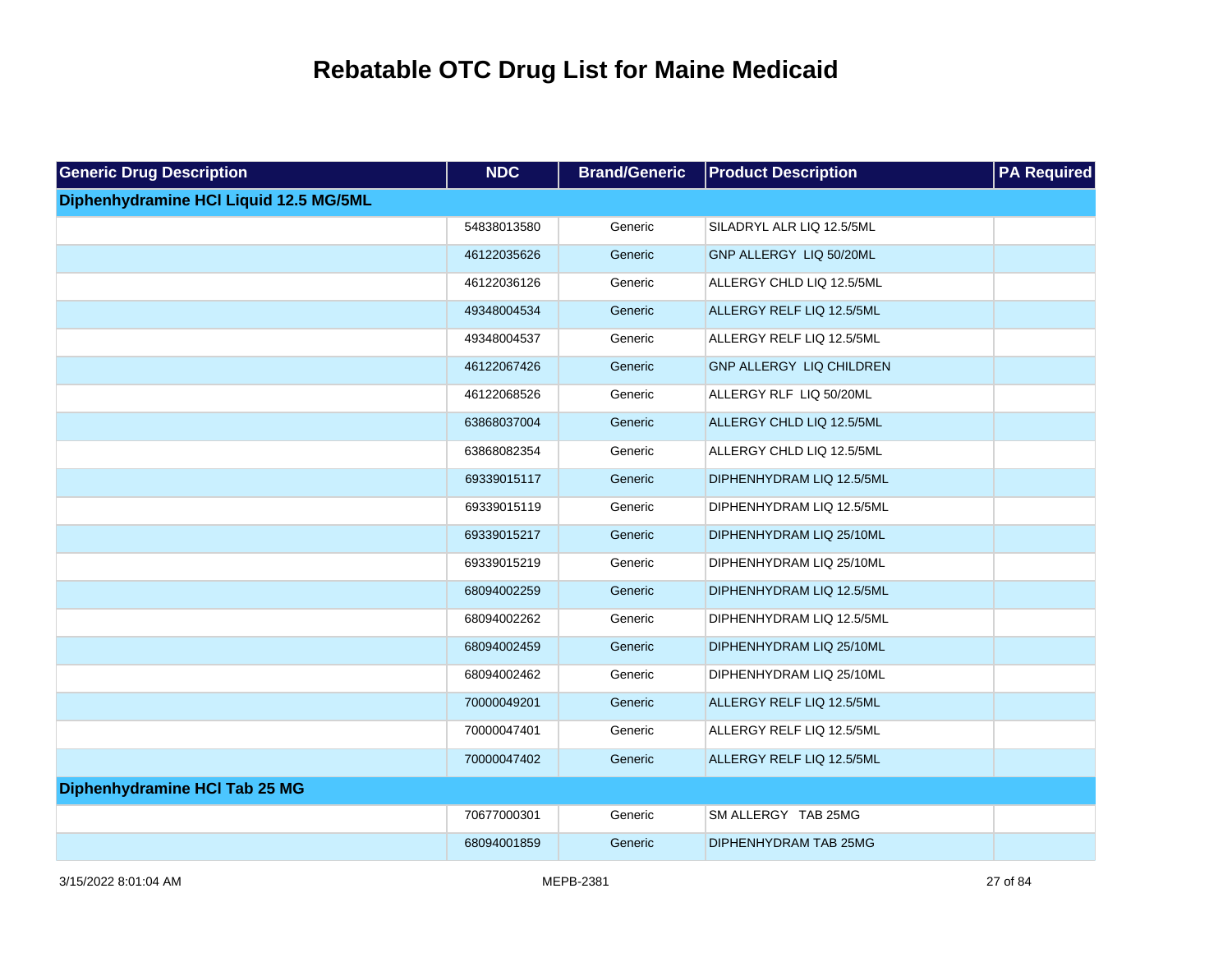| <b>Generic Drug Description</b>        | <b>NDC</b>  | <b>Brand/Generic</b> | <b>Product Description</b> | <b>PA Required</b> |
|----------------------------------------|-------------|----------------------|----------------------------|--------------------|
| Diphenhydramine HCI Liquid 12.5 MG/5ML |             |                      |                            |                    |
|                                        | 54838013580 | Generic              | SILADRYL ALR LIQ 12.5/5ML  |                    |
|                                        | 46122035626 | Generic              | GNP ALLERGY LIQ 50/20ML    |                    |
|                                        | 46122036126 | Generic              | ALLERGY CHLD LIQ 12.5/5ML  |                    |
|                                        | 49348004534 | Generic              | ALLERGY RELF LIQ 12.5/5ML  |                    |
|                                        | 49348004537 | Generic              | ALLERGY RELF LIQ 12.5/5ML  |                    |
|                                        | 46122067426 | Generic              | GNP ALLERGY LIQ CHILDREN   |                    |
|                                        | 46122068526 | Generic              | ALLERGY RLF LIQ 50/20ML    |                    |
|                                        | 63868037004 | Generic              | ALLERGY CHLD LIQ 12.5/5ML  |                    |
|                                        | 63868082354 | Generic              | ALLERGY CHLD LIQ 12.5/5ML  |                    |
|                                        | 69339015117 | Generic              | DIPHENHYDRAM LIQ 12.5/5ML  |                    |
|                                        | 69339015119 | Generic              | DIPHENHYDRAM LIQ 12.5/5ML  |                    |
|                                        | 69339015217 | Generic              | DIPHENHYDRAM LIQ 25/10ML   |                    |
|                                        | 69339015219 | Generic              | DIPHENHYDRAM LIQ 25/10ML   |                    |
|                                        | 68094002259 | Generic              | DIPHENHYDRAM LIQ 12.5/5ML  |                    |
|                                        | 68094002262 | Generic              | DIPHENHYDRAM LIQ 12.5/5ML  |                    |
|                                        | 68094002459 | Generic              | DIPHENHYDRAM LIQ 25/10ML   |                    |
|                                        | 68094002462 | Generic              | DIPHENHYDRAM LIQ 25/10ML   |                    |
|                                        | 70000049201 | Generic              | ALLERGY RELF LIQ 12.5/5ML  |                    |
|                                        | 70000047401 | Generic              | ALLERGY RELF LIQ 12.5/5ML  |                    |
|                                        | 70000047402 | Generic              | ALLERGY RELF LIQ 12.5/5ML  |                    |
| Diphenhydramine HCI Tab 25 MG          |             |                      |                            |                    |
|                                        | 70677000301 | Generic              | SM ALLERGY TAB 25MG        |                    |
|                                        | 68094001859 | Generic              | DIPHENHYDRAM TAB 25MG      |                    |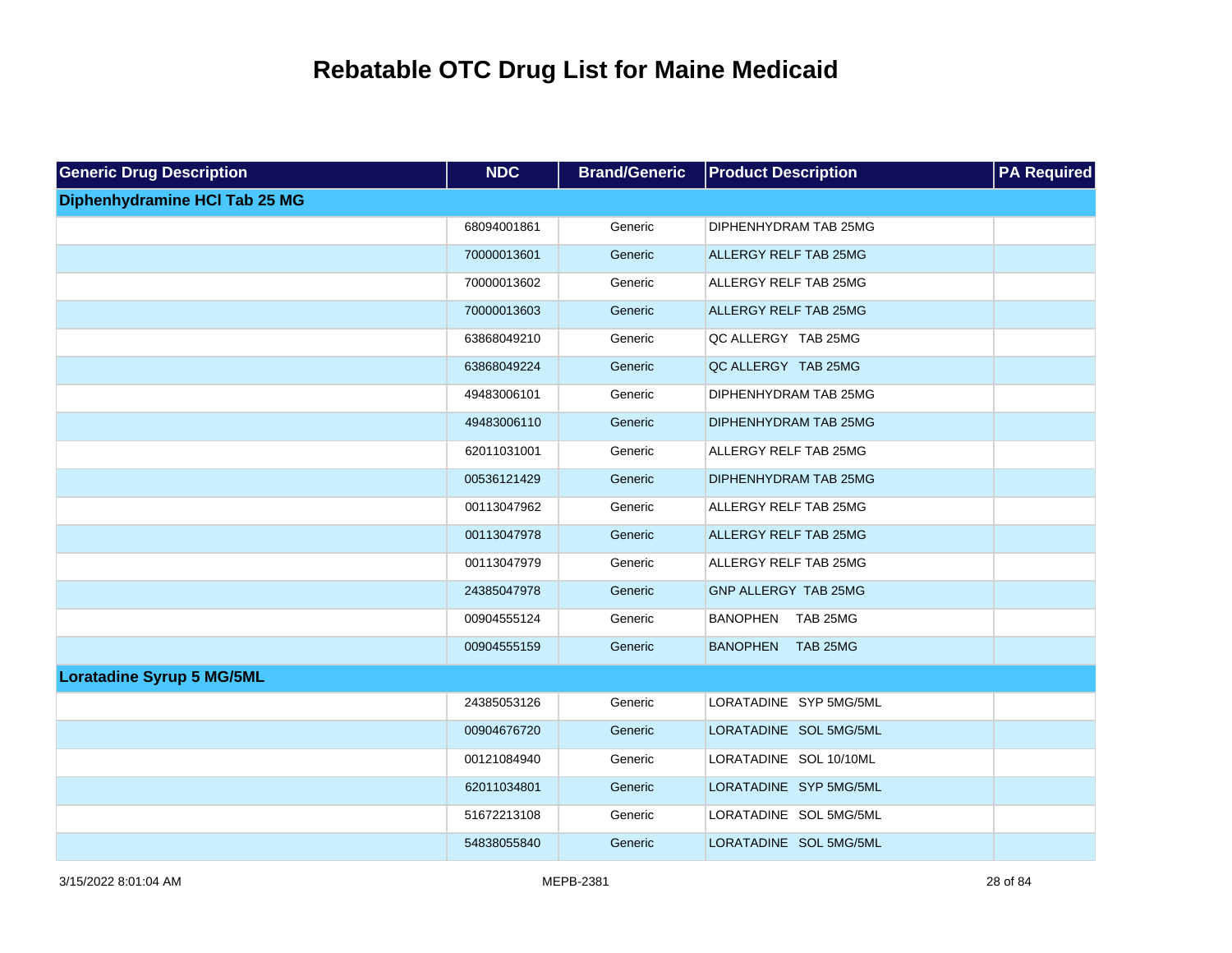| <b>Generic Drug Description</b>  | <b>NDC</b>  | <b>Brand/Generic</b> | <b>Product Description</b>   | <b>PA Required</b> |
|----------------------------------|-------------|----------------------|------------------------------|--------------------|
| Diphenhydramine HCI Tab 25 MG    |             |                      |                              |                    |
|                                  | 68094001861 | Generic              | DIPHENHYDRAM TAB 25MG        |                    |
|                                  | 70000013601 | Generic              | <b>ALLERGY RELF TAB 25MG</b> |                    |
|                                  | 70000013602 | Generic              | ALLERGY RELF TAB 25MG        |                    |
|                                  | 70000013603 | Generic              | <b>ALLERGY RELF TAB 25MG</b> |                    |
|                                  | 63868049210 | Generic              | QC ALLERGY TAB 25MG          |                    |
|                                  | 63868049224 | Generic              | QC ALLERGY TAB 25MG          |                    |
|                                  | 49483006101 | Generic              | DIPHENHYDRAM TAB 25MG        |                    |
|                                  | 49483006110 | Generic              | DIPHENHYDRAM TAB 25MG        |                    |
|                                  | 62011031001 | Generic              | ALLERGY RELF TAB 25MG        |                    |
|                                  | 00536121429 | Generic              | DIPHENHYDRAM TAB 25MG        |                    |
|                                  | 00113047962 | Generic              | ALLERGY RELF TAB 25MG        |                    |
|                                  | 00113047978 | Generic              | ALLERGY RELF TAB 25MG        |                    |
|                                  | 00113047979 | Generic              | ALLERGY RELF TAB 25MG        |                    |
|                                  | 24385047978 | Generic              | GNP ALLERGY TAB 25MG         |                    |
|                                  | 00904555124 | Generic              | BANOPHEN TAB 25MG            |                    |
|                                  | 00904555159 | Generic              | BANOPHEN TAB 25MG            |                    |
| <b>Loratadine Syrup 5 MG/5ML</b> |             |                      |                              |                    |
|                                  | 24385053126 | Generic              | LORATADINE SYP 5MG/5ML       |                    |
|                                  | 00904676720 | Generic              | LORATADINE SOL 5MG/5ML       |                    |
|                                  | 00121084940 | Generic              | LORATADINE SOL 10/10ML       |                    |
|                                  | 62011034801 | Generic              | LORATADINE SYP 5MG/5ML       |                    |
|                                  | 51672213108 | Generic              | LORATADINE SOL 5MG/5ML       |                    |
|                                  | 54838055840 | Generic              | LORATADINE SOL 5MG/5ML       |                    |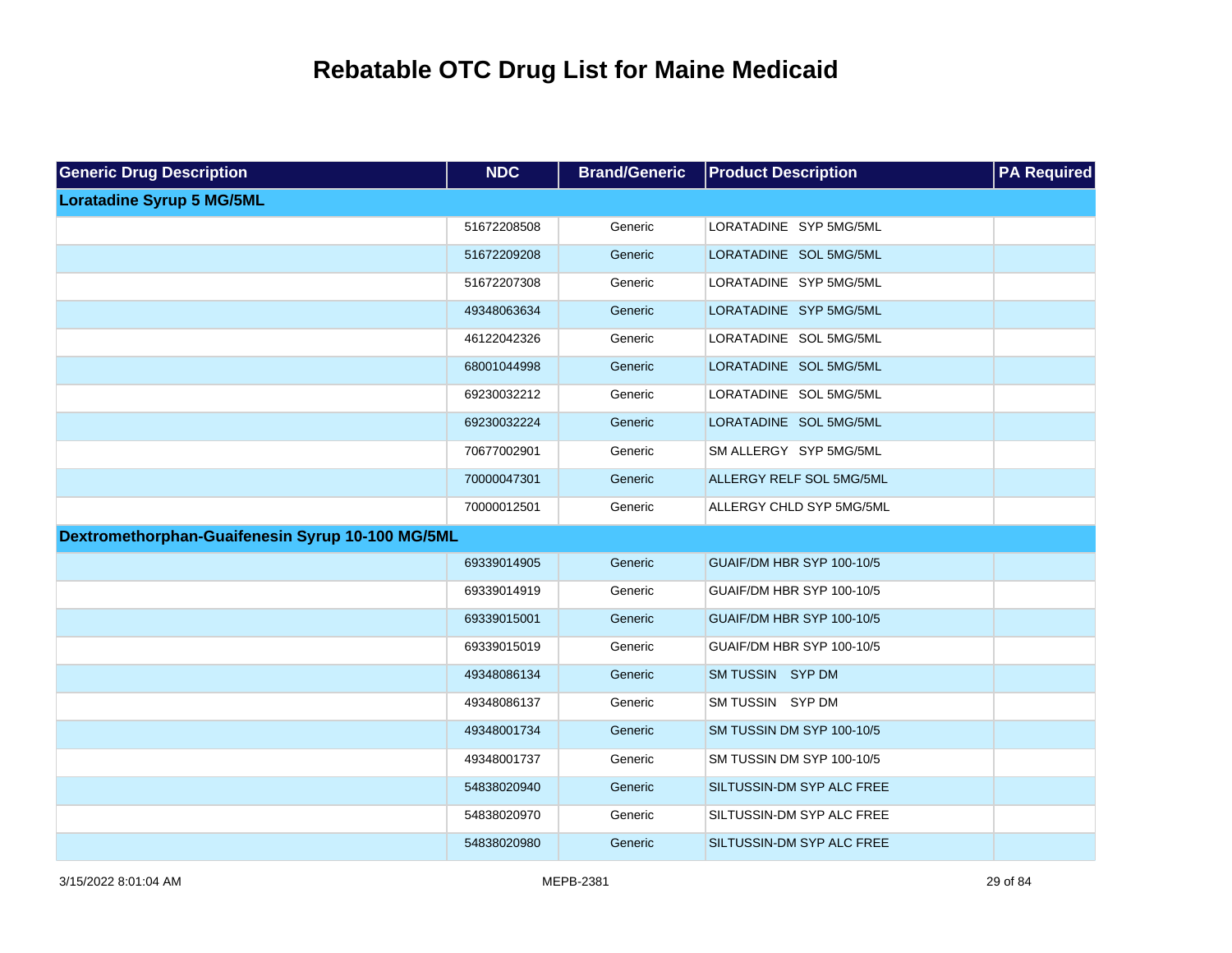| <b>Generic Drug Description</b>                  | <b>NDC</b>  | <b>Brand/Generic</b> | <b>Product Description</b> | <b>PA Required</b> |
|--------------------------------------------------|-------------|----------------------|----------------------------|--------------------|
| <b>Loratadine Syrup 5 MG/5ML</b>                 |             |                      |                            |                    |
|                                                  | 51672208508 | Generic              | LORATADINE SYP 5MG/5ML     |                    |
|                                                  | 51672209208 | Generic              | LORATADINE SOL 5MG/5ML     |                    |
|                                                  | 51672207308 | Generic              | LORATADINE SYP 5MG/5ML     |                    |
|                                                  | 49348063634 | Generic              | LORATADINE SYP 5MG/5ML     |                    |
|                                                  | 46122042326 | Generic              | LORATADINE SOL 5MG/5ML     |                    |
|                                                  | 68001044998 | Generic              | LORATADINE SOL 5MG/5ML     |                    |
|                                                  | 69230032212 | Generic              | LORATADINE SOL 5MG/5ML     |                    |
|                                                  | 69230032224 | Generic              | LORATADINE SOL 5MG/5ML     |                    |
|                                                  | 70677002901 | Generic              | SM ALLERGY SYP 5MG/5ML     |                    |
|                                                  | 70000047301 | Generic              | ALLERGY RELF SOL 5MG/5ML   |                    |
|                                                  | 70000012501 | Generic              | ALLERGY CHLD SYP 5MG/5ML   |                    |
| Dextromethorphan-Guaifenesin Syrup 10-100 MG/5ML |             |                      |                            |                    |
|                                                  | 69339014905 | Generic              | GUAIF/DM HBR SYP 100-10/5  |                    |
|                                                  | 69339014919 | Generic              | GUAIF/DM HBR SYP 100-10/5  |                    |
|                                                  | 69339015001 | Generic              | GUAIF/DM HBR SYP 100-10/5  |                    |
|                                                  | 69339015019 | Generic              | GUAIF/DM HBR SYP 100-10/5  |                    |
|                                                  | 49348086134 | Generic              | SM TUSSIN SYP DM           |                    |
|                                                  | 49348086137 | Generic              | SM TUSSIN SYP DM           |                    |
|                                                  | 49348001734 | Generic              | SM TUSSIN DM SYP 100-10/5  |                    |
|                                                  | 49348001737 | Generic              | SM TUSSIN DM SYP 100-10/5  |                    |
|                                                  | 54838020940 | Generic              | SILTUSSIN-DM SYP ALC FREE  |                    |
|                                                  | 54838020970 | Generic              | SILTUSSIN-DM SYP ALC FREE  |                    |
|                                                  | 54838020980 | Generic              | SILTUSSIN-DM SYP ALC FREE  |                    |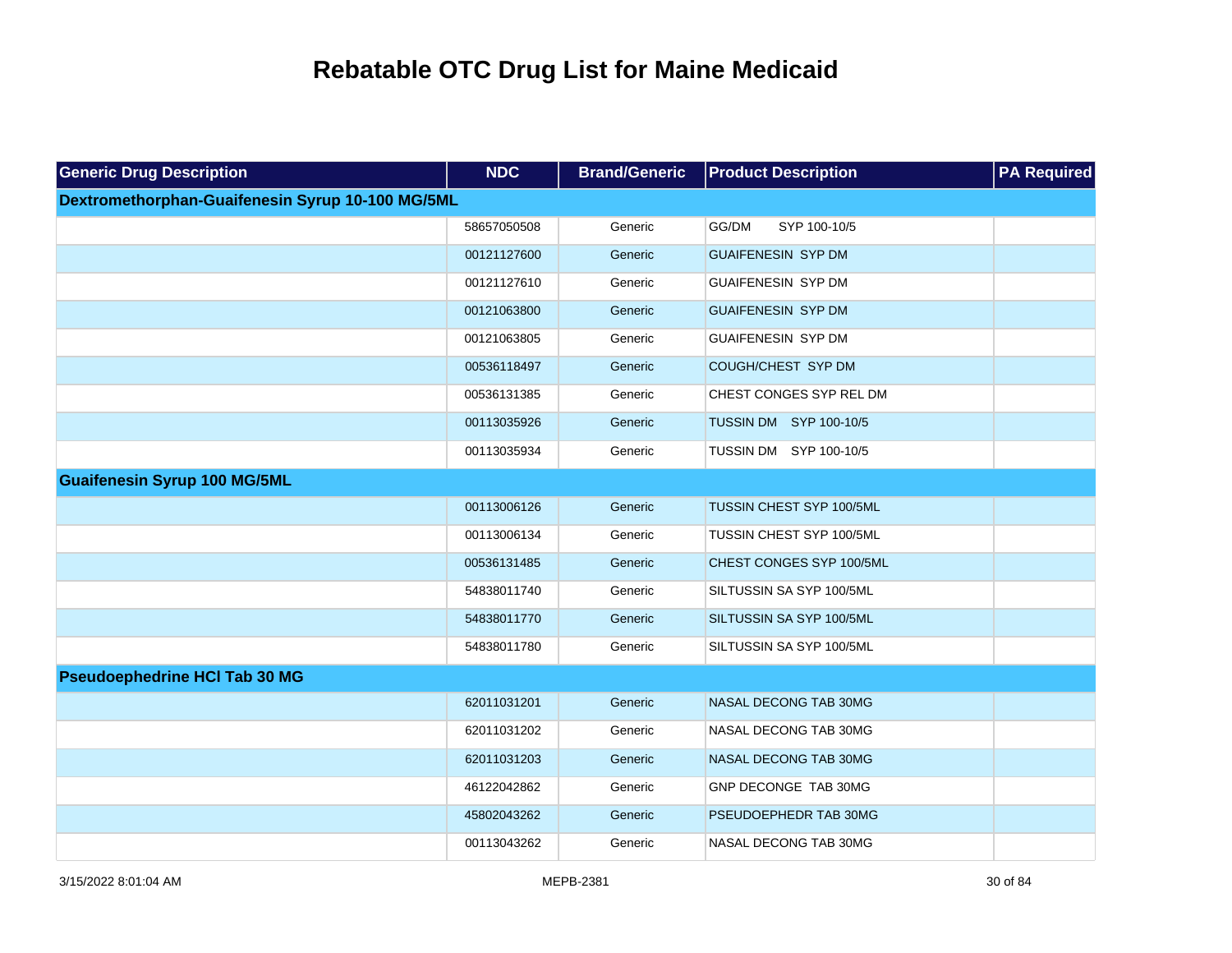| <b>Generic Drug Description</b>                  | <b>NDC</b>  | <b>Brand/Generic</b> | <b>Product Description</b>    | <b>PA Required</b> |
|--------------------------------------------------|-------------|----------------------|-------------------------------|--------------------|
| Dextromethorphan-Guaifenesin Syrup 10-100 MG/5ML |             |                      |                               |                    |
|                                                  | 58657050508 | Generic              | SYP 100-10/5<br>GG/DM         |                    |
|                                                  | 00121127600 | Generic              | <b>GUAIFENESIN SYP DM</b>     |                    |
|                                                  | 00121127610 | Generic              | <b>GUAIFENESIN SYP DM</b>     |                    |
|                                                  | 00121063800 | Generic              | <b>GUAIFENESIN SYP DM</b>     |                    |
|                                                  | 00121063805 | Generic              | <b>GUAIFENESIN SYP DM</b>     |                    |
|                                                  | 00536118497 | Generic              | COUGH/CHEST SYP DM            |                    |
|                                                  | 00536131385 | Generic              | CHEST CONGES SYP REL DM       |                    |
|                                                  | 00113035926 | Generic              | <b>TUSSIN DM SYP 100-10/5</b> |                    |
|                                                  | 00113035934 | Generic              | TUSSIN DM SYP 100-10/5        |                    |
| <b>Guaifenesin Syrup 100 MG/5ML</b>              |             |                      |                               |                    |
|                                                  | 00113006126 | Generic              | TUSSIN CHEST SYP 100/5ML      |                    |
|                                                  | 00113006134 | Generic              | TUSSIN CHEST SYP 100/5ML      |                    |
|                                                  | 00536131485 | Generic              | CHEST CONGES SYP 100/5ML      |                    |
|                                                  | 54838011740 | Generic              | SILTUSSIN SA SYP 100/5ML      |                    |
|                                                  | 54838011770 | Generic              | SILTUSSIN SA SYP 100/5ML      |                    |
|                                                  | 54838011780 | Generic              | SILTUSSIN SA SYP 100/5ML      |                    |
| <b>Pseudoephedrine HCI Tab 30 MG</b>             |             |                      |                               |                    |
|                                                  | 62011031201 | Generic              | NASAL DECONG TAB 30MG         |                    |
|                                                  | 62011031202 | Generic              | NASAL DECONG TAB 30MG         |                    |
|                                                  | 62011031203 | Generic              | NASAL DECONG TAB 30MG         |                    |
|                                                  | 46122042862 | Generic              | GNP DECONGE TAB 30MG          |                    |
|                                                  | 45802043262 | Generic              | PSEUDOEPHEDR TAB 30MG         |                    |
|                                                  | 00113043262 | Generic              | NASAL DECONG TAB 30MG         |                    |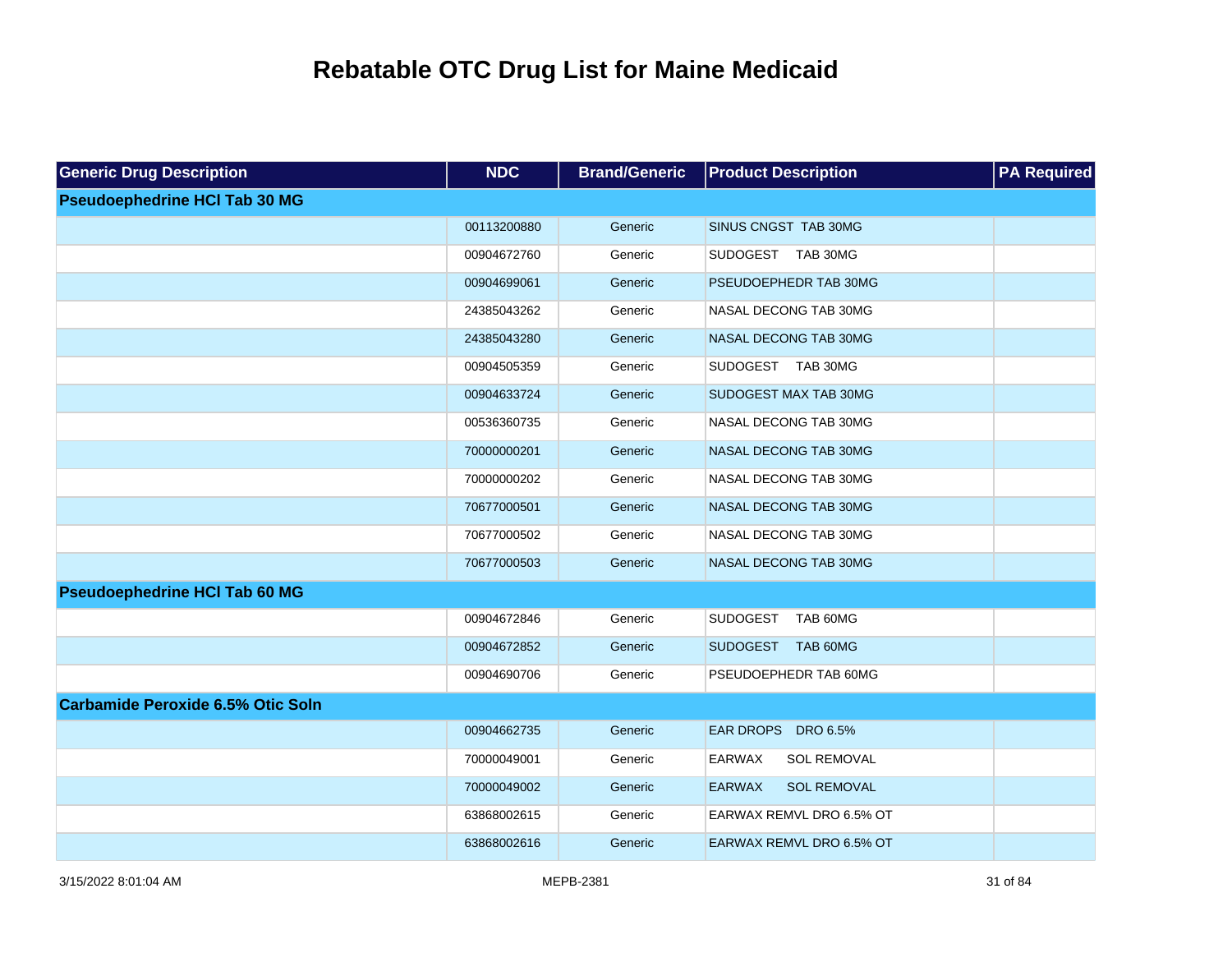| <b>Generic Drug Description</b>          | <b>NDC</b>  | <b>Brand/Generic</b> | <b>Product Description</b>          | <b>PA Required</b> |
|------------------------------------------|-------------|----------------------|-------------------------------------|--------------------|
| <b>Pseudoephedrine HCI Tab 30 MG</b>     |             |                      |                                     |                    |
|                                          | 00113200880 | Generic              | SINUS CNGST TAB 30MG                |                    |
|                                          | 00904672760 | Generic              | SUDOGEST TAB 30MG                   |                    |
|                                          | 00904699061 | Generic              | PSEUDOEPHEDR TAB 30MG               |                    |
|                                          | 24385043262 | Generic              | NASAL DECONG TAB 30MG               |                    |
|                                          | 24385043280 | Generic              | NASAL DECONG TAB 30MG               |                    |
|                                          | 00904505359 | Generic              | SUDOGEST TAB 30MG                   |                    |
|                                          | 00904633724 | Generic              | SUDOGEST MAX TAB 30MG               |                    |
|                                          | 00536360735 | Generic              | NASAL DECONG TAB 30MG               |                    |
|                                          | 70000000201 | Generic              | NASAL DECONG TAB 30MG               |                    |
|                                          | 70000000202 | Generic              | NASAL DECONG TAB 30MG               |                    |
|                                          | 70677000501 | Generic              | NASAL DECONG TAB 30MG               |                    |
|                                          | 70677000502 | Generic              | NASAL DECONG TAB 30MG               |                    |
|                                          | 70677000503 | Generic              | NASAL DECONG TAB 30MG               |                    |
| <b>Pseudoephedrine HCI Tab 60 MG</b>     |             |                      |                                     |                    |
|                                          | 00904672846 | Generic              | SUDOGEST TAB 60MG                   |                    |
|                                          | 00904672852 | Generic              | SUDOGEST TAB 60MG                   |                    |
|                                          | 00904690706 | Generic              | PSEUDOEPHEDR TAB 60MG               |                    |
| <b>Carbamide Peroxide 6.5% Otic Soln</b> |             |                      |                                     |                    |
|                                          | 00904662735 | Generic              | EAR DROPS DRO 6.5%                  |                    |
|                                          | 70000049001 | Generic              | EARWAX<br><b>SOL REMOVAL</b>        |                    |
|                                          | 70000049002 | Generic              | <b>EARWAX</b><br><b>SOL REMOVAL</b> |                    |
|                                          | 63868002615 | Generic              | EARWAX REMVL DRO 6.5% OT            |                    |
|                                          | 63868002616 | Generic              | EARWAX REMVL DRO 6.5% OT            |                    |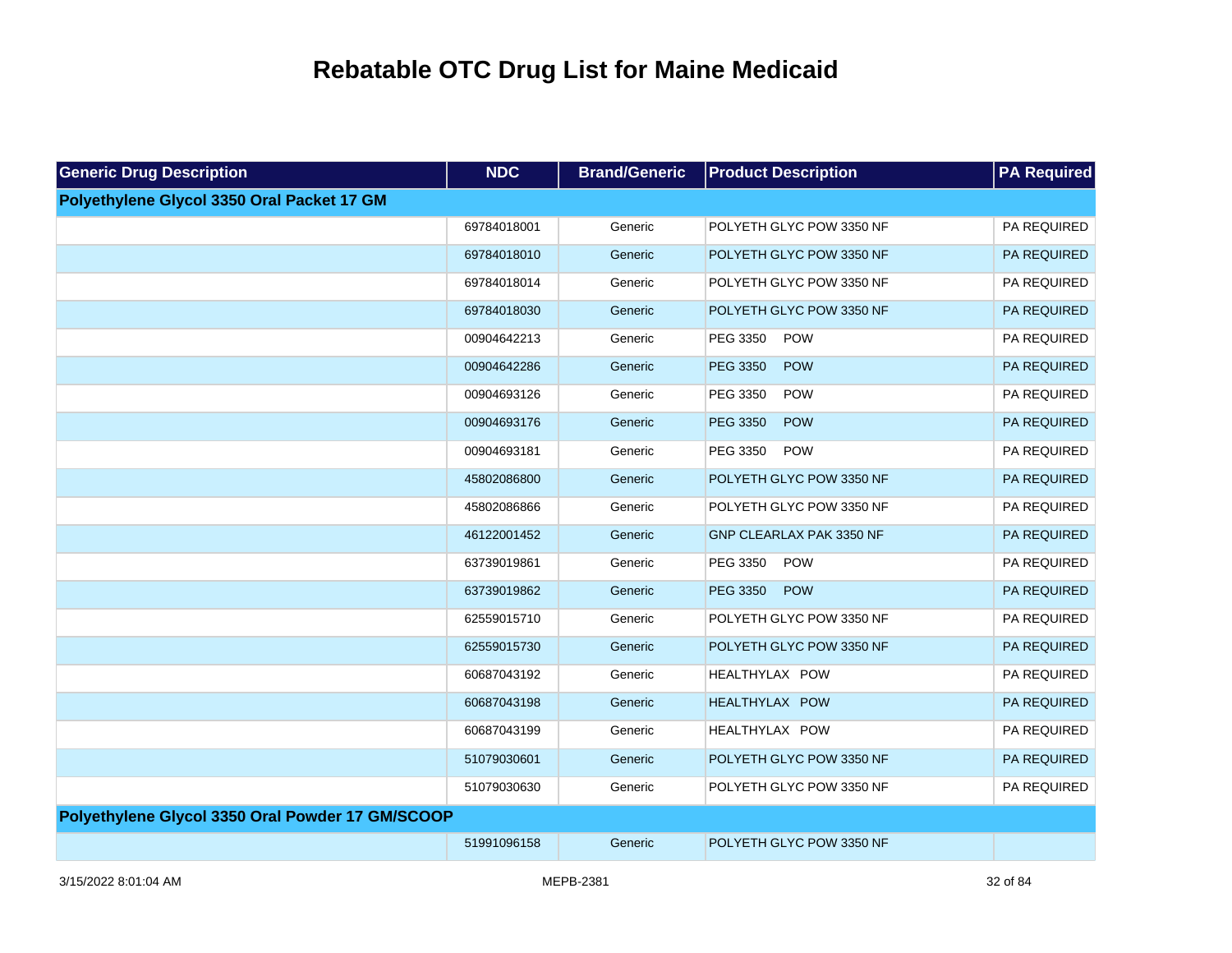| <b>Generic Drug Description</b>                  | <b>NDC</b>  | <b>Brand/Generic</b> | <b>Product Description</b> | <b>PA Required</b> |
|--------------------------------------------------|-------------|----------------------|----------------------------|--------------------|
| Polyethylene Glycol 3350 Oral Packet 17 GM       |             |                      |                            |                    |
|                                                  | 69784018001 | Generic              | POLYETH GLYC POW 3350 NF   | PA REQUIRED        |
|                                                  | 69784018010 | Generic              | POLYETH GLYC POW 3350 NF   | PA REQUIRED        |
|                                                  | 69784018014 | Generic              | POLYETH GLYC POW 3350 NF   | PA REQUIRED        |
|                                                  | 69784018030 | Generic              | POLYETH GLYC POW 3350 NF   | PA REQUIRED        |
|                                                  | 00904642213 | Generic              | PEG 3350<br><b>POW</b>     | PA REQUIRED        |
|                                                  | 00904642286 | Generic              | PEG 3350<br><b>POW</b>     | PA REQUIRED        |
|                                                  | 00904693126 | Generic              | PEG 3350<br><b>POW</b>     | PA REQUIRED        |
|                                                  | 00904693176 | Generic              | PEG 3350<br><b>POW</b>     | PA REQUIRED        |
|                                                  | 00904693181 | Generic              | PEG 3350<br><b>POW</b>     | PA REQUIRED        |
|                                                  | 45802086800 | Generic              | POLYETH GLYC POW 3350 NF   | PA REQUIRED        |
|                                                  | 45802086866 | Generic              | POLYETH GLYC POW 3350 NF   | PA REQUIRED        |
|                                                  | 46122001452 | Generic              | GNP CLEARLAX PAK 3350 NF   | PA REQUIRED        |
|                                                  | 63739019861 | Generic              | PEG 3350<br><b>POW</b>     | PA REQUIRED        |
|                                                  | 63739019862 | Generic              | <b>PEG 3350</b><br>POW     | PA REQUIRED        |
|                                                  | 62559015710 | Generic              | POLYETH GLYC POW 3350 NF   | PA REQUIRED        |
|                                                  | 62559015730 | Generic              | POLYETH GLYC POW 3350 NF   | PA REQUIRED        |
|                                                  | 60687043192 | Generic              | HEALTHYLAX POW             | PA REQUIRED        |
|                                                  | 60687043198 | Generic              | HEALTHYLAX POW             | PA REQUIRED        |
|                                                  | 60687043199 | Generic              | HEALTHYLAX POW             | PA REQUIRED        |
|                                                  | 51079030601 | Generic              | POLYETH GLYC POW 3350 NF   | PA REQUIRED        |
|                                                  | 51079030630 | Generic              | POLYETH GLYC POW 3350 NF   | PA REQUIRED        |
| Polyethylene Glycol 3350 Oral Powder 17 GM/SCOOP |             |                      |                            |                    |
|                                                  | 51991096158 | Generic              | POLYETH GLYC POW 3350 NF   |                    |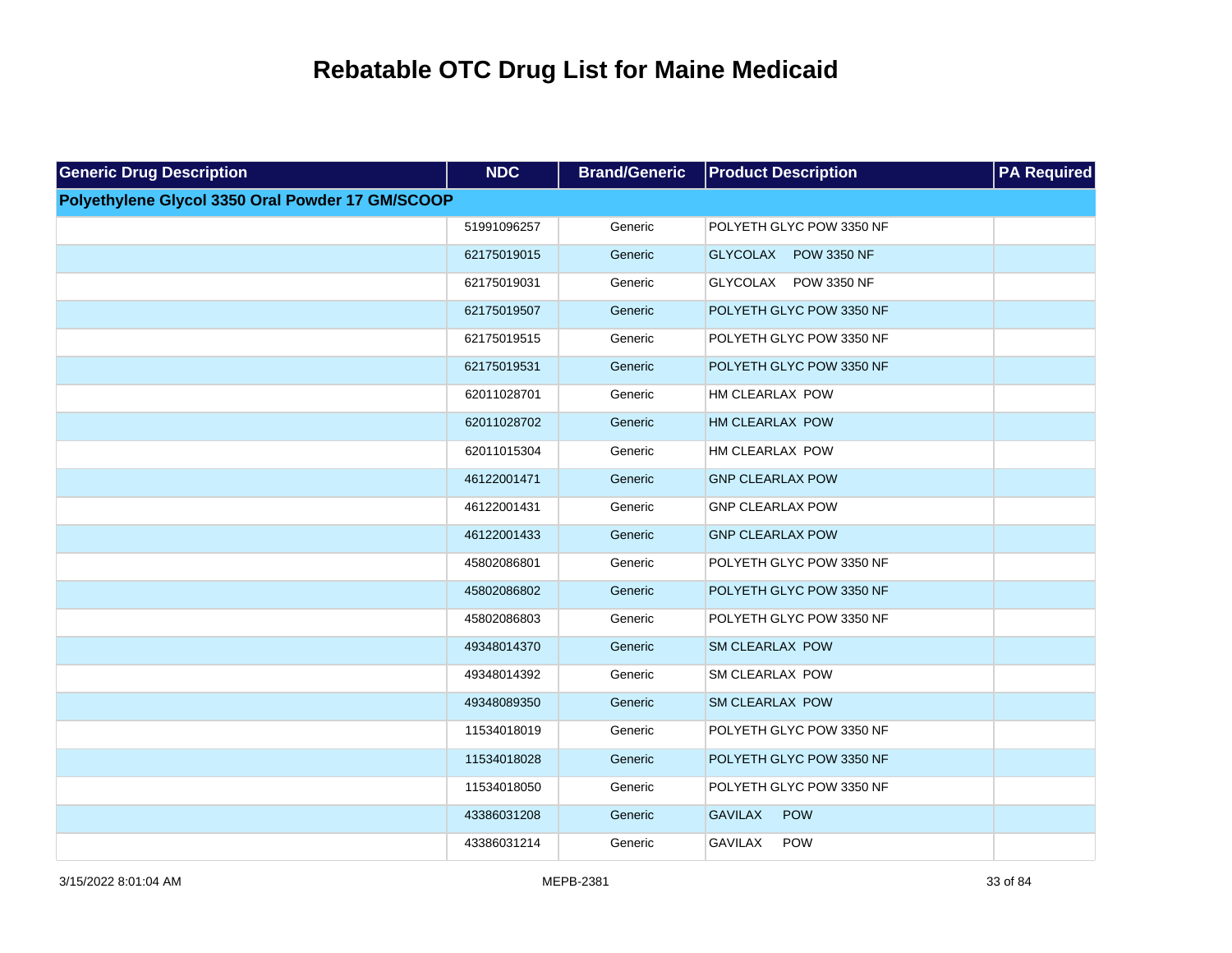| <b>Generic Drug Description</b>                  | <b>NDC</b>  | <b>Brand/Generic</b> | <b>Product Description</b>   | <b>PA Required</b> |
|--------------------------------------------------|-------------|----------------------|------------------------------|--------------------|
| Polyethylene Glycol 3350 Oral Powder 17 GM/SCOOP |             |                      |                              |                    |
|                                                  | 51991096257 | Generic              | POLYETH GLYC POW 3350 NF     |                    |
|                                                  | 62175019015 | Generic              | GLYCOLAX POW 3350 NF         |                    |
|                                                  | 62175019031 | Generic              | GLYCOLAX POW 3350 NF         |                    |
|                                                  | 62175019507 | Generic              | POLYETH GLYC POW 3350 NF     |                    |
|                                                  | 62175019515 | Generic              | POLYETH GLYC POW 3350 NF     |                    |
|                                                  | 62175019531 | Generic              | POLYETH GLYC POW 3350 NF     |                    |
|                                                  | 62011028701 | Generic              | HM CLEARLAX POW              |                    |
|                                                  | 62011028702 | Generic              | <b>HM CLEARLAX POW</b>       |                    |
|                                                  | 62011015304 | Generic              | HM CLEARLAX POW              |                    |
|                                                  | 46122001471 | Generic              | <b>GNP CLEARLAX POW</b>      |                    |
|                                                  | 46122001431 | Generic              | <b>GNP CLEARLAX POW</b>      |                    |
|                                                  | 46122001433 | Generic              | <b>GNP CLEARLAX POW</b>      |                    |
|                                                  | 45802086801 | Generic              | POLYETH GLYC POW 3350 NF     |                    |
|                                                  | 45802086802 | Generic              | POLYETH GLYC POW 3350 NF     |                    |
|                                                  | 45802086803 | Generic              | POLYETH GLYC POW 3350 NF     |                    |
|                                                  | 49348014370 | Generic              | <b>SM CLEARLAX POW</b>       |                    |
|                                                  | 49348014392 | Generic              | <b>SM CLEARLAX POW</b>       |                    |
|                                                  | 49348089350 | Generic              | <b>SM CLEARLAX POW</b>       |                    |
|                                                  | 11534018019 | Generic              | POLYETH GLYC POW 3350 NF     |                    |
|                                                  | 11534018028 | Generic              | POLYETH GLYC POW 3350 NF     |                    |
|                                                  | 11534018050 | Generic              | POLYETH GLYC POW 3350 NF     |                    |
|                                                  | 43386031208 | Generic              | <b>GAVILAX</b><br>POW        |                    |
|                                                  | 43386031214 | Generic              | <b>GAVILAX</b><br><b>POW</b> |                    |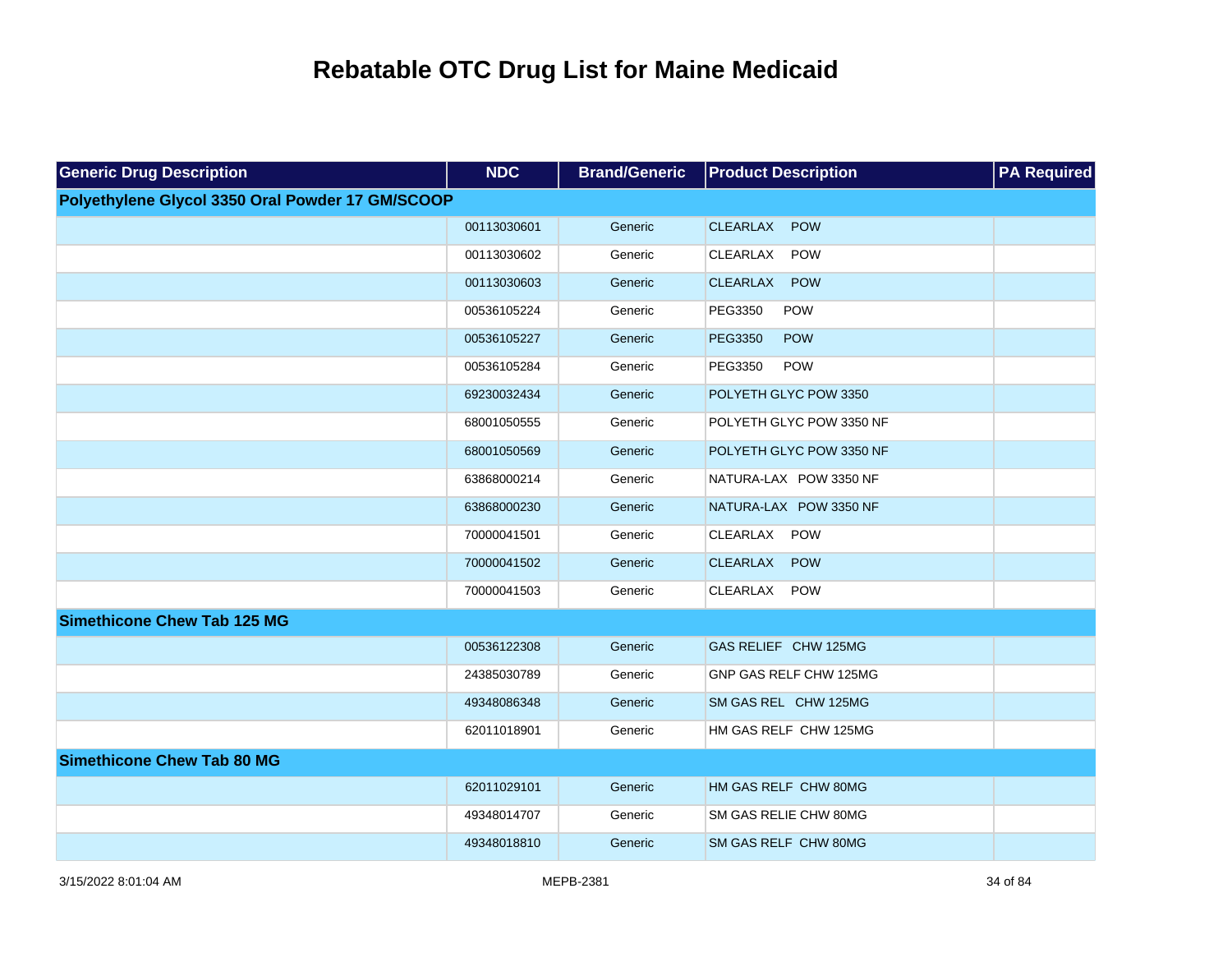| <b>Generic Drug Description</b>                  | <b>NDC</b>  | <b>Brand/Generic</b> | <b>Product Description</b>    | <b>PA Required</b> |
|--------------------------------------------------|-------------|----------------------|-------------------------------|--------------------|
| Polyethylene Glycol 3350 Oral Powder 17 GM/SCOOP |             |                      |                               |                    |
|                                                  | 00113030601 | Generic              | <b>CLEARLAX</b><br>POW        |                    |
|                                                  | 00113030602 | Generic              | <b>CLEARLAX</b><br><b>POW</b> |                    |
|                                                  | 00113030603 | Generic              | <b>CLEARLAX</b><br><b>POW</b> |                    |
|                                                  | 00536105224 | Generic              | POW<br>PEG3350                |                    |
|                                                  | 00536105227 | Generic              | <b>PEG3350</b><br><b>POW</b>  |                    |
|                                                  | 00536105284 | Generic              | POW<br>PEG3350                |                    |
|                                                  | 69230032434 | Generic              | POLYETH GLYC POW 3350         |                    |
|                                                  | 68001050555 | Generic              | POLYETH GLYC POW 3350 NF      |                    |
|                                                  | 68001050569 | Generic              | POLYETH GLYC POW 3350 NF      |                    |
|                                                  | 63868000214 | Generic              | NATURA-LAX POW 3350 NF        |                    |
|                                                  | 63868000230 | Generic              | NATURA-LAX POW 3350 NF        |                    |
|                                                  | 70000041501 | Generic              | CLEARLAX<br><b>POW</b>        |                    |
|                                                  | 70000041502 | Generic              | POW<br><b>CLEARLAX</b>        |                    |
|                                                  | 70000041503 | Generic              | POW<br>CLEARLAX               |                    |
| <b>Simethicone Chew Tab 125 MG</b>               |             |                      |                               |                    |
|                                                  | 00536122308 | Generic              | GAS RELIEF CHW 125MG          |                    |
|                                                  | 24385030789 | Generic              | GNP GAS RELF CHW 125MG        |                    |
|                                                  | 49348086348 | Generic              | SM GAS REL CHW 125MG          |                    |
|                                                  | 62011018901 | Generic              | HM GAS RELF CHW 125MG         |                    |
| <b>Simethicone Chew Tab 80 MG</b>                |             |                      |                               |                    |
|                                                  | 62011029101 | Generic              | HM GAS RELF CHW 80MG          |                    |
|                                                  | 49348014707 | Generic              | SM GAS RELIE CHW 80MG         |                    |
|                                                  | 49348018810 | Generic              | SM GAS RELF CHW 80MG          |                    |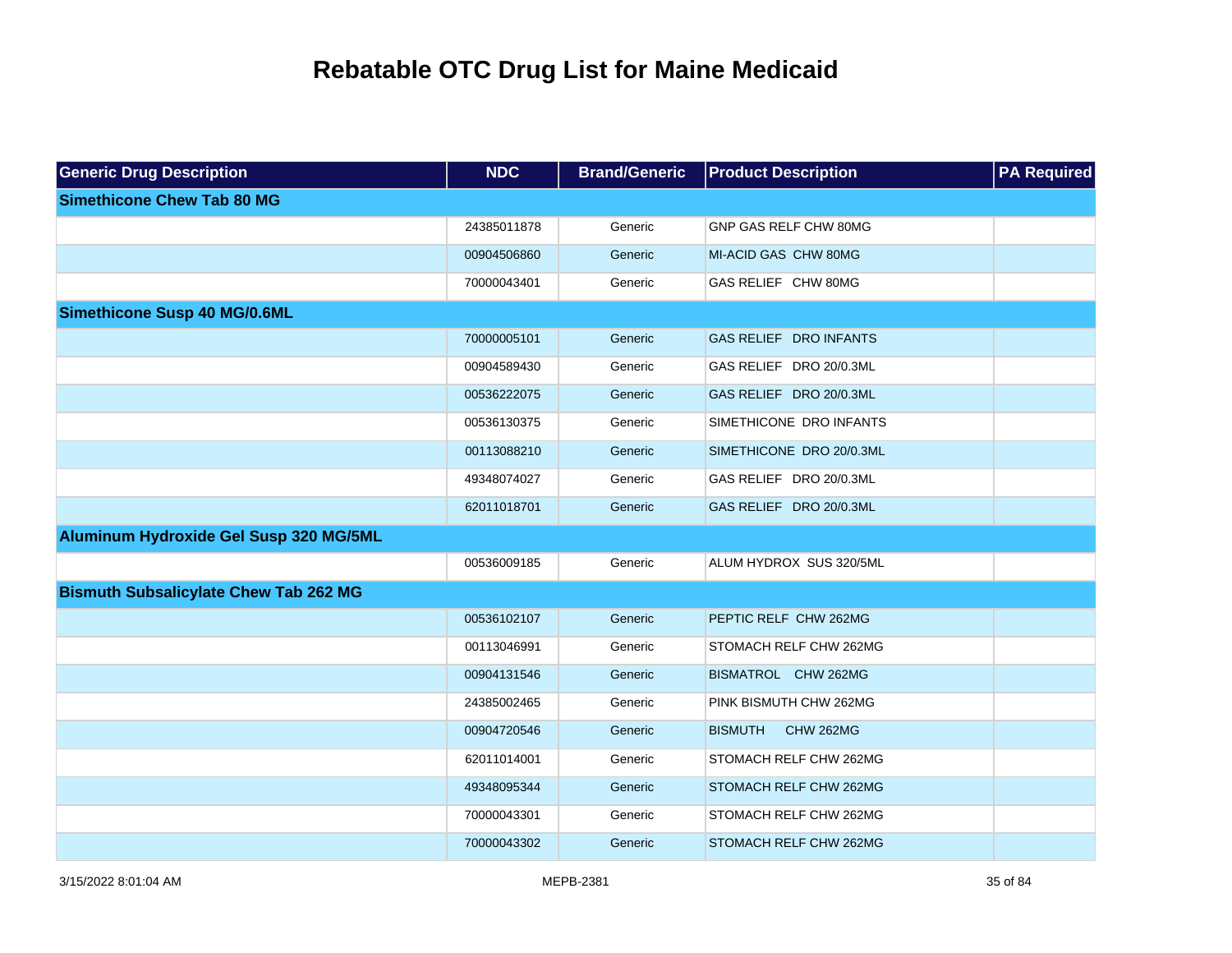| <b>Generic Drug Description</b>              | <b>NDC</b>  | <b>Brand/Generic</b> | <b>Product Description</b>         | <b>PA Required</b> |
|----------------------------------------------|-------------|----------------------|------------------------------------|--------------------|
| <b>Simethicone Chew Tab 80 MG</b>            |             |                      |                                    |                    |
|                                              | 24385011878 | Generic              | GNP GAS RELF CHW 80MG              |                    |
|                                              | 00904506860 | Generic              | MI-ACID GAS CHW 80MG               |                    |
|                                              | 70000043401 | Generic              | GAS RELIEF CHW 80MG                |                    |
| <b>Simethicone Susp 40 MG/0.6ML</b>          |             |                      |                                    |                    |
|                                              | 70000005101 | Generic              | GAS RELIEF DRO INFANTS             |                    |
|                                              | 00904589430 | Generic              | GAS RELIEF DRO 20/0.3ML            |                    |
|                                              | 00536222075 | Generic              | GAS RELIEF DRO 20/0.3ML            |                    |
|                                              | 00536130375 | Generic              | SIMETHICONE DRO INFANTS            |                    |
|                                              | 00113088210 | Generic              | SIMETHICONE DRO 20/0.3ML           |                    |
|                                              | 49348074027 | Generic              | GAS RELIEF DRO 20/0.3ML            |                    |
|                                              | 62011018701 | Generic              | GAS RELIEF DRO 20/0.3ML            |                    |
| Aluminum Hydroxide Gel Susp 320 MG/5ML       |             |                      |                                    |                    |
|                                              | 00536009185 | Generic              | ALUM HYDROX SUS 320/5ML            |                    |
| <b>Bismuth Subsalicylate Chew Tab 262 MG</b> |             |                      |                                    |                    |
|                                              | 00536102107 | Generic              | PEPTIC RELF CHW 262MG              |                    |
|                                              | 00113046991 | Generic              | STOMACH RELF CHW 262MG             |                    |
|                                              | 00904131546 | Generic              | BISMATROL CHW 262MG                |                    |
|                                              | 24385002465 | Generic              | PINK BISMUTH CHW 262MG             |                    |
|                                              | 00904720546 | Generic              | <b>BISMUTH</b><br><b>CHW 262MG</b> |                    |
|                                              | 62011014001 | Generic              | STOMACH RELF CHW 262MG             |                    |
|                                              | 49348095344 | Generic              | STOMACH RELF CHW 262MG             |                    |
|                                              | 70000043301 | Generic              | STOMACH RELF CHW 262MG             |                    |
|                                              | 70000043302 | Generic              | STOMACH RELF CHW 262MG             |                    |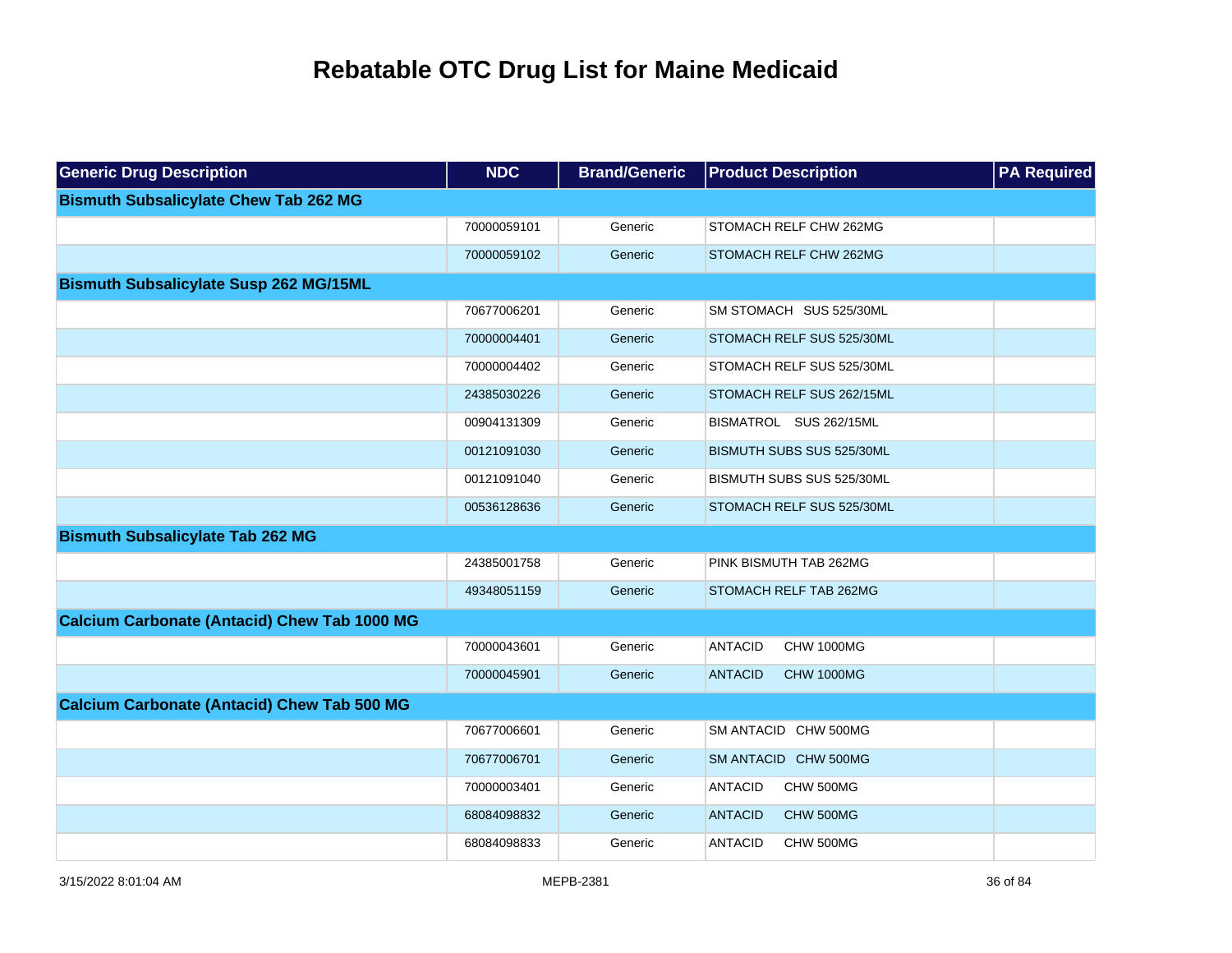| <b>Generic Drug Description</b>                     | <b>NDC</b>  | <b>Brand/Generic</b> | <b>Product Description</b>          | <b>PA Required</b> |
|-----------------------------------------------------|-------------|----------------------|-------------------------------------|--------------------|
| <b>Bismuth Subsalicylate Chew Tab 262 MG</b>        |             |                      |                                     |                    |
|                                                     | 70000059101 | Generic              | STOMACH RELF CHW 262MG              |                    |
|                                                     | 70000059102 | Generic              | STOMACH RELF CHW 262MG              |                    |
| <b>Bismuth Subsalicylate Susp 262 MG/15ML</b>       |             |                      |                                     |                    |
|                                                     | 70677006201 | Generic              | SM STOMACH SUS 525/30ML             |                    |
|                                                     | 70000004401 | Generic              | STOMACH RELF SUS 525/30ML           |                    |
|                                                     | 70000004402 | Generic              | STOMACH RELF SUS 525/30ML           |                    |
|                                                     | 24385030226 | Generic              | STOMACH RELF SUS 262/15ML           |                    |
|                                                     | 00904131309 | Generic              | BISMATROL SUS 262/15ML              |                    |
|                                                     | 00121091030 | Generic              | BISMUTH SUBS SUS 525/30ML           |                    |
|                                                     | 00121091040 | Generic              | BISMUTH SUBS SUS 525/30ML           |                    |
|                                                     | 00536128636 | Generic              | STOMACH RELF SUS 525/30ML           |                    |
| <b>Bismuth Subsalicylate Tab 262 MG</b>             |             |                      |                                     |                    |
|                                                     | 24385001758 | Generic              | PINK BISMUTH TAB 262MG              |                    |
|                                                     | 49348051159 | Generic              | STOMACH RELF TAB 262MG              |                    |
| <b>Calcium Carbonate (Antacid) Chew Tab 1000 MG</b> |             |                      |                                     |                    |
|                                                     | 70000043601 | Generic              | <b>ANTACID</b><br><b>CHW 1000MG</b> |                    |
|                                                     | 70000045901 | Generic              | <b>ANTACID</b><br><b>CHW 1000MG</b> |                    |
| <b>Calcium Carbonate (Antacid) Chew Tab 500 MG</b>  |             |                      |                                     |                    |
|                                                     | 70677006601 | Generic              | SM ANTACID CHW 500MG                |                    |
|                                                     | 70677006701 | Generic              | SM ANTACID CHW 500MG                |                    |
|                                                     | 70000003401 | Generic              | <b>ANTACID</b><br>CHW 500MG         |                    |
|                                                     | 68084098832 | Generic              | <b>ANTACID</b><br>CHW 500MG         |                    |
|                                                     | 68084098833 | Generic              | <b>ANTACID</b><br>CHW 500MG         |                    |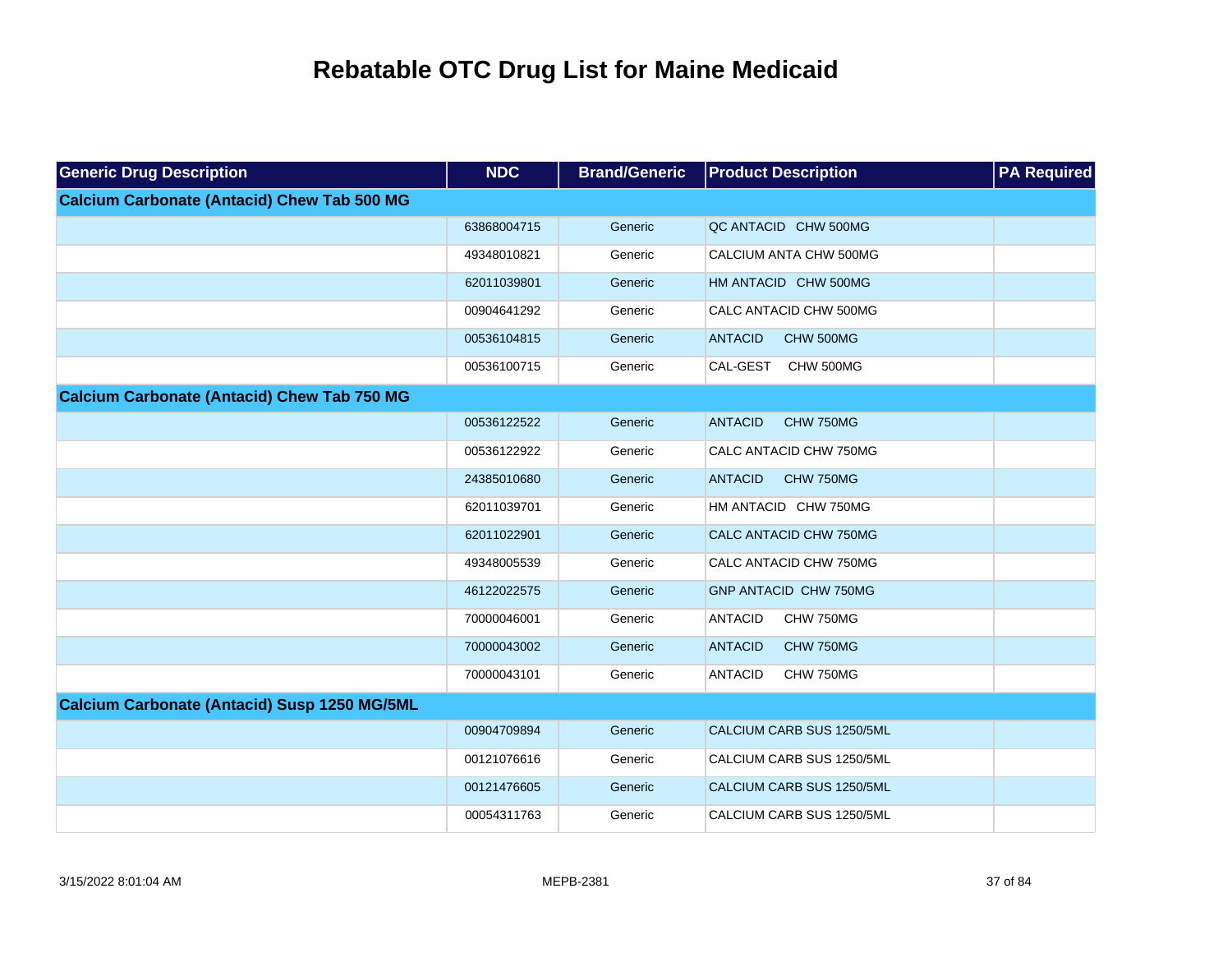| <b>Generic Drug Description</b>                     | <b>NDC</b>  | <b>Brand/Generic</b> | <b>Product Description</b>   | <b>PA Required</b> |
|-----------------------------------------------------|-------------|----------------------|------------------------------|--------------------|
| <b>Calcium Carbonate (Antacid) Chew Tab 500 MG</b>  |             |                      |                              |                    |
|                                                     | 63868004715 | Generic              | QC ANTACID CHW 500MG         |                    |
|                                                     | 49348010821 | Generic              | CALCIUM ANTA CHW 500MG       |                    |
|                                                     | 62011039801 | Generic              | HM ANTACID CHW 500MG         |                    |
|                                                     | 00904641292 | Generic              | CALC ANTACID CHW 500MG       |                    |
|                                                     | 00536104815 | Generic              | <b>ANTACID</b><br>CHW 500MG  |                    |
|                                                     | 00536100715 | Generic              | CAL-GEST<br>CHW 500MG        |                    |
| <b>Calcium Carbonate (Antacid) Chew Tab 750 MG</b>  |             |                      |                              |                    |
|                                                     | 00536122522 | Generic              | <b>ANTACID</b><br>CHW 750MG  |                    |
|                                                     | 00536122922 | Generic              | CALC ANTACID CHW 750MG       |                    |
|                                                     | 24385010680 | Generic              | <b>ANTACID</b><br>CHW 750MG  |                    |
|                                                     | 62011039701 | Generic              | HM ANTACID CHW 750MG         |                    |
|                                                     | 62011022901 | Generic              | CALC ANTACID CHW 750MG       |                    |
|                                                     | 49348005539 | Generic              | CALC ANTACID CHW 750MG       |                    |
|                                                     | 46122022575 | Generic              | <b>GNP ANTACID CHW 750MG</b> |                    |
|                                                     | 70000046001 | Generic              | <b>ANTACID</b><br>CHW 750MG  |                    |
|                                                     | 70000043002 | Generic              | <b>ANTACID</b><br>CHW 750MG  |                    |
|                                                     | 70000043101 | Generic              | <b>ANTACID</b><br>CHW 750MG  |                    |
| <b>Calcium Carbonate (Antacid) Susp 1250 MG/5ML</b> |             |                      |                              |                    |
|                                                     | 00904709894 | Generic              | CALCIUM CARB SUS 1250/5ML    |                    |
|                                                     | 00121076616 | Generic              | CALCIUM CARB SUS 1250/5ML    |                    |
|                                                     | 00121476605 | Generic              | CALCIUM CARB SUS 1250/5ML    |                    |
|                                                     | 00054311763 | Generic              | CALCIUM CARB SUS 1250/5ML    |                    |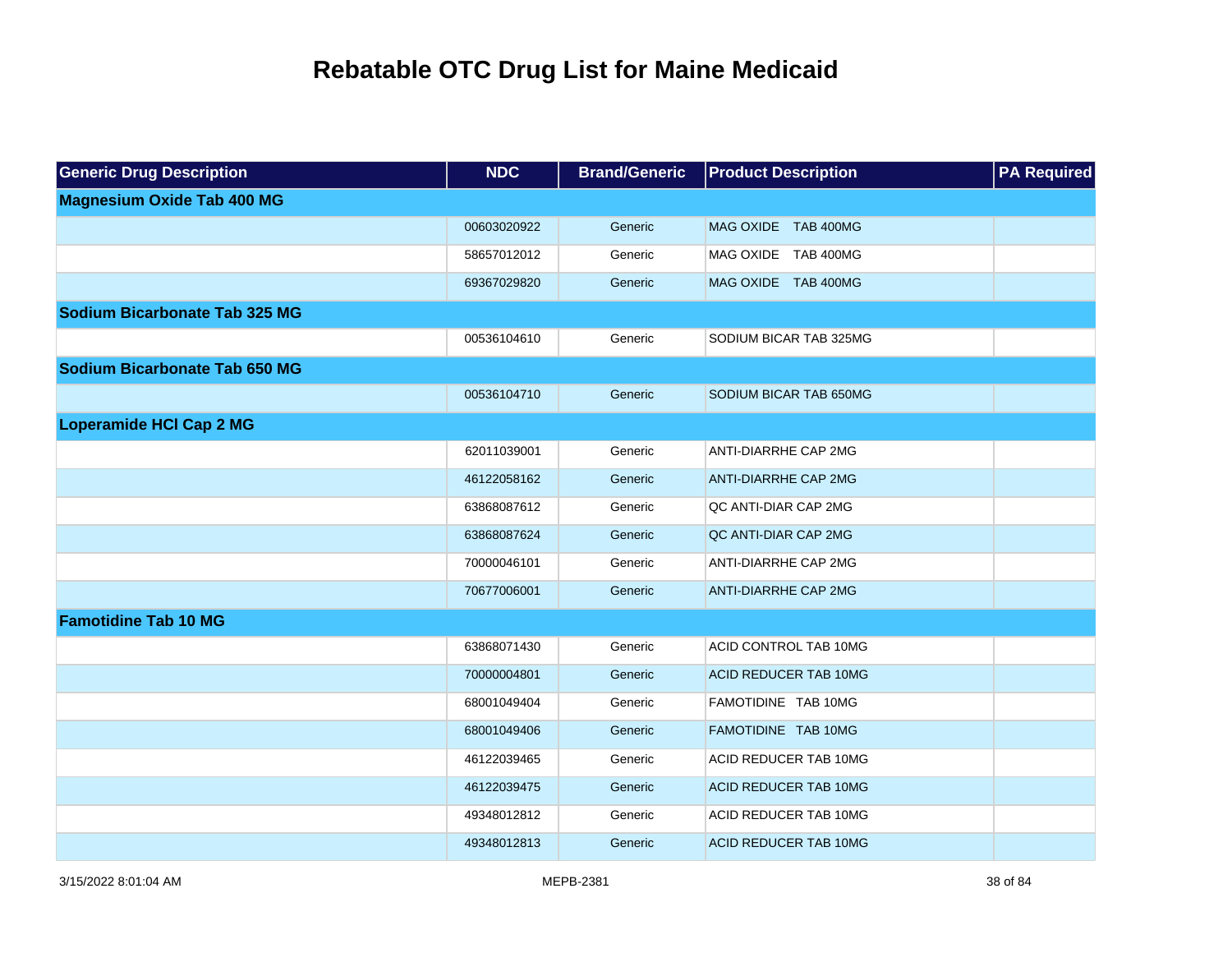| <b>Generic Drug Description</b>      | <b>NDC</b>  | <b>Brand/Generic</b> | <b>Product Description</b>   | <b>PA Required</b> |
|--------------------------------------|-------------|----------------------|------------------------------|--------------------|
| <b>Magnesium Oxide Tab 400 MG</b>    |             |                      |                              |                    |
|                                      | 00603020922 | Generic              | MAG OXIDE TAB 400MG          |                    |
|                                      | 58657012012 | Generic              | MAG OXIDE TAB 400MG          |                    |
|                                      | 69367029820 | Generic              | MAG OXIDE TAB 400MG          |                    |
| <b>Sodium Bicarbonate Tab 325 MG</b> |             |                      |                              |                    |
|                                      | 00536104610 | Generic              | SODIUM BICAR TAB 325MG       |                    |
| Sodium Bicarbonate Tab 650 MG        |             |                      |                              |                    |
|                                      | 00536104710 | Generic              | SODIUM BICAR TAB 650MG       |                    |
| <b>Loperamide HCI Cap 2 MG</b>       |             |                      |                              |                    |
|                                      | 62011039001 | Generic              | ANTI-DIARRHE CAP 2MG         |                    |
|                                      | 46122058162 | Generic              | <b>ANTI-DIARRHE CAP 2MG</b>  |                    |
|                                      | 63868087612 | Generic              | QC ANTI-DIAR CAP 2MG         |                    |
|                                      | 63868087624 | Generic              | QC ANTI-DIAR CAP 2MG         |                    |
|                                      | 70000046101 | Generic              | ANTI-DIARRHE CAP 2MG         |                    |
|                                      | 70677006001 | Generic              | <b>ANTI-DIARRHE CAP 2MG</b>  |                    |
| <b>Famotidine Tab 10 MG</b>          |             |                      |                              |                    |
|                                      | 63868071430 | Generic              | ACID CONTROL TAB 10MG        |                    |
|                                      | 70000004801 | Generic              | <b>ACID REDUCER TAB 10MG</b> |                    |
|                                      | 68001049404 | Generic              | FAMOTIDINE TAB 10MG          |                    |
|                                      | 68001049406 | Generic              | FAMOTIDINE TAB 10MG          |                    |
|                                      | 46122039465 | Generic              | ACID REDUCER TAB 10MG        |                    |
|                                      | 46122039475 | Generic              | <b>ACID REDUCER TAB 10MG</b> |                    |
|                                      | 49348012812 | Generic              | ACID REDUCER TAB 10MG        |                    |
|                                      | 49348012813 | Generic              | <b>ACID REDUCER TAB 10MG</b> |                    |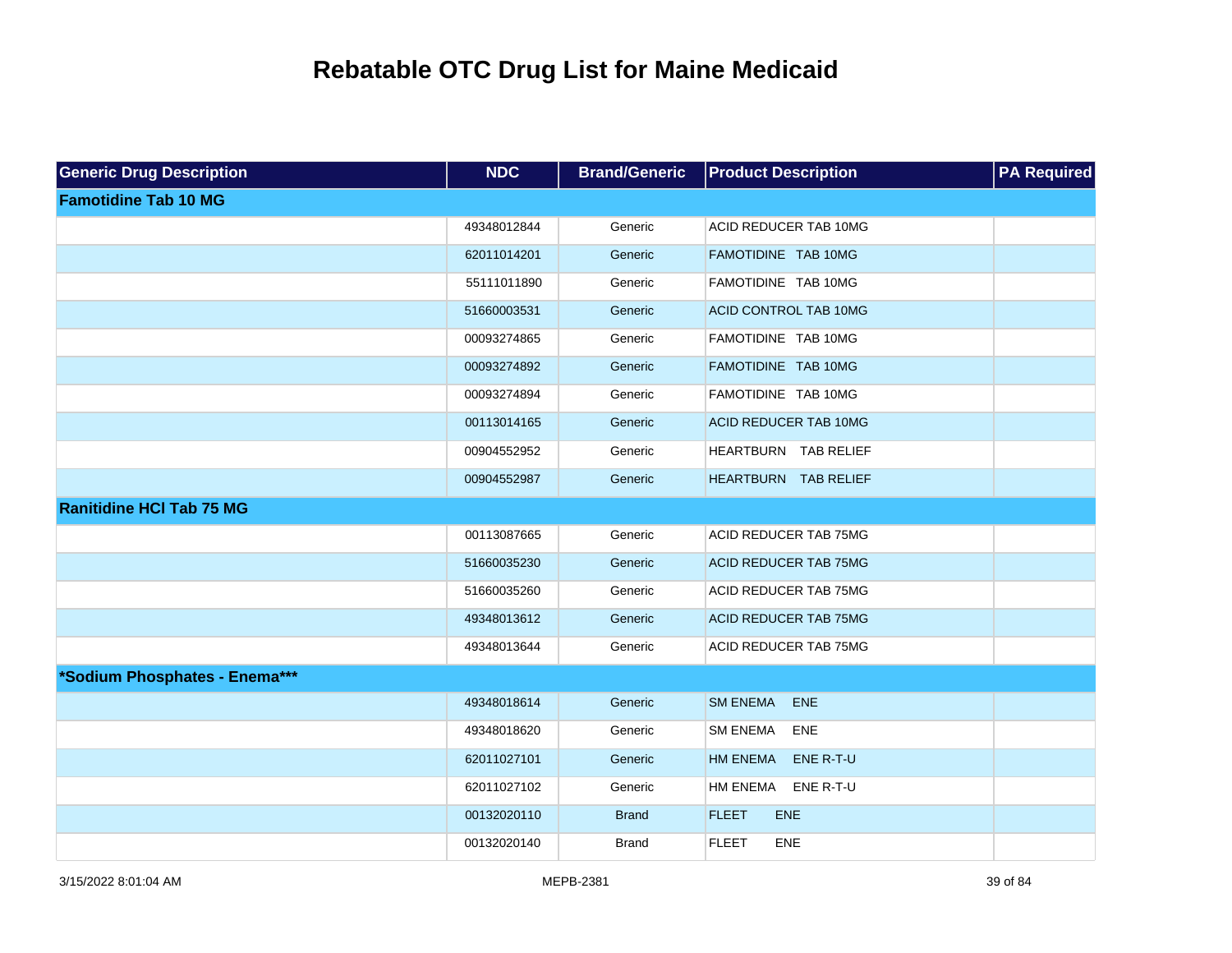| <b>Generic Drug Description</b> | <b>NDC</b>  | <b>Brand/Generic</b> | <b>Product Description</b>   | <b>PA Required</b> |
|---------------------------------|-------------|----------------------|------------------------------|--------------------|
| <b>Famotidine Tab 10 MG</b>     |             |                      |                              |                    |
|                                 | 49348012844 | Generic              | ACID REDUCER TAB 10MG        |                    |
|                                 | 62011014201 | Generic              | FAMOTIDINE TAB 10MG          |                    |
|                                 | 55111011890 | Generic              | FAMOTIDINE TAB 10MG          |                    |
|                                 | 51660003531 | Generic              | ACID CONTROL TAB 10MG        |                    |
|                                 | 00093274865 | Generic              | FAMOTIDINE TAB 10MG          |                    |
|                                 | 00093274892 | Generic              | FAMOTIDINE TAB 10MG          |                    |
|                                 | 00093274894 | Generic              | FAMOTIDINE TAB 10MG          |                    |
|                                 | 00113014165 | Generic              | <b>ACID REDUCER TAB 10MG</b> |                    |
|                                 | 00904552952 | Generic              | HEARTBURN TAB RELIEF         |                    |
|                                 | 00904552987 | Generic              | HEARTBURN TAB RELIEF         |                    |
| <b>Ranitidine HCI Tab 75 MG</b> |             |                      |                              |                    |
|                                 | 00113087665 | Generic              | <b>ACID REDUCER TAB 75MG</b> |                    |
|                                 | 51660035230 | Generic              | ACID REDUCER TAB 75MG        |                    |
|                                 | 51660035260 | Generic              | ACID REDUCER TAB 75MG        |                    |
|                                 | 49348013612 | Generic              | <b>ACID REDUCER TAB 75MG</b> |                    |
|                                 | 49348013644 | Generic              | ACID REDUCER TAB 75MG        |                    |
| *Sodium Phosphates - Enema***   |             |                      |                              |                    |
|                                 | 49348018614 | Generic              | <b>SM ENEMA</b><br>ENE       |                    |
|                                 | 49348018620 | Generic              | <b>SM ENEMA</b><br>ENE       |                    |
|                                 | 62011027101 | Generic              | <b>HM ENEMA</b><br>ENE R-T-U |                    |
|                                 | 62011027102 | Generic              | HM ENEMA<br>ENE R-T-U        |                    |
|                                 | 00132020110 | <b>Brand</b>         | <b>FLEET</b><br><b>ENE</b>   |                    |
|                                 | 00132020140 | <b>Brand</b>         | <b>FLEET</b><br><b>ENE</b>   |                    |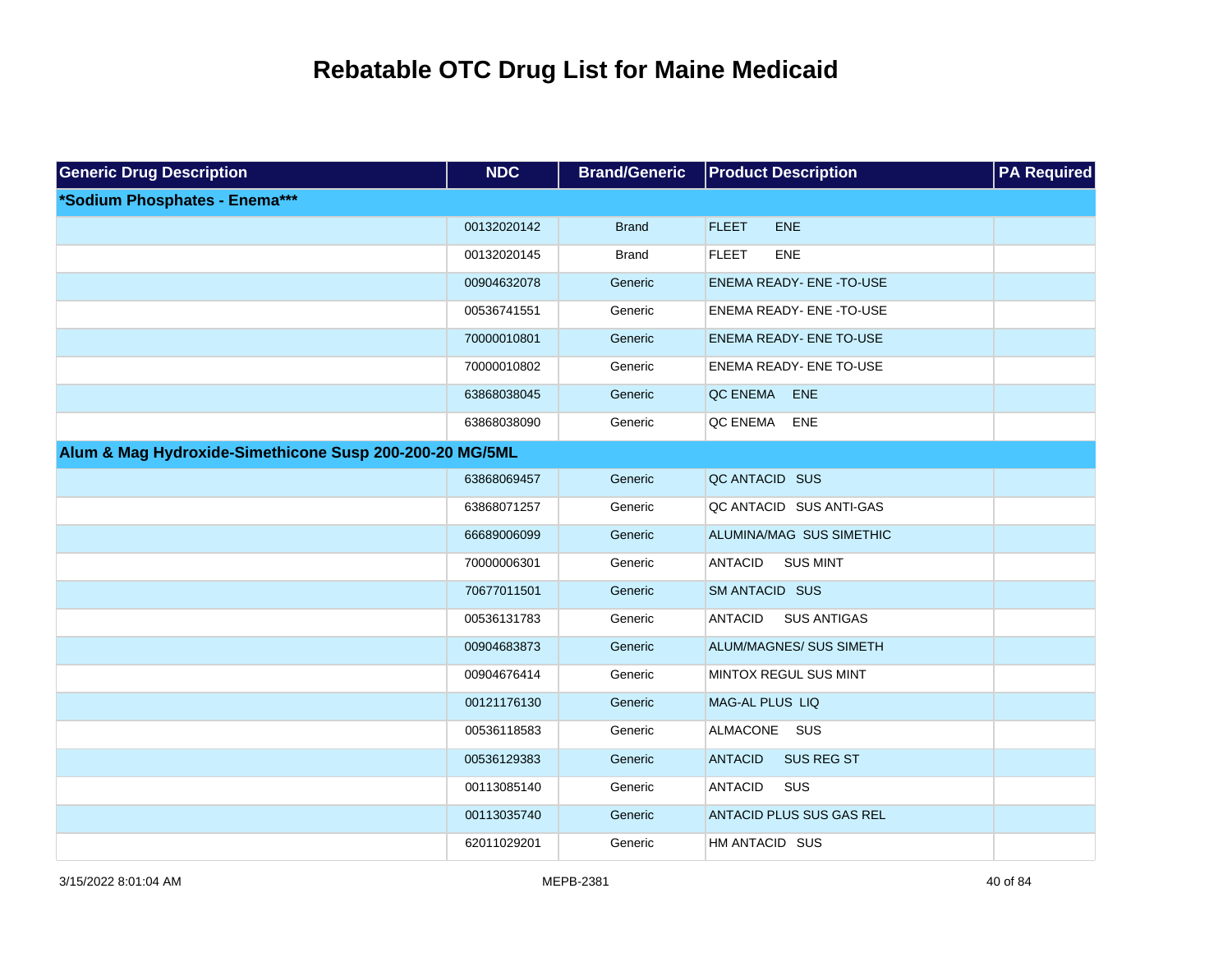| <b>Generic Drug Description</b>                         | <b>NDC</b>  | <b>Brand/Generic</b> | <b>Product Description</b>           | <b>PA Required</b> |
|---------------------------------------------------------|-------------|----------------------|--------------------------------------|--------------------|
| *Sodium Phosphates - Enema***                           |             |                      |                                      |                    |
|                                                         | 00132020142 | <b>Brand</b>         | <b>FLEET</b><br><b>ENE</b>           |                    |
|                                                         | 00132020145 | <b>Brand</b>         | <b>FLEET</b><br>ENE                  |                    |
|                                                         | 00904632078 | Generic              | <b>ENEMA READY- ENE -TO-USE</b>      |                    |
|                                                         | 00536741551 | Generic              | ENEMA READY- ENE -TO-USE             |                    |
|                                                         | 70000010801 | Generic              | <b>ENEMA READY- ENE TO-USE</b>       |                    |
|                                                         | 70000010802 | Generic              | <b>ENEMA READY- ENE TO-USE</b>       |                    |
|                                                         | 63868038045 | Generic              | QC ENEMA<br>ENE                      |                    |
|                                                         | 63868038090 | Generic              | QC ENEMA<br>ENE                      |                    |
| Alum & Mag Hydroxide-Simethicone Susp 200-200-20 MG/5ML |             |                      |                                      |                    |
|                                                         | 63868069457 | Generic              | QC ANTACID SUS                       |                    |
|                                                         | 63868071257 | Generic              | QC ANTACID SUS ANTI-GAS              |                    |
|                                                         | 66689006099 | Generic              | ALUMINA/MAG SUS SIMETHIC             |                    |
|                                                         | 70000006301 | Generic              | <b>ANTACID</b><br><b>SUS MINT</b>    |                    |
|                                                         | 70677011501 | Generic              | SM ANTACID SUS                       |                    |
|                                                         | 00536131783 | Generic              | <b>ANTACID</b><br><b>SUS ANTIGAS</b> |                    |
|                                                         | 00904683873 | Generic              | ALUM/MAGNES/ SUS SIMETH              |                    |
|                                                         | 00904676414 | Generic              | MINTOX REGUL SUS MINT                |                    |
|                                                         | 00121176130 | Generic              | <b>MAG-AL PLUS LIQ</b>               |                    |
|                                                         | 00536118583 | Generic              | ALMACONE SUS                         |                    |
|                                                         | 00536129383 | Generic              | <b>ANTACID</b><br><b>SUS REG ST</b>  |                    |
|                                                         | 00113085140 | Generic              | <b>ANTACID</b><br>SUS                |                    |
|                                                         | 00113035740 | Generic              | ANTACID PLUS SUS GAS REL             |                    |
|                                                         | 62011029201 | Generic              | HM ANTACID SUS                       |                    |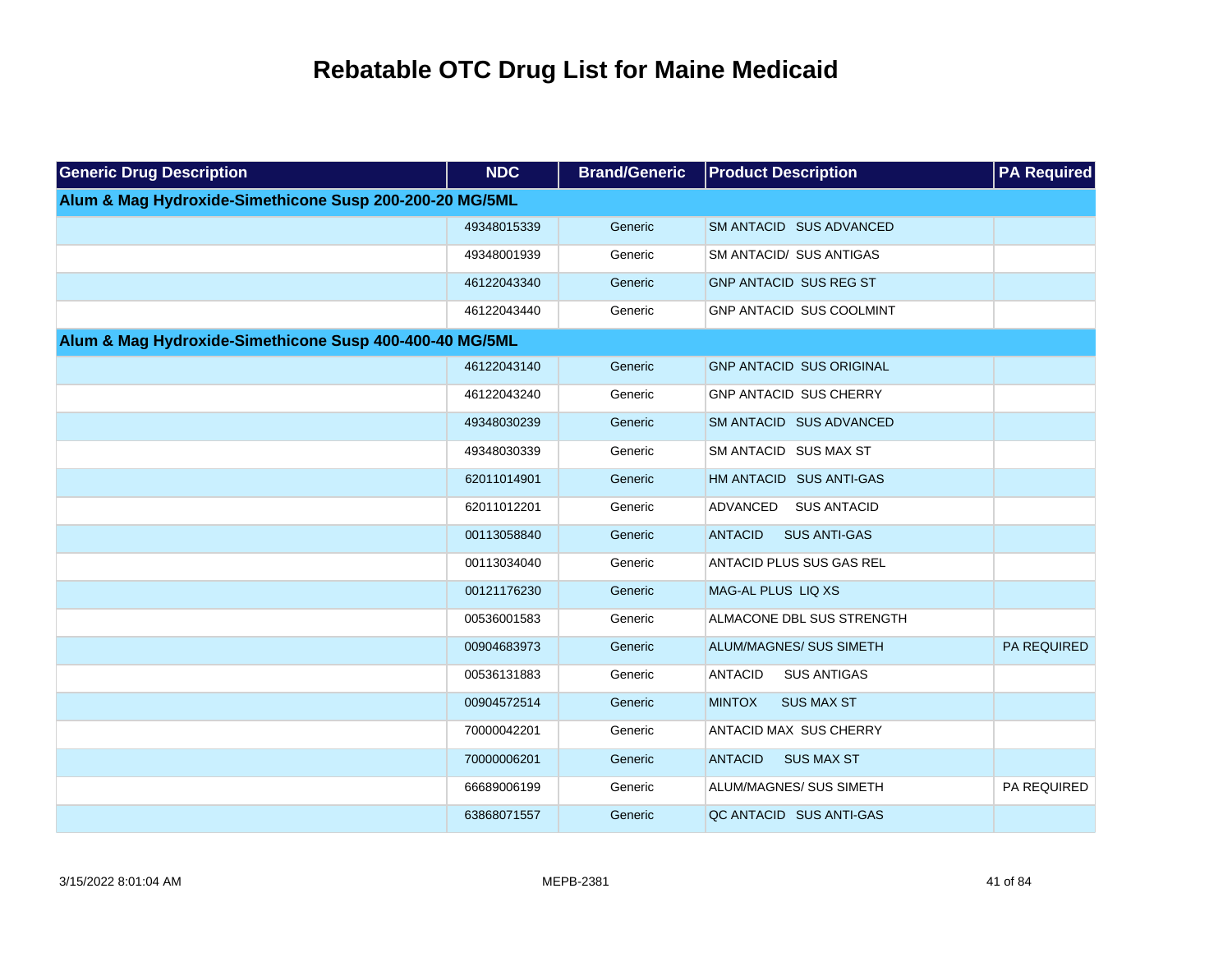| <b>Generic Drug Description</b>                         | <b>NDC</b>  | <b>Brand/Generic</b> | <b>Product Description</b>            | <b>PA Required</b> |
|---------------------------------------------------------|-------------|----------------------|---------------------------------------|--------------------|
| Alum & Mag Hydroxide-Simethicone Susp 200-200-20 MG/5ML |             |                      |                                       |                    |
|                                                         | 49348015339 | Generic              | SM ANTACID SUS ADVANCED               |                    |
|                                                         | 49348001939 | Generic              | SM ANTACID/ SUS ANTIGAS               |                    |
|                                                         | 46122043340 | Generic              | <b>GNP ANTACID SUS REG ST</b>         |                    |
|                                                         | 46122043440 | Generic              | GNP ANTACID SUS COOLMINT              |                    |
| Alum & Mag Hydroxide-Simethicone Susp 400-400-40 MG/5ML |             |                      |                                       |                    |
|                                                         | 46122043140 | Generic              | <b>GNP ANTACID SUS ORIGINAL</b>       |                    |
|                                                         | 46122043240 | Generic              | <b>GNP ANTACID SUS CHERRY</b>         |                    |
|                                                         | 49348030239 | Generic              | SM ANTACID SUS ADVANCED               |                    |
|                                                         | 49348030339 | Generic              | SM ANTACID SUS MAX ST                 |                    |
|                                                         | 62011014901 | Generic              | HM ANTACID SUS ANTI-GAS               |                    |
|                                                         | 62011012201 | Generic              | ADVANCED<br><b>SUS ANTACID</b>        |                    |
|                                                         | 00113058840 | Generic              | <b>ANTACID</b><br><b>SUS ANTI-GAS</b> |                    |
|                                                         | 00113034040 | Generic              | ANTACID PLUS SUS GAS REL              |                    |
|                                                         | 00121176230 | Generic              | MAG-AL PLUS LIQ XS                    |                    |
|                                                         | 00536001583 | Generic              | ALMACONE DBL SUS STRENGTH             |                    |
|                                                         | 00904683973 | Generic              | ALUM/MAGNES/ SUS SIMETH               | <b>PA REQUIRED</b> |
|                                                         | 00536131883 | Generic              | <b>ANTACID</b><br><b>SUS ANTIGAS</b>  |                    |
|                                                         | 00904572514 | Generic              | <b>MINTOX</b><br><b>SUS MAX ST</b>    |                    |
|                                                         | 70000042201 | Generic              | ANTACID MAX SUS CHERRY                |                    |
|                                                         | 70000006201 | Generic              | <b>ANTACID</b><br><b>SUS MAX ST</b>   |                    |
|                                                         | 66689006199 | Generic              | ALUM/MAGNES/ SUS SIMETH               | PA REQUIRED        |
|                                                         | 63868071557 | Generic              | QC ANTACID SUS ANTI-GAS               |                    |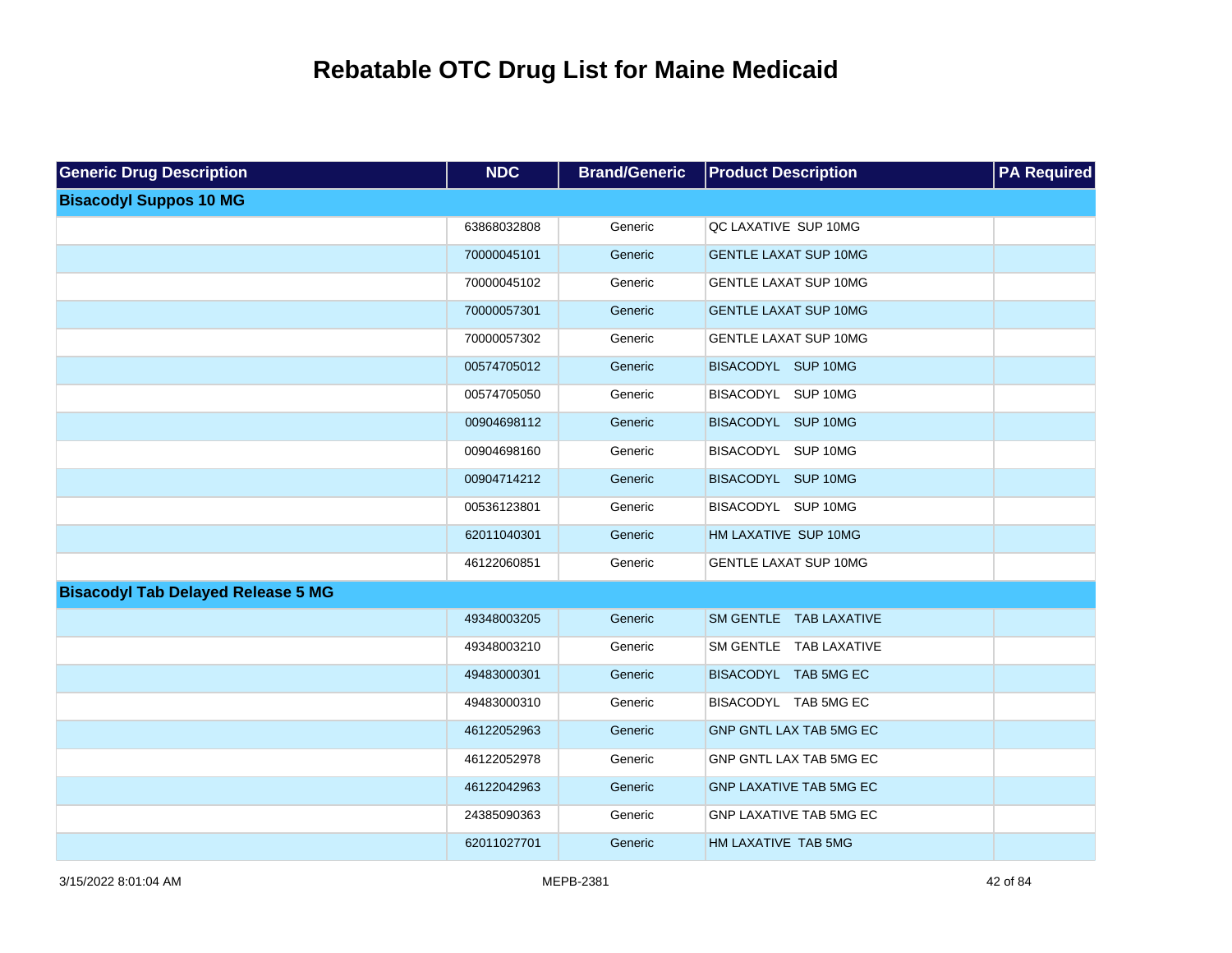| <b>Generic Drug Description</b>           | <b>NDC</b>  | <b>Brand/Generic</b> | <b>Product Description</b>     | <b>PA Required</b> |
|-------------------------------------------|-------------|----------------------|--------------------------------|--------------------|
| <b>Bisacodyl Suppos 10 MG</b>             |             |                      |                                |                    |
|                                           | 63868032808 | Generic              | QC LAXATIVE SUP 10MG           |                    |
|                                           | 70000045101 | Generic              | <b>GENTLE LAXAT SUP 10MG</b>   |                    |
|                                           | 70000045102 | Generic              | <b>GENTLE LAXAT SUP 10MG</b>   |                    |
|                                           | 70000057301 | Generic              | <b>GENTLE LAXAT SUP 10MG</b>   |                    |
|                                           | 70000057302 | Generic              | <b>GENTLE LAXAT SUP 10MG</b>   |                    |
|                                           | 00574705012 | Generic              | BISACODYL SUP 10MG             |                    |
|                                           | 00574705050 | Generic              | BISACODYL SUP 10MG             |                    |
|                                           | 00904698112 | Generic              | BISACODYL SUP 10MG             |                    |
|                                           | 00904698160 | Generic              | BISACODYL SUP 10MG             |                    |
|                                           | 00904714212 | Generic              | BISACODYL SUP 10MG             |                    |
|                                           | 00536123801 | Generic              | BISACODYL SUP 10MG             |                    |
|                                           | 62011040301 | Generic              | HM LAXATIVE SUP 10MG           |                    |
|                                           | 46122060851 | Generic              | <b>GENTLE LAXAT SUP 10MG</b>   |                    |
| <b>Bisacodyl Tab Delayed Release 5 MG</b> |             |                      |                                |                    |
|                                           | 49348003205 | Generic              | SM GENTLE TAB LAXATIVE         |                    |
|                                           | 49348003210 | Generic              | SM GENTLE TAB LAXATIVE         |                    |
|                                           | 49483000301 | Generic              | BISACODYL TAB 5MG EC           |                    |
|                                           | 49483000310 | Generic              | BISACODYL TAB 5MG EC           |                    |
|                                           | 46122052963 | Generic              | GNP GNTL LAX TAB 5MG EC        |                    |
|                                           | 46122052978 | Generic              | GNP GNTL LAX TAB 5MG EC        |                    |
|                                           | 46122042963 | Generic              | <b>GNP LAXATIVE TAB 5MG EC</b> |                    |
|                                           | 24385090363 | Generic              | GNP LAXATIVE TAB 5MG EC        |                    |
|                                           | 62011027701 | Generic              | HM LAXATIVE TAB 5MG            |                    |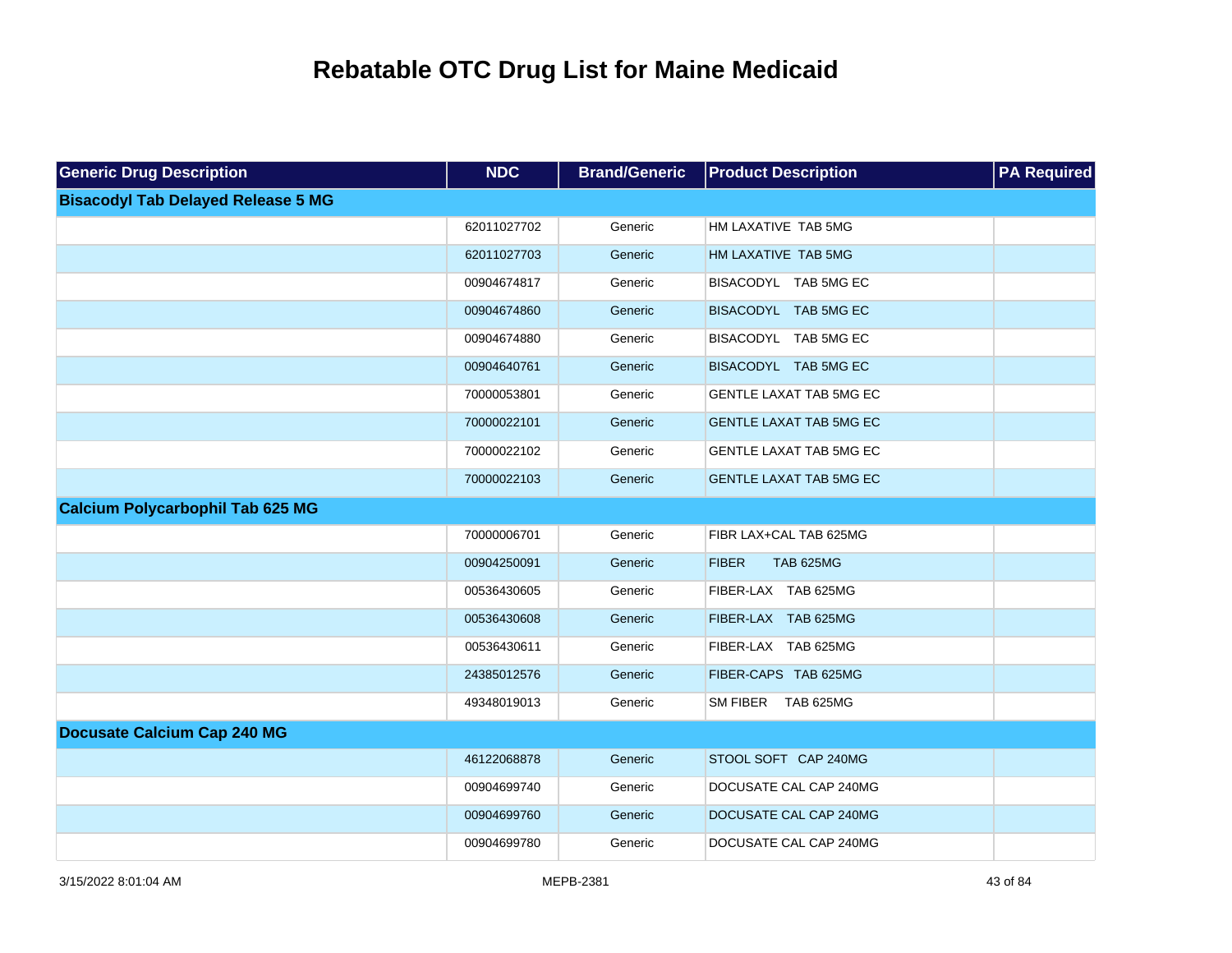| <b>Generic Drug Description</b>           | <b>NDC</b>  | <b>Brand/Generic</b> | <b>Product Description</b>       | <b>PA Required</b> |
|-------------------------------------------|-------------|----------------------|----------------------------------|--------------------|
| <b>Bisacodyl Tab Delayed Release 5 MG</b> |             |                      |                                  |                    |
|                                           | 62011027702 | Generic              | HM LAXATIVE TAB 5MG              |                    |
|                                           | 62011027703 | Generic              | HM LAXATIVE TAB 5MG              |                    |
|                                           | 00904674817 | Generic              | BISACODYL TAB 5MG EC             |                    |
|                                           | 00904674860 | Generic              | BISACODYL TAB 5MG EC             |                    |
|                                           | 00904674880 | Generic              | BISACODYL TAB 5MG EC             |                    |
|                                           | 00904640761 | Generic              | BISACODYL TAB 5MG EC             |                    |
|                                           | 70000053801 | Generic              | GENTLE LAXAT TAB 5MG EC          |                    |
|                                           | 70000022101 | Generic              | <b>GENTLE LAXAT TAB 5MG EC</b>   |                    |
|                                           | 70000022102 | Generic              | GENTLE LAXAT TAB 5MG EC          |                    |
|                                           | 70000022103 | Generic              | <b>GENTLE LAXAT TAB 5MG EC</b>   |                    |
| <b>Calcium Polycarbophil Tab 625 MG</b>   |             |                      |                                  |                    |
|                                           | 70000006701 | Generic              | FIBR LAX+CAL TAB 625MG           |                    |
|                                           | 00904250091 | Generic              | <b>FIBER</b><br><b>TAB 625MG</b> |                    |
|                                           | 00536430605 | Generic              | FIBER-LAX TAB 625MG              |                    |
|                                           | 00536430608 | Generic              | FIBER-LAX TAB 625MG              |                    |
|                                           | 00536430611 | Generic              | FIBER-LAX TAB 625MG              |                    |
|                                           | 24385012576 | Generic              | FIBER-CAPS TAB 625MG             |                    |
|                                           | 49348019013 | Generic              | SM FIBER TAB 625MG               |                    |
| <b>Docusate Calcium Cap 240 MG</b>        |             |                      |                                  |                    |
|                                           | 46122068878 | Generic              | STOOL SOFT CAP 240MG             |                    |
|                                           | 00904699740 | Generic              | DOCUSATE CAL CAP 240MG           |                    |
|                                           | 00904699760 | Generic              | DOCUSATE CAL CAP 240MG           |                    |
|                                           | 00904699780 | Generic              | DOCUSATE CAL CAP 240MG           |                    |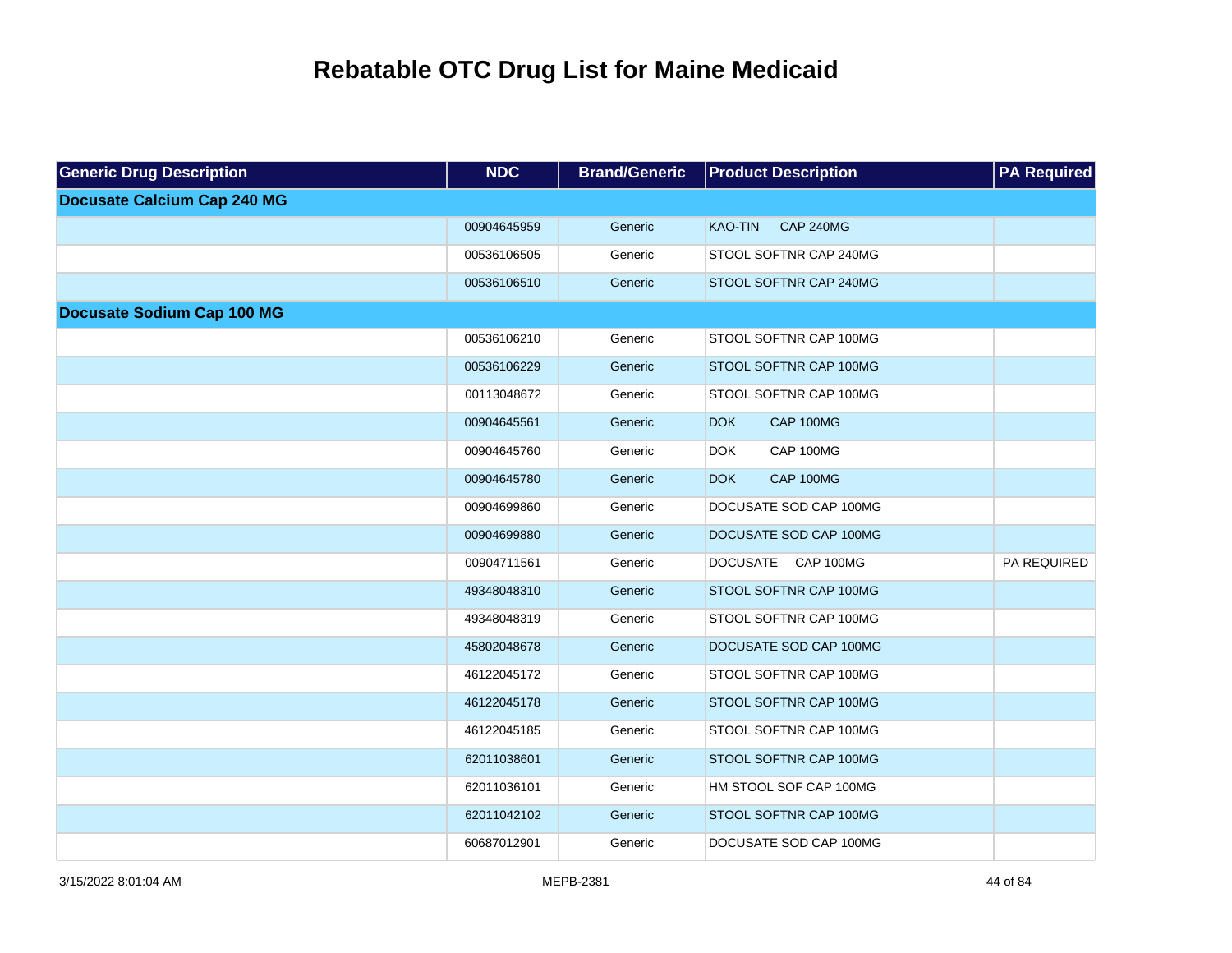| <b>Generic Drug Description</b>    | <b>NDC</b>  | <b>Brand/Generic</b> | <b>Product Description</b>         | <b>PA Required</b> |
|------------------------------------|-------------|----------------------|------------------------------------|--------------------|
| <b>Docusate Calcium Cap 240 MG</b> |             |                      |                                    |                    |
|                                    | 00904645959 | Generic              | <b>CAP 240MG</b><br><b>KAO-TIN</b> |                    |
|                                    | 00536106505 | Generic              | STOOL SOFTNR CAP 240MG             |                    |
|                                    | 00536106510 | Generic              | STOOL SOFTNR CAP 240MG             |                    |
| <b>Docusate Sodium Cap 100 MG</b>  |             |                      |                                    |                    |
|                                    | 00536106210 | Generic              | STOOL SOFTNR CAP 100MG             |                    |
|                                    | 00536106229 | Generic              | STOOL SOFTNR CAP 100MG             |                    |
|                                    | 00113048672 | Generic              | STOOL SOFTNR CAP 100MG             |                    |
|                                    | 00904645561 | Generic              | CAP 100MG<br><b>DOK</b>            |                    |
|                                    | 00904645760 | Generic              | CAP 100MG<br><b>DOK</b>            |                    |
|                                    | 00904645780 | Generic              | CAP 100MG<br><b>DOK</b>            |                    |
|                                    | 00904699860 | Generic              | DOCUSATE SOD CAP 100MG             |                    |
|                                    | 00904699880 | Generic              | DOCUSATE SOD CAP 100MG             |                    |
|                                    | 00904711561 | Generic              | DOCUSATE CAP 100MG                 | PA REQUIRED        |
|                                    | 49348048310 | Generic              | STOOL SOFTNR CAP 100MG             |                    |
|                                    | 49348048319 | Generic              | STOOL SOFTNR CAP 100MG             |                    |
|                                    | 45802048678 | Generic              | DOCUSATE SOD CAP 100MG             |                    |
|                                    | 46122045172 | Generic              | STOOL SOFTNR CAP 100MG             |                    |
|                                    | 46122045178 | Generic              | STOOL SOFTNR CAP 100MG             |                    |
|                                    | 46122045185 | Generic              | STOOL SOFTNR CAP 100MG             |                    |
|                                    | 62011038601 | Generic              | STOOL SOFTNR CAP 100MG             |                    |
|                                    | 62011036101 | Generic              | HM STOOL SOF CAP 100MG             |                    |
|                                    | 62011042102 | Generic              | STOOL SOFTNR CAP 100MG             |                    |
|                                    | 60687012901 | Generic              | DOCUSATE SOD CAP 100MG             |                    |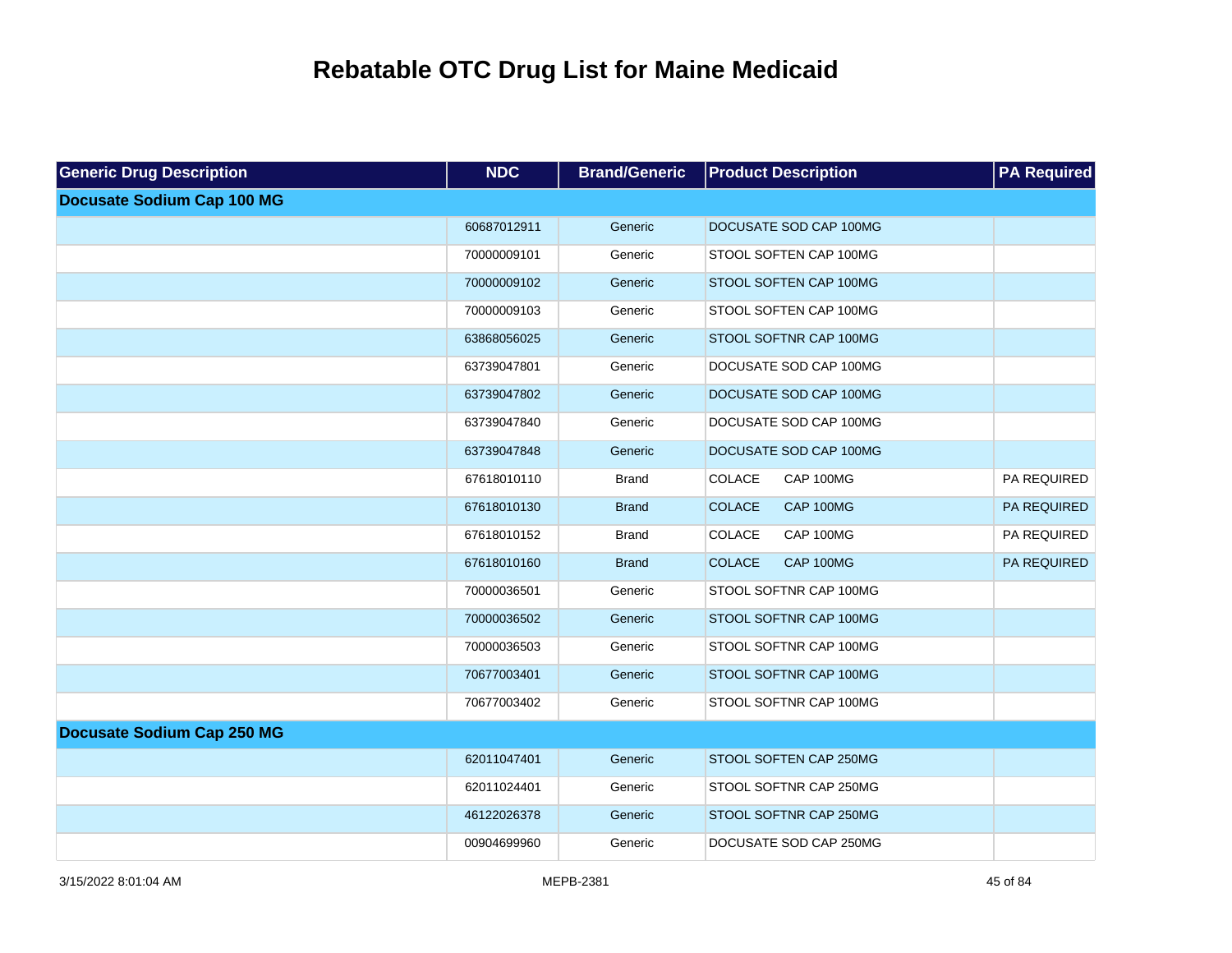| <b>Generic Drug Description</b>   | <b>NDC</b>  | <b>Brand/Generic</b> | <b>Product Description</b> | <b>PA Required</b> |
|-----------------------------------|-------------|----------------------|----------------------------|--------------------|
| <b>Docusate Sodium Cap 100 MG</b> |             |                      |                            |                    |
|                                   | 60687012911 | Generic              | DOCUSATE SOD CAP 100MG     |                    |
|                                   | 70000009101 | Generic              | STOOL SOFTEN CAP 100MG     |                    |
|                                   | 70000009102 | Generic              | STOOL SOFTEN CAP 100MG     |                    |
|                                   | 70000009103 | Generic              | STOOL SOFTEN CAP 100MG     |                    |
|                                   | 63868056025 | Generic              | STOOL SOFTNR CAP 100MG     |                    |
|                                   | 63739047801 | Generic              | DOCUSATE SOD CAP 100MG     |                    |
|                                   | 63739047802 | Generic              | DOCUSATE SOD CAP 100MG     |                    |
|                                   | 63739047840 | Generic              | DOCUSATE SOD CAP 100MG     |                    |
|                                   | 63739047848 | Generic              | DOCUSATE SOD CAP 100MG     |                    |
|                                   | 67618010110 | <b>Brand</b>         | COLACE<br>CAP 100MG        | PA REQUIRED        |
|                                   | 67618010130 | <b>Brand</b>         | <b>COLACE</b><br>CAP 100MG | PA REQUIRED        |
|                                   | 67618010152 | <b>Brand</b>         | COLACE<br>CAP 100MG        | PA REQUIRED        |
|                                   | 67618010160 | <b>Brand</b>         | <b>COLACE</b><br>CAP 100MG | PA REQUIRED        |
|                                   | 70000036501 | Generic              | STOOL SOFTNR CAP 100MG     |                    |
|                                   | 70000036502 | Generic              | STOOL SOFTNR CAP 100MG     |                    |
|                                   | 70000036503 | Generic              | STOOL SOFTNR CAP 100MG     |                    |
|                                   | 70677003401 | Generic              | STOOL SOFTNR CAP 100MG     |                    |
|                                   | 70677003402 | Generic              | STOOL SOFTNR CAP 100MG     |                    |
| <b>Docusate Sodium Cap 250 MG</b> |             |                      |                            |                    |
|                                   | 62011047401 | Generic              | STOOL SOFTEN CAP 250MG     |                    |
|                                   | 62011024401 | Generic              | STOOL SOFTNR CAP 250MG     |                    |
|                                   | 46122026378 | Generic              | STOOL SOFTNR CAP 250MG     |                    |
|                                   | 00904699960 | Generic              | DOCUSATE SOD CAP 250MG     |                    |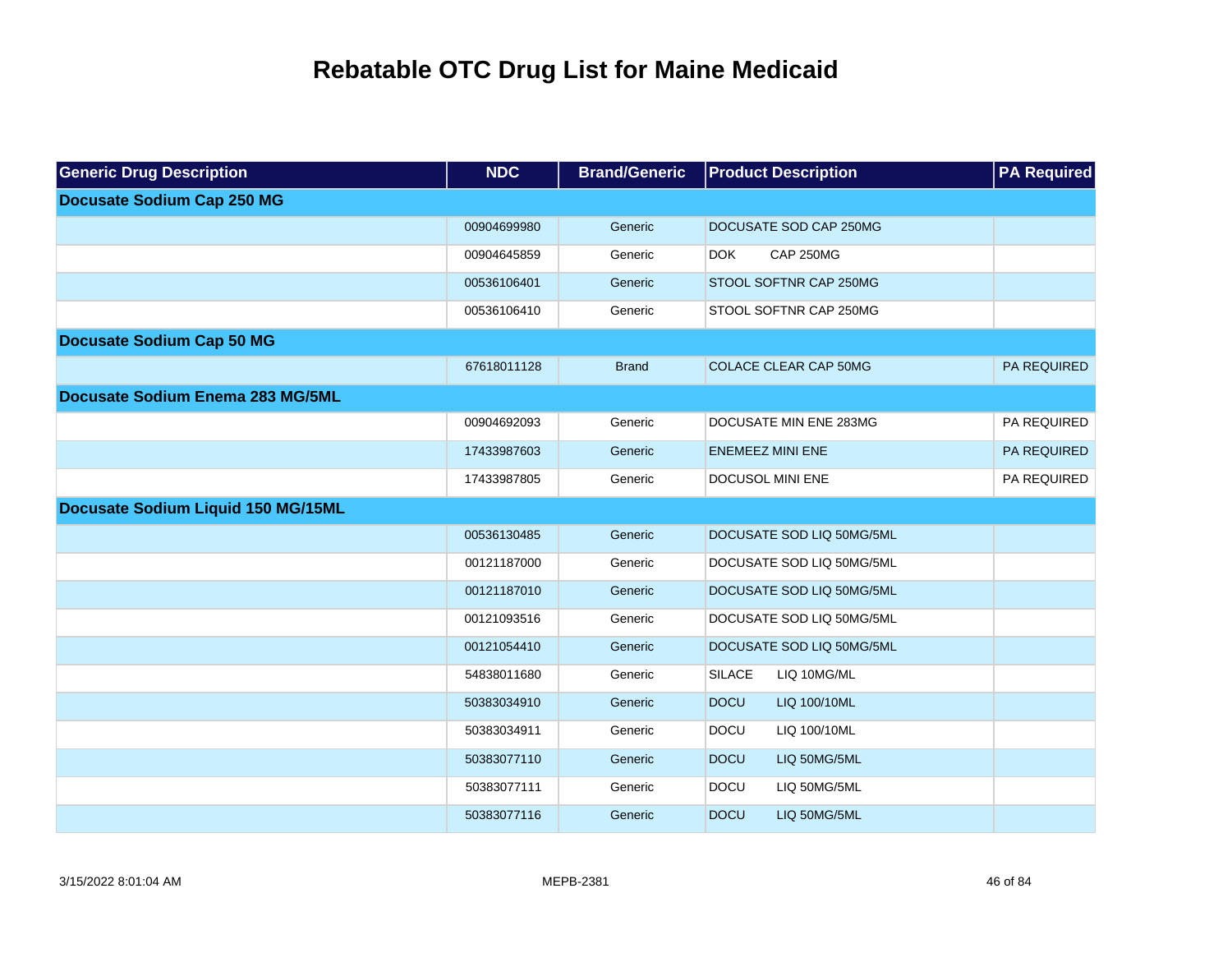| <b>Generic Drug Description</b>    | <b>NDC</b>  | <b>Brand/Generic</b> | <b>Product Description</b>     | <b>PA Required</b> |
|------------------------------------|-------------|----------------------|--------------------------------|--------------------|
| <b>Docusate Sodium Cap 250 MG</b>  |             |                      |                                |                    |
|                                    | 00904699980 | Generic              | DOCUSATE SOD CAP 250MG         |                    |
|                                    | 00904645859 | Generic              | <b>DOK</b><br><b>CAP 250MG</b> |                    |
|                                    | 00536106401 | Generic              | STOOL SOFTNR CAP 250MG         |                    |
|                                    | 00536106410 | Generic              | STOOL SOFTNR CAP 250MG         |                    |
| <b>Docusate Sodium Cap 50 MG</b>   |             |                      |                                |                    |
|                                    | 67618011128 | <b>Brand</b>         | <b>COLACE CLEAR CAP 50MG</b>   | PA REQUIRED        |
| Docusate Sodium Enema 283 MG/5ML   |             |                      |                                |                    |
|                                    | 00904692093 | Generic              | DOCUSATE MIN ENE 283MG         | PA REQUIRED        |
|                                    | 17433987603 | Generic              | <b>ENEMEEZ MINI ENE</b>        | PA REQUIRED        |
|                                    | 17433987805 | Generic              | DOCUSOL MINI ENE               | PA REQUIRED        |
| Docusate Sodium Liquid 150 MG/15ML |             |                      |                                |                    |
|                                    | 00536130485 | Generic              | DOCUSATE SOD LIQ 50MG/5ML      |                    |
|                                    | 00121187000 | Generic              | DOCUSATE SOD LIQ 50MG/5ML      |                    |
|                                    | 00121187010 | Generic              | DOCUSATE SOD LIQ 50MG/5ML      |                    |
|                                    | 00121093516 | Generic              | DOCUSATE SOD LIQ 50MG/5ML      |                    |
|                                    | 00121054410 | Generic              | DOCUSATE SOD LIQ 50MG/5ML      |                    |
|                                    | 54838011680 | Generic              | <b>SILACE</b><br>LIQ 10MG/ML   |                    |
|                                    | 50383034910 | Generic              | <b>DOCU</b><br>LIQ 100/10ML    |                    |
|                                    | 50383034911 | Generic              | <b>DOCU</b><br>LIQ 100/10ML    |                    |
|                                    | 50383077110 | Generic              | <b>DOCU</b><br>LIQ 50MG/5ML    |                    |
|                                    | 50383077111 | Generic              | <b>DOCU</b><br>LIQ 50MG/5ML    |                    |
|                                    | 50383077116 | Generic              | <b>DOCU</b><br>LIQ 50MG/5ML    |                    |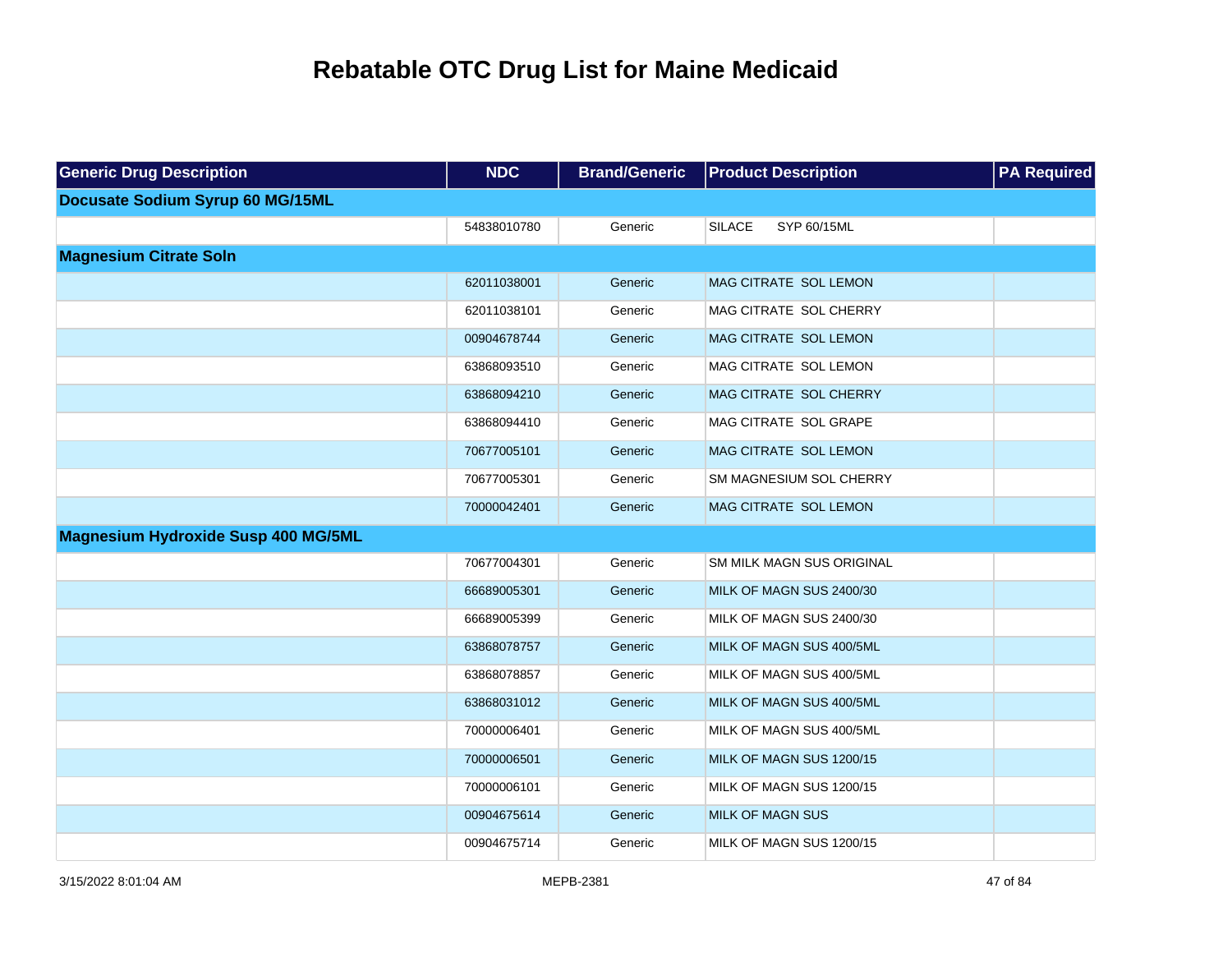| <b>Generic Drug Description</b>            | <b>NDC</b>  | <b>Brand/Generic</b> | <b>Product Description</b>   | <b>PA Required</b> |
|--------------------------------------------|-------------|----------------------|------------------------------|--------------------|
| Docusate Sodium Syrup 60 MG/15ML           |             |                      |                              |                    |
|                                            | 54838010780 | Generic              | <b>SILACE</b><br>SYP 60/15ML |                    |
| <b>Magnesium Citrate Soln</b>              |             |                      |                              |                    |
|                                            | 62011038001 | Generic              | MAG CITRATE SOL LEMON        |                    |
|                                            | 62011038101 | Generic              | MAG CITRATE SOL CHERRY       |                    |
|                                            | 00904678744 | Generic              | MAG CITRATE SOL LEMON        |                    |
|                                            | 63868093510 | Generic              | MAG CITRATE SOL LEMON        |                    |
|                                            | 63868094210 | Generic              | MAG CITRATE SOL CHERRY       |                    |
|                                            | 63868094410 | Generic              | MAG CITRATE SOL GRAPE        |                    |
|                                            | 70677005101 | Generic              | MAG CITRATE SOL LEMON        |                    |
|                                            | 70677005301 | Generic              | SM MAGNESIUM SOL CHERRY      |                    |
|                                            | 70000042401 | Generic              | MAG CITRATE SOL LEMON        |                    |
| <b>Magnesium Hydroxide Susp 400 MG/5ML</b> |             |                      |                              |                    |
|                                            | 70677004301 | Generic              | SM MILK MAGN SUS ORIGINAL    |                    |
|                                            | 66689005301 | Generic              | MILK OF MAGN SUS 2400/30     |                    |
|                                            | 66689005399 | Generic              | MILK OF MAGN SUS 2400/30     |                    |
|                                            | 63868078757 | Generic              | MILK OF MAGN SUS 400/5ML     |                    |
|                                            | 63868078857 | Generic              | MILK OF MAGN SUS 400/5ML     |                    |
|                                            | 63868031012 | Generic              | MILK OF MAGN SUS 400/5ML     |                    |
|                                            | 70000006401 | Generic              | MILK OF MAGN SUS 400/5ML     |                    |
|                                            | 70000006501 | Generic              | MILK OF MAGN SUS 1200/15     |                    |
|                                            | 70000006101 | Generic              | MILK OF MAGN SUS 1200/15     |                    |
|                                            | 00904675614 | Generic              | <b>MILK OF MAGN SUS</b>      |                    |
|                                            | 00904675714 | Generic              | MILK OF MAGN SUS 1200/15     |                    |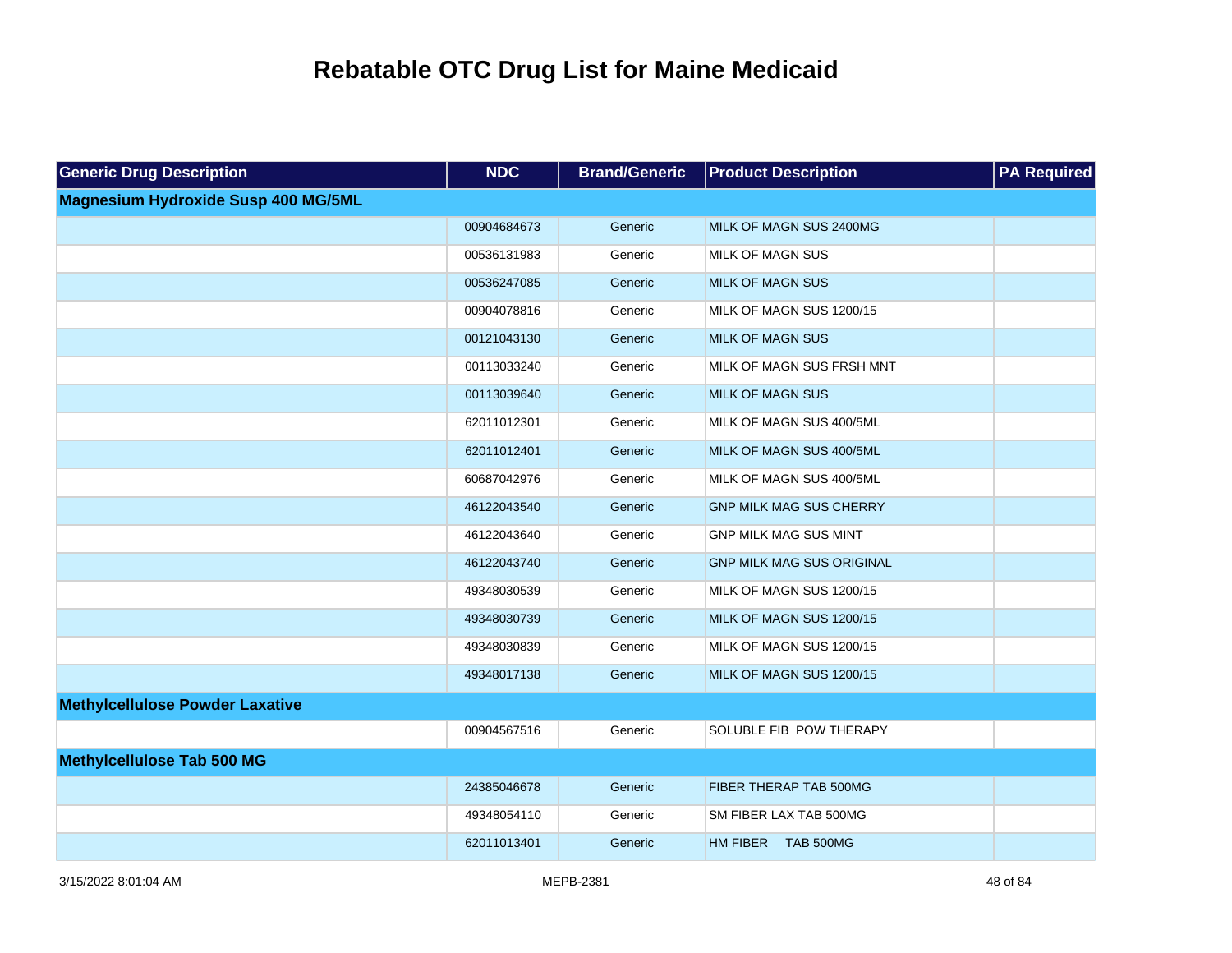| <b>Generic Drug Description</b>            | <b>NDC</b>  | <b>Brand/Generic</b> | <b>Product Description</b>       | <b>PA Required</b> |
|--------------------------------------------|-------------|----------------------|----------------------------------|--------------------|
| <b>Magnesium Hydroxide Susp 400 MG/5ML</b> |             |                      |                                  |                    |
|                                            | 00904684673 | Generic              | MILK OF MAGN SUS 2400MG          |                    |
|                                            | 00536131983 | Generic              | MILK OF MAGN SUS                 |                    |
|                                            | 00536247085 | Generic              | <b>MILK OF MAGN SUS</b>          |                    |
|                                            | 00904078816 | Generic              | MILK OF MAGN SUS 1200/15         |                    |
|                                            | 00121043130 | Generic              | <b>MILK OF MAGN SUS</b>          |                    |
|                                            | 00113033240 | Generic              | MILK OF MAGN SUS FRSH MNT        |                    |
|                                            | 00113039640 | Generic              | <b>MILK OF MAGN SUS</b>          |                    |
|                                            | 62011012301 | Generic              | MILK OF MAGN SUS 400/5ML         |                    |
|                                            | 62011012401 | Generic              | MILK OF MAGN SUS 400/5ML         |                    |
|                                            | 60687042976 | Generic              | MILK OF MAGN SUS 400/5ML         |                    |
|                                            | 46122043540 | Generic              | <b>GNP MILK MAG SUS CHERRY</b>   |                    |
|                                            | 46122043640 | Generic              | <b>GNP MILK MAG SUS MINT</b>     |                    |
|                                            | 46122043740 | Generic              | <b>GNP MILK MAG SUS ORIGINAL</b> |                    |
|                                            | 49348030539 | Generic              | MILK OF MAGN SUS 1200/15         |                    |
|                                            | 49348030739 | Generic              | MILK OF MAGN SUS 1200/15         |                    |
|                                            | 49348030839 | Generic              | MILK OF MAGN SUS 1200/15         |                    |
|                                            | 49348017138 | Generic              | MILK OF MAGN SUS 1200/15         |                    |
| <b>Methylcellulose Powder Laxative</b>     |             |                      |                                  |                    |
|                                            | 00904567516 | Generic              | SOLUBLE FIB POW THERAPY          |                    |
| <b>Methylcellulose Tab 500 MG</b>          |             |                      |                                  |                    |
|                                            | 24385046678 | Generic              | FIBER THERAP TAB 500MG           |                    |
|                                            | 49348054110 | Generic              | SM FIBER LAX TAB 500MG           |                    |
|                                            | 62011013401 | Generic              | HM FIBER TAB 500MG               |                    |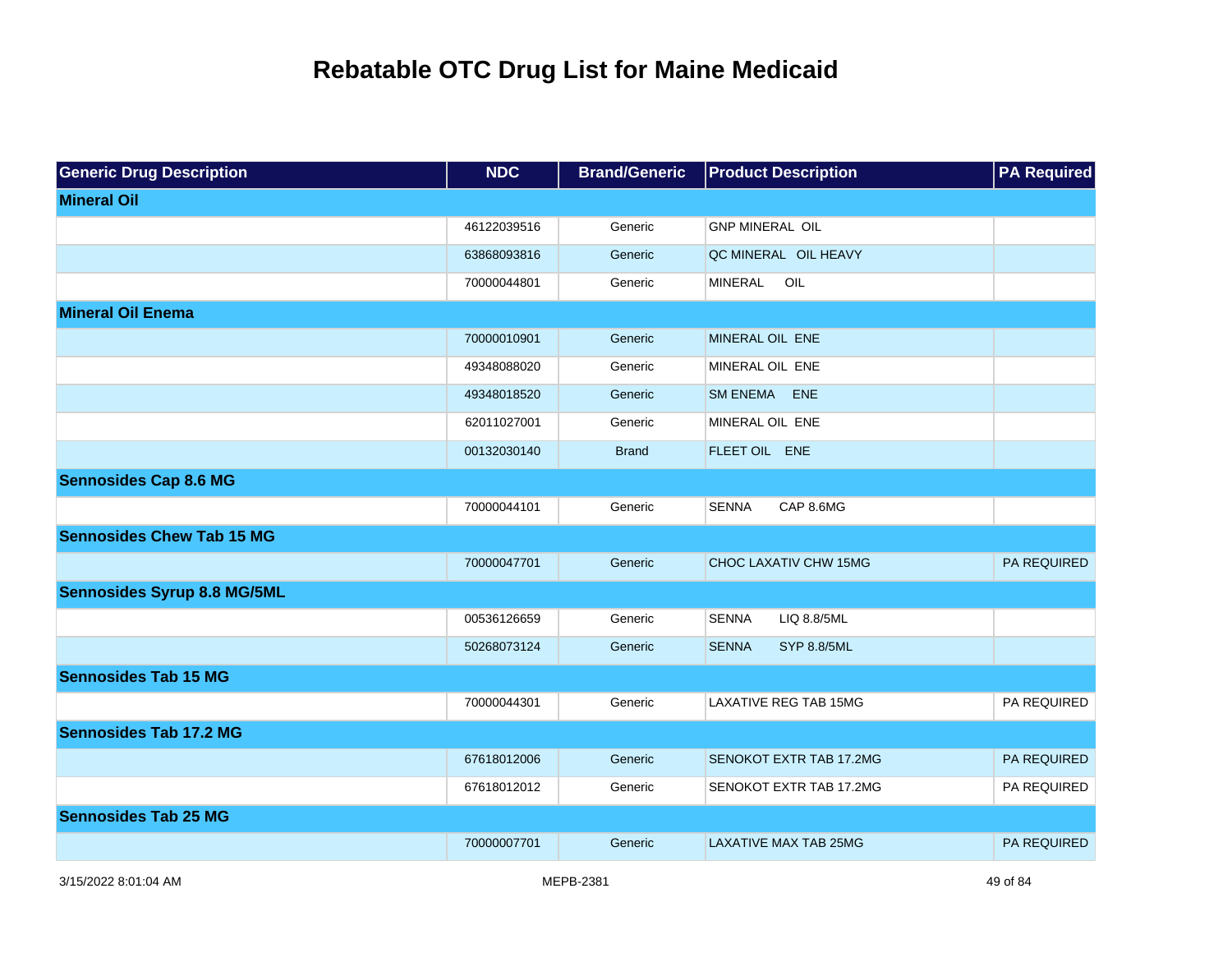| <b>Generic Drug Description</b>    | <b>NDC</b>  | <b>Brand/Generic</b> | <b>Product Description</b>         | <b>PA Required</b> |
|------------------------------------|-------------|----------------------|------------------------------------|--------------------|
| <b>Mineral Oil</b>                 |             |                      |                                    |                    |
|                                    | 46122039516 | Generic              | <b>GNP MINERAL OIL</b>             |                    |
|                                    | 63868093816 | Generic              | QC MINERAL OIL HEAVY               |                    |
|                                    | 70000044801 | Generic              | OIL<br>MINERAL                     |                    |
| <b>Mineral Oil Enema</b>           |             |                      |                                    |                    |
|                                    | 70000010901 | Generic              | MINERAL OIL ENE                    |                    |
|                                    | 49348088020 | Generic              | MINERAL OIL ENE                    |                    |
|                                    | 49348018520 | Generic              | SM ENEMA ENE                       |                    |
|                                    | 62011027001 | Generic              | MINERAL OIL ENE                    |                    |
|                                    | 00132030140 | <b>Brand</b>         | FLEET OIL ENE                      |                    |
| <b>Sennosides Cap 8.6 MG</b>       |             |                      |                                    |                    |
|                                    | 70000044101 | Generic              | <b>SENNA</b><br>CAP 8.6MG          |                    |
| <b>Sennosides Chew Tab 15 MG</b>   |             |                      |                                    |                    |
|                                    | 70000047701 | Generic              | CHOC LAXATIV CHW 15MG              | <b>PA REQUIRED</b> |
| <b>Sennosides Syrup 8.8 MG/5ML</b> |             |                      |                                    |                    |
|                                    | 00536126659 | Generic              | <b>SENNA</b><br>LIQ 8.8/5ML        |                    |
|                                    | 50268073124 | Generic              | <b>SENNA</b><br><b>SYP 8.8/5ML</b> |                    |
| <b>Sennosides Tab 15 MG</b>        |             |                      |                                    |                    |
|                                    | 70000044301 | Generic              | <b>LAXATIVE REG TAB 15MG</b>       | PA REQUIRED        |
| <b>Sennosides Tab 17.2 MG</b>      |             |                      |                                    |                    |
|                                    | 67618012006 | Generic              | <b>SENOKOT EXTR TAB 17.2MG</b>     | <b>PA REQUIRED</b> |
|                                    | 67618012012 | Generic              | SENOKOT EXTR TAB 17.2MG            | PA REQUIRED        |
| <b>Sennosides Tab 25 MG</b>        |             |                      |                                    |                    |
|                                    | 70000007701 | Generic              | <b>LAXATIVE MAX TAB 25MG</b>       | PA REQUIRED        |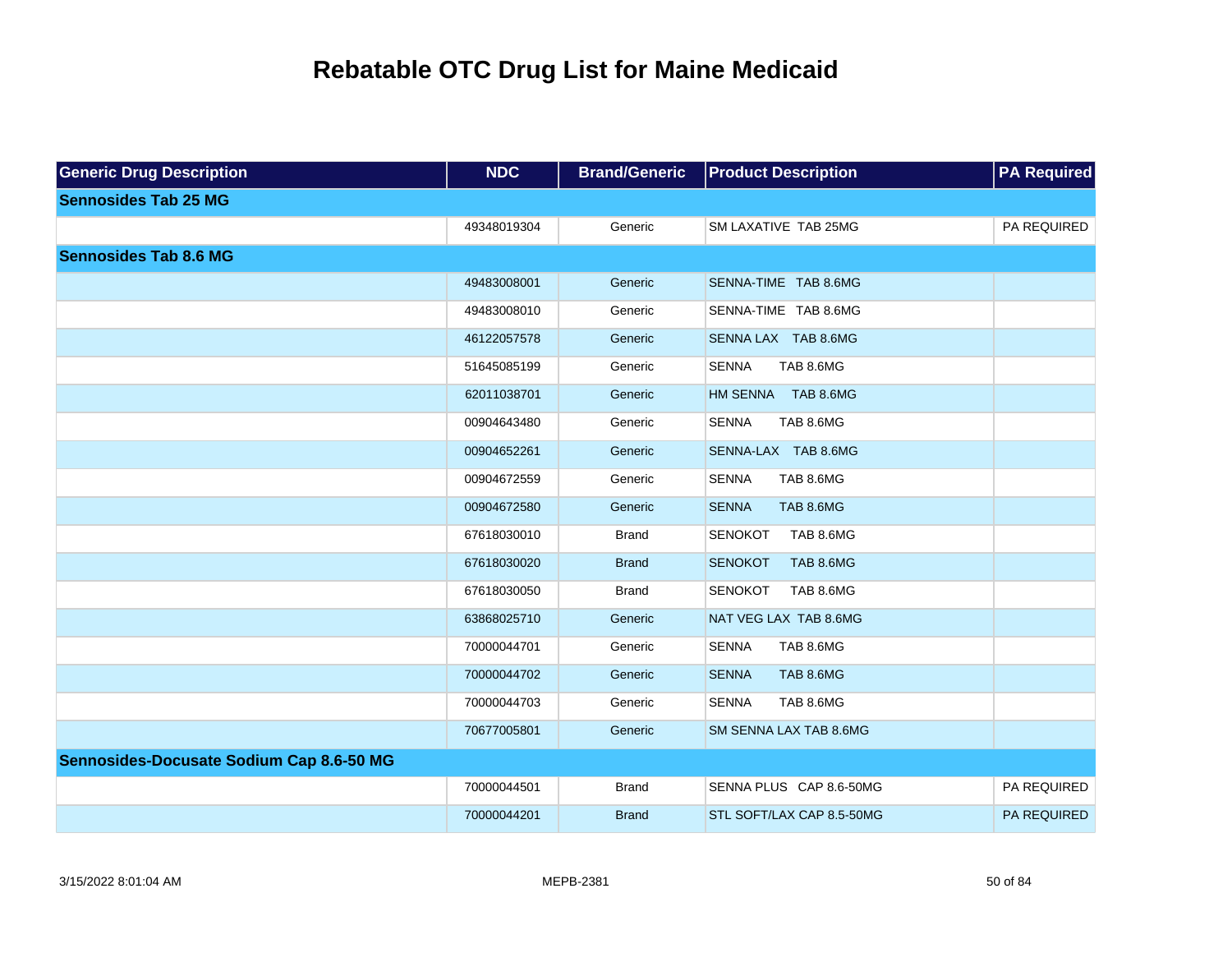| <b>Generic Drug Description</b>          | <b>NDC</b>  | <b>Brand/Generic</b> | <b>Product Description</b>         | <b>PA Required</b> |
|------------------------------------------|-------------|----------------------|------------------------------------|--------------------|
| <b>Sennosides Tab 25 MG</b>              |             |                      |                                    |                    |
|                                          | 49348019304 | Generic              | SM LAXATIVE TAB 25MG               | PA REQUIRED        |
| <b>Sennosides Tab 8.6 MG</b>             |             |                      |                                    |                    |
|                                          | 49483008001 | Generic              | SENNA-TIME TAB 8.6MG               |                    |
|                                          | 49483008010 | Generic              | SENNA-TIME TAB 8.6MG               |                    |
|                                          | 46122057578 | Generic              | SENNA LAX TAB 8.6MG                |                    |
|                                          | 51645085199 | Generic              | <b>SENNA</b><br>TAB 8.6MG          |                    |
|                                          | 62011038701 | Generic              | HM SENNA TAB 8.6MG                 |                    |
|                                          | 00904643480 | Generic              | TAB 8.6MG<br><b>SENNA</b>          |                    |
|                                          | 00904652261 | Generic              | SENNA-LAX TAB 8.6MG                |                    |
|                                          | 00904672559 | Generic              | <b>SENNA</b><br>TAB 8.6MG          |                    |
|                                          | 00904672580 | Generic              | TAB 8.6MG<br><b>SENNA</b>          |                    |
|                                          | 67618030010 | <b>Brand</b>         | <b>SENOKOT</b><br>TAB 8.6MG        |                    |
|                                          | 67618030020 | <b>Brand</b>         | <b>SENOKOT</b><br><b>TAB 8.6MG</b> |                    |
|                                          | 67618030050 | <b>Brand</b>         | <b>SENOKOT</b><br>TAB 8.6MG        |                    |
|                                          | 63868025710 | Generic              | NAT VEG LAX TAB 8.6MG              |                    |
|                                          | 70000044701 | Generic              | <b>SENNA</b><br>TAB 8.6MG          |                    |
|                                          | 70000044702 | Generic              | <b>SENNA</b><br>TAB 8.6MG          |                    |
|                                          | 70000044703 | Generic              | <b>SENNA</b><br>TAB 8.6MG          |                    |
|                                          | 70677005801 | Generic              | SM SENNA LAX TAB 8.6MG             |                    |
| Sennosides-Docusate Sodium Cap 8.6-50 MG |             |                      |                                    |                    |
|                                          | 70000044501 | <b>Brand</b>         | SENNA PLUS CAP 8.6-50MG            | PA REQUIRED        |
|                                          | 70000044201 | <b>Brand</b>         | STL SOFT/LAX CAP 8.5-50MG          | PA REQUIRED        |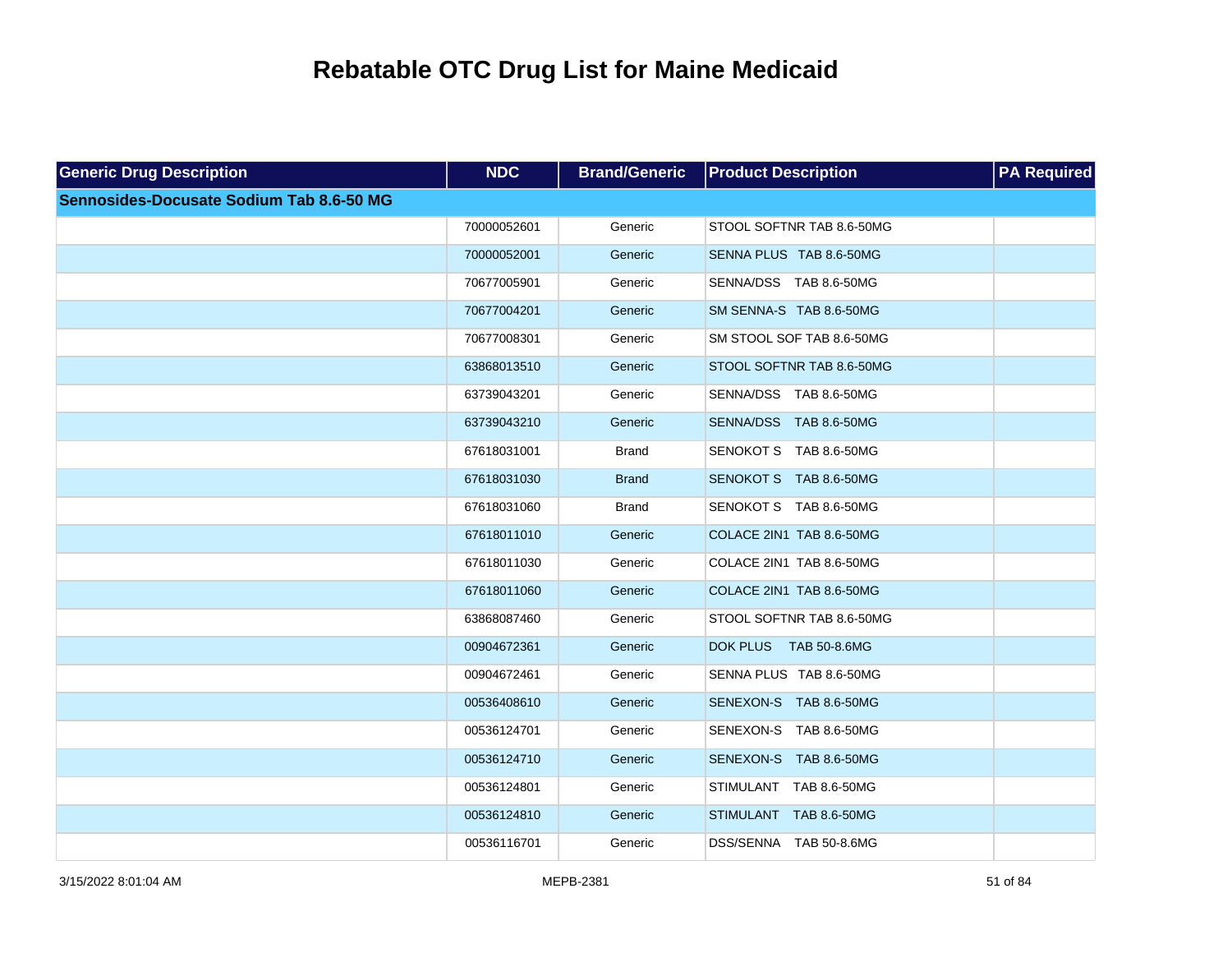| <b>Generic Drug Description</b>          | <b>NDC</b>  | <b>Brand/Generic</b> | <b>Product Description</b>      | <b>PA Required</b> |
|------------------------------------------|-------------|----------------------|---------------------------------|--------------------|
| Sennosides-Docusate Sodium Tab 8.6-50 MG |             |                      |                                 |                    |
|                                          | 70000052601 | Generic              | STOOL SOFTNR TAB 8.6-50MG       |                    |
|                                          | 70000052001 | Generic              | SENNA PLUS TAB 8.6-50MG         |                    |
|                                          | 70677005901 | Generic              | SENNA/DSS TAB 8.6-50MG          |                    |
|                                          | 70677004201 | Generic              | SM SENNA-S TAB 8.6-50MG         |                    |
|                                          | 70677008301 | Generic              | SM STOOL SOF TAB 8.6-50MG       |                    |
|                                          | 63868013510 | Generic              | STOOL SOFTNR TAB 8.6-50MG       |                    |
|                                          | 63739043201 | Generic              | SENNA/DSS TAB 8.6-50MG          |                    |
|                                          | 63739043210 | Generic              | SENNA/DSS TAB 8.6-50MG          |                    |
|                                          | 67618031001 | <b>Brand</b>         | SENOKOT S TAB 8.6-50MG          |                    |
|                                          | 67618031030 | <b>Brand</b>         | SENOKOT S TAB 8.6-50MG          |                    |
|                                          | 67618031060 | <b>Brand</b>         | SENOKOT S TAB 8.6-50MG          |                    |
|                                          | 67618011010 | Generic              | COLACE 2IN1 TAB 8.6-50MG        |                    |
|                                          | 67618011030 | Generic              | COLACE 2IN1 TAB 8.6-50MG        |                    |
|                                          | 67618011060 | Generic              | COLACE 2IN1 TAB 8.6-50MG        |                    |
|                                          | 63868087460 | Generic              | STOOL SOFTNR TAB 8.6-50MG       |                    |
|                                          | 00904672361 | Generic              | <b>DOK PLUS</b><br>TAB 50-8.6MG |                    |
|                                          | 00904672461 | Generic              | SENNA PLUS TAB 8.6-50MG         |                    |
|                                          | 00536408610 | Generic              | SENEXON-S TAB 8.6-50MG          |                    |
|                                          | 00536124701 | Generic              | SENEXON-S TAB 8.6-50MG          |                    |
|                                          | 00536124710 | Generic              | SENEXON-S TAB 8.6-50MG          |                    |
|                                          | 00536124801 | Generic              | STIMULANT TAB 8.6-50MG          |                    |
|                                          | 00536124810 | Generic              | STIMULANT TAB 8.6-50MG          |                    |
|                                          | 00536116701 | Generic              | DSS/SENNA TAB 50-8.6MG          |                    |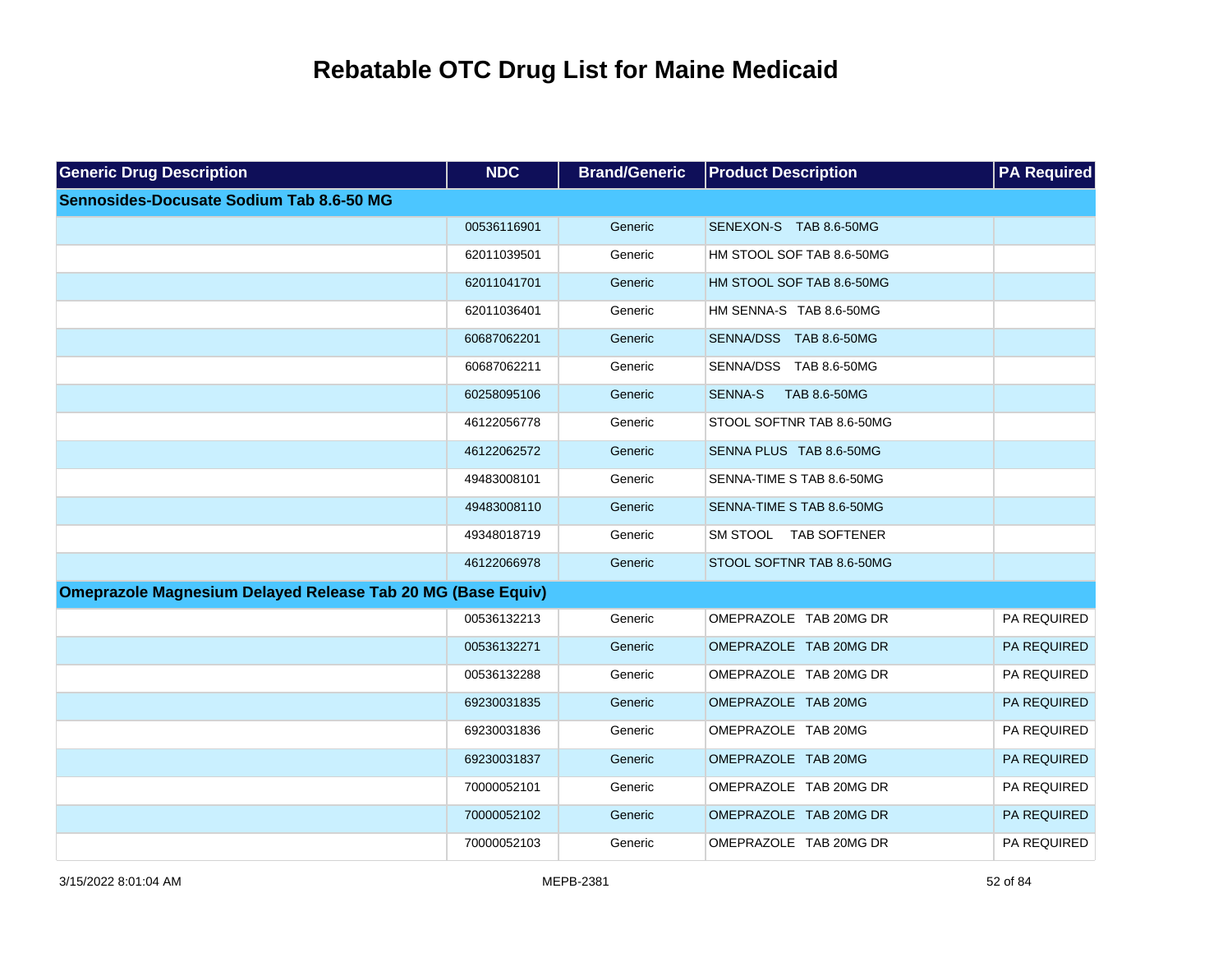| <b>Generic Drug Description</b>                                    | <b>NDC</b>  | <b>Brand/Generic</b> | <b>Product Description</b>     | <b>PA Required</b> |
|--------------------------------------------------------------------|-------------|----------------------|--------------------------------|--------------------|
| Sennosides-Docusate Sodium Tab 8.6-50 MG                           |             |                      |                                |                    |
|                                                                    | 00536116901 | Generic              | SENEXON-S TAB 8.6-50MG         |                    |
|                                                                    | 62011039501 | Generic              | HM STOOL SOF TAB 8.6-50MG      |                    |
|                                                                    | 62011041701 | Generic              | HM STOOL SOF TAB 8.6-50MG      |                    |
|                                                                    | 62011036401 | Generic              | HM SENNA-S TAB 8.6-50MG        |                    |
|                                                                    | 60687062201 | Generic              | SENNA/DSS TAB 8.6-50MG         |                    |
|                                                                    | 60687062211 | Generic              | SENNA/DSS TAB 8.6-50MG         |                    |
|                                                                    | 60258095106 | Generic              | <b>SENNA-S</b><br>TAB 8.6-50MG |                    |
|                                                                    | 46122056778 | Generic              | STOOL SOFTNR TAB 8.6-50MG      |                    |
|                                                                    | 46122062572 | Generic              | SENNA PLUS TAB 8.6-50MG        |                    |
|                                                                    | 49483008101 | Generic              | SENNA-TIME S TAB 8.6-50MG      |                    |
|                                                                    | 49483008110 | Generic              | SENNA-TIME S TAB 8.6-50MG      |                    |
|                                                                    | 49348018719 | Generic              | SM STOOL TAB SOFTENER          |                    |
|                                                                    | 46122066978 | Generic              | STOOL SOFTNR TAB 8.6-50MG      |                    |
| <b>Omeprazole Magnesium Delayed Release Tab 20 MG (Base Equiv)</b> |             |                      |                                |                    |
|                                                                    | 00536132213 | Generic              | OMEPRAZOLE TAB 20MG DR         | PA REQUIRED        |
|                                                                    | 00536132271 | Generic              | OMEPRAZOLE TAB 20MG DR         | PA REQUIRED        |
|                                                                    | 00536132288 | Generic              | OMEPRAZOLE TAB 20MG DR         | PA REQUIRED        |
|                                                                    | 69230031835 | Generic              | OMEPRAZOLE TAB 20MG            | PA REQUIRED        |
|                                                                    | 69230031836 | Generic              | OMEPRAZOLE TAB 20MG            | PA REQUIRED        |
|                                                                    | 69230031837 | Generic              | OMEPRAZOLE TAB 20MG            | PA REQUIRED        |
|                                                                    | 70000052101 | Generic              | OMEPRAZOLE TAB 20MG DR         | PA REQUIRED        |
|                                                                    | 70000052102 | Generic              | OMEPRAZOLE TAB 20MG DR         | <b>PA REQUIRED</b> |
|                                                                    | 70000052103 | Generic              | OMEPRAZOLE TAB 20MG DR         | PA REQUIRED        |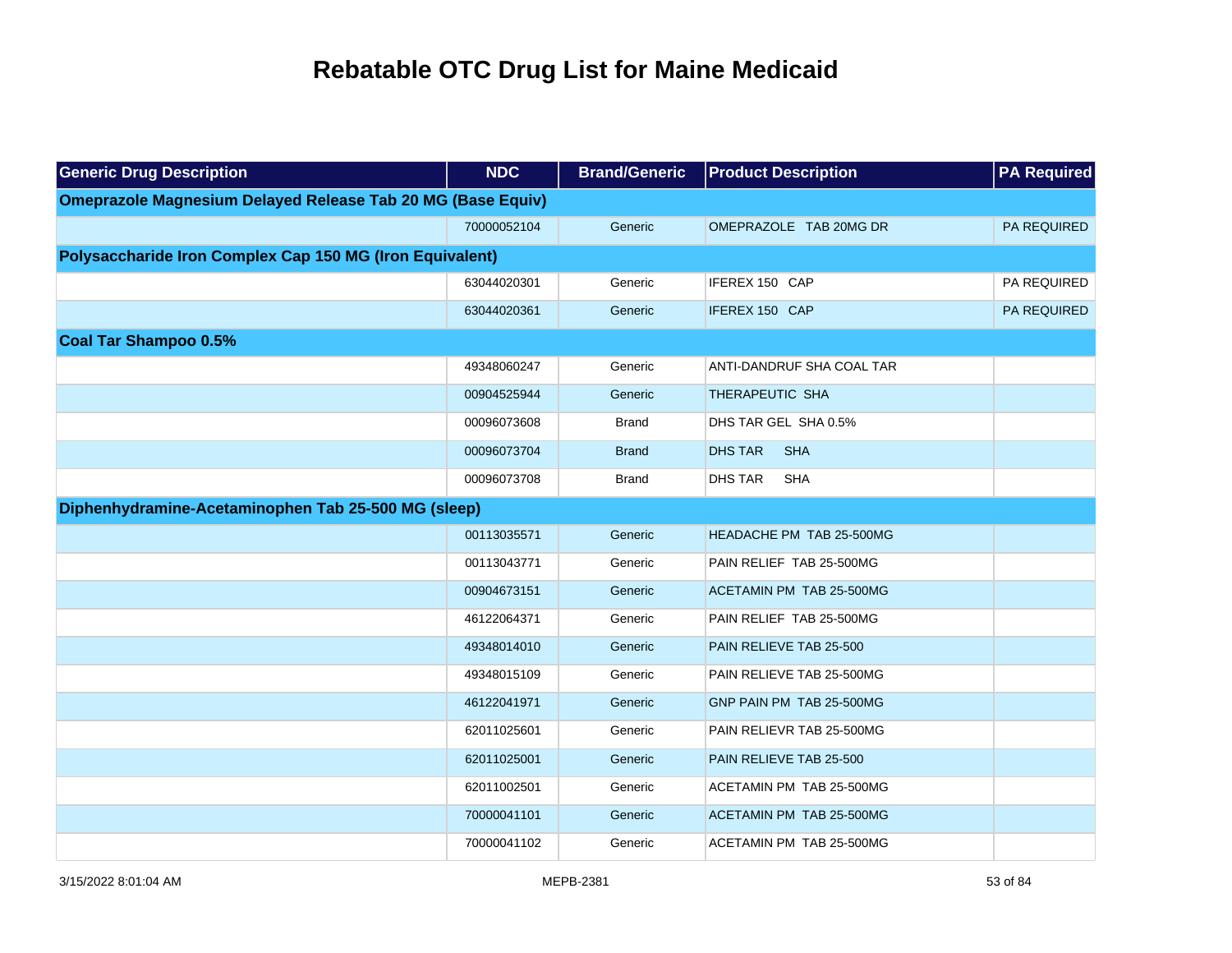| <b>Generic Drug Description</b>                                    | <b>NDC</b>  | <b>Brand/Generic</b> | <b>Product Description</b>      | <b>PA Required</b> |
|--------------------------------------------------------------------|-------------|----------------------|---------------------------------|--------------------|
| <b>Omeprazole Magnesium Delayed Release Tab 20 MG (Base Equiv)</b> |             |                      |                                 |                    |
|                                                                    | 70000052104 | Generic              | OMEPRAZOLE TAB 20MG DR          | <b>PA REQUIRED</b> |
| Polysaccharide Iron Complex Cap 150 MG (Iron Equivalent)           |             |                      |                                 |                    |
|                                                                    | 63044020301 | Generic              | IFEREX 150 CAP                  | PA REQUIRED        |
|                                                                    | 63044020361 | Generic              | IFEREX 150 CAP                  | PA REQUIRED        |
| <b>Coal Tar Shampoo 0.5%</b>                                       |             |                      |                                 |                    |
|                                                                    | 49348060247 | Generic              | ANTI-DANDRUF SHA COAL TAR       |                    |
|                                                                    | 00904525944 | Generic              | THERAPEUTIC SHA                 |                    |
|                                                                    | 00096073608 | <b>Brand</b>         | DHS TAR GEL SHA 0.5%            |                    |
|                                                                    | 00096073704 | <b>Brand</b>         | <b>DHS TAR</b><br><b>SHA</b>    |                    |
|                                                                    | 00096073708 | <b>Brand</b>         | <b>DHS TAR</b><br><b>SHA</b>    |                    |
| Diphenhydramine-Acetaminophen Tab 25-500 MG (sleep)                |             |                      |                                 |                    |
|                                                                    | 00113035571 | Generic              | <b>HEADACHE PM TAB 25-500MG</b> |                    |
|                                                                    | 00113043771 | Generic              | PAIN RELIEF TAB 25-500MG        |                    |
|                                                                    | 00904673151 | Generic              | ACETAMIN PM TAB 25-500MG        |                    |
|                                                                    | 46122064371 | Generic              | PAIN RELIEF TAB 25-500MG        |                    |
|                                                                    | 49348014010 | Generic              | PAIN RELIEVE TAB 25-500         |                    |
|                                                                    | 49348015109 | Generic              | PAIN RELIEVE TAB 25-500MG       |                    |
|                                                                    | 46122041971 | Generic              | GNP PAIN PM TAB 25-500MG        |                    |
|                                                                    | 62011025601 | Generic              | PAIN RELIEVR TAB 25-500MG       |                    |
|                                                                    | 62011025001 | Generic              | PAIN RELIEVE TAB 25-500         |                    |
|                                                                    | 62011002501 | Generic              | ACETAMIN PM TAB 25-500MG        |                    |
|                                                                    | 70000041101 | Generic              | ACETAMIN PM TAB 25-500MG        |                    |
|                                                                    | 70000041102 | Generic              | ACETAMIN PM TAB 25-500MG        |                    |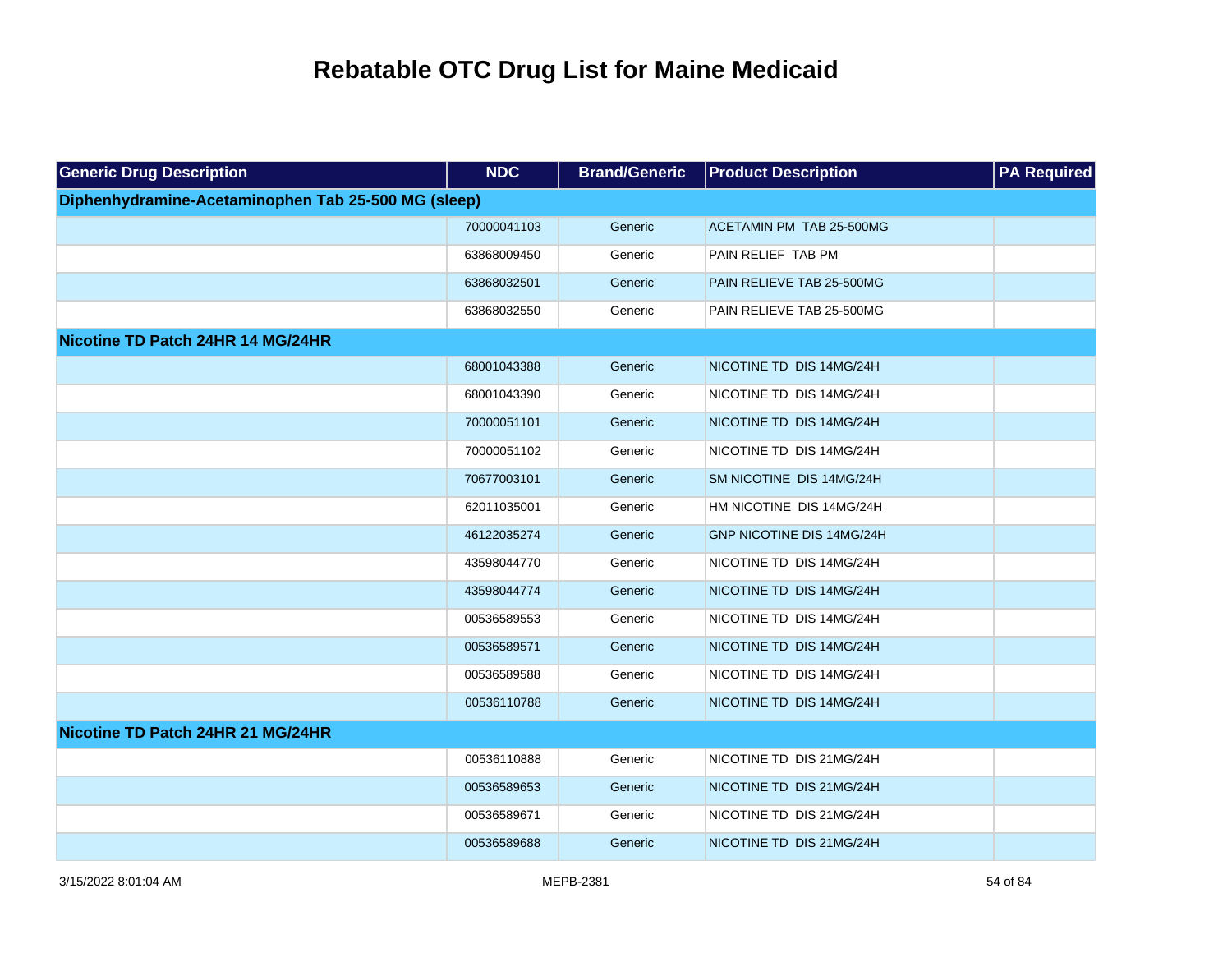| <b>Generic Drug Description</b>                     | <b>NDC</b>  | <b>Brand/Generic</b> | <b>Product Description</b> | <b>PA Required</b> |
|-----------------------------------------------------|-------------|----------------------|----------------------------|--------------------|
| Diphenhydramine-Acetaminophen Tab 25-500 MG (sleep) |             |                      |                            |                    |
|                                                     | 70000041103 | Generic              | ACETAMIN PM TAB 25-500MG   |                    |
|                                                     | 63868009450 | Generic              | PAIN RELIEF TAB PM         |                    |
|                                                     | 63868032501 | Generic              | PAIN RELIEVE TAB 25-500MG  |                    |
|                                                     | 63868032550 | Generic              | PAIN RELIEVE TAB 25-500MG  |                    |
| Nicotine TD Patch 24HR 14 MG/24HR                   |             |                      |                            |                    |
|                                                     | 68001043388 | Generic              | NICOTINE TD DIS 14MG/24H   |                    |
|                                                     | 68001043390 | Generic              | NICOTINE TD DIS 14MG/24H   |                    |
|                                                     | 70000051101 | Generic              | NICOTINE TD DIS 14MG/24H   |                    |
|                                                     | 70000051102 | Generic              | NICOTINE TD DIS 14MG/24H   |                    |
|                                                     | 70677003101 | Generic              | SM NICOTINE DIS 14MG/24H   |                    |
|                                                     | 62011035001 | Generic              | HM NICOTINE DIS 14MG/24H   |                    |
|                                                     | 46122035274 | Generic              | GNP NICOTINE DIS 14MG/24H  |                    |
|                                                     | 43598044770 | Generic              | NICOTINE TD DIS 14MG/24H   |                    |
|                                                     | 43598044774 | Generic              | NICOTINE TD DIS 14MG/24H   |                    |
|                                                     | 00536589553 | Generic              | NICOTINE TD DIS 14MG/24H   |                    |
|                                                     | 00536589571 | Generic              | NICOTINE TD DIS 14MG/24H   |                    |
|                                                     | 00536589588 | Generic              | NICOTINE TD DIS 14MG/24H   |                    |
|                                                     | 00536110788 | Generic              | NICOTINE TD DIS 14MG/24H   |                    |
| Nicotine TD Patch 24HR 21 MG/24HR                   |             |                      |                            |                    |
|                                                     | 00536110888 | Generic              | NICOTINE TD DIS 21MG/24H   |                    |
|                                                     | 00536589653 | Generic              | NICOTINE TD DIS 21MG/24H   |                    |
|                                                     | 00536589671 | Generic              | NICOTINE TD DIS 21MG/24H   |                    |
|                                                     | 00536589688 | Generic              | NICOTINE TD DIS 21MG/24H   |                    |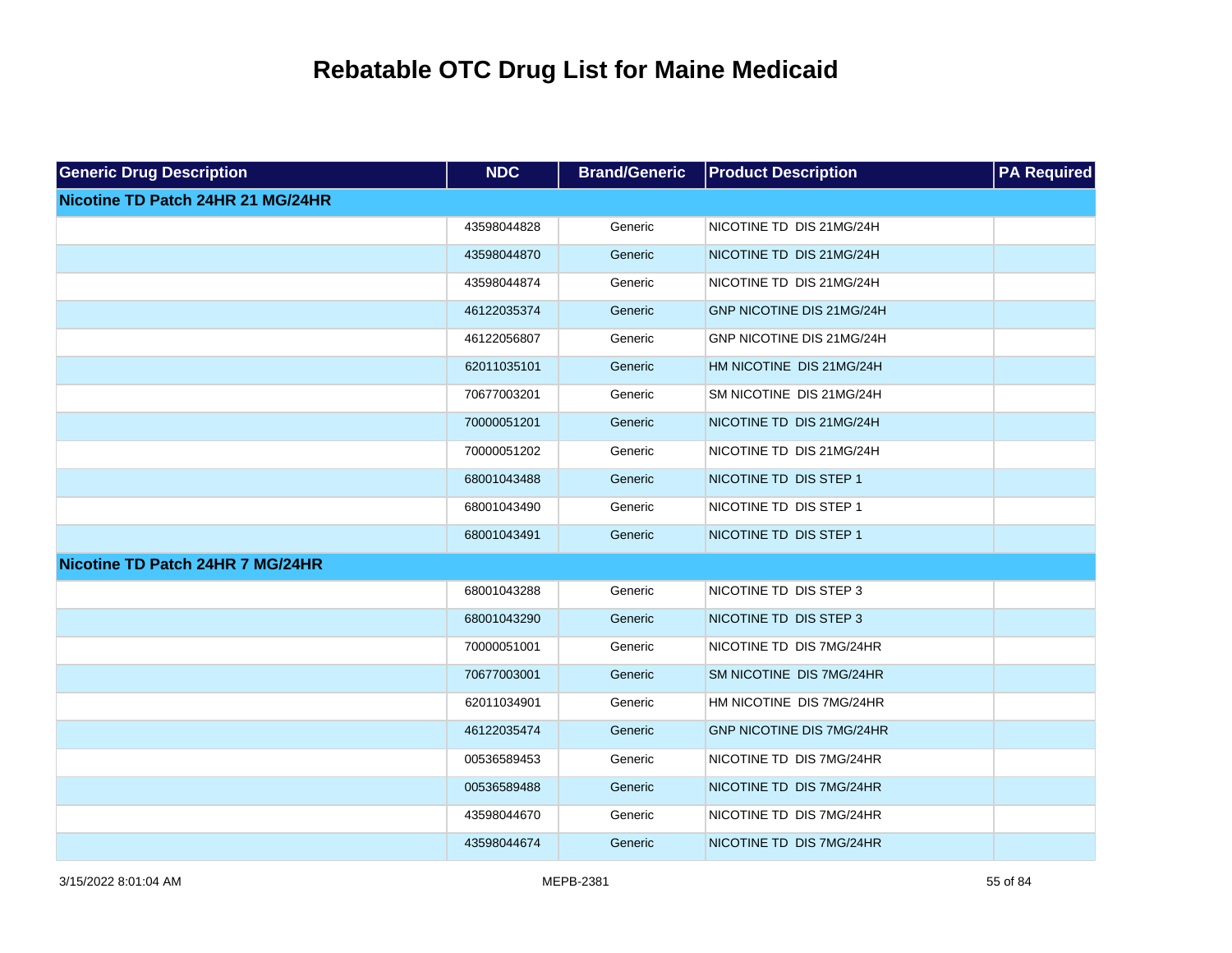| <b>Generic Drug Description</b>   | <b>NDC</b>  | <b>Brand/Generic</b> | <b>Product Description</b>       | <b>PA Required</b> |
|-----------------------------------|-------------|----------------------|----------------------------------|--------------------|
| Nicotine TD Patch 24HR 21 MG/24HR |             |                      |                                  |                    |
|                                   | 43598044828 | Generic              | NICOTINE TD DIS 21MG/24H         |                    |
|                                   | 43598044870 | Generic              | NICOTINE TD DIS 21MG/24H         |                    |
|                                   | 43598044874 | Generic              | NICOTINE TD DIS 21MG/24H         |                    |
|                                   | 46122035374 | Generic              | GNP NICOTINE DIS 21MG/24H        |                    |
|                                   | 46122056807 | Generic              | GNP NICOTINE DIS 21MG/24H        |                    |
|                                   | 62011035101 | Generic              | HM NICOTINE DIS 21MG/24H         |                    |
|                                   | 70677003201 | Generic              | SM NICOTINE DIS 21MG/24H         |                    |
|                                   | 70000051201 | Generic              | NICOTINE TD DIS 21MG/24H         |                    |
|                                   | 70000051202 | Generic              | NICOTINE TD DIS 21MG/24H         |                    |
|                                   | 68001043488 | Generic              | NICOTINE TD DIS STEP 1           |                    |
|                                   | 68001043490 | Generic              | NICOTINE TD DIS STEP 1           |                    |
|                                   | 68001043491 | Generic              | NICOTINE TD DIS STEP 1           |                    |
| Nicotine TD Patch 24HR 7 MG/24HR  |             |                      |                                  |                    |
|                                   | 68001043288 | Generic              | NICOTINE TD DIS STEP 3           |                    |
|                                   | 68001043290 | Generic              | NICOTINE TD DIS STEP 3           |                    |
|                                   | 70000051001 | Generic              | NICOTINE TD DIS 7MG/24HR         |                    |
|                                   | 70677003001 | Generic              | SM NICOTINE DIS 7MG/24HR         |                    |
|                                   | 62011034901 | Generic              | HM NICOTINE DIS 7MG/24HR         |                    |
|                                   | 46122035474 | Generic              | <b>GNP NICOTINE DIS 7MG/24HR</b> |                    |
|                                   | 00536589453 | Generic              | NICOTINE TD DIS 7MG/24HR         |                    |
|                                   | 00536589488 | Generic              | NICOTINE TD DIS 7MG/24HR         |                    |
|                                   | 43598044670 | Generic              | NICOTINE TD DIS 7MG/24HR         |                    |
|                                   | 43598044674 | Generic              | NICOTINE TD DIS 7MG/24HR         |                    |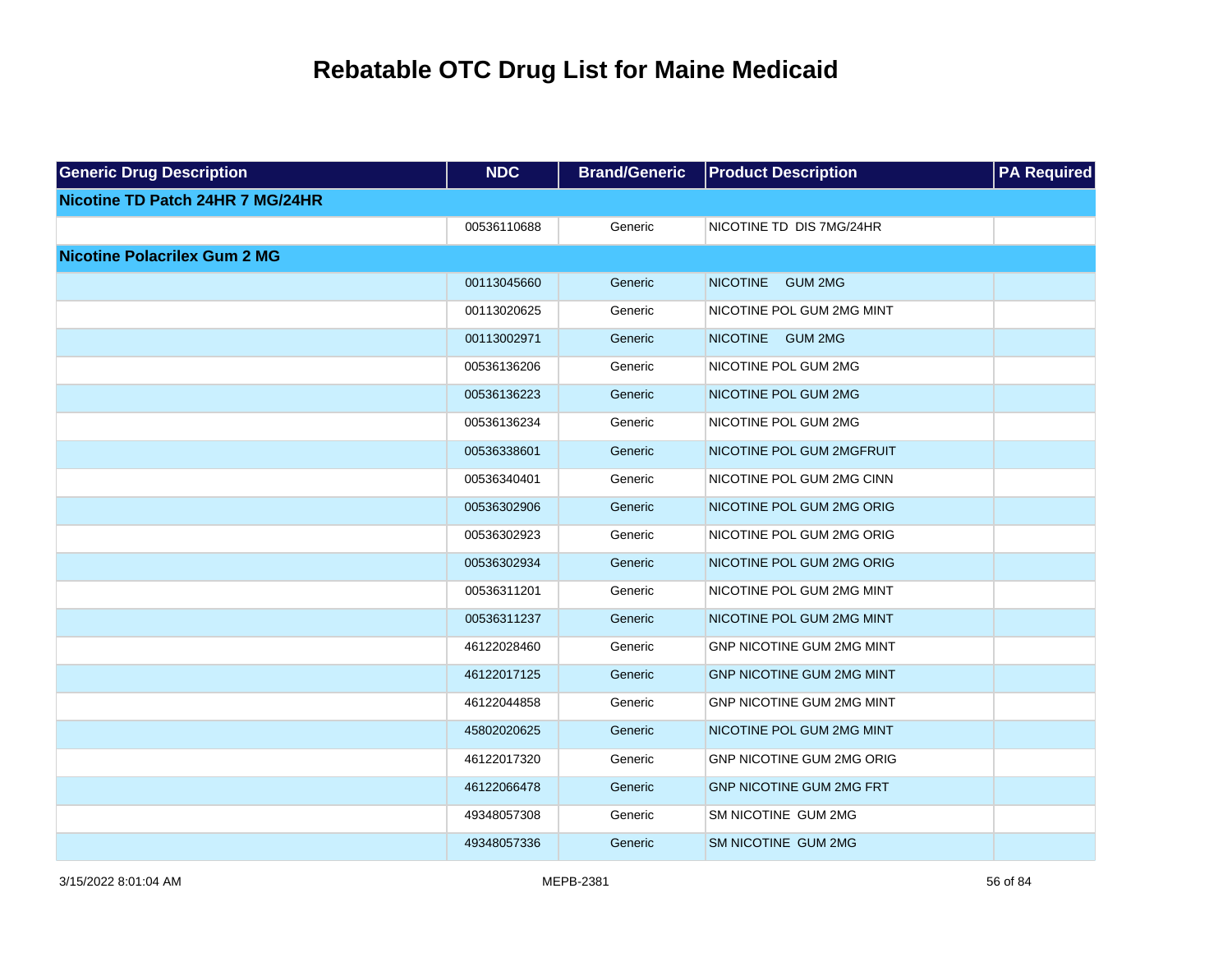| <b>Generic Drug Description</b>     | <b>NDC</b>  | <b>Brand/Generic</b> | <b>Product Description</b>       | <b>PA Required</b> |
|-------------------------------------|-------------|----------------------|----------------------------------|--------------------|
| Nicotine TD Patch 24HR 7 MG/24HR    |             |                      |                                  |                    |
|                                     | 00536110688 | Generic              | NICOTINE TD DIS 7MG/24HR         |                    |
| <b>Nicotine Polacrilex Gum 2 MG</b> |             |                      |                                  |                    |
|                                     | 00113045660 | Generic              | NICOTINE GUM 2MG                 |                    |
|                                     | 00113020625 | Generic              | NICOTINE POL GUM 2MG MINT        |                    |
|                                     | 00113002971 | Generic              | NICOTINE GUM 2MG                 |                    |
|                                     | 00536136206 | Generic              | NICOTINE POL GUM 2MG             |                    |
|                                     | 00536136223 | Generic              | NICOTINE POL GUM 2MG             |                    |
|                                     | 00536136234 | Generic              | NICOTINE POL GUM 2MG             |                    |
|                                     | 00536338601 | Generic              | NICOTINE POL GUM 2MGFRUIT        |                    |
|                                     | 00536340401 | Generic              | NICOTINE POL GUM 2MG CINN        |                    |
|                                     | 00536302906 | Generic              | NICOTINE POL GUM 2MG ORIG        |                    |
|                                     | 00536302923 | Generic              | NICOTINE POL GUM 2MG ORIG        |                    |
|                                     | 00536302934 | Generic              | NICOTINE POL GUM 2MG ORIG        |                    |
|                                     | 00536311201 | Generic              | NICOTINE POL GUM 2MG MINT        |                    |
|                                     | 00536311237 | Generic              | NICOTINE POL GUM 2MG MINT        |                    |
|                                     | 46122028460 | Generic              | GNP NICOTINE GUM 2MG MINT        |                    |
|                                     | 46122017125 | Generic              | <b>GNP NICOTINE GUM 2MG MINT</b> |                    |
|                                     | 46122044858 | Generic              | GNP NICOTINE GUM 2MG MINT        |                    |
|                                     | 45802020625 | Generic              | NICOTINE POL GUM 2MG MINT        |                    |
|                                     | 46122017320 | Generic              | GNP NICOTINE GUM 2MG ORIG        |                    |
|                                     | 46122066478 | Generic              | <b>GNP NICOTINE GUM 2MG FRT</b>  |                    |
|                                     | 49348057308 | Generic              | SM NICOTINE GUM 2MG              |                    |
|                                     | 49348057336 | Generic              | <b>SM NICOTINE GUM 2MG</b>       |                    |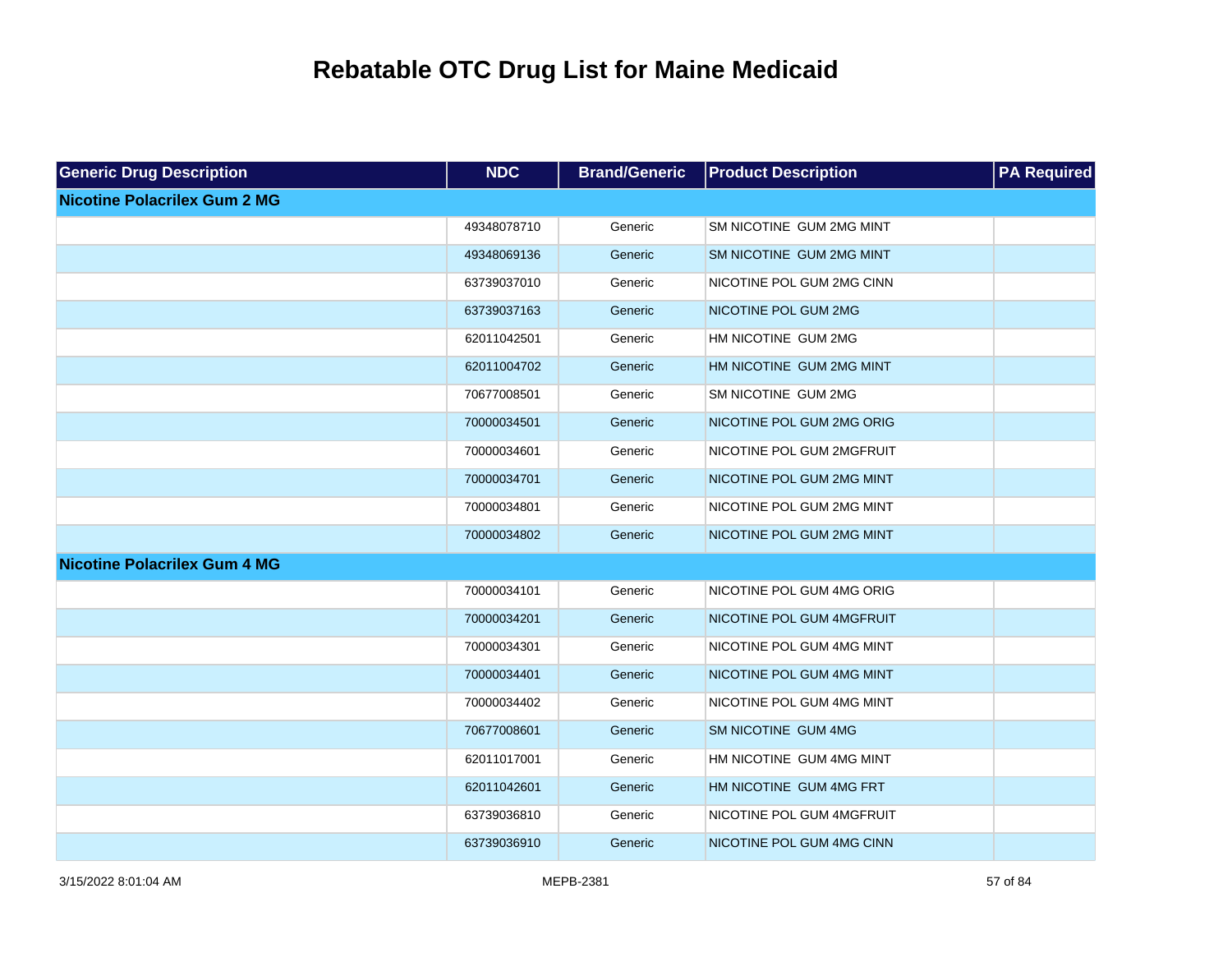| <b>Generic Drug Description</b>     | <b>NDC</b>  | <b>Brand/Generic</b> | <b>Product Description</b> | <b>PA Required</b> |
|-------------------------------------|-------------|----------------------|----------------------------|--------------------|
| <b>Nicotine Polacrilex Gum 2 MG</b> |             |                      |                            |                    |
|                                     | 49348078710 | Generic              | SM NICOTINE GUM 2MG MINT   |                    |
|                                     | 49348069136 | Generic              | SM NICOTINE GUM 2MG MINT   |                    |
|                                     | 63739037010 | Generic              | NICOTINE POL GUM 2MG CINN  |                    |
|                                     | 63739037163 | Generic              | NICOTINE POL GUM 2MG       |                    |
|                                     | 62011042501 | Generic              | HM NICOTINE GUM 2MG        |                    |
|                                     | 62011004702 | Generic              | HM NICOTINE GUM 2MG MINT   |                    |
|                                     | 70677008501 | Generic              | SM NICOTINE GUM 2MG        |                    |
|                                     | 70000034501 | Generic              | NICOTINE POL GUM 2MG ORIG  |                    |
|                                     | 70000034601 | Generic              | NICOTINE POL GUM 2MGFRUIT  |                    |
|                                     | 70000034701 | Generic              | NICOTINE POL GUM 2MG MINT  |                    |
|                                     | 70000034801 | Generic              | NICOTINE POL GUM 2MG MINT  |                    |
|                                     | 70000034802 | Generic              | NICOTINE POL GUM 2MG MINT  |                    |
| <b>Nicotine Polacrilex Gum 4 MG</b> |             |                      |                            |                    |
|                                     | 70000034101 | Generic              | NICOTINE POL GUM 4MG ORIG  |                    |
|                                     | 70000034201 | Generic              | NICOTINE POL GUM 4MGFRUIT  |                    |
|                                     | 70000034301 | Generic              | NICOTINE POL GUM 4MG MINT  |                    |
|                                     | 70000034401 | Generic              | NICOTINE POL GUM 4MG MINT  |                    |
|                                     | 70000034402 | Generic              | NICOTINE POL GUM 4MG MINT  |                    |
|                                     | 70677008601 | Generic              | SM NICOTINE GUM 4MG        |                    |
|                                     | 62011017001 | Generic              | HM NICOTINE GUM 4MG MINT   |                    |
|                                     | 62011042601 | Generic              | HM NICOTINE GUM 4MG FRT    |                    |
|                                     | 63739036810 | Generic              | NICOTINE POL GUM 4MGFRUIT  |                    |
|                                     | 63739036910 | Generic              | NICOTINE POL GUM 4MG CINN  |                    |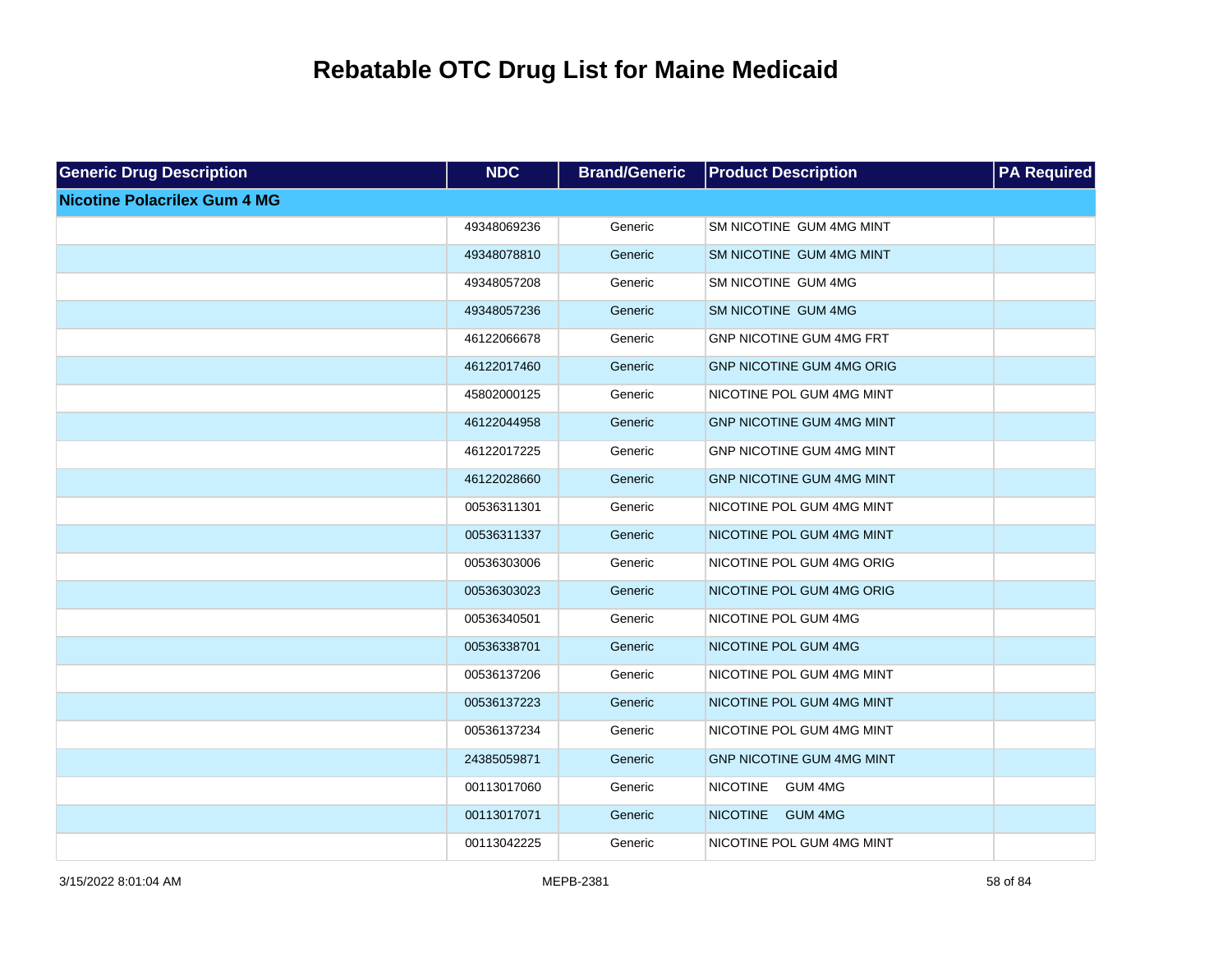| <b>Generic Drug Description</b>     | <b>NDC</b>  | <b>Brand/Generic</b> | <b>Product Description</b>        | <b>PA Required</b> |
|-------------------------------------|-------------|----------------------|-----------------------------------|--------------------|
| <b>Nicotine Polacrilex Gum 4 MG</b> |             |                      |                                   |                    |
|                                     | 49348069236 | Generic              | SM NICOTINE GUM 4MG MINT          |                    |
|                                     | 49348078810 | Generic              | SM NICOTINE GUM 4MG MINT          |                    |
|                                     | 49348057208 | Generic              | SM NICOTINE GUM 4MG               |                    |
|                                     | 49348057236 | Generic              | SM NICOTINE GUM 4MG               |                    |
|                                     | 46122066678 | Generic              | <b>GNP NICOTINE GUM 4MG FRT</b>   |                    |
|                                     | 46122017460 | Generic              | <b>GNP NICOTINE GUM 4MG ORIG</b>  |                    |
|                                     | 45802000125 | Generic              | NICOTINE POL GUM 4MG MINT         |                    |
|                                     | 46122044958 | Generic              | <b>GNP NICOTINE GUM 4MG MINT</b>  |                    |
|                                     | 46122017225 | Generic              | <b>GNP NICOTINE GUM 4MG MINT</b>  |                    |
|                                     | 46122028660 | Generic              | <b>GNP NICOTINE GUM 4MG MINT</b>  |                    |
|                                     | 00536311301 | Generic              | NICOTINE POL GUM 4MG MINT         |                    |
|                                     | 00536311337 | Generic              | NICOTINE POL GUM 4MG MINT         |                    |
|                                     | 00536303006 | Generic              | NICOTINE POL GUM 4MG ORIG         |                    |
|                                     | 00536303023 | Generic              | NICOTINE POL GUM 4MG ORIG         |                    |
|                                     | 00536340501 | Generic              | NICOTINE POL GUM 4MG              |                    |
|                                     | 00536338701 | Generic              | NICOTINE POL GUM 4MG              |                    |
|                                     | 00536137206 | Generic              | NICOTINE POL GUM 4MG MINT         |                    |
|                                     | 00536137223 | Generic              | NICOTINE POL GUM 4MG MINT         |                    |
|                                     | 00536137234 | Generic              | NICOTINE POL GUM 4MG MINT         |                    |
|                                     | 24385059871 | Generic              | <b>GNP NICOTINE GUM 4MG MINT</b>  |                    |
|                                     | 00113017060 | Generic              | <b>NICOTINE</b><br>GUM 4MG        |                    |
|                                     | 00113017071 | Generic              | <b>NICOTINE</b><br><b>GUM 4MG</b> |                    |
|                                     | 00113042225 | Generic              | NICOTINE POL GUM 4MG MINT         |                    |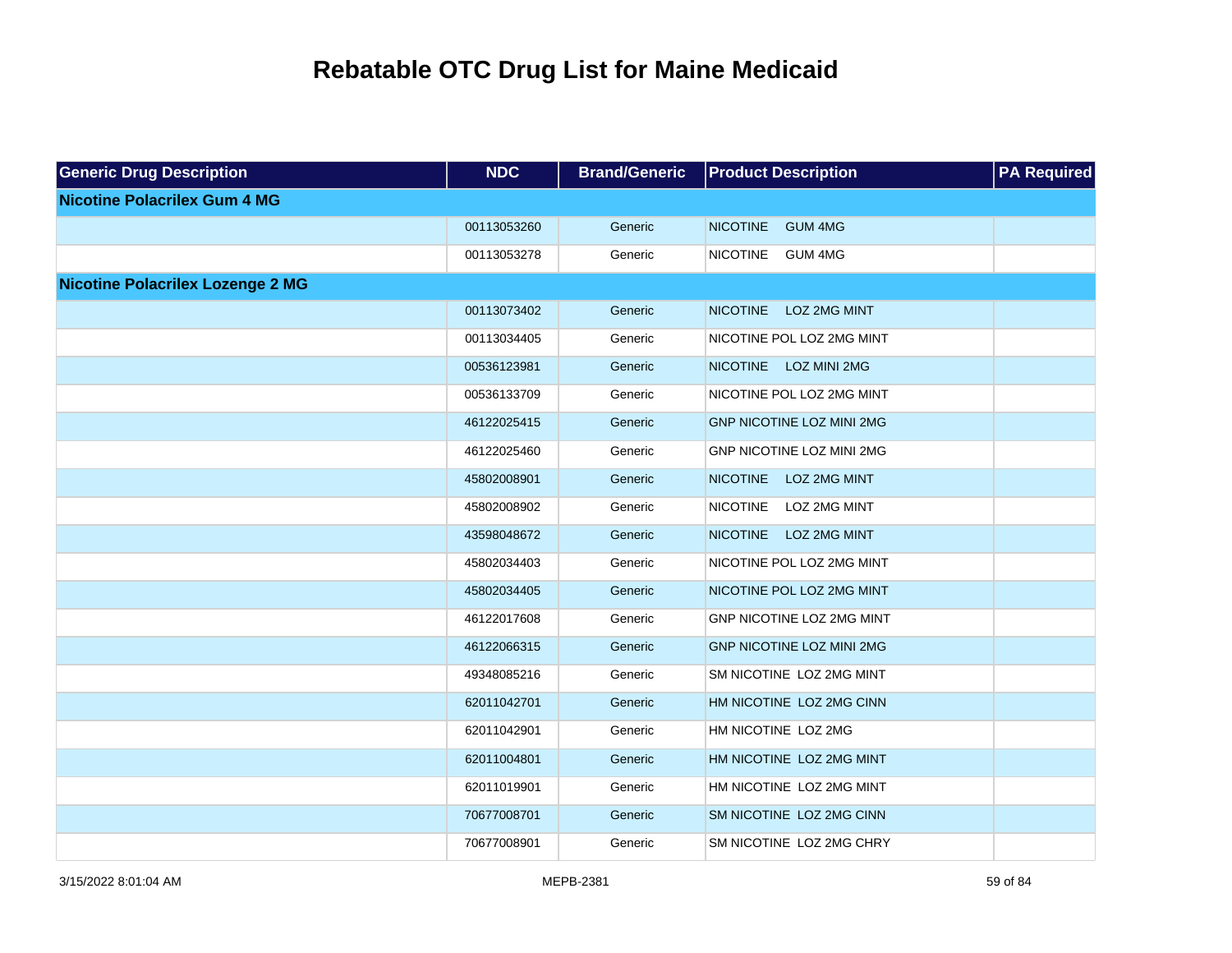| <b>Generic Drug Description</b>         | NDC         | <b>Brand/Generic</b> | <b>Product Description</b>             | <b>PA</b> Required |
|-----------------------------------------|-------------|----------------------|----------------------------------------|--------------------|
| <b>Nicotine Polacrilex Gum 4 MG</b>     |             |                      |                                        |                    |
|                                         | 00113053260 | Generic              | <b>NICOTINE</b><br><b>GUM 4MG</b>      |                    |
|                                         | 00113053278 | Generic              | <b>NICOTINE</b><br><b>GUM 4MG</b>      |                    |
| <b>Nicotine Polacrilex Lozenge 2 MG</b> |             |                      |                                        |                    |
|                                         | 00113073402 | Generic              | <b>NICOTINE</b><br><b>LOZ 2MG MINT</b> |                    |
|                                         | 00113034405 | Generic              | NICOTINE POL LOZ 2MG MINT              |                    |
|                                         | 00536123981 | Generic              | <b>NICOTINE</b><br><b>LOZ MINI 2MG</b> |                    |
|                                         | 00536133709 | Generic              | NICOTINE POL LOZ 2MG MINT              |                    |
|                                         | 46122025415 | Generic              | <b>GNP NICOTINE LOZ MINI 2MG</b>       |                    |
|                                         | 46122025460 | Generic              | GNP NICOTINE LOZ MINI 2MG              |                    |
|                                         | 45802008901 | Generic              | <b>NICOTINE</b><br><b>LOZ 2MG MINT</b> |                    |
|                                         | 45802008902 | Generic              | <b>NICOTINE</b><br>LOZ 2MG MINT        |                    |
|                                         | 43598048672 | Generic              | <b>NICOTINE</b><br><b>LOZ 2MG MINT</b> |                    |
|                                         | 45802034403 | Generic              | NICOTINE POL LOZ 2MG MINT              |                    |
|                                         | 45802034405 | Generic              | NICOTINE POL LOZ 2MG MINT              |                    |
|                                         | 46122017608 | Generic              | GNP NICOTINE LOZ 2MG MINT              |                    |
|                                         | 46122066315 | Generic              | <b>GNP NICOTINE LOZ MINI 2MG</b>       |                    |
|                                         | 49348085216 | Generic              | SM NICOTINE LOZ 2MG MINT               |                    |
|                                         | 62011042701 | Generic              | HM NICOTINE LOZ 2MG CINN               |                    |
|                                         | 62011042901 | Generic              | HM NICOTINE LOZ 2MG                    |                    |
|                                         | 62011004801 | Generic              | HM NICOTINE LOZ 2MG MINT               |                    |
|                                         | 62011019901 | Generic              | HM NICOTINE LOZ 2MG MINT               |                    |
|                                         | 70677008701 | Generic              | SM NICOTINE LOZ 2MG CINN               |                    |
|                                         | 70677008901 | Generic              | SM NICOTINE LOZ 2MG CHRY               |                    |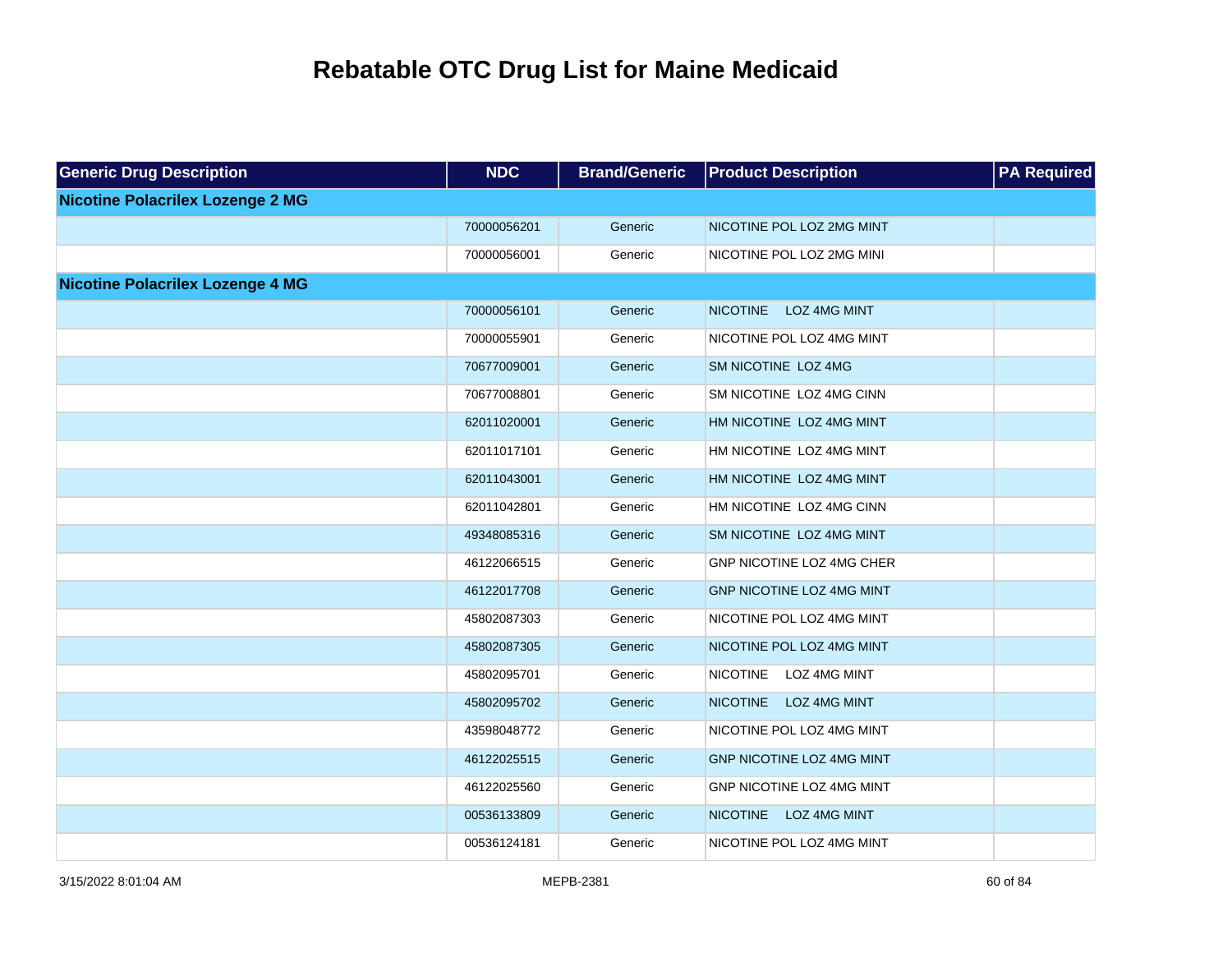| <b>Generic Drug Description</b>         | <b>NDC</b>  | <b>Brand/Generic</b> | <b>Product Description</b>             | <b>PA</b> Required |
|-----------------------------------------|-------------|----------------------|----------------------------------------|--------------------|
| <b>Nicotine Polacrilex Lozenge 2 MG</b> |             |                      |                                        |                    |
|                                         | 70000056201 | Generic              | NICOTINE POL LOZ 2MG MINT              |                    |
|                                         | 70000056001 | Generic              | NICOTINE POL LOZ 2MG MINI              |                    |
| <b>Nicotine Polacrilex Lozenge 4 MG</b> |             |                      |                                        |                    |
|                                         | 70000056101 | Generic              | <b>NICOTINE</b><br><b>LOZ 4MG MINT</b> |                    |
|                                         | 70000055901 | Generic              | NICOTINE POL LOZ 4MG MINT              |                    |
|                                         | 70677009001 | Generic              | SM NICOTINE LOZ 4MG                    |                    |
|                                         | 70677008801 | Generic              | SM NICOTINE LOZ 4MG CINN               |                    |
|                                         | 62011020001 | Generic              | HM NICOTINE LOZ 4MG MINT               |                    |
|                                         | 62011017101 | Generic              | HM NICOTINE LOZ 4MG MINT               |                    |
|                                         | 62011043001 | Generic              | HM NICOTINE LOZ 4MG MINT               |                    |
|                                         | 62011042801 | Generic              | HM NICOTINE LOZ 4MG CINN               |                    |
|                                         | 49348085316 | Generic              | SM NICOTINE LOZ 4MG MINT               |                    |
|                                         | 46122066515 | Generic              | GNP NICOTINE LOZ 4MG CHER              |                    |
|                                         | 46122017708 | Generic              | GNP NICOTINE LOZ 4MG MINT              |                    |
|                                         | 45802087303 | Generic              | NICOTINE POL LOZ 4MG MINT              |                    |
|                                         | 45802087305 | Generic              | NICOTINE POL LOZ 4MG MINT              |                    |
|                                         | 45802095701 | Generic              | NICOTINE LOZ 4MG MINT                  |                    |
|                                         | 45802095702 | Generic              | <b>NICOTINE</b><br>LOZ 4MG MINT        |                    |
|                                         | 43598048772 | Generic              | NICOTINE POL LOZ 4MG MINT              |                    |
|                                         | 46122025515 | Generic              | GNP NICOTINE LOZ 4MG MINT              |                    |
|                                         | 46122025560 | Generic              | GNP NICOTINE LOZ 4MG MINT              |                    |
|                                         | 00536133809 | Generic              | <b>NICOTINE</b><br><b>LOZ 4MG MINT</b> |                    |
|                                         | 00536124181 | Generic              | NICOTINE POL LOZ 4MG MINT              |                    |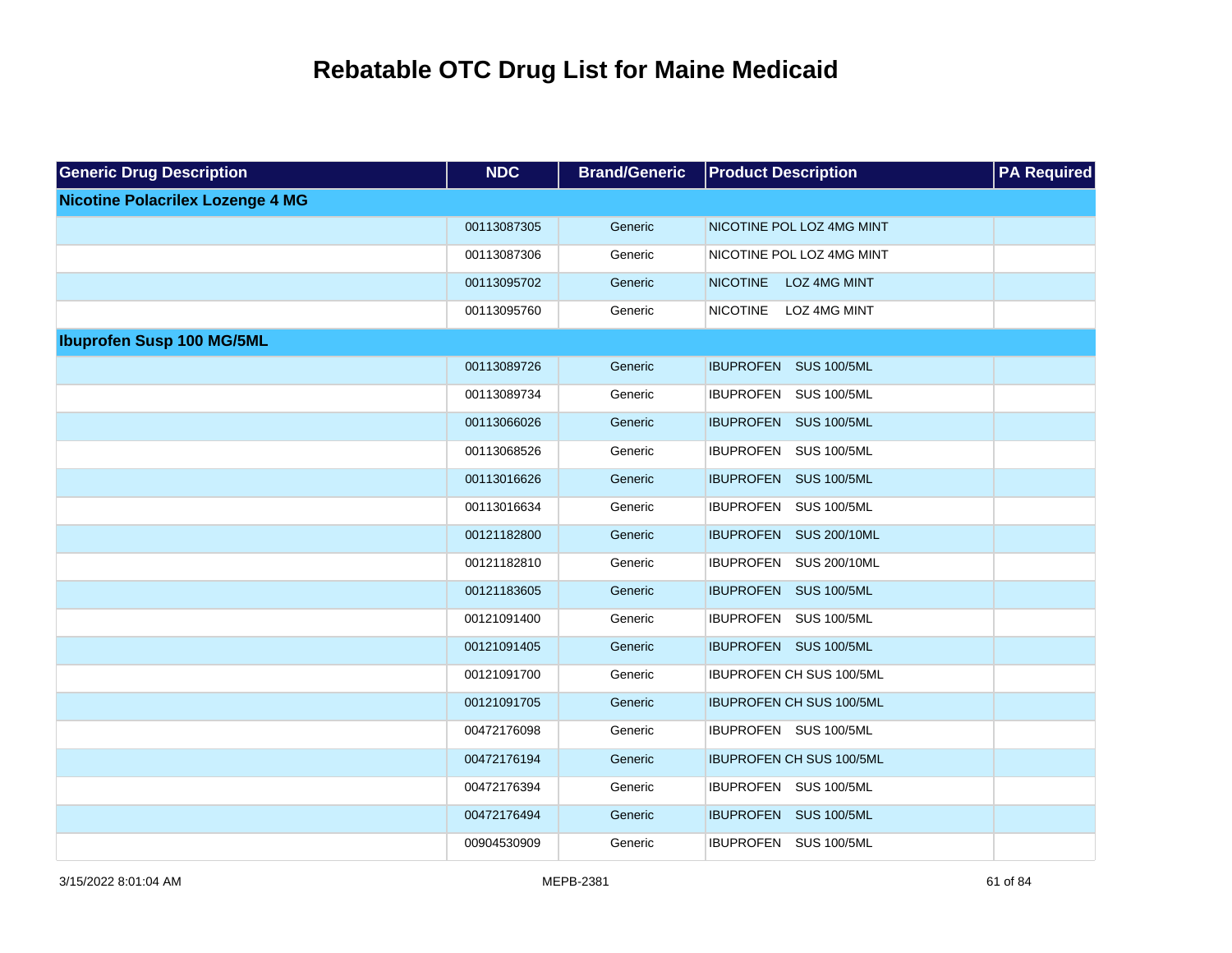| <b>Generic Drug Description</b>         | <b>NDC</b>  | <b>Brand/Generic</b> | <b>Product Description</b>      | <b>PA Required</b> |
|-----------------------------------------|-------------|----------------------|---------------------------------|--------------------|
| <b>Nicotine Polacrilex Lozenge 4 MG</b> |             |                      |                                 |                    |
|                                         | 00113087305 | Generic              | NICOTINE POL LOZ 4MG MINT       |                    |
|                                         | 00113087306 | Generic              | NICOTINE POL LOZ 4MG MINT       |                    |
|                                         | 00113095702 | Generic              | NICOTINE LOZ 4MG MINT           |                    |
|                                         | 00113095760 | Generic              | LOZ 4MG MINT<br><b>NICOTINE</b> |                    |
| <b>Ibuprofen Susp 100 MG/5ML</b>        |             |                      |                                 |                    |
|                                         | 00113089726 | Generic              | IBUPROFEN SUS 100/5ML           |                    |
|                                         | 00113089734 | Generic              | IBUPROFEN SUS 100/5ML           |                    |
|                                         | 00113066026 | Generic              | IBUPROFEN SUS 100/5ML           |                    |
|                                         | 00113068526 | Generic              | IBUPROFEN SUS 100/5ML           |                    |
|                                         | 00113016626 | Generic              | IBUPROFEN SUS 100/5ML           |                    |
|                                         | 00113016634 | Generic              | IBUPROFEN SUS 100/5ML           |                    |
|                                         | 00121182800 | Generic              | IBUPROFEN SUS 200/10ML          |                    |
|                                         | 00121182810 | Generic              | IBUPROFEN SUS 200/10ML          |                    |
|                                         | 00121183605 | Generic              | IBUPROFEN SUS 100/5ML           |                    |
|                                         | 00121091400 | Generic              | IBUPROFEN SUS 100/5ML           |                    |
|                                         | 00121091405 | Generic              | IBUPROFEN SUS 100/5ML           |                    |
|                                         | 00121091700 | Generic              | IBUPROFEN CH SUS 100/5ML        |                    |
|                                         | 00121091705 | Generic              | IBUPROFEN CH SUS 100/5ML        |                    |
|                                         | 00472176098 | Generic              | IBUPROFEN SUS 100/5ML           |                    |
|                                         | 00472176194 | Generic              | <b>IBUPROFEN CH SUS 100/5ML</b> |                    |
|                                         | 00472176394 | Generic              | IBUPROFEN SUS 100/5ML           |                    |
|                                         | 00472176494 | Generic              | IBUPROFEN SUS 100/5ML           |                    |
|                                         | 00904530909 | Generic              | IBUPROFEN SUS 100/5ML           |                    |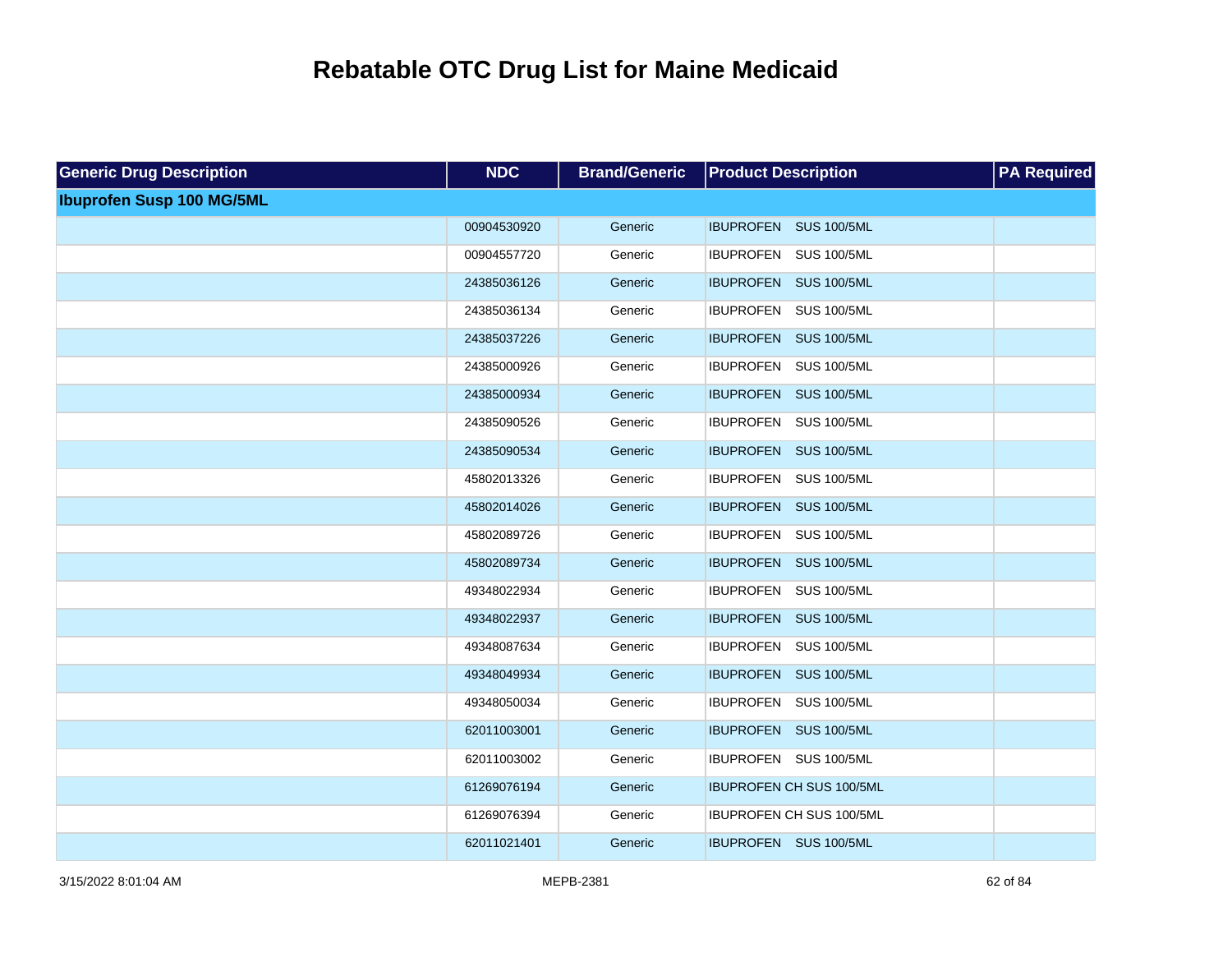| <b>Generic Drug Description</b>  | <b>NDC</b>  | <b>Brand/Generic</b> | <b>Product Description</b>      | <b>PA Required</b> |
|----------------------------------|-------------|----------------------|---------------------------------|--------------------|
| <b>Ibuprofen Susp 100 MG/5ML</b> |             |                      |                                 |                    |
|                                  | 00904530920 | Generic              | IBUPROFEN SUS 100/5ML           |                    |
|                                  | 00904557720 | Generic              | IBUPROFEN SUS 100/5ML           |                    |
|                                  | 24385036126 | Generic              | IBUPROFEN SUS 100/5ML           |                    |
|                                  | 24385036134 | Generic              | IBUPROFEN SUS 100/5ML           |                    |
|                                  | 24385037226 | Generic              | IBUPROFEN SUS 100/5ML           |                    |
|                                  | 24385000926 | Generic              | IBUPROFEN SUS 100/5ML           |                    |
|                                  | 24385000934 | Generic              | IBUPROFEN SUS 100/5ML           |                    |
|                                  | 24385090526 | Generic              | IBUPROFEN SUS 100/5ML           |                    |
|                                  | 24385090534 | Generic              | IBUPROFEN SUS 100/5ML           |                    |
|                                  | 45802013326 | Generic              | IBUPROFEN SUS 100/5ML           |                    |
|                                  | 45802014026 | Generic              | IBUPROFEN SUS 100/5ML           |                    |
|                                  | 45802089726 | Generic              | IBUPROFEN SUS 100/5ML           |                    |
|                                  | 45802089734 | Generic              | IBUPROFEN SUS 100/5ML           |                    |
|                                  | 49348022934 | Generic              | IBUPROFEN SUS 100/5ML           |                    |
|                                  | 49348022937 | Generic              | IBUPROFEN SUS 100/5ML           |                    |
|                                  | 49348087634 | Generic              | IBUPROFEN SUS 100/5ML           |                    |
|                                  | 49348049934 | Generic              | IBUPROFEN SUS 100/5ML           |                    |
|                                  | 49348050034 | Generic              | IBUPROFEN SUS 100/5ML           |                    |
|                                  | 62011003001 | Generic              | IBUPROFEN SUS 100/5ML           |                    |
|                                  | 62011003002 | Generic              | IBUPROFEN SUS 100/5ML           |                    |
|                                  | 61269076194 | Generic              | <b>IBUPROFEN CH SUS 100/5ML</b> |                    |
|                                  | 61269076394 | Generic              | IBUPROFEN CH SUS 100/5ML        |                    |
|                                  | 62011021401 | Generic              | IBUPROFEN SUS 100/5ML           |                    |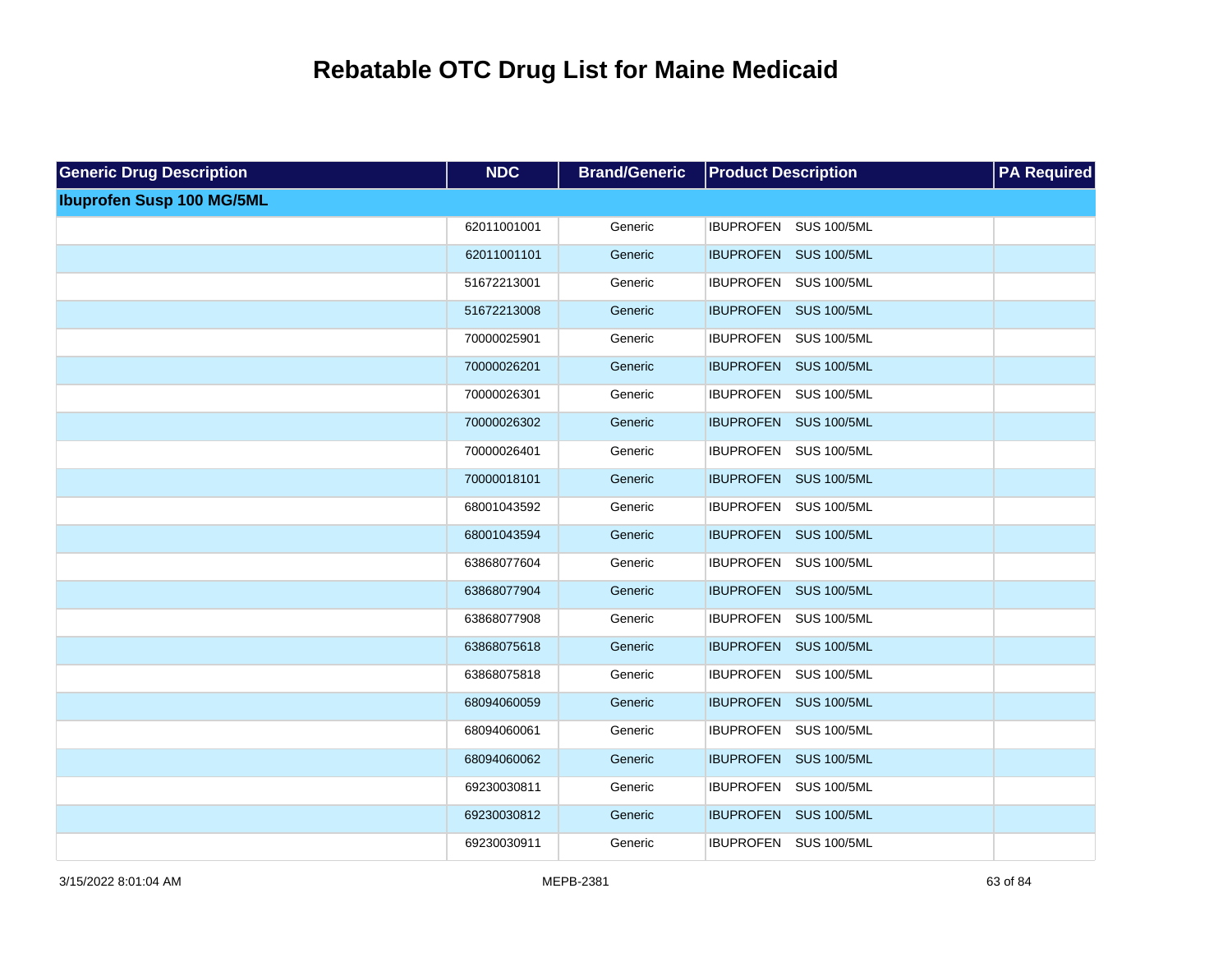| <b>Generic Drug Description</b>  | <b>NDC</b>  | <b>Brand/Generic</b> | <b>Product Description</b> | <b>PA Required</b> |
|----------------------------------|-------------|----------------------|----------------------------|--------------------|
| <b>Ibuprofen Susp 100 MG/5ML</b> |             |                      |                            |                    |
|                                  | 62011001001 | Generic              | IBUPROFEN SUS 100/5ML      |                    |
|                                  | 62011001101 | Generic              | IBUPROFEN SUS 100/5ML      |                    |
|                                  | 51672213001 | Generic              | IBUPROFEN SUS 100/5ML      |                    |
|                                  | 51672213008 | Generic              | IBUPROFEN SUS 100/5ML      |                    |
|                                  | 70000025901 | Generic              | IBUPROFEN SUS 100/5ML      |                    |
|                                  | 70000026201 | Generic              | IBUPROFEN SUS 100/5ML      |                    |
|                                  | 70000026301 | Generic              | IBUPROFEN SUS 100/5ML      |                    |
|                                  | 70000026302 | Generic              | IBUPROFEN SUS 100/5ML      |                    |
|                                  | 70000026401 | Generic              | IBUPROFEN SUS 100/5ML      |                    |
|                                  | 70000018101 | Generic              | IBUPROFEN SUS 100/5ML      |                    |
|                                  | 68001043592 | Generic              | IBUPROFEN SUS 100/5ML      |                    |
|                                  | 68001043594 | Generic              | IBUPROFEN SUS 100/5ML      |                    |
|                                  | 63868077604 | Generic              | IBUPROFEN SUS 100/5ML      |                    |
|                                  | 63868077904 | Generic              | IBUPROFEN SUS 100/5ML      |                    |
|                                  | 63868077908 | Generic              | IBUPROFEN SUS 100/5ML      |                    |
|                                  | 63868075618 | Generic              | IBUPROFEN SUS 100/5ML      |                    |
|                                  | 63868075818 | Generic              | IBUPROFEN SUS 100/5ML      |                    |
|                                  | 68094060059 | Generic              | IBUPROFEN SUS 100/5ML      |                    |
|                                  | 68094060061 | Generic              | IBUPROFEN SUS 100/5ML      |                    |
|                                  | 68094060062 | Generic              | IBUPROFEN SUS 100/5ML      |                    |
|                                  | 69230030811 | Generic              | IBUPROFEN SUS 100/5ML      |                    |
|                                  | 69230030812 | Generic              | IBUPROFEN SUS 100/5ML      |                    |
|                                  | 69230030911 | Generic              | IBUPROFEN SUS 100/5ML      |                    |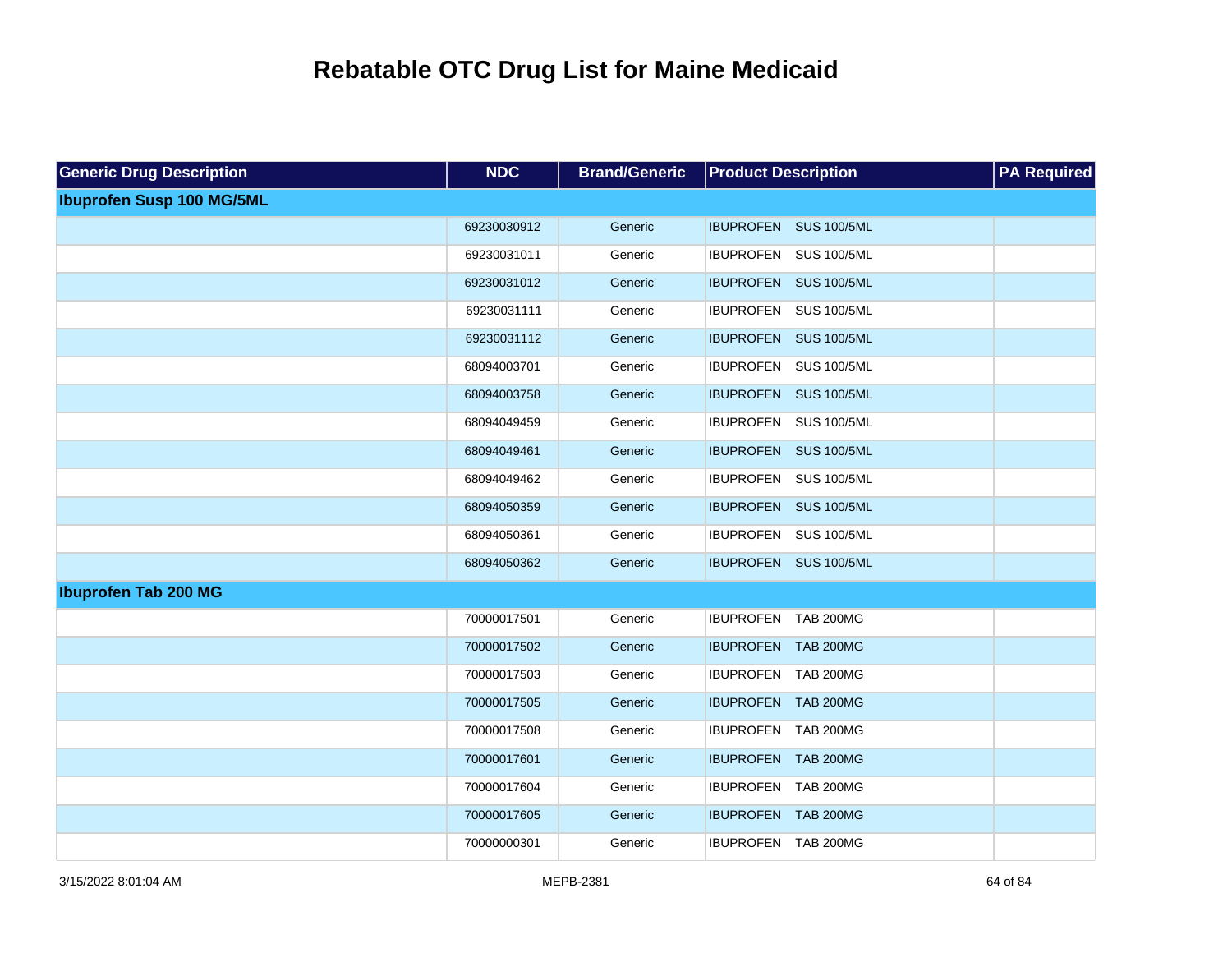| <b>Generic Drug Description</b>  | <b>NDC</b>  | <b>Brand/Generic</b> | <b>Product Description</b> | <b>PA Required</b> |
|----------------------------------|-------------|----------------------|----------------------------|--------------------|
| <b>Ibuprofen Susp 100 MG/5ML</b> |             |                      |                            |                    |
|                                  | 69230030912 | Generic              | IBUPROFEN SUS 100/5ML      |                    |
|                                  | 69230031011 | Generic              | IBUPROFEN SUS 100/5ML      |                    |
|                                  | 69230031012 | Generic              | IBUPROFEN SUS 100/5ML      |                    |
|                                  | 69230031111 | Generic              | IBUPROFEN SUS 100/5ML      |                    |
|                                  | 69230031112 | Generic              | IBUPROFEN SUS 100/5ML      |                    |
|                                  | 68094003701 | Generic              | IBUPROFEN SUS 100/5ML      |                    |
|                                  | 68094003758 | Generic              | IBUPROFEN SUS 100/5ML      |                    |
|                                  | 68094049459 | Generic              | IBUPROFEN SUS 100/5ML      |                    |
|                                  | 68094049461 | Generic              | IBUPROFEN SUS 100/5ML      |                    |
|                                  | 68094049462 | Generic              | IBUPROFEN SUS 100/5ML      |                    |
|                                  | 68094050359 | Generic              | IBUPROFEN SUS 100/5ML      |                    |
|                                  | 68094050361 | Generic              | IBUPROFEN SUS 100/5ML      |                    |
|                                  | 68094050362 | Generic              | IBUPROFEN SUS 100/5ML      |                    |
| <b>Ibuprofen Tab 200 MG</b>      |             |                      |                            |                    |
|                                  | 70000017501 | Generic              | IBUPROFEN TAB 200MG        |                    |
|                                  | 70000017502 | Generic              | IBUPROFEN TAB 200MG        |                    |
|                                  | 70000017503 | Generic              | IBUPROFEN TAB 200MG        |                    |
|                                  | 70000017505 | Generic              | IBUPROFEN TAB 200MG        |                    |
|                                  | 70000017508 | Generic              | IBUPROFEN TAB 200MG        |                    |
|                                  | 70000017601 | Generic              | IBUPROFEN TAB 200MG        |                    |
|                                  | 70000017604 | Generic              | IBUPROFEN TAB 200MG        |                    |
|                                  | 70000017605 | Generic              | IBUPROFEN TAB 200MG        |                    |
|                                  | 70000000301 | Generic              | IBUPROFEN TAB 200MG        |                    |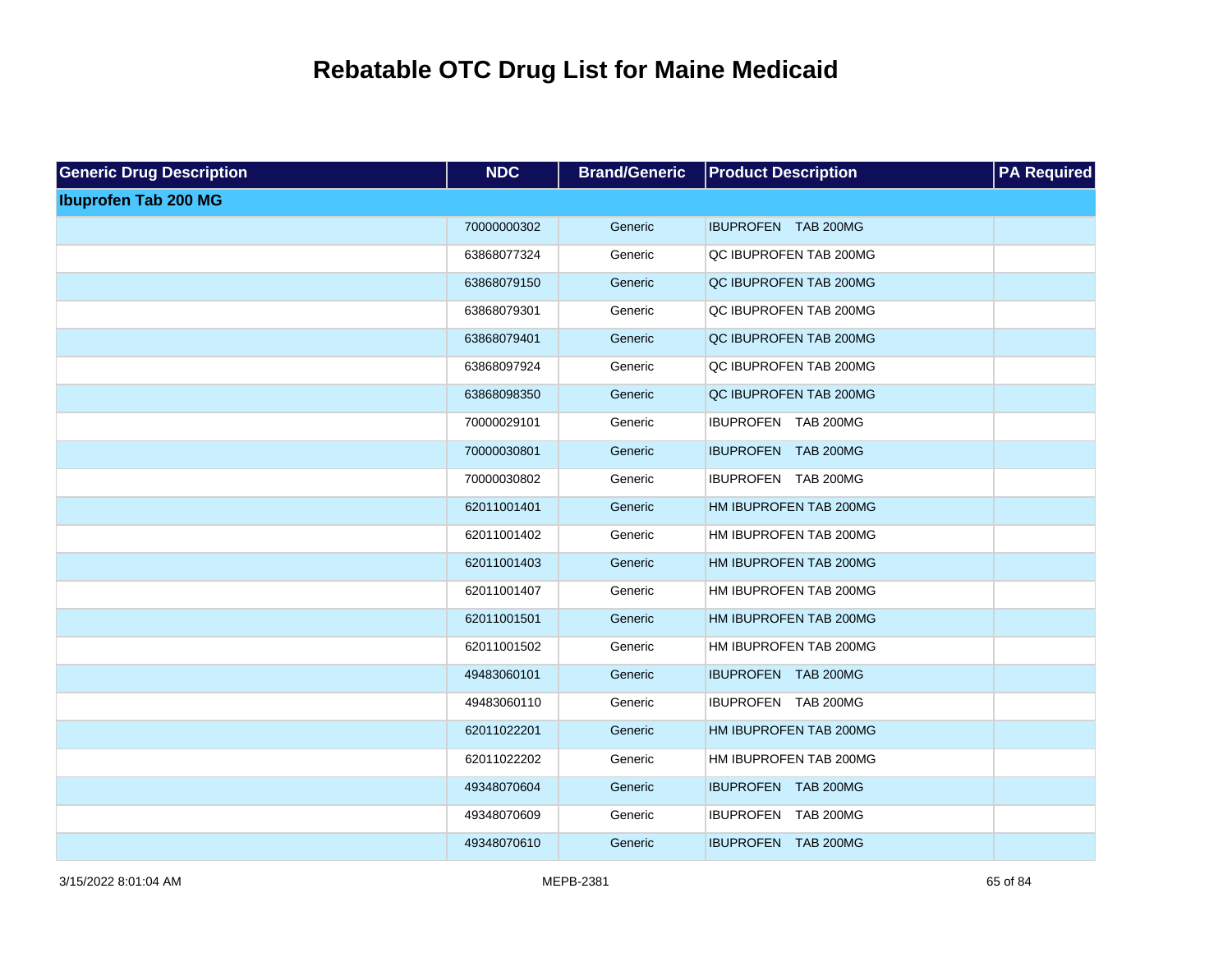| <b>Generic Drug Description</b> | <b>NDC</b>  | <b>Brand/Generic</b> | <b>Product Description</b> | <b>PA Required</b> |
|---------------------------------|-------------|----------------------|----------------------------|--------------------|
| <b>Ibuprofen Tab 200 MG</b>     |             |                      |                            |                    |
|                                 | 70000000302 | Generic              | IBUPROFEN TAB 200MG        |                    |
|                                 | 63868077324 | Generic              | QC IBUPROFEN TAB 200MG     |                    |
|                                 | 63868079150 | Generic              | QC IBUPROFEN TAB 200MG     |                    |
|                                 | 63868079301 | Generic              | QC IBUPROFEN TAB 200MG     |                    |
|                                 | 63868079401 | Generic              | QC IBUPROFEN TAB 200MG     |                    |
|                                 | 63868097924 | Generic              | QC IBUPROFEN TAB 200MG     |                    |
|                                 | 63868098350 | Generic              | QC IBUPROFEN TAB 200MG     |                    |
|                                 | 70000029101 | Generic              | IBUPROFEN TAB 200MG        |                    |
|                                 | 70000030801 | Generic              | IBUPROFEN TAB 200MG        |                    |
|                                 | 70000030802 | Generic              | IBUPROFEN TAB 200MG        |                    |
|                                 | 62011001401 | Generic              | HM IBUPROFEN TAB 200MG     |                    |
|                                 | 62011001402 | Generic              | HM IBUPROFEN TAB 200MG     |                    |
|                                 | 62011001403 | Generic              | HM IBUPROFEN TAB 200MG     |                    |
|                                 | 62011001407 | Generic              | HM IBUPROFEN TAB 200MG     |                    |
|                                 | 62011001501 | Generic              | HM IBUPROFEN TAB 200MG     |                    |
|                                 | 62011001502 | Generic              | HM IBUPROFEN TAB 200MG     |                    |
|                                 | 49483060101 | Generic              | IBUPROFEN TAB 200MG        |                    |
|                                 | 49483060110 | Generic              | IBUPROFEN TAB 200MG        |                    |
|                                 | 62011022201 | Generic              | HM IBUPROFEN TAB 200MG     |                    |
|                                 | 62011022202 | Generic              | HM IBUPROFEN TAB 200MG     |                    |
|                                 | 49348070604 | Generic              | IBUPROFEN TAB 200MG        |                    |
|                                 | 49348070609 | Generic              | IBUPROFEN TAB 200MG        |                    |
|                                 | 49348070610 | Generic              | IBUPROFEN TAB 200MG        |                    |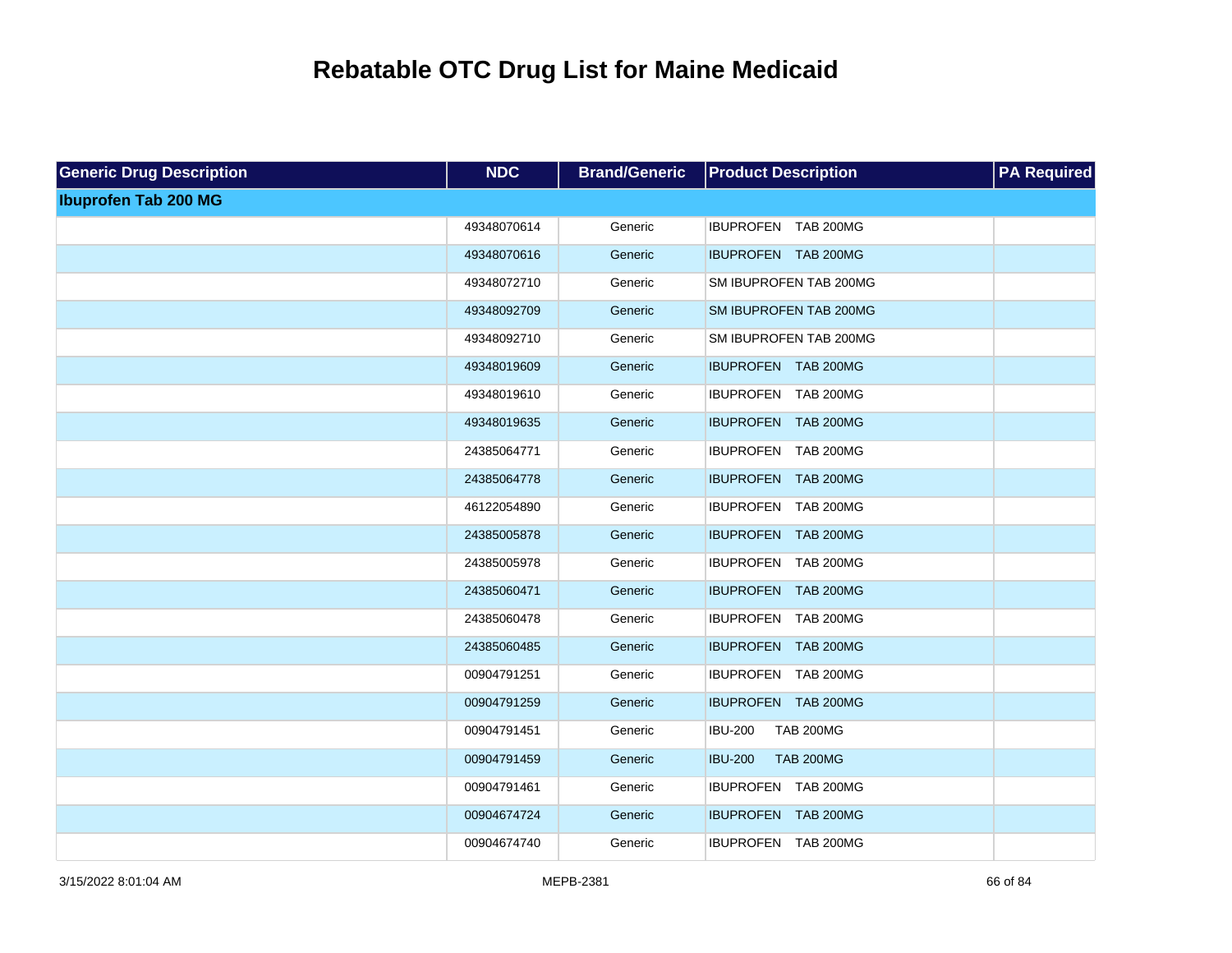| <b>Generic Drug Description</b> | <b>NDC</b>  | <b>Brand/Generic</b> | <b>Product Description</b>         | <b>PA Required</b> |
|---------------------------------|-------------|----------------------|------------------------------------|--------------------|
| <b>Ibuprofen Tab 200 MG</b>     |             |                      |                                    |                    |
|                                 | 49348070614 | Generic              | IBUPROFEN TAB 200MG                |                    |
|                                 | 49348070616 | Generic              | IBUPROFEN TAB 200MG                |                    |
|                                 | 49348072710 | Generic              | SM IBUPROFEN TAB 200MG             |                    |
|                                 | 49348092709 | Generic              | SM IBUPROFEN TAB 200MG             |                    |
|                                 | 49348092710 | Generic              | SM IBUPROFEN TAB 200MG             |                    |
|                                 | 49348019609 | Generic              | IBUPROFEN TAB 200MG                |                    |
|                                 | 49348019610 | Generic              | IBUPROFEN TAB 200MG                |                    |
|                                 | 49348019635 | Generic              | IBUPROFEN TAB 200MG                |                    |
|                                 | 24385064771 | Generic              | IBUPROFEN TAB 200MG                |                    |
|                                 | 24385064778 | Generic              | IBUPROFEN TAB 200MG                |                    |
|                                 | 46122054890 | Generic              | IBUPROFEN TAB 200MG                |                    |
|                                 | 24385005878 | Generic              | IBUPROFEN TAB 200MG                |                    |
|                                 | 24385005978 | Generic              | IBUPROFEN TAB 200MG                |                    |
|                                 | 24385060471 | Generic              | IBUPROFEN TAB 200MG                |                    |
|                                 | 24385060478 | Generic              | IBUPROFEN TAB 200MG                |                    |
|                                 | 24385060485 | Generic              | IBUPROFEN TAB 200MG                |                    |
|                                 | 00904791251 | Generic              | IBUPROFEN TAB 200MG                |                    |
|                                 | 00904791259 | Generic              | IBUPROFEN TAB 200MG                |                    |
|                                 | 00904791451 | Generic              | <b>IBU-200</b><br><b>TAB 200MG</b> |                    |
|                                 | 00904791459 | Generic              | <b>IBU-200</b><br><b>TAB 200MG</b> |                    |
|                                 | 00904791461 | Generic              | IBUPROFEN TAB 200MG                |                    |
|                                 | 00904674724 | Generic              | IBUPROFEN TAB 200MG                |                    |
|                                 | 00904674740 | Generic              | IBUPROFEN TAB 200MG                |                    |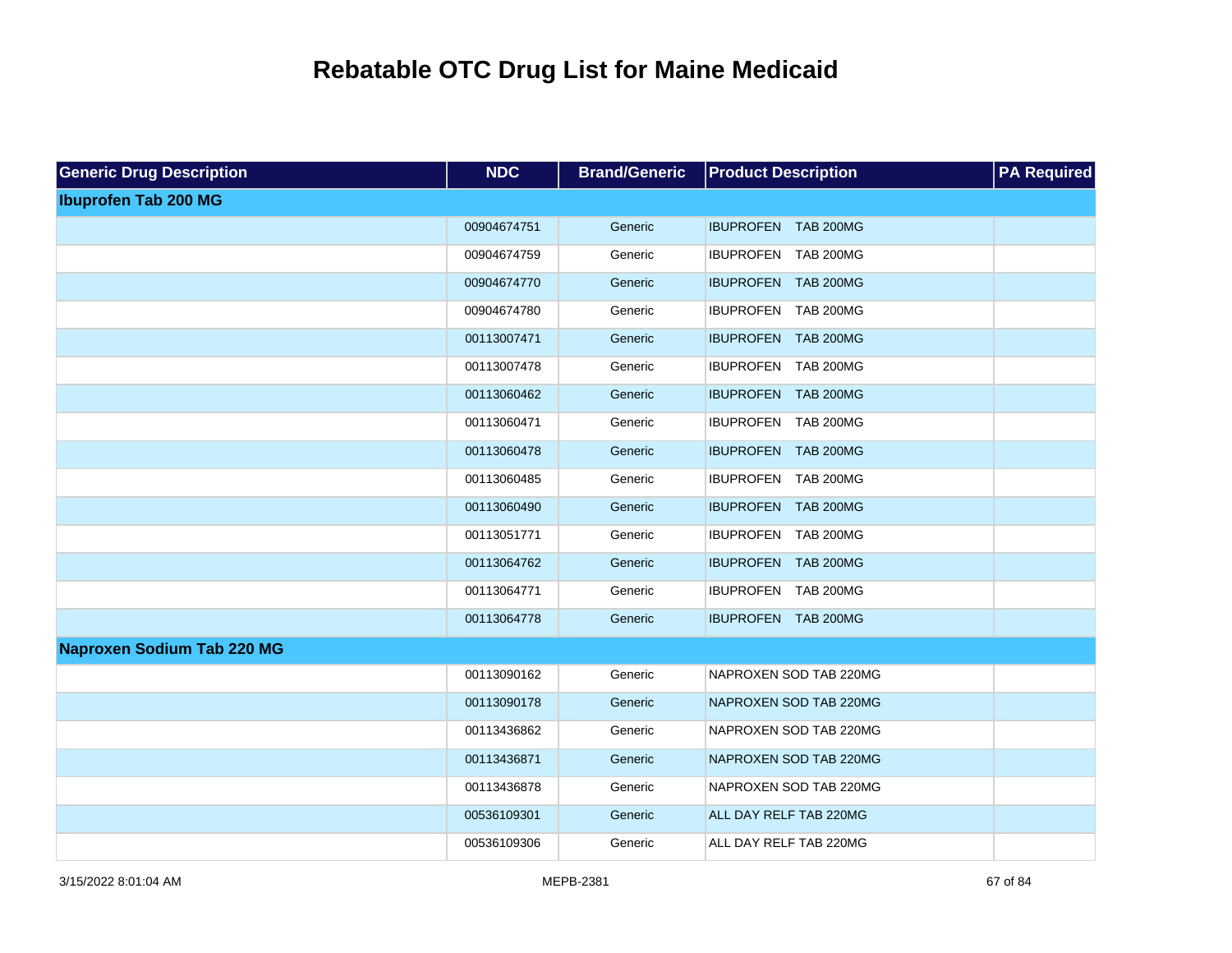| <b>Generic Drug Description</b>   | <b>NDC</b>  | <b>Brand/Generic</b> | <b>Product Description</b> | <b>PA Required</b> |
|-----------------------------------|-------------|----------------------|----------------------------|--------------------|
| <b>Ibuprofen Tab 200 MG</b>       |             |                      |                            |                    |
|                                   | 00904674751 | Generic              | IBUPROFEN TAB 200MG        |                    |
|                                   | 00904674759 | Generic              | IBUPROFEN TAB 200MG        |                    |
|                                   | 00904674770 | Generic              | IBUPROFEN TAB 200MG        |                    |
|                                   | 00904674780 | Generic              | IBUPROFEN TAB 200MG        |                    |
|                                   | 00113007471 | Generic              | IBUPROFEN TAB 200MG        |                    |
|                                   | 00113007478 | Generic              | IBUPROFEN TAB 200MG        |                    |
|                                   | 00113060462 | Generic              | IBUPROFEN TAB 200MG        |                    |
|                                   | 00113060471 | Generic              | IBUPROFEN TAB 200MG        |                    |
|                                   | 00113060478 | Generic              | IBUPROFEN TAB 200MG        |                    |
|                                   | 00113060485 | Generic              | IBUPROFEN TAB 200MG        |                    |
|                                   | 00113060490 | Generic              | IBUPROFEN TAB 200MG        |                    |
|                                   | 00113051771 | Generic              | IBUPROFEN TAB 200MG        |                    |
|                                   | 00113064762 | Generic              | IBUPROFEN TAB 200MG        |                    |
|                                   | 00113064771 | Generic              | IBUPROFEN TAB 200MG        |                    |
|                                   | 00113064778 | Generic              | IBUPROFEN TAB 200MG        |                    |
| <b>Naproxen Sodium Tab 220 MG</b> |             |                      |                            |                    |
|                                   | 00113090162 | Generic              | NAPROXEN SOD TAB 220MG     |                    |
|                                   | 00113090178 | Generic              | NAPROXEN SOD TAB 220MG     |                    |
|                                   | 00113436862 | Generic              | NAPROXEN SOD TAB 220MG     |                    |
|                                   | 00113436871 | Generic              | NAPROXEN SOD TAB 220MG     |                    |
|                                   | 00113436878 | Generic              | NAPROXEN SOD TAB 220MG     |                    |
|                                   | 00536109301 | Generic              | ALL DAY RELF TAB 220MG     |                    |
|                                   | 00536109306 | Generic              | ALL DAY RELF TAB 220MG     |                    |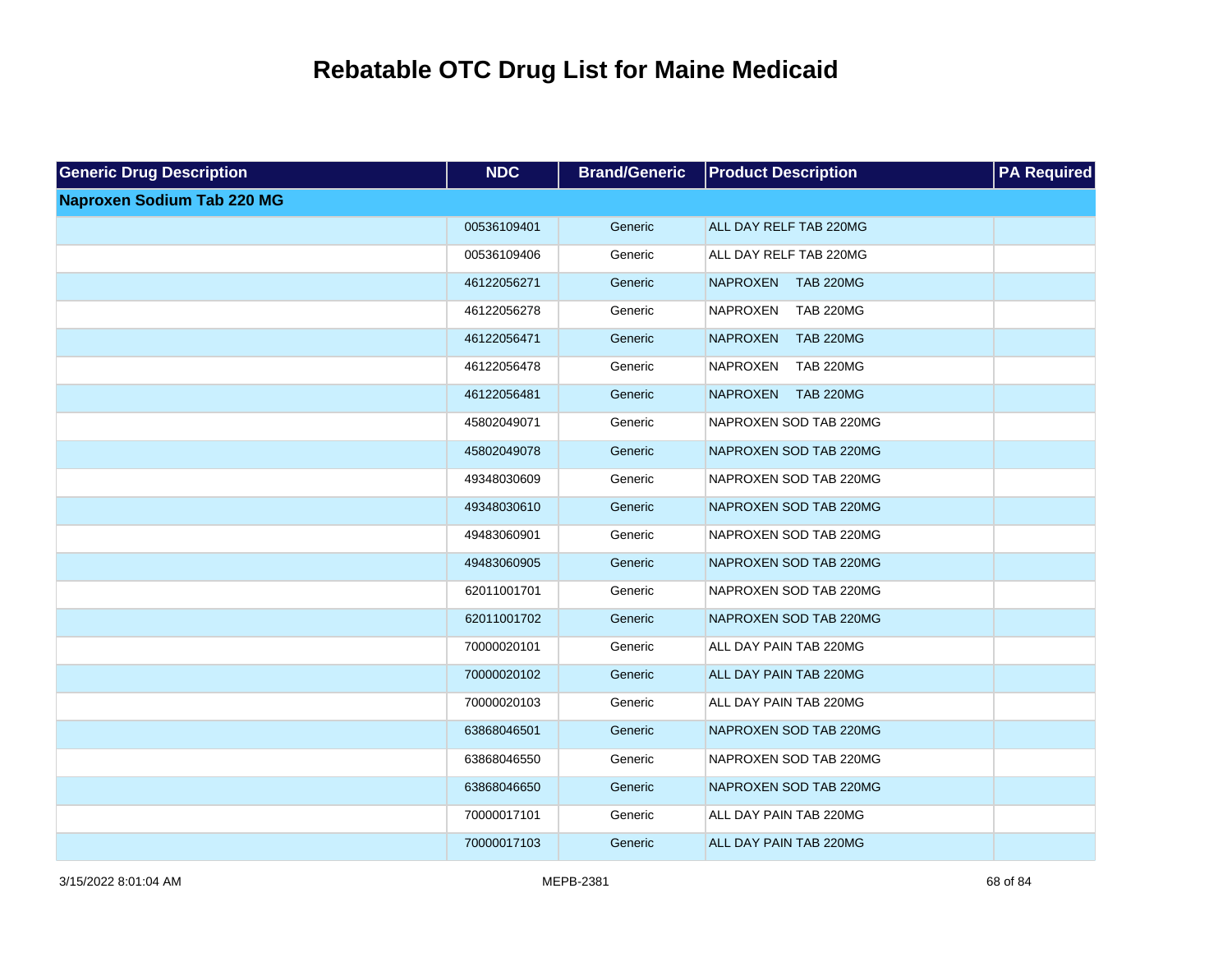| <b>Generic Drug Description</b>   | <b>NDC</b>  | <b>Brand/Generic</b> | <b>Product Description</b>          | <b>PA Required</b> |
|-----------------------------------|-------------|----------------------|-------------------------------------|--------------------|
| <b>Naproxen Sodium Tab 220 MG</b> |             |                      |                                     |                    |
|                                   | 00536109401 | Generic              | ALL DAY RELF TAB 220MG              |                    |
|                                   | 00536109406 | Generic              | ALL DAY RELF TAB 220MG              |                    |
|                                   | 46122056271 | Generic              | <b>NAPROXEN</b><br><b>TAB 220MG</b> |                    |
|                                   | 46122056278 | Generic              | <b>NAPROXEN</b><br><b>TAB 220MG</b> |                    |
|                                   | 46122056471 | Generic              | <b>TAB 220MG</b><br><b>NAPROXEN</b> |                    |
|                                   | 46122056478 | Generic              | <b>NAPROXEN</b><br><b>TAB 220MG</b> |                    |
|                                   | 46122056481 | Generic              | <b>TAB 220MG</b><br><b>NAPROXEN</b> |                    |
|                                   | 45802049071 | Generic              | NAPROXEN SOD TAB 220MG              |                    |
|                                   | 45802049078 | Generic              | NAPROXEN SOD TAB 220MG              |                    |
|                                   | 49348030609 | Generic              | NAPROXEN SOD TAB 220MG              |                    |
|                                   | 49348030610 | Generic              | NAPROXEN SOD TAB 220MG              |                    |
|                                   | 49483060901 | Generic              | NAPROXEN SOD TAB 220MG              |                    |
|                                   | 49483060905 | Generic              | NAPROXEN SOD TAB 220MG              |                    |
|                                   | 62011001701 | Generic              | NAPROXEN SOD TAB 220MG              |                    |
|                                   | 62011001702 | Generic              | NAPROXEN SOD TAB 220MG              |                    |
|                                   | 70000020101 | Generic              | ALL DAY PAIN TAB 220MG              |                    |
|                                   | 70000020102 | Generic              | ALL DAY PAIN TAB 220MG              |                    |
|                                   | 70000020103 | Generic              | ALL DAY PAIN TAB 220MG              |                    |
|                                   | 63868046501 | Generic              | NAPROXEN SOD TAB 220MG              |                    |
|                                   | 63868046550 | Generic              | NAPROXEN SOD TAB 220MG              |                    |
|                                   | 63868046650 | Generic              | NAPROXEN SOD TAB 220MG              |                    |
|                                   | 70000017101 | Generic              | ALL DAY PAIN TAB 220MG              |                    |
|                                   | 70000017103 | Generic              | ALL DAY PAIN TAB 220MG              |                    |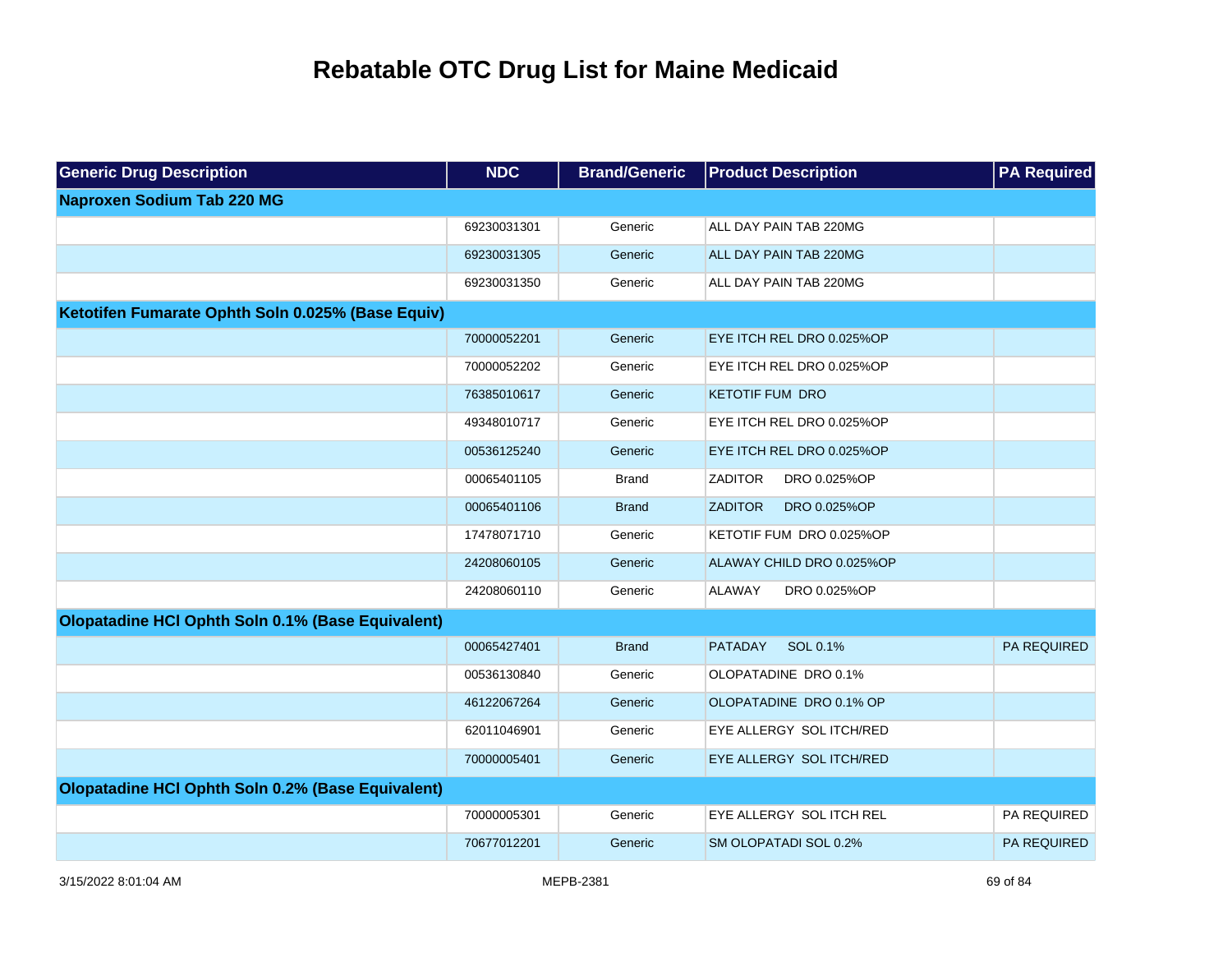| <b>Generic Drug Description</b>                   | <b>NDC</b>  | <b>Brand/Generic</b> | <b>Product Description</b>     | <b>PA Required</b> |
|---------------------------------------------------|-------------|----------------------|--------------------------------|--------------------|
| <b>Naproxen Sodium Tab 220 MG</b>                 |             |                      |                                |                    |
|                                                   | 69230031301 | Generic              | ALL DAY PAIN TAB 220MG         |                    |
|                                                   | 69230031305 | Generic              | ALL DAY PAIN TAB 220MG         |                    |
|                                                   | 69230031350 | Generic              | ALL DAY PAIN TAB 220MG         |                    |
| Ketotifen Fumarate Ophth Soln 0.025% (Base Equiv) |             |                      |                                |                    |
|                                                   | 70000052201 | Generic              | EYE ITCH REL DRO 0.025%OP      |                    |
|                                                   | 70000052202 | Generic              | EYE ITCH REL DRO 0.025%OP      |                    |
|                                                   | 76385010617 | Generic              | <b>KETOTIF FUM DRO</b>         |                    |
|                                                   | 49348010717 | Generic              | EYE ITCH REL DRO 0.025%OP      |                    |
|                                                   | 00536125240 | Generic              | EYE ITCH REL DRO 0.025%OP      |                    |
|                                                   | 00065401105 | <b>Brand</b>         | <b>ZADITOR</b><br>DRO 0.025%OP |                    |
|                                                   | 00065401106 | <b>Brand</b>         | <b>ZADITOR</b><br>DRO 0.025%OP |                    |
|                                                   | 17478071710 | Generic              | KETOTIF FUM DRO 0.025%OP       |                    |
|                                                   | 24208060105 | Generic              | ALAWAY CHILD DRO 0.025%OP      |                    |
|                                                   | 24208060110 | Generic              | <b>ALAWAY</b><br>DRO 0.025%OP  |                    |
| Olopatadine HCI Ophth Soln 0.1% (Base Equivalent) |             |                      |                                |                    |
|                                                   | 00065427401 | <b>Brand</b>         | <b>PATADAY</b><br>SOL 0.1%     | <b>PA REQUIRED</b> |
|                                                   | 00536130840 | Generic              | OLOPATADINE DRO 0.1%           |                    |
|                                                   | 46122067264 | Generic              | OLOPATADINE DRO 0.1% OP        |                    |
|                                                   | 62011046901 | Generic              | EYE ALLERGY SOL ITCH/RED       |                    |
|                                                   | 70000005401 | Generic              | EYE ALLERGY SOL ITCH/RED       |                    |
| Olopatadine HCI Ophth Soln 0.2% (Base Equivalent) |             |                      |                                |                    |
|                                                   | 70000005301 | Generic              | EYE ALLERGY SOL ITCH REL       | PA REQUIRED        |
|                                                   | 70677012201 | Generic              | SM OLOPATADI SOL 0.2%          | <b>PA REQUIRED</b> |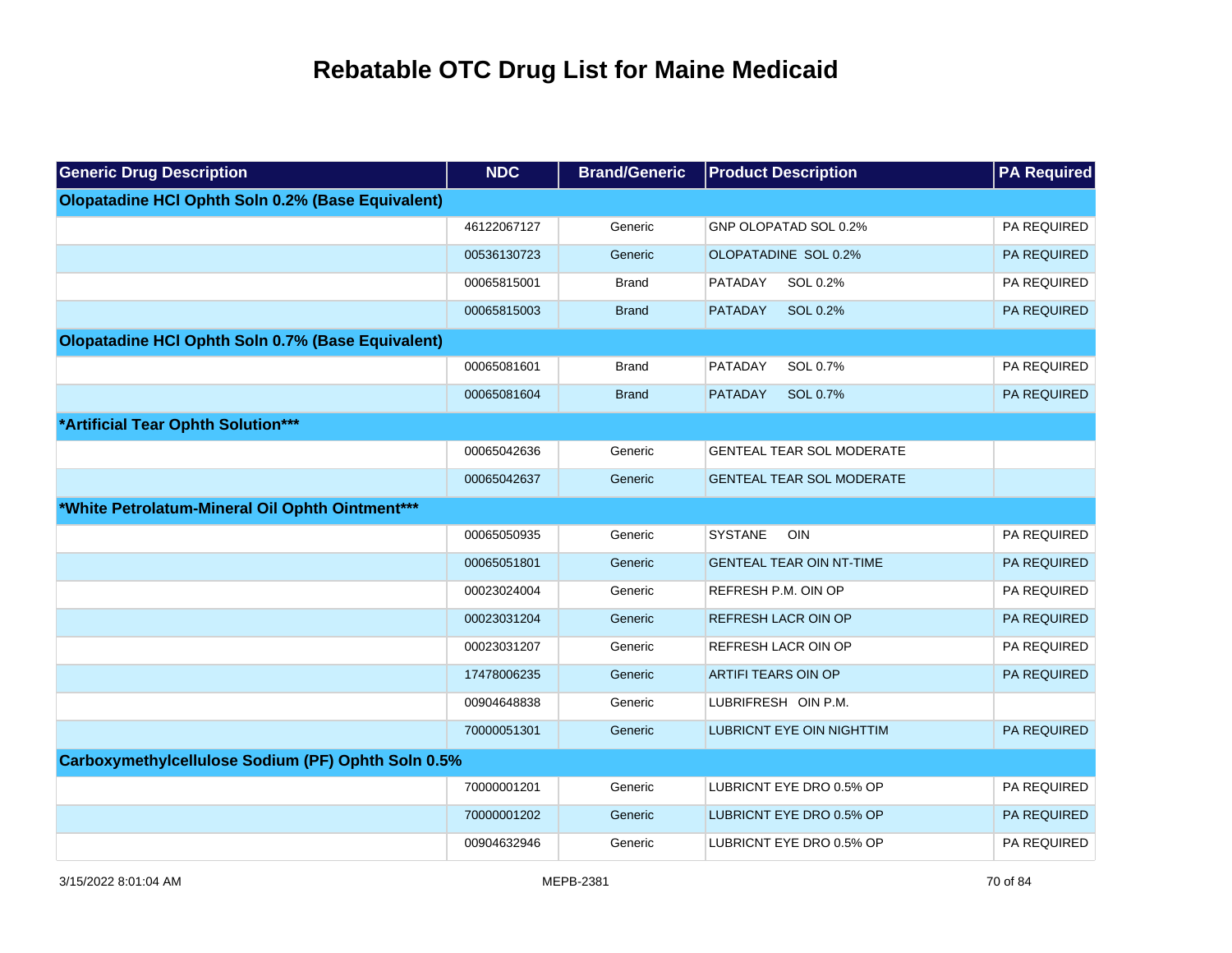| <b>Generic Drug Description</b>                    | <b>NDC</b>  | <b>Brand/Generic</b> | <b>Product Description</b>       | <b>PA Required</b> |
|----------------------------------------------------|-------------|----------------------|----------------------------------|--------------------|
| Olopatadine HCI Ophth Soln 0.2% (Base Equivalent)  |             |                      |                                  |                    |
|                                                    | 46122067127 | Generic              | GNP OLOPATAD SOL 0.2%            | PA REQUIRED        |
|                                                    | 00536130723 | Generic              | OLOPATADINE SOL 0.2%             | PA REQUIRED        |
|                                                    | 00065815001 | <b>Brand</b>         | PATADAY<br>SOL 0.2%              | PA REQUIRED        |
|                                                    | 00065815003 | <b>Brand</b>         | SOL 0.2%<br><b>PATADAY</b>       | PA REQUIRED        |
| Olopatadine HCI Ophth Soln 0.7% (Base Equivalent)  |             |                      |                                  |                    |
|                                                    | 00065081601 | <b>Brand</b>         | PATADAY<br>SOL 0.7%              | PA REQUIRED        |
|                                                    | 00065081604 | <b>Brand</b>         | <b>PATADAY</b><br>SOL 0.7%       | PA REQUIRED        |
| *Artificial Tear Ophth Solution***                 |             |                      |                                  |                    |
|                                                    | 00065042636 | Generic              | <b>GENTEAL TEAR SOL MODERATE</b> |                    |
|                                                    | 00065042637 | Generic              | <b>GENTEAL TEAR SOL MODERATE</b> |                    |
| *White Petrolatum-Mineral Oil Ophth Ointment***    |             |                      |                                  |                    |
|                                                    | 00065050935 | Generic              | <b>SYSTANE</b><br><b>OIN</b>     | PA REQUIRED        |
|                                                    | 00065051801 | Generic              | <b>GENTEAL TEAR OIN NT-TIME</b>  | PA REQUIRED        |
|                                                    | 00023024004 | Generic              | REFRESH P.M. OIN OP              | PA REQUIRED        |
|                                                    | 00023031204 | Generic              | <b>REFRESH LACR OIN OP</b>       | PA REQUIRED        |
|                                                    | 00023031207 | Generic              | REFRESH LACR OIN OP              | PA REQUIRED        |
|                                                    | 17478006235 | Generic              | ARTIFI TEARS OIN OP              | PA REQUIRED        |
|                                                    | 00904648838 | Generic              | LUBRIFRESH OIN P.M.              |                    |
|                                                    | 70000051301 | Generic              | <b>LUBRICNT EYE OIN NIGHTTIM</b> | <b>PA REQUIRED</b> |
| Carboxymethylcellulose Sodium (PF) Ophth Soln 0.5% |             |                      |                                  |                    |
|                                                    | 70000001201 | Generic              | LUBRICNT EYE DRO 0.5% OP         | PA REQUIRED        |
|                                                    | 70000001202 | Generic              | LUBRICNT EYE DRO 0.5% OP         | PA REQUIRED        |
|                                                    | 00904632946 | Generic              | LUBRICNT EYE DRO 0.5% OP         | PA REQUIRED        |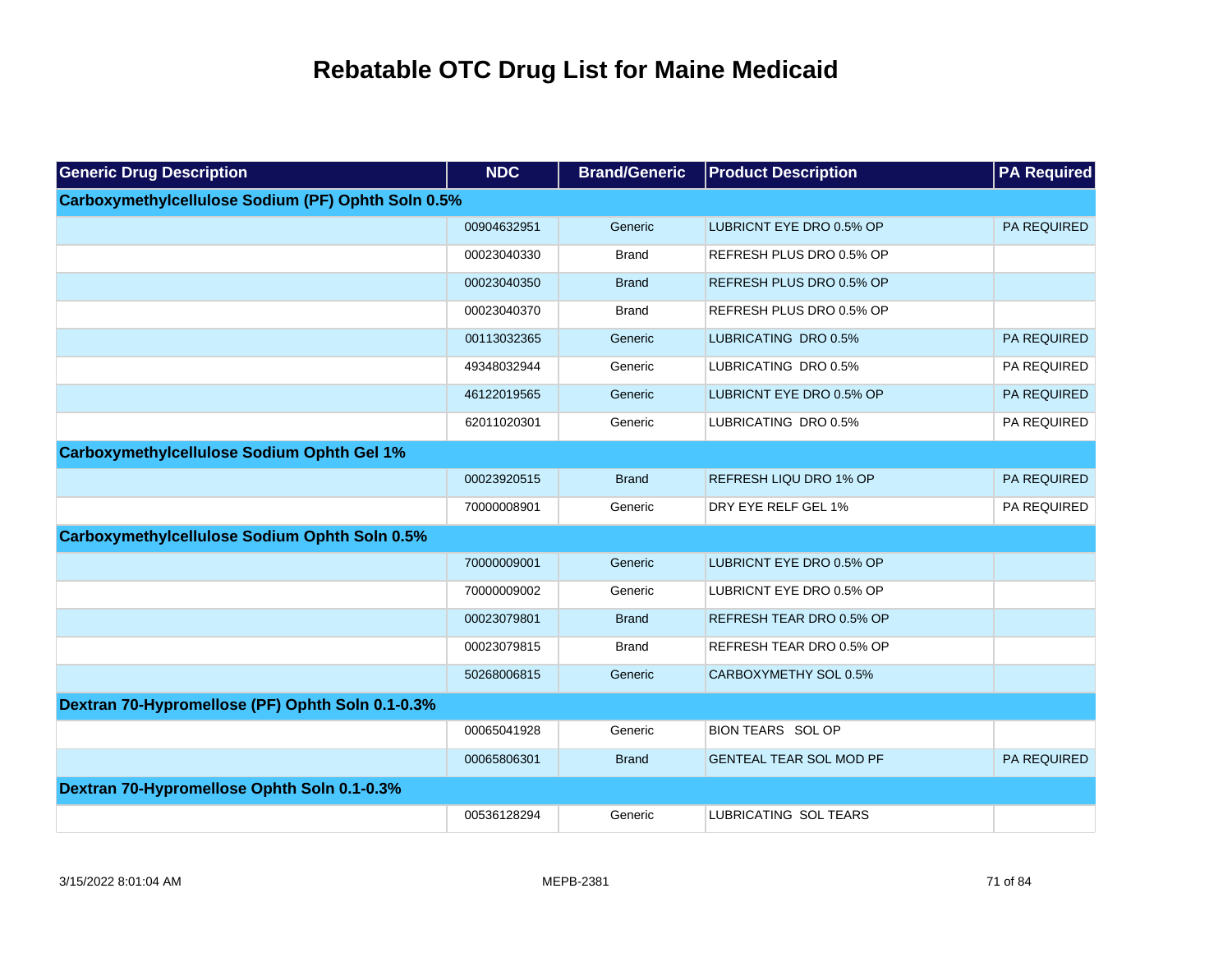| <b>Generic Drug Description</b>                      | <b>NDC</b>  | <b>Brand/Generic</b> | <b>Product Description</b>     | <b>PA Required</b> |
|------------------------------------------------------|-------------|----------------------|--------------------------------|--------------------|
| Carboxymethylcellulose Sodium (PF) Ophth Soln 0.5%   |             |                      |                                |                    |
|                                                      | 00904632951 | Generic              | LUBRICNT EYE DRO 0.5% OP       | PA REQUIRED        |
|                                                      | 00023040330 | <b>Brand</b>         | REFRESH PLUS DRO 0.5% OP       |                    |
|                                                      | 00023040350 | <b>Brand</b>         | REFRESH PLUS DRO 0.5% OP       |                    |
|                                                      | 00023040370 | <b>Brand</b>         | REFRESH PLUS DRO 0.5% OP       |                    |
|                                                      | 00113032365 | Generic              | LUBRICATING DRO 0.5%           | PA REQUIRED        |
|                                                      | 49348032944 | Generic              | LUBRICATING DRO 0.5%           | PA REQUIRED        |
|                                                      | 46122019565 | Generic              | LUBRICNT EYE DRO 0.5% OP       | PA REQUIRED        |
|                                                      | 62011020301 | Generic              | LUBRICATING DRO 0.5%           | PA REQUIRED        |
| <b>Carboxymethylcellulose Sodium Ophth Gel 1%</b>    |             |                      |                                |                    |
|                                                      | 00023920515 | <b>Brand</b>         | REFRESH LIQU DRO 1% OP         | PA REQUIRED        |
|                                                      | 70000008901 | Generic              | DRY EYE RELF GEL 1%            | PA REQUIRED        |
| <b>Carboxymethylcellulose Sodium Ophth Soln 0.5%</b> |             |                      |                                |                    |
|                                                      | 70000009001 | Generic              | LUBRICNT EYE DRO 0.5% OP       |                    |
|                                                      | 70000009002 | Generic              | LUBRICNT EYE DRO 0.5% OP       |                    |
|                                                      | 00023079801 | <b>Brand</b>         | REFRESH TEAR DRO 0.5% OP       |                    |
|                                                      | 00023079815 | <b>Brand</b>         | REFRESH TEAR DRO 0.5% OP       |                    |
|                                                      | 50268006815 | Generic              | CARBOXYMETHY SOL 0.5%          |                    |
| Dextran 70-Hypromellose (PF) Ophth Soln 0.1-0.3%     |             |                      |                                |                    |
|                                                      | 00065041928 | Generic              | <b>BION TEARS SOL OP</b>       |                    |
|                                                      | 00065806301 | <b>Brand</b>         | <b>GENTEAL TEAR SOL MOD PF</b> | PA REQUIRED        |
| Dextran 70-Hypromellose Ophth Soln 0.1-0.3%          |             |                      |                                |                    |
|                                                      | 00536128294 | Generic              | LUBRICATING SOL TEARS          |                    |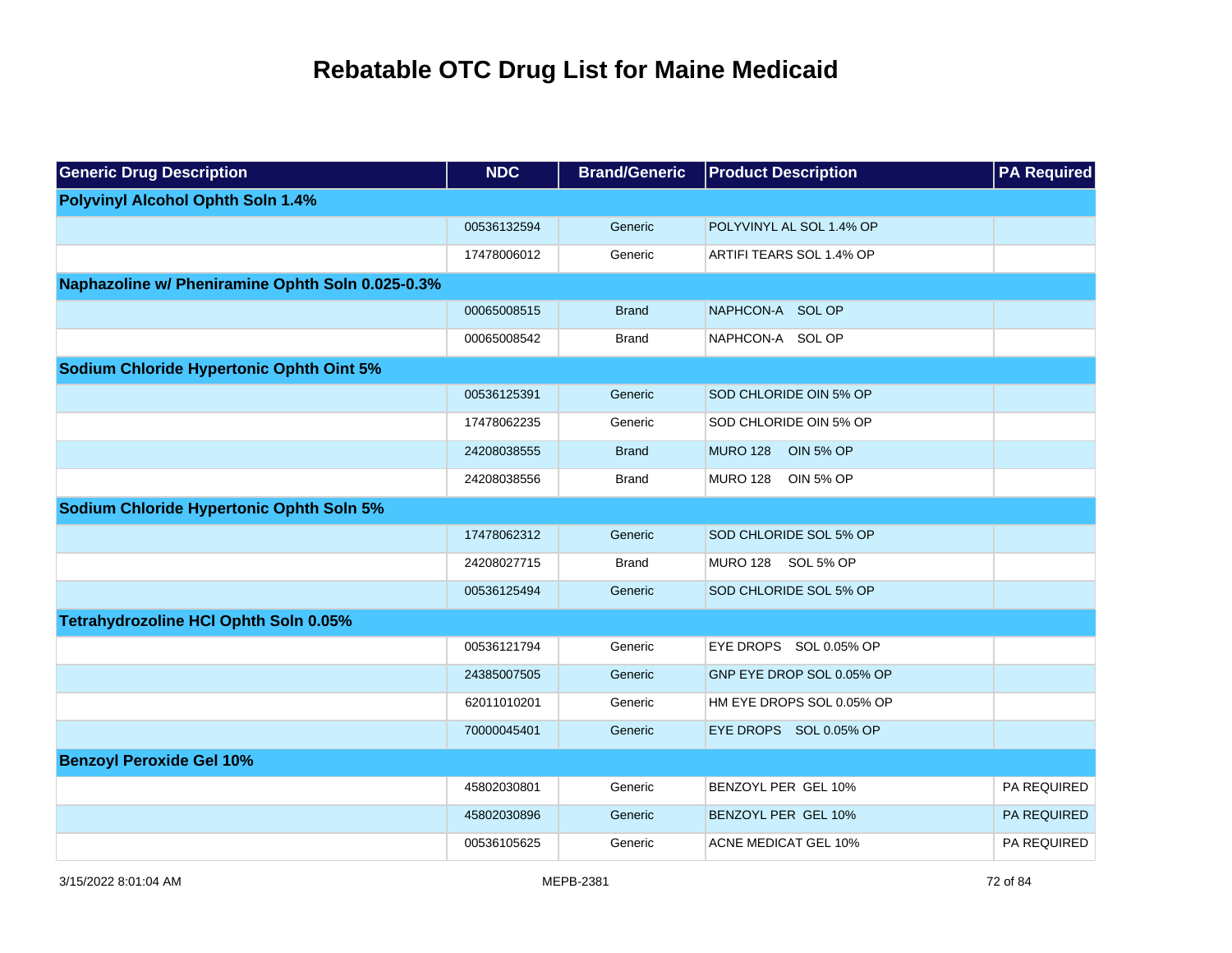| <b>Generic Drug Description</b>                  | <b>NDC</b>  | <b>Brand/Generic</b> | <b>Product Description</b>          | <b>PA Required</b> |
|--------------------------------------------------|-------------|----------------------|-------------------------------------|--------------------|
| <b>Polyvinyl Alcohol Ophth Soln 1.4%</b>         |             |                      |                                     |                    |
|                                                  | 00536132594 | Generic              | POLYVINYL AL SOL 1.4% OP            |                    |
|                                                  | 17478006012 | Generic              | ARTIFI TEARS SOL 1.4% OP            |                    |
| Naphazoline w/ Pheniramine Ophth Soln 0.025-0.3% |             |                      |                                     |                    |
|                                                  | 00065008515 | <b>Brand</b>         | NAPHCON-A SOL OP                    |                    |
|                                                  | 00065008542 | <b>Brand</b>         | NAPHCON-A SOL OP                    |                    |
| Sodium Chloride Hypertonic Ophth Oint 5%         |             |                      |                                     |                    |
|                                                  | 00536125391 | Generic              | SOD CHLORIDE OIN 5% OP              |                    |
|                                                  | 17478062235 | Generic              | SOD CHLORIDE OIN 5% OP              |                    |
|                                                  | 24208038555 | <b>Brand</b>         | <b>MURO 128</b><br><b>OIN 5% OP</b> |                    |
|                                                  | 24208038556 | <b>Brand</b>         | MURO 128<br><b>OIN 5% OP</b>        |                    |
| Sodium Chloride Hypertonic Ophth Soln 5%         |             |                      |                                     |                    |
|                                                  | 17478062312 | Generic              | SOD CHLORIDE SOL 5% OP              |                    |
|                                                  | 24208027715 | <b>Brand</b>         | MURO 128 SOL 5% OP                  |                    |
|                                                  | 00536125494 | Generic              | SOD CHLORIDE SOL 5% OP              |                    |
| Tetrahydrozoline HCI Ophth Soln 0.05%            |             |                      |                                     |                    |
|                                                  | 00536121794 | Generic              | EYE DROPS SOL 0.05% OP              |                    |
|                                                  | 24385007505 | Generic              | GNP EYE DROP SOL 0.05% OP           |                    |
|                                                  | 62011010201 | Generic              | HM EYE DROPS SOL 0.05% OP           |                    |
|                                                  | 70000045401 | Generic              | EYE DROPS SOL 0.05% OP              |                    |
| <b>Benzoyl Peroxide Gel 10%</b>                  |             |                      |                                     |                    |
|                                                  | 45802030801 | Generic              | BENZOYL PER GEL 10%                 | PA REQUIRED        |
|                                                  | 45802030896 | Generic              | BENZOYL PER GEL 10%                 | PA REQUIRED        |
|                                                  | 00536105625 | Generic              | <b>ACNE MEDICAT GEL 10%</b>         | PA REQUIRED        |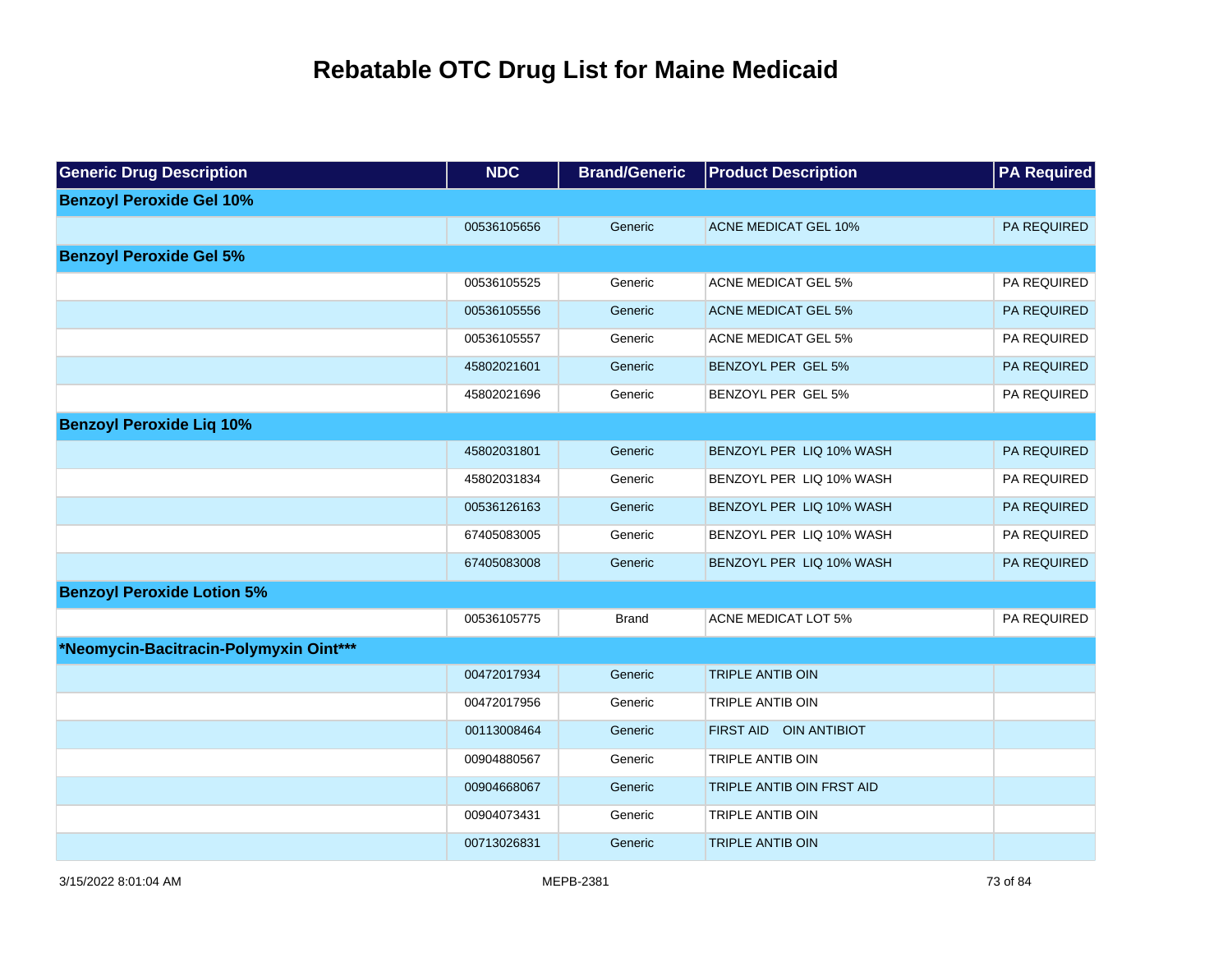| <b>Generic Drug Description</b>        | <b>NDC</b>  | <b>Brand/Generic</b> | <b>Product Description</b>  | <b>PA Required</b> |
|----------------------------------------|-------------|----------------------|-----------------------------|--------------------|
| <b>Benzoyl Peroxide Gel 10%</b>        |             |                      |                             |                    |
|                                        | 00536105656 | Generic              | <b>ACNE MEDICAT GEL 10%</b> | PA REQUIRED        |
| <b>Benzoyl Peroxide Gel 5%</b>         |             |                      |                             |                    |
|                                        | 00536105525 | Generic              | ACNE MEDICAT GEL 5%         | PA REQUIRED        |
|                                        | 00536105556 | Generic              | <b>ACNE MEDICAT GEL 5%</b>  | PA REQUIRED        |
|                                        | 00536105557 | Generic              | ACNE MEDICAT GEL 5%         | PA REQUIRED        |
|                                        | 45802021601 | Generic              | BENZOYL PER GEL 5%          | PA REQUIRED        |
|                                        | 45802021696 | Generic              | BENZOYL PER GEL 5%          | PA REQUIRED        |
| <b>Benzoyl Peroxide Lig 10%</b>        |             |                      |                             |                    |
|                                        | 45802031801 | Generic              | BENZOYL PER LIQ 10% WASH    | PA REQUIRED        |
|                                        | 45802031834 | Generic              | BENZOYL PER LIQ 10% WASH    | PA REQUIRED        |
|                                        | 00536126163 | Generic              | BENZOYL PER LIQ 10% WASH    | PA REQUIRED        |
|                                        | 67405083005 | Generic              | BENZOYL PER LIQ 10% WASH    | PA REQUIRED        |
|                                        | 67405083008 | Generic              | BENZOYL PER LIQ 10% WASH    | PA REQUIRED        |
| <b>Benzoyl Peroxide Lotion 5%</b>      |             |                      |                             |                    |
|                                        | 00536105775 | <b>Brand</b>         | <b>ACNE MEDICAT LOT 5%</b>  | PA REQUIRED        |
| *Neomycin-Bacitracin-Polymyxin Oint*** |             |                      |                             |                    |
|                                        | 00472017934 | Generic              | <b>TRIPLE ANTIB OIN</b>     |                    |
|                                        | 00472017956 | Generic              | TRIPLE ANTIB OIN            |                    |
|                                        | 00113008464 | Generic              | FIRST AID OIN ANTIBIOT      |                    |
|                                        | 00904880567 | Generic              | TRIPLE ANTIB OIN            |                    |
|                                        | 00904668067 | Generic              | TRIPLE ANTIB OIN FRST AID   |                    |
|                                        | 00904073431 | Generic              | <b>TRIPLE ANTIB OIN</b>     |                    |
|                                        | 00713026831 | Generic              | <b>TRIPLE ANTIB OIN</b>     |                    |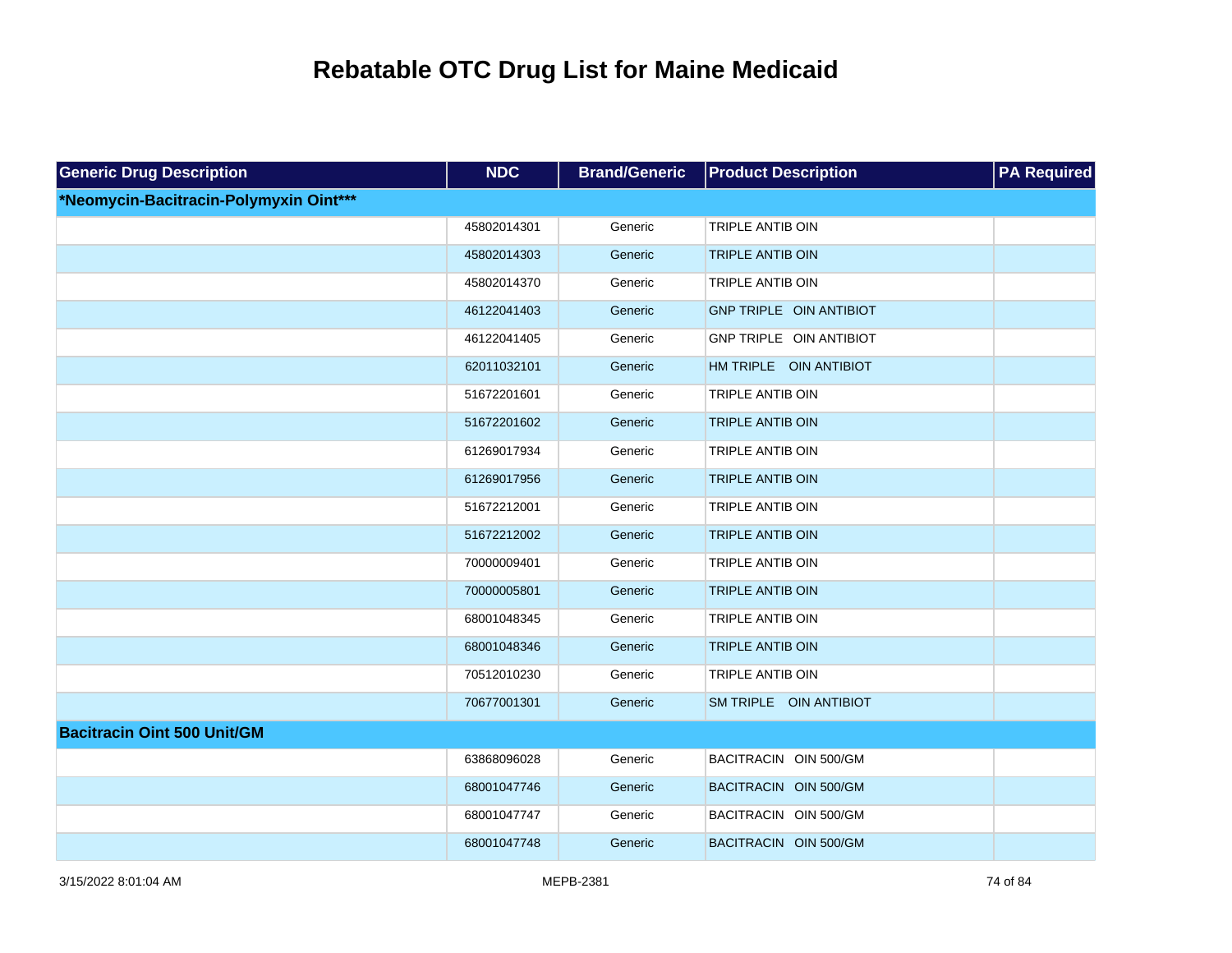| <b>Generic Drug Description</b>        | <b>NDC</b>  | <b>Brand/Generic</b> | <b>Product Description</b> | <b>PA Required</b> |
|----------------------------------------|-------------|----------------------|----------------------------|--------------------|
| *Neomycin-Bacitracin-Polymyxin Oint*** |             |                      |                            |                    |
|                                        | 45802014301 | Generic              | <b>TRIPLE ANTIB OIN</b>    |                    |
|                                        | 45802014303 | Generic              | <b>TRIPLE ANTIB OIN</b>    |                    |
|                                        | 45802014370 | Generic              | TRIPLE ANTIB OIN           |                    |
|                                        | 46122041403 | Generic              | GNP TRIPLE OIN ANTIBIOT    |                    |
|                                        | 46122041405 | Generic              | GNP TRIPLE OIN ANTIBIOT    |                    |
|                                        | 62011032101 | Generic              | HM TRIPLE OIN ANTIBIOT     |                    |
|                                        | 51672201601 | Generic              | TRIPLE ANTIB OIN           |                    |
|                                        | 51672201602 | Generic              | <b>TRIPLE ANTIB OIN</b>    |                    |
|                                        | 61269017934 | Generic              | TRIPLE ANTIB OIN           |                    |
|                                        | 61269017956 | Generic              | <b>TRIPLE ANTIB OIN</b>    |                    |
|                                        | 51672212001 | Generic              | TRIPLE ANTIB OIN           |                    |
|                                        | 51672212002 | Generic              | <b>TRIPLE ANTIB OIN</b>    |                    |
|                                        | 70000009401 | Generic              | <b>TRIPLE ANTIB OIN</b>    |                    |
|                                        | 70000005801 | Generic              | <b>TRIPLE ANTIB OIN</b>    |                    |
|                                        | 68001048345 | Generic              | TRIPLE ANTIB OIN           |                    |
|                                        | 68001048346 | Generic              | <b>TRIPLE ANTIB OIN</b>    |                    |
|                                        | 70512010230 | Generic              | TRIPLE ANTIB OIN           |                    |
|                                        | 70677001301 | Generic              | SM TRIPLE OIN ANTIBIOT     |                    |
| <b>Bacitracin Oint 500 Unit/GM</b>     |             |                      |                            |                    |
|                                        | 63868096028 | Generic              | BACITRACIN OIN 500/GM      |                    |
|                                        | 68001047746 | Generic              | BACITRACIN OIN 500/GM      |                    |
|                                        | 68001047747 | Generic              | BACITRACIN OIN 500/GM      |                    |
|                                        | 68001047748 | Generic              | BACITRACIN OIN 500/GM      |                    |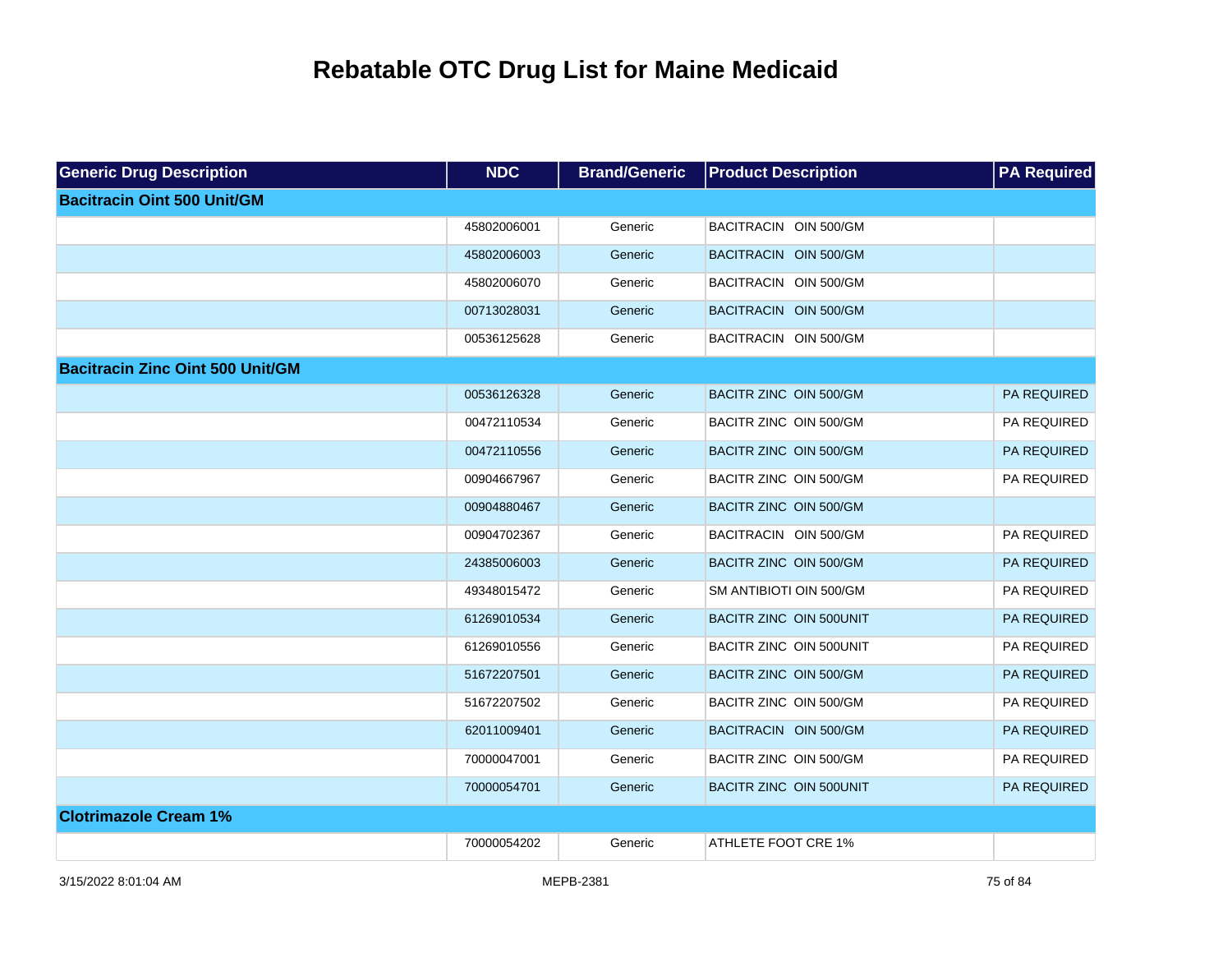| <b>Generic Drug Description</b>         | <b>NDC</b>  | <b>Brand/Generic</b> | <b>Product Description</b> | <b>PA Required</b> |
|-----------------------------------------|-------------|----------------------|----------------------------|--------------------|
| <b>Bacitracin Oint 500 Unit/GM</b>      |             |                      |                            |                    |
|                                         | 45802006001 | Generic              | BACITRACIN OIN 500/GM      |                    |
|                                         | 45802006003 | Generic              | BACITRACIN OIN 500/GM      |                    |
|                                         | 45802006070 | Generic              | BACITRACIN OIN 500/GM      |                    |
|                                         | 00713028031 | Generic              | BACITRACIN OIN 500/GM      |                    |
|                                         | 00536125628 | Generic              | BACITRACIN OIN 500/GM      |                    |
| <b>Bacitracin Zinc Oint 500 Unit/GM</b> |             |                      |                            |                    |
|                                         | 00536126328 | Generic              | BACITR ZINC OIN 500/GM     | PA REQUIRED        |
|                                         | 00472110534 | Generic              | BACITR ZINC OIN 500/GM     | PA REQUIRED        |
|                                         | 00472110556 | Generic              | BACITR ZINC OIN 500/GM     | PA REQUIRED        |
|                                         | 00904667967 | Generic              | BACITR ZINC OIN 500/GM     | PA REQUIRED        |
|                                         | 00904880467 | Generic              | BACITR ZINC OIN 500/GM     |                    |
|                                         | 00904702367 | Generic              | BACITRACIN OIN 500/GM      | PA REQUIRED        |
|                                         | 24385006003 | Generic              | BACITR ZINC OIN 500/GM     | PA REQUIRED        |
|                                         | 49348015472 | Generic              | SM ANTIBIOTI OIN 500/GM    | PA REQUIRED        |
|                                         | 61269010534 | Generic              | BACITR ZINC OIN 500UNIT    | PA REQUIRED        |
|                                         | 61269010556 | Generic              | BACITR ZINC OIN 500UNIT    | PA REQUIRED        |
|                                         | 51672207501 | Generic              | BACITR ZINC OIN 500/GM     | PA REQUIRED        |
|                                         | 51672207502 | Generic              | BACITR ZINC OIN 500/GM     | PA REQUIRED        |
|                                         | 62011009401 | Generic              | BACITRACIN OIN 500/GM      | PA REQUIRED        |
|                                         | 70000047001 | Generic              | BACITR ZINC OIN 500/GM     | PA REQUIRED        |
|                                         | 70000054701 | Generic              | BACITR ZINC OIN 500UNIT    | PA REQUIRED        |
| <b>Clotrimazole Cream 1%</b>            |             |                      |                            |                    |
|                                         | 70000054202 | Generic              | ATHLETE FOOT CRE 1%        |                    |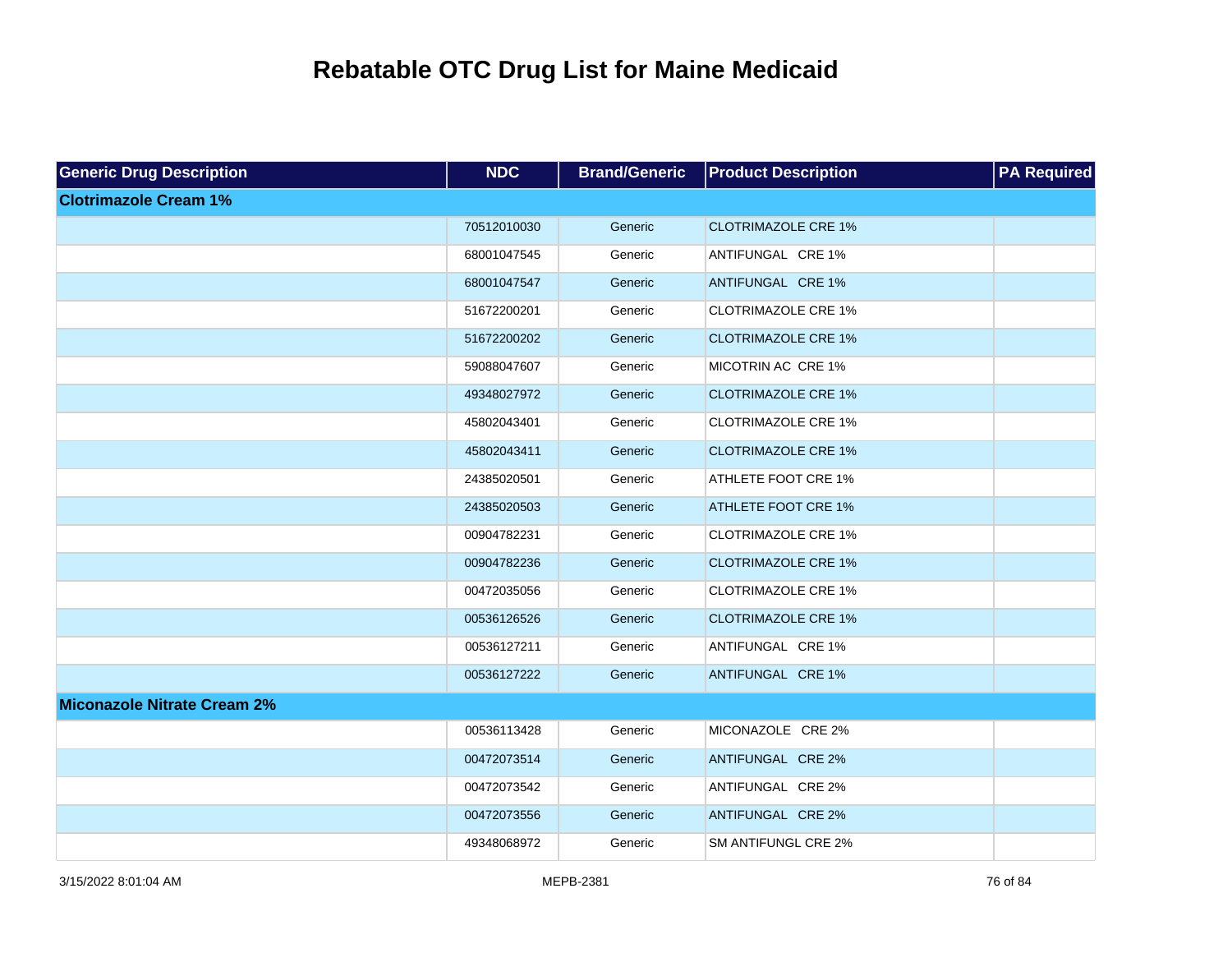| <b>Generic Drug Description</b>    | <b>NDC</b>  | <b>Brand/Generic</b> | <b>Product Description</b> | <b>PA Required</b> |
|------------------------------------|-------------|----------------------|----------------------------|--------------------|
| <b>Clotrimazole Cream 1%</b>       |             |                      |                            |                    |
|                                    | 70512010030 | Generic              | <b>CLOTRIMAZOLE CRE 1%</b> |                    |
|                                    | 68001047545 | Generic              | ANTIFUNGAL CRE 1%          |                    |
|                                    | 68001047547 | Generic              | ANTIFUNGAL CRE 1%          |                    |
|                                    | 51672200201 | Generic              | <b>CLOTRIMAZOLE CRE 1%</b> |                    |
|                                    | 51672200202 | Generic              | <b>CLOTRIMAZOLE CRE 1%</b> |                    |
|                                    | 59088047607 | Generic              | MICOTRIN AC CRE 1%         |                    |
|                                    | 49348027972 | Generic              | <b>CLOTRIMAZOLE CRE 1%</b> |                    |
|                                    | 45802043401 | Generic              | <b>CLOTRIMAZOLE CRE 1%</b> |                    |
|                                    | 45802043411 | Generic              | <b>CLOTRIMAZOLE CRE 1%</b> |                    |
|                                    | 24385020501 | Generic              | ATHLETE FOOT CRE 1%        |                    |
|                                    | 24385020503 | Generic              | <b>ATHLETE FOOT CRE 1%</b> |                    |
|                                    | 00904782231 | Generic              | <b>CLOTRIMAZOLE CRE 1%</b> |                    |
|                                    | 00904782236 | Generic              | <b>CLOTRIMAZOLE CRE 1%</b> |                    |
|                                    | 00472035056 | Generic              | <b>CLOTRIMAZOLE CRE 1%</b> |                    |
|                                    | 00536126526 | Generic              | <b>CLOTRIMAZOLE CRE 1%</b> |                    |
|                                    | 00536127211 | Generic              | ANTIFUNGAL CRE 1%          |                    |
|                                    | 00536127222 | Generic              | ANTIFUNGAL CRE 1%          |                    |
| <b>Miconazole Nitrate Cream 2%</b> |             |                      |                            |                    |
|                                    | 00536113428 | Generic              | MICONAZOLE CRE 2%          |                    |
|                                    | 00472073514 | Generic              | ANTIFUNGAL CRE 2%          |                    |
|                                    | 00472073542 | Generic              | ANTIFUNGAL CRE 2%          |                    |
|                                    | 00472073556 | Generic              | ANTIFUNGAL CRE 2%          |                    |
|                                    | 49348068972 | Generic              | SM ANTIFUNGL CRE 2%        |                    |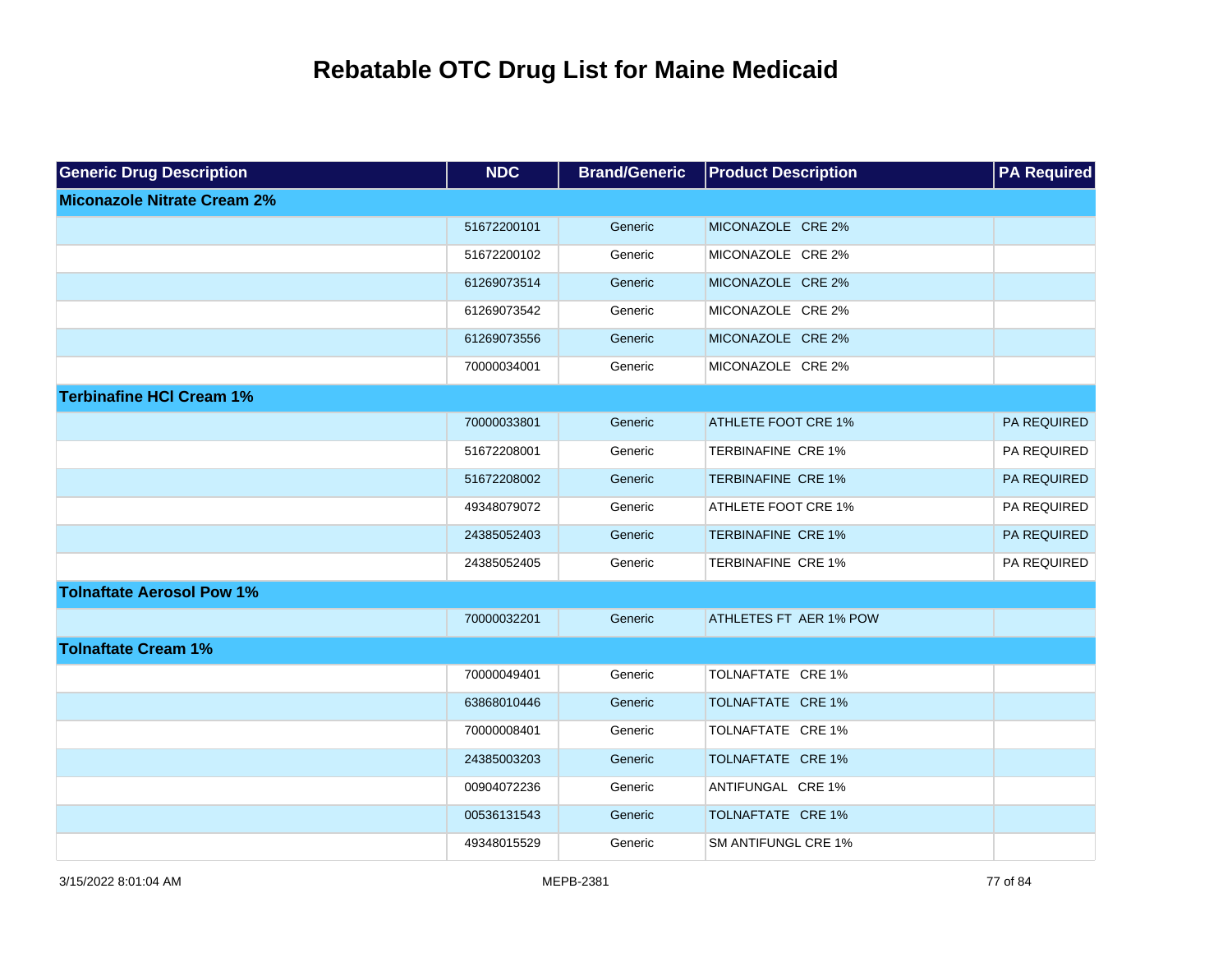| <b>Generic Drug Description</b>    | <b>NDC</b>  | <b>Brand/Generic</b> | <b>Product Description</b> | <b>PA Required</b> |
|------------------------------------|-------------|----------------------|----------------------------|--------------------|
| <b>Miconazole Nitrate Cream 2%</b> |             |                      |                            |                    |
|                                    | 51672200101 | Generic              | MICONAZOLE CRE 2%          |                    |
|                                    | 51672200102 | Generic              | MICONAZOLE CRE 2%          |                    |
|                                    | 61269073514 | Generic              | MICONAZOLE CRE 2%          |                    |
|                                    | 61269073542 | Generic              | MICONAZOLE CRE 2%          |                    |
|                                    | 61269073556 | Generic              | MICONAZOLE CRE 2%          |                    |
|                                    | 70000034001 | Generic              | MICONAZOLE CRE 2%          |                    |
| <b>Terbinafine HCI Cream 1%</b>    |             |                      |                            |                    |
|                                    | 70000033801 | Generic              | <b>ATHLETE FOOT CRE 1%</b> | PA REQUIRED        |
|                                    | 51672208001 | Generic              | TERBINAFINE CRE 1%         | PA REQUIRED        |
|                                    | 51672208002 | Generic              | <b>TERBINAFINE CRE 1%</b>  | PA REQUIRED        |
|                                    | 49348079072 | Generic              | ATHLETE FOOT CRE 1%        | PA REQUIRED        |
|                                    | 24385052403 | Generic              | <b>TERBINAFINE CRE 1%</b>  | PA REQUIRED        |
|                                    | 24385052405 | Generic              | TERBINAFINE CRE 1%         | PA REQUIRED        |
| <b>Tolnaftate Aerosol Pow 1%</b>   |             |                      |                            |                    |
|                                    | 70000032201 | Generic              | ATHLETES FT AER 1% POW     |                    |
| <b>Tolnaftate Cream 1%</b>         |             |                      |                            |                    |
|                                    | 70000049401 | Generic              | TOLNAFTATE CRE 1%          |                    |
|                                    | 63868010446 | Generic              | TOLNAFTATE CRE 1%          |                    |
|                                    | 70000008401 | Generic              | TOLNAFTATE CRE 1%          |                    |
|                                    | 24385003203 | Generic              | TOLNAFTATE CRE 1%          |                    |
|                                    | 00904072236 | Generic              | ANTIFUNGAL CRE 1%          |                    |
|                                    | 00536131543 | Generic              | TOLNAFTATE CRE 1%          |                    |
|                                    | 49348015529 | Generic              | SM ANTIFUNGL CRE 1%        |                    |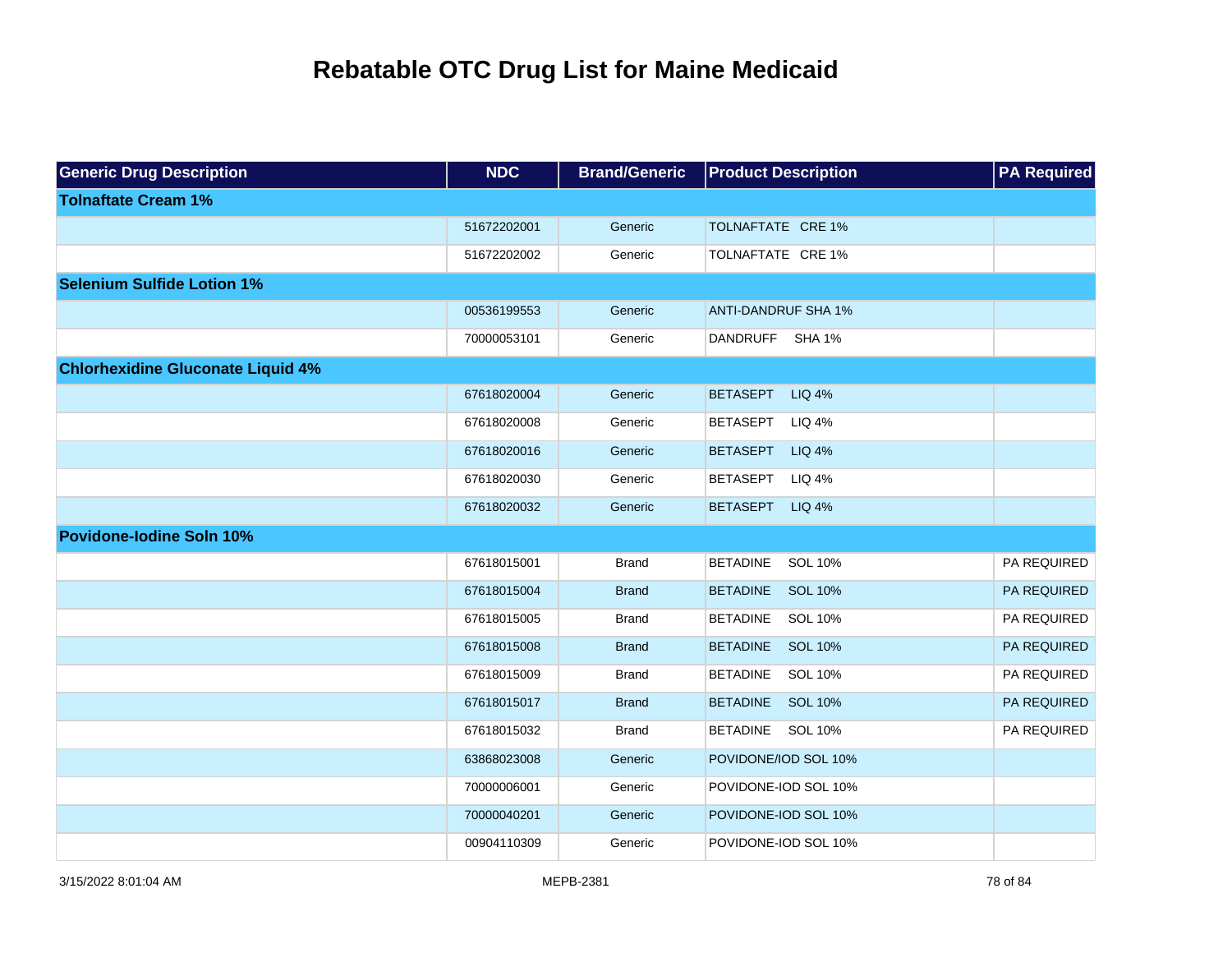| <b>Generic Drug Description</b>          | <b>NDC</b>  | <b>Brand/Generic</b> | <b>Product Description</b>        | <b>PA Required</b> |
|------------------------------------------|-------------|----------------------|-----------------------------------|--------------------|
| <b>Tolnaftate Cream 1%</b>               |             |                      |                                   |                    |
|                                          | 51672202001 | Generic              | TOLNAFTATE CRE 1%                 |                    |
|                                          | 51672202002 | Generic              | TOLNAFTATE CRE 1%                 |                    |
| <b>Selenium Sulfide Lotion 1%</b>        |             |                      |                                   |                    |
|                                          | 00536199553 | Generic              | <b>ANTI-DANDRUF SHA 1%</b>        |                    |
|                                          | 70000053101 | Generic              | DANDRUFF SHA 1%                   |                    |
| <b>Chlorhexidine Gluconate Liquid 4%</b> |             |                      |                                   |                    |
|                                          | 67618020004 | Generic              | <b>BETASEPT</b><br><b>LIQ 4%</b>  |                    |
|                                          | 67618020008 | Generic              | <b>LIQ 4%</b><br><b>BETASEPT</b>  |                    |
|                                          | 67618020016 | Generic              | <b>BETASEPT</b><br>LIQ 4%         |                    |
|                                          | 67618020030 | Generic              | <b>BETASEPT</b><br>LIQ 4%         |                    |
|                                          | 67618020032 | Generic              | <b>BETASEPT</b><br><b>LIQ 4%</b>  |                    |
| <b>Povidone-lodine Soln 10%</b>          |             |                      |                                   |                    |
|                                          | 67618015001 | <b>Brand</b>         | <b>BETADINE</b><br>SOL 10%        | PA REQUIRED        |
|                                          | 67618015004 | <b>Brand</b>         | <b>BETADINE</b><br><b>SOL 10%</b> | <b>PA REQUIRED</b> |
|                                          | 67618015005 | <b>Brand</b>         | <b>BETADINE</b><br>SOL 10%        | PA REQUIRED        |
|                                          | 67618015008 | <b>Brand</b>         | <b>BETADINE</b><br><b>SOL 10%</b> | PA REQUIRED        |
|                                          | 67618015009 | <b>Brand</b>         | <b>BETADINE</b><br>SOL 10%        | PA REQUIRED        |
|                                          | 67618015017 | <b>Brand</b>         | <b>BETADINE</b><br><b>SOL 10%</b> | PA REQUIRED        |
|                                          | 67618015032 | <b>Brand</b>         | SOL 10%<br><b>BETADINE</b>        | PA REQUIRED        |
|                                          | 63868023008 | Generic              | POVIDONE/IOD SOL 10%              |                    |
|                                          | 70000006001 | Generic              | POVIDONE-IOD SOL 10%              |                    |
|                                          | 70000040201 | Generic              | POVIDONE-IOD SOL 10%              |                    |
|                                          | 00904110309 | Generic              | POVIDONE-IOD SOL 10%              |                    |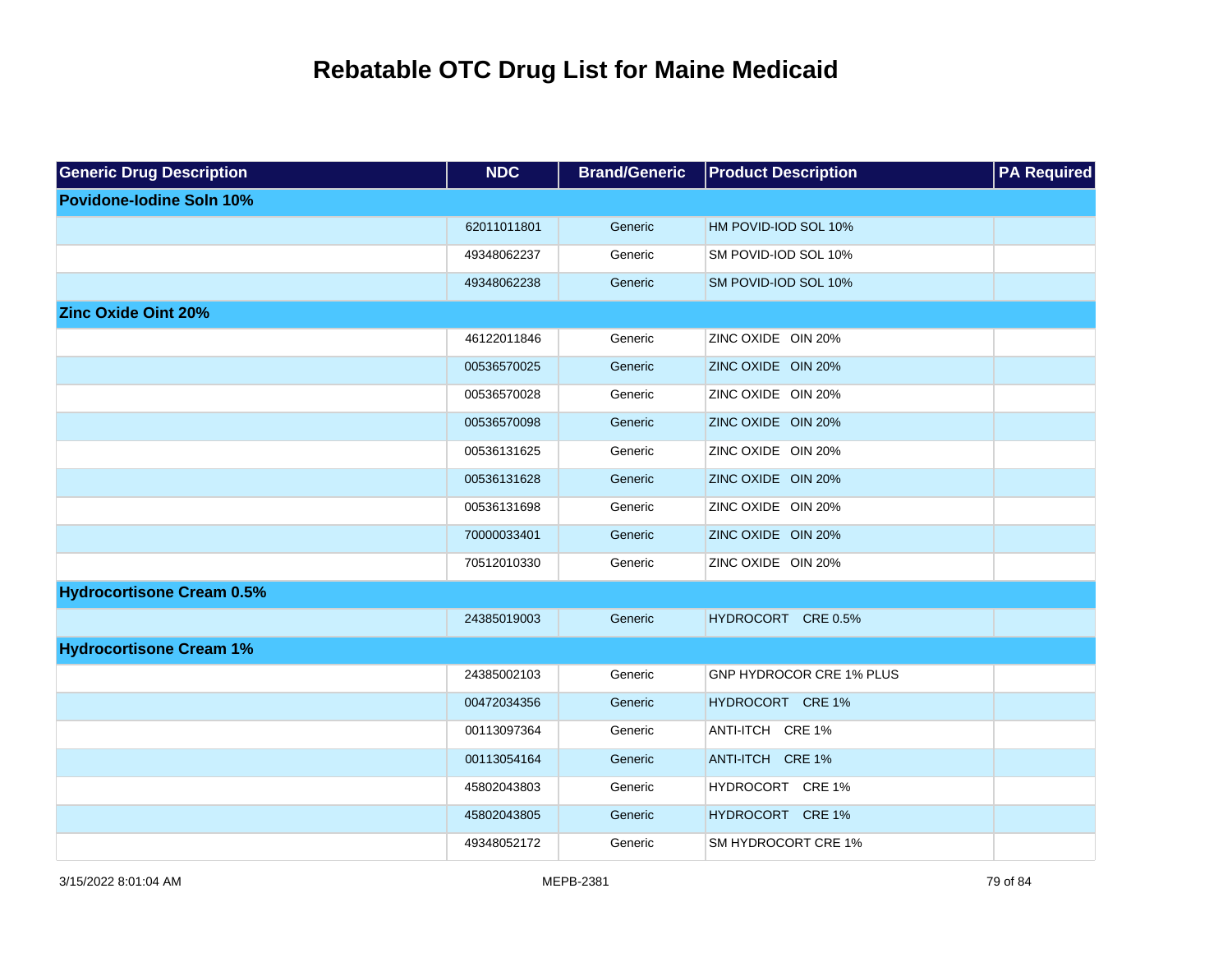| <b>Generic Drug Description</b>  | <b>NDC</b>  | <b>Brand/Generic</b> | <b>Product Description</b>      | <b>PA Required</b> |
|----------------------------------|-------------|----------------------|---------------------------------|--------------------|
| <b>Povidone-lodine Soln 10%</b>  |             |                      |                                 |                    |
|                                  | 62011011801 | Generic              | HM POVID-IOD SOL 10%            |                    |
|                                  | 49348062237 | Generic              | SM POVID-IOD SOL 10%            |                    |
|                                  | 49348062238 | Generic              | SM POVID-IOD SOL 10%            |                    |
| <b>Zinc Oxide Oint 20%</b>       |             |                      |                                 |                    |
|                                  | 46122011846 | Generic              | ZINC OXIDE OIN 20%              |                    |
|                                  | 00536570025 | Generic              | ZINC OXIDE OIN 20%              |                    |
|                                  | 00536570028 | Generic              | ZINC OXIDE OIN 20%              |                    |
|                                  | 00536570098 | Generic              | ZINC OXIDE OIN 20%              |                    |
|                                  | 00536131625 | Generic              | ZINC OXIDE OIN 20%              |                    |
|                                  | 00536131628 | Generic              | ZINC OXIDE OIN 20%              |                    |
|                                  | 00536131698 | Generic              | ZINC OXIDE OIN 20%              |                    |
|                                  | 70000033401 | Generic              | ZINC OXIDE OIN 20%              |                    |
|                                  | 70512010330 | Generic              | ZINC OXIDE OIN 20%              |                    |
| <b>Hydrocortisone Cream 0.5%</b> |             |                      |                                 |                    |
|                                  | 24385019003 | Generic              | HYDROCORT CRE 0.5%              |                    |
| <b>Hydrocortisone Cream 1%</b>   |             |                      |                                 |                    |
|                                  | 24385002103 | Generic              | <b>GNP HYDROCOR CRE 1% PLUS</b> |                    |
|                                  | 00472034356 | Generic              | HYDROCORT CRE 1%                |                    |
|                                  | 00113097364 | Generic              | ANTI-ITCH CRE 1%                |                    |
|                                  | 00113054164 | Generic              | ANTI-ITCH CRE 1%                |                    |
|                                  | 45802043803 | Generic              | HYDROCORT CRE 1%                |                    |
|                                  | 45802043805 | Generic              | HYDROCORT CRE 1%                |                    |
|                                  | 49348052172 | Generic              | SM HYDROCORT CRE 1%             |                    |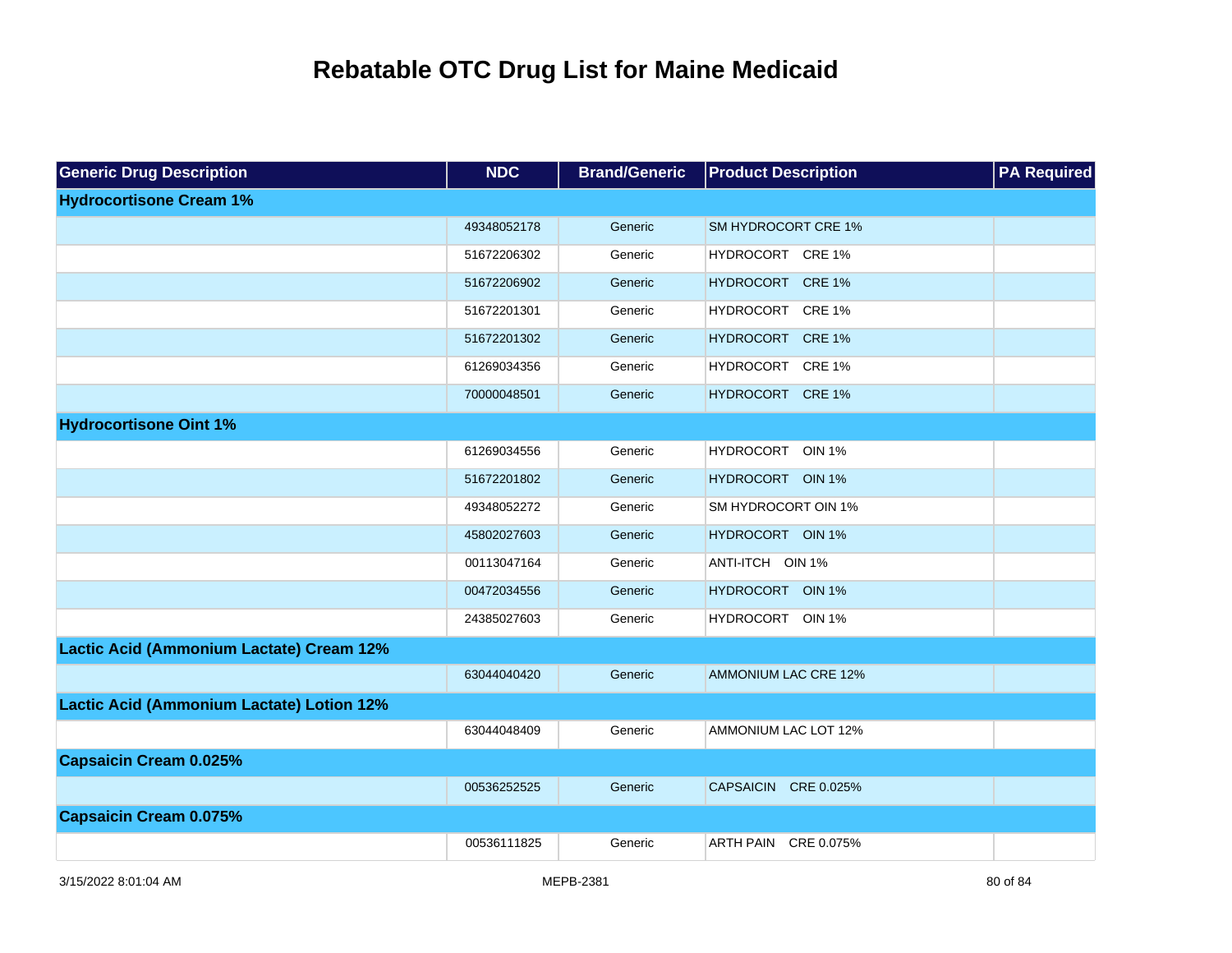| <b>Generic Drug Description</b>           | <b>NDC</b>  | <b>Brand/Generic</b> | <b>Product Description</b>  | <b>PA Required</b> |
|-------------------------------------------|-------------|----------------------|-----------------------------|--------------------|
| <b>Hydrocortisone Cream 1%</b>            |             |                      |                             |                    |
|                                           | 49348052178 | Generic              | <b>SM HYDROCORT CRE 1%</b>  |                    |
|                                           | 51672206302 | Generic              | HYDROCORT CRE 1%            |                    |
|                                           | 51672206902 | Generic              | HYDROCORT CRE 1%            |                    |
|                                           | 51672201301 | Generic              | HYDROCORT CRE 1%            |                    |
|                                           | 51672201302 | Generic              | HYDROCORT CRE 1%            |                    |
|                                           | 61269034356 | Generic              | HYDROCORT CRE 1%            |                    |
|                                           | 70000048501 | Generic              | HYDROCORT CRE 1%            |                    |
| <b>Hydrocortisone Oint 1%</b>             |             |                      |                             |                    |
|                                           | 61269034556 | Generic              | HYDROCORT OIN 1%            |                    |
|                                           | 51672201802 | Generic              | HYDROCORT OIN 1%            |                    |
|                                           | 49348052272 | Generic              | SM HYDROCORT OIN 1%         |                    |
|                                           | 45802027603 | Generic              | HYDROCORT OIN 1%            |                    |
|                                           | 00113047164 | Generic              | ANTI-ITCH OIN 1%            |                    |
|                                           | 00472034556 | Generic              | HYDROCORT OIN 1%            |                    |
|                                           | 24385027603 | Generic              | HYDROCORT OIN 1%            |                    |
| Lactic Acid (Ammonium Lactate) Cream 12%  |             |                      |                             |                    |
|                                           | 63044040420 | Generic              | <b>AMMONIUM LAC CRE 12%</b> |                    |
| Lactic Acid (Ammonium Lactate) Lotion 12% |             |                      |                             |                    |
|                                           | 63044048409 | Generic              | AMMONIUM LAC LOT 12%        |                    |
| <b>Capsaicin Cream 0.025%</b>             |             |                      |                             |                    |
|                                           | 00536252525 | Generic              | CAPSAICIN CRE 0.025%        |                    |
| <b>Capsaicin Cream 0.075%</b>             |             |                      |                             |                    |
|                                           | 00536111825 | Generic              | ARTH PAIN CRE 0.075%        |                    |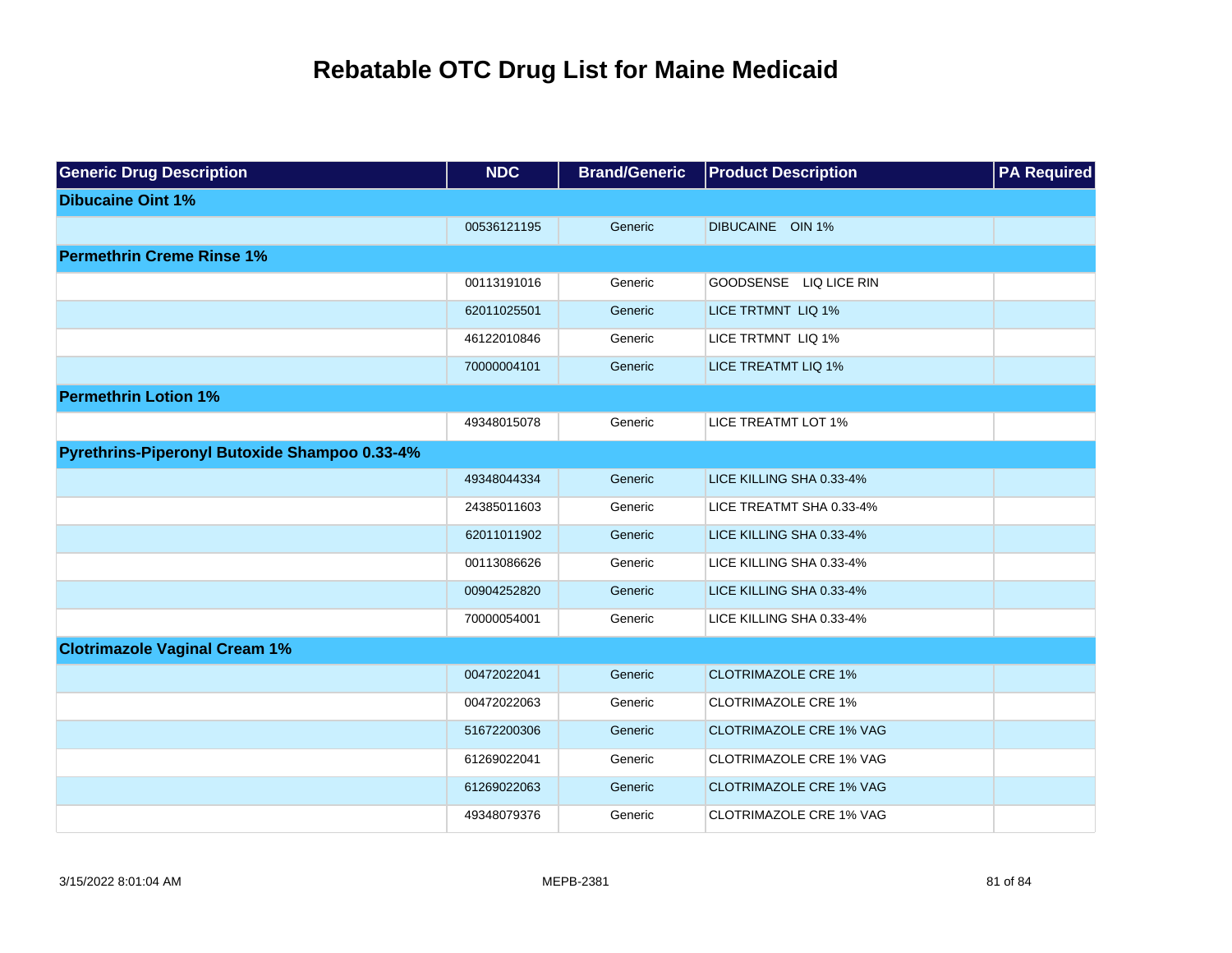| <b>Generic Drug Description</b>               | <b>NDC</b>  | <b>Brand/Generic</b> | <b>Product Description</b>     | <b>PA Required</b> |
|-----------------------------------------------|-------------|----------------------|--------------------------------|--------------------|
| <b>Dibucaine Oint 1%</b>                      |             |                      |                                |                    |
|                                               | 00536121195 | Generic              | DIBUCAINE OIN 1%               |                    |
| <b>Permethrin Creme Rinse 1%</b>              |             |                      |                                |                    |
|                                               | 00113191016 | Generic              | GOODSENSE LIQ LICE RIN         |                    |
|                                               | 62011025501 | Generic              | LICE TRTMNT LIQ 1%             |                    |
|                                               | 46122010846 | Generic              | LICE TRTMNT LIQ 1%             |                    |
|                                               | 70000004101 | Generic              | <b>LICE TREATMT LIQ 1%</b>     |                    |
| <b>Permethrin Lotion 1%</b>                   |             |                      |                                |                    |
|                                               | 49348015078 | Generic              | <b>LICE TREATMT LOT 1%</b>     |                    |
| Pyrethrins-Piperonyl Butoxide Shampoo 0.33-4% |             |                      |                                |                    |
|                                               | 49348044334 | Generic              | LICE KILLING SHA 0.33-4%       |                    |
|                                               | 24385011603 | Generic              | LICE TREATMT SHA 0.33-4%       |                    |
|                                               | 62011011902 | Generic              | LICE KILLING SHA 0.33-4%       |                    |
|                                               | 00113086626 | Generic              | LICE KILLING SHA 0.33-4%       |                    |
|                                               | 00904252820 | Generic              | LICE KILLING SHA 0.33-4%       |                    |
|                                               | 70000054001 | Generic              | LICE KILLING SHA 0.33-4%       |                    |
| <b>Clotrimazole Vaginal Cream 1%</b>          |             |                      |                                |                    |
|                                               | 00472022041 | Generic              | <b>CLOTRIMAZOLE CRE 1%</b>     |                    |
|                                               | 00472022063 | Generic              | <b>CLOTRIMAZOLE CRE 1%</b>     |                    |
|                                               | 51672200306 | Generic              | <b>CLOTRIMAZOLE CRE 1% VAG</b> |                    |
|                                               | 61269022041 | Generic              | <b>CLOTRIMAZOLE CRE 1% VAG</b> |                    |
|                                               | 61269022063 | Generic              | <b>CLOTRIMAZOLE CRE 1% VAG</b> |                    |
|                                               | 49348079376 | Generic              | <b>CLOTRIMAZOLE CRE 1% VAG</b> |                    |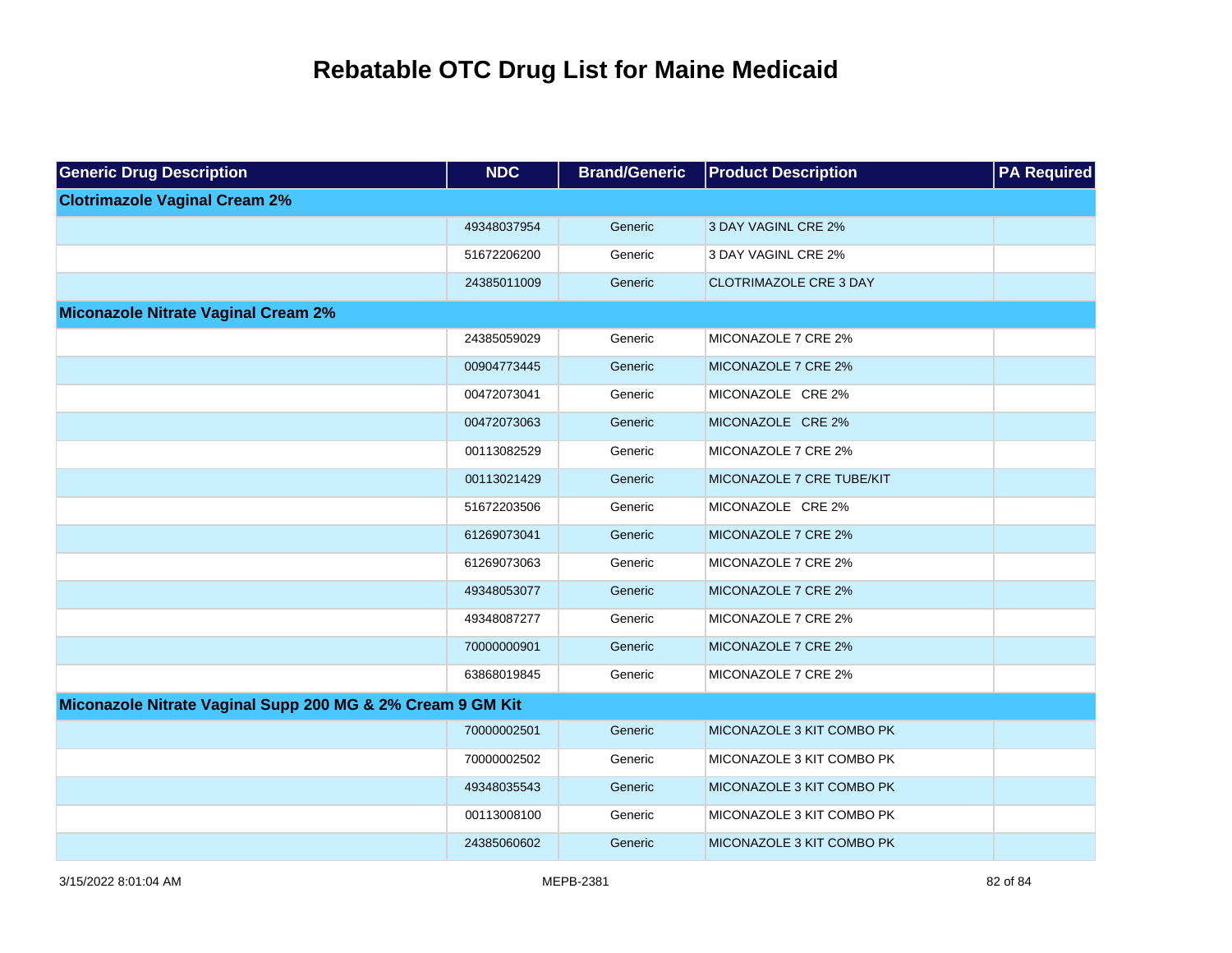| <b>Generic Drug Description</b>                            | <b>NDC</b>  | <b>Brand/Generic</b> | <b>Product Description</b>    | <b>PA Required</b> |
|------------------------------------------------------------|-------------|----------------------|-------------------------------|--------------------|
| <b>Clotrimazole Vaginal Cream 2%</b>                       |             |                      |                               |                    |
|                                                            | 49348037954 | Generic              | 3 DAY VAGINL CRE 2%           |                    |
|                                                            | 51672206200 | Generic              | 3 DAY VAGINL CRE 2%           |                    |
|                                                            | 24385011009 | Generic              | <b>CLOTRIMAZOLE CRE 3 DAY</b> |                    |
| <b>Miconazole Nitrate Vaginal Cream 2%</b>                 |             |                      |                               |                    |
|                                                            | 24385059029 | Generic              | MICONAZOLE 7 CRE 2%           |                    |
|                                                            | 00904773445 | Generic              | MICONAZOLE 7 CRE 2%           |                    |
|                                                            | 00472073041 | Generic              | MICONAZOLE CRE 2%             |                    |
|                                                            | 00472073063 | Generic              | MICONAZOLE CRE 2%             |                    |
|                                                            | 00113082529 | Generic              | MICONAZOLE 7 CRE 2%           |                    |
|                                                            | 00113021429 | Generic              | MICONAZOLE 7 CRE TUBE/KIT     |                    |
|                                                            | 51672203506 | Generic              | MICONAZOLE CRE 2%             |                    |
|                                                            | 61269073041 | Generic              | MICONAZOLE 7 CRE 2%           |                    |
|                                                            | 61269073063 | Generic              | MICONAZOLE 7 CRE 2%           |                    |
|                                                            | 49348053077 | Generic              | MICONAZOLE 7 CRE 2%           |                    |
|                                                            | 49348087277 | Generic              | MICONAZOLE 7 CRE 2%           |                    |
|                                                            | 70000000901 | Generic              | MICONAZOLE 7 CRE 2%           |                    |
|                                                            | 63868019845 | Generic              | MICONAZOLE 7 CRE 2%           |                    |
| Miconazole Nitrate Vaginal Supp 200 MG & 2% Cream 9 GM Kit |             |                      |                               |                    |
|                                                            | 70000002501 | Generic              | MICONAZOLE 3 KIT COMBO PK     |                    |
|                                                            | 70000002502 | Generic              | MICONAZOLE 3 KIT COMBO PK     |                    |
|                                                            | 49348035543 | Generic              | MICONAZOLE 3 KIT COMBO PK     |                    |
|                                                            | 00113008100 | Generic              | MICONAZOLE 3 KIT COMBO PK     |                    |
|                                                            | 24385060602 | Generic              | MICONAZOLE 3 KIT COMBO PK     |                    |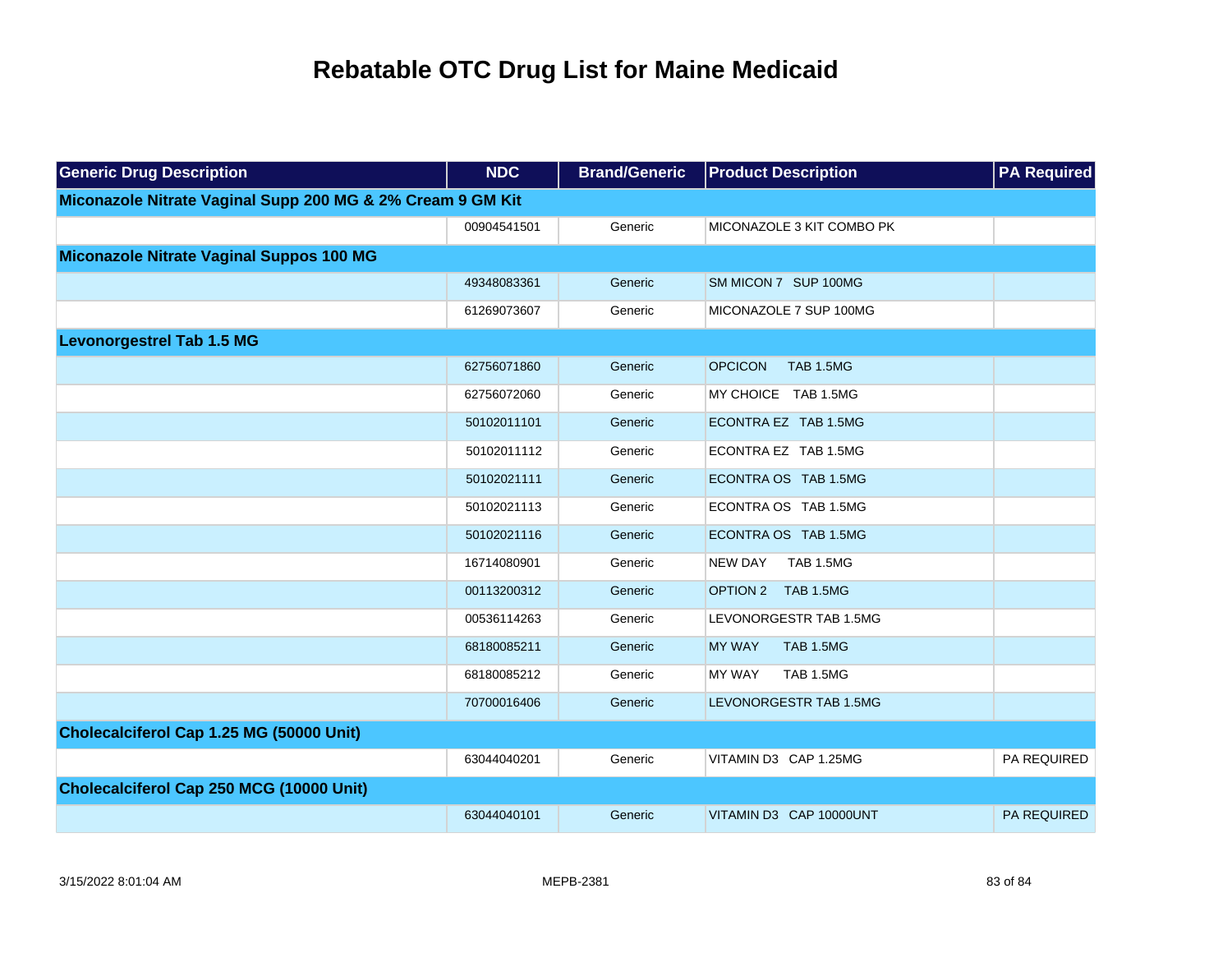| <b>Generic Drug Description</b>                            | <b>NDC</b>  | <b>Brand/Generic</b> | <b>Product Description</b>         | <b>PA Required</b> |
|------------------------------------------------------------|-------------|----------------------|------------------------------------|--------------------|
| Miconazole Nitrate Vaginal Supp 200 MG & 2% Cream 9 GM Kit |             |                      |                                    |                    |
|                                                            | 00904541501 | Generic              | MICONAZOLE 3 KIT COMBO PK          |                    |
| Miconazole Nitrate Vaginal Suppos 100 MG                   |             |                      |                                    |                    |
|                                                            | 49348083361 | Generic              | SM MICON 7 SUP 100MG               |                    |
|                                                            | 61269073607 | Generic              | MICONAZOLE 7 SUP 100MG             |                    |
| <b>Levonorgestrel Tab 1.5 MG</b>                           |             |                      |                                    |                    |
|                                                            | 62756071860 | Generic              | <b>OPCICON</b><br><b>TAB 1.5MG</b> |                    |
|                                                            | 62756072060 | Generic              | MY CHOICE TAB 1.5MG                |                    |
|                                                            | 50102011101 | Generic              | ECONTRA EZ TAB 1.5MG               |                    |
|                                                            | 50102011112 | Generic              | ECONTRA EZ TAB 1.5MG               |                    |
|                                                            | 50102021111 | Generic              | ECONTRA OS TAB 1.5MG               |                    |
|                                                            | 50102021113 | Generic              | ECONTRA OS TAB 1.5MG               |                    |
|                                                            | 50102021116 | Generic              | ECONTRA OS TAB 1.5MG               |                    |
|                                                            | 16714080901 | Generic              | <b>NEW DAY</b><br><b>TAB 1.5MG</b> |                    |
|                                                            | 00113200312 | Generic              | OPTION 2 TAB 1.5MG                 |                    |
|                                                            | 00536114263 | Generic              | LEVONORGESTR TAB 1.5MG             |                    |
|                                                            | 68180085211 | Generic              | <b>MY WAY</b><br>TAB 1.5MG         |                    |
|                                                            | 68180085212 | Generic              | TAB 1.5MG<br><b>MY WAY</b>         |                    |
|                                                            | 70700016406 | Generic              | LEVONORGESTR TAB 1.5MG             |                    |
| Cholecalciferol Cap 1.25 MG (50000 Unit)                   |             |                      |                                    |                    |
|                                                            | 63044040201 | Generic              | VITAMIN D3 CAP 1.25MG              | PA REQUIRED        |
| Cholecalciferol Cap 250 MCG (10000 Unit)                   |             |                      |                                    |                    |
|                                                            | 63044040101 | Generic              | VITAMIN D3 CAP 10000UNT            | <b>PA REQUIRED</b> |